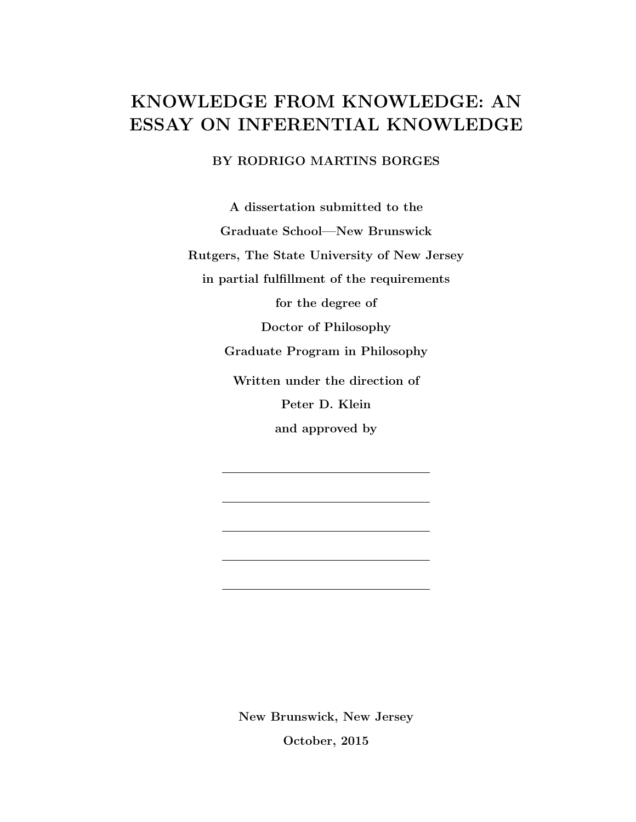## <span id="page-0-0"></span>KNOWLEDGE FROM KNOWLEDGE: AN ESSAY ON INFERENTIAL KNOWLEDGE

#### BY RODRIGO MARTINS BORGES

A dissertation submitted to the Graduate School—New Brunswick Rutgers, The State University of New Jersey in partial fulfillment of the requirements for the degree of Doctor of Philosophy Graduate Program in Philosophy Written under the direction of Peter D. Klein and approved by

> New Brunswick, New Jersey October, 2015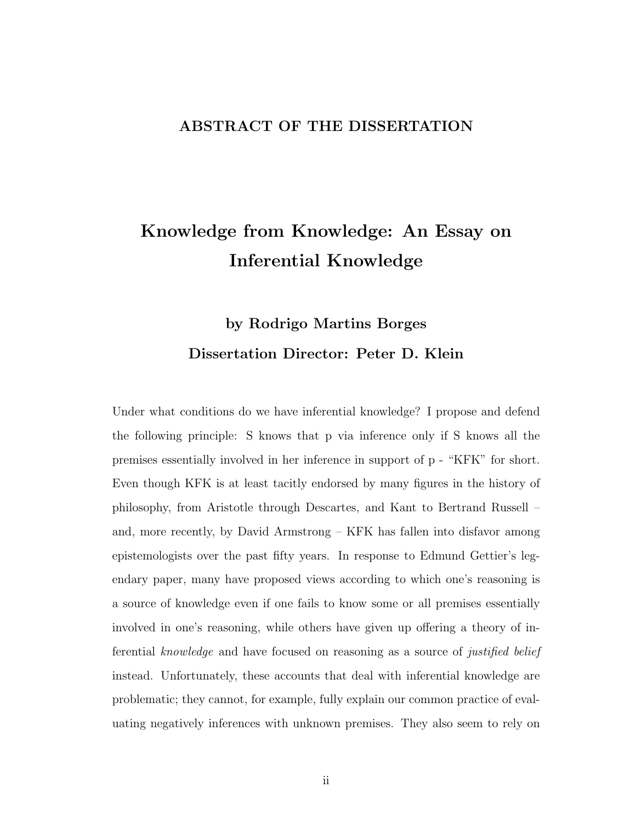#### ABSTRACT OF THE DISSERTATION

# Knowledge from Knowledge: An Essay on Inferential Knowledge

## by Rodrigo Martins Borges Dissertation Director: Peter D. Klein

Under what conditions do we have inferential knowledge? I propose and defend the following principle: S knows that p via inference only if S knows all the premises essentially involved in her inference in support of p - "KFK" for short. Even though KFK is at least tacitly endorsed by many figures in the history of philosophy, from Aristotle through Descartes, and Kant to Bertrand Russell – and, more recently, by David Armstrong – KFK has fallen into disfavor among epistemologists over the past fifty years. In response to Edmund Gettier's legendary paper, many have proposed views according to which one's reasoning is a source of knowledge even if one fails to know some or all premises essentially involved in one's reasoning, while others have given up offering a theory of inferential knowledge and have focused on reasoning as a source of justified belief instead. Unfortunately, these accounts that deal with inferential knowledge are problematic; they cannot, for example, fully explain our common practice of evaluating negatively inferences with unknown premises. They also seem to rely on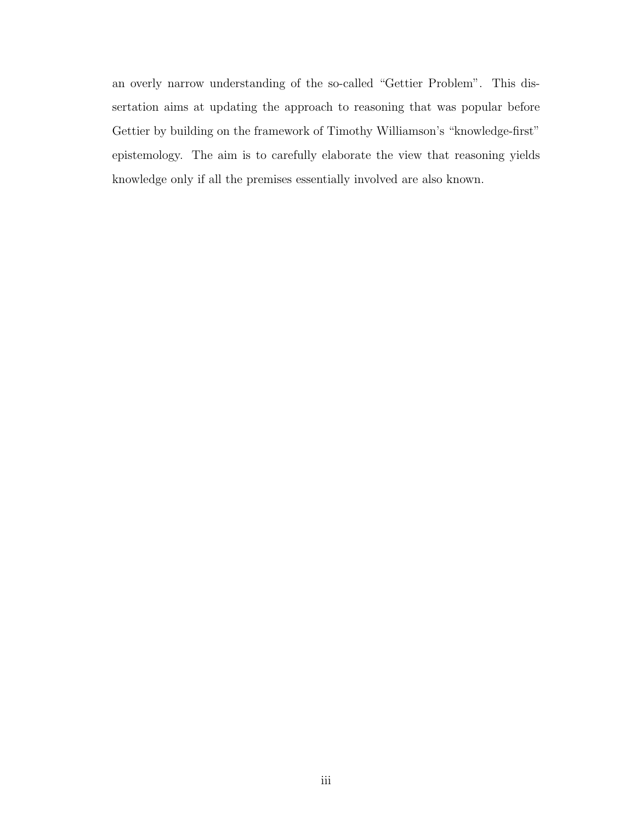an overly narrow understanding of the so-called "Gettier Problem". This dissertation aims at updating the approach to reasoning that was popular before Gettier by building on the framework of Timothy Williamson's "knowledge-first" epistemology. The aim is to carefully elaborate the view that reasoning yields knowledge only if all the premises essentially involved are also known.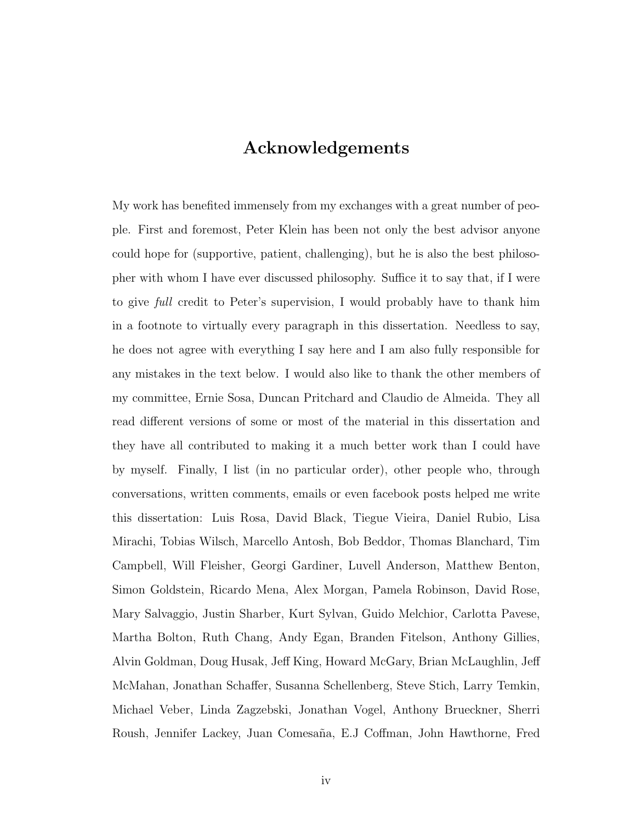### Acknowledgements

<span id="page-3-0"></span>My work has benefited immensely from my exchanges with a great number of people. First and foremost, Peter Klein has been not only the best advisor anyone could hope for (supportive, patient, challenging), but he is also the best philosopher with whom I have ever discussed philosophy. Suffice it to say that, if I were to give full credit to Peter's supervision, I would probably have to thank him in a footnote to virtually every paragraph in this dissertation. Needless to say, he does not agree with everything I say here and I am also fully responsible for any mistakes in the text below. I would also like to thank the other members of my committee, Ernie Sosa, Duncan Pritchard and Claudio de Almeida. They all read different versions of some or most of the material in this dissertation and they have all contributed to making it a much better work than I could have by myself. Finally, I list (in no particular order), other people who, through conversations, written comments, emails or even facebook posts helped me write this dissertation: Luis Rosa, David Black, Tiegue Vieira, Daniel Rubio, Lisa Mirachi, Tobias Wilsch, Marcello Antosh, Bob Beddor, Thomas Blanchard, Tim Campbell, Will Fleisher, Georgi Gardiner, Luvell Anderson, Matthew Benton, Simon Goldstein, Ricardo Mena, Alex Morgan, Pamela Robinson, David Rose, Mary Salvaggio, Justin Sharber, Kurt Sylvan, Guido Melchior, Carlotta Pavese, Martha Bolton, Ruth Chang, Andy Egan, Branden Fitelson, Anthony Gillies, Alvin Goldman, Doug Husak, Jeff King, Howard McGary, Brian McLaughlin, Jeff McMahan, Jonathan Schaffer, Susanna Schellenberg, Steve Stich, Larry Temkin, Michael Veber, Linda Zagzebski, Jonathan Vogel, Anthony Brueckner, Sherri Roush, Jennifer Lackey, Juan Comesaña, E.J Coffman, John Hawthorne, Fred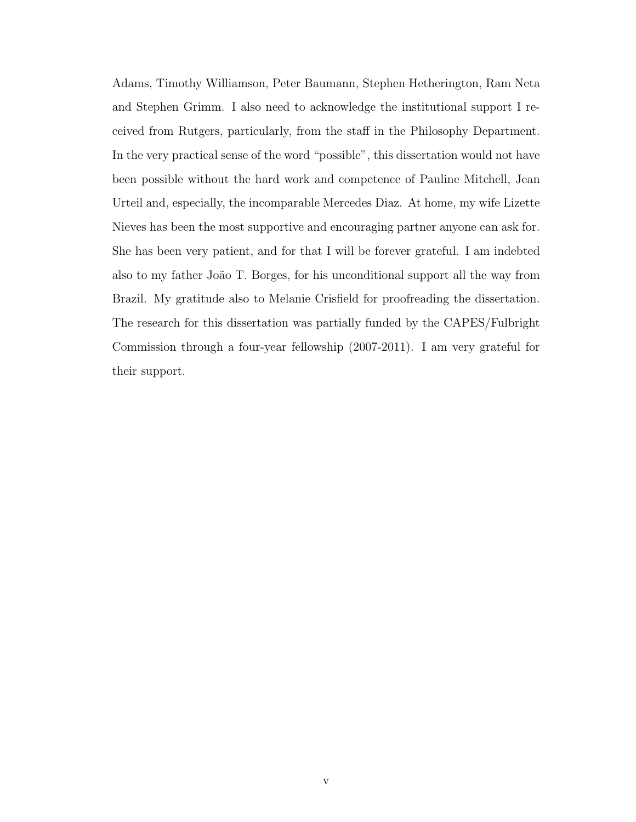Adams, Timothy Williamson, Peter Baumann, Stephen Hetherington, Ram Neta and Stephen Grimm. I also need to acknowledge the institutional support I received from Rutgers, particularly, from the staff in the Philosophy Department. In the very practical sense of the word "possible", this dissertation would not have been possible without the hard work and competence of Pauline Mitchell, Jean Urteil and, especially, the incomparable Mercedes Diaz. At home, my wife Lizette Nieves has been the most supportive and encouraging partner anyone can ask for. She has been very patient, and for that I will be forever grateful. I am indebted also to my father Jo˜ao T. Borges, for his unconditional support all the way from Brazil. My gratitude also to Melanie Crisfield for proofreading the dissertation. The research for this dissertation was partially funded by the CAPES/Fulbright Commission through a four-year fellowship (2007-2011). I am very grateful for their support.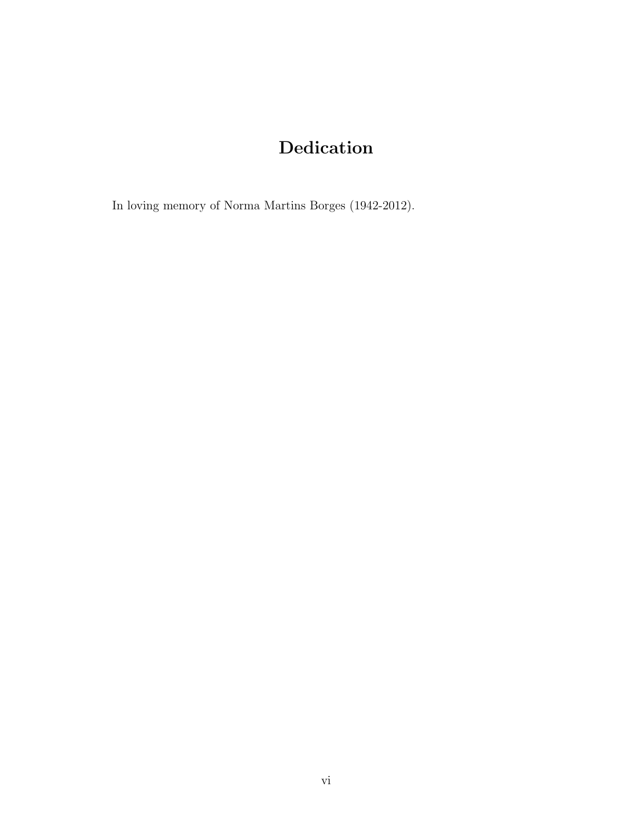## Dedication

<span id="page-5-0"></span>In loving memory of Norma Martins Borges (1942-2012).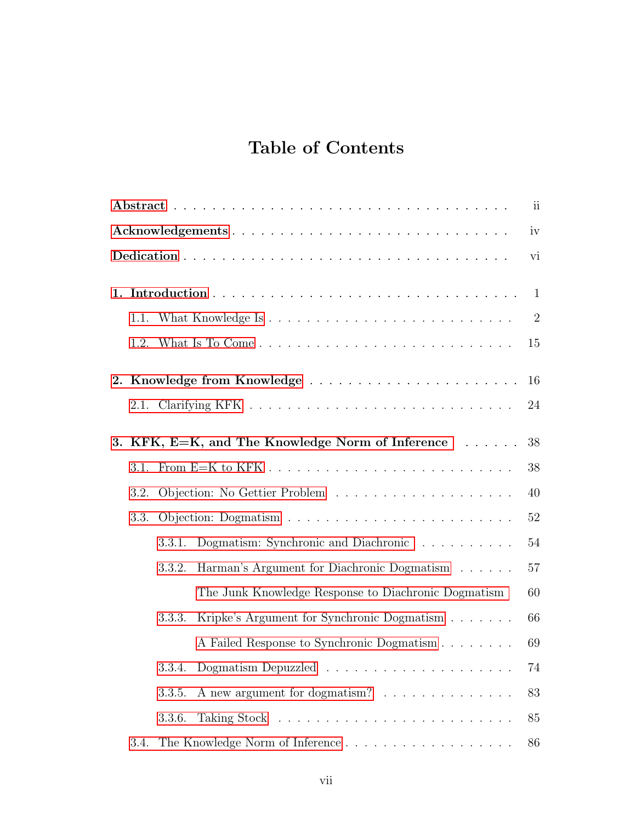### Table of Contents

|                                                      | $\overline{\text{ii}}$ |  |  |  |
|------------------------------------------------------|------------------------|--|--|--|
| Acknowledgements<br>iv                               |                        |  |  |  |
| vi                                                   |                        |  |  |  |
|                                                      | $\mathbf{1}$           |  |  |  |
|                                                      | $\overline{2}$         |  |  |  |
|                                                      | 15                     |  |  |  |
|                                                      | 16                     |  |  |  |
|                                                      | 24                     |  |  |  |
| 3. KFK, E=K, and The Knowledge Norm of Inference     | 38                     |  |  |  |
| 3.1.                                                 | 38                     |  |  |  |
| 3.2.                                                 | 40                     |  |  |  |
| 3.3.                                                 | 52                     |  |  |  |
| Dogmatism: Synchronic and Diachronic<br>3.3.1.       | 54                     |  |  |  |
| Harman's Argument for Diachronic Dogmatism<br>3.3.2. | 57                     |  |  |  |
| The Junk Knowledge Response to Diachronic Dogmatism  | 60                     |  |  |  |
| Kripke's Argument for Synchronic Dogmatism<br>3.3.3. | 66                     |  |  |  |
| A Failed Response to Synchronic Dogmatism            | 69                     |  |  |  |
| 3.3.4.                                               | 74                     |  |  |  |
| A new argument for dogmatism?<br>3.3.5.              | 83                     |  |  |  |
| 3.3.6.                                               | 85                     |  |  |  |
| 3.4.                                                 | 86                     |  |  |  |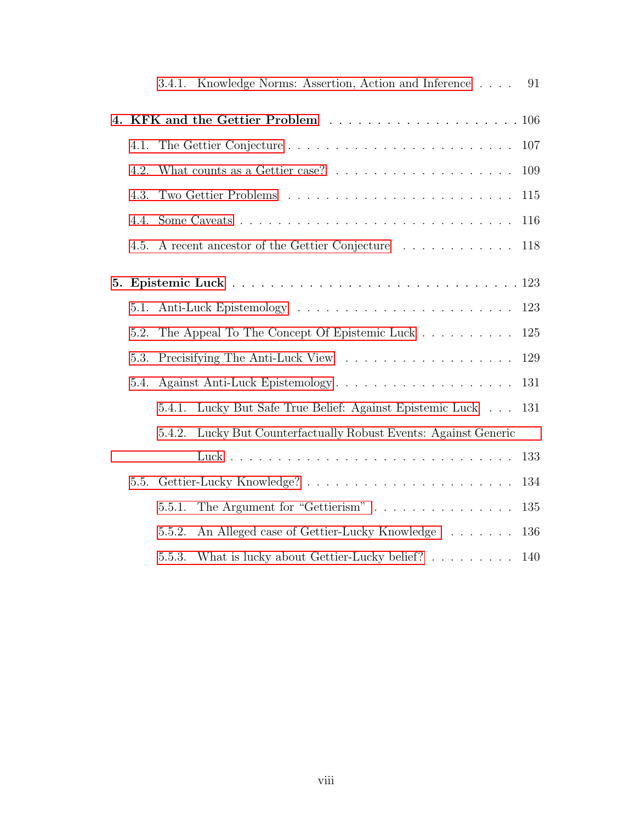|    |      | 3.4.1. Knowledge Norms: Assertion, Action and Inference 91          |
|----|------|---------------------------------------------------------------------|
| 4. |      |                                                                     |
|    | 4.1. | 107                                                                 |
|    | 4.2. | 109                                                                 |
|    | 4.3. | 115                                                                 |
|    | 4.4. | 116                                                                 |
|    | 4.5. | A recent ancestor of the Gettier Conjecture<br>118                  |
| 5. |      |                                                                     |
|    |      |                                                                     |
|    | 5.1. | 123                                                                 |
|    | 5.2. | The Appeal To The Concept Of Epistemic Luck<br>125                  |
|    | 5.3. | 129                                                                 |
|    | 5.4. | Against Anti-Luck Epistemology<br>131                               |
|    |      | Lucky But Safe True Belief: Against Epistemic Luck 131<br>5.4.1.    |
|    |      | Lucky But Counterfactually Robust Events: Against Generic<br>5.4.2. |
|    |      | 133                                                                 |
|    | 5.5. | 134                                                                 |
|    |      | The Argument for "Gettierism"<br>135<br>5.5.1.                      |
|    |      | An Alleged case of Gettier-Lucky Knowledge<br>5.5.2.<br>136         |
|    |      | What is lucky about Gettier-Lucky belief?<br>140<br>5.5.3.          |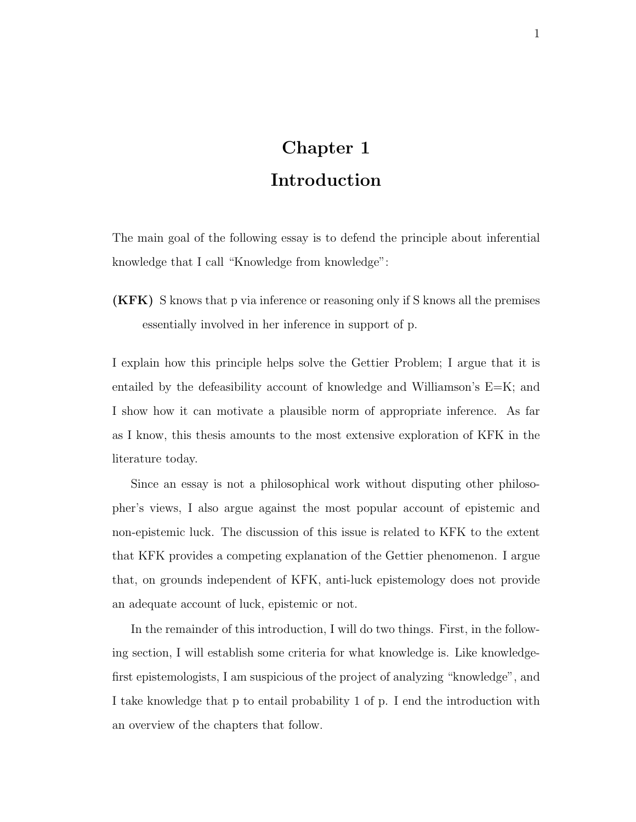# Chapter 1 Introduction

<span id="page-8-0"></span>The main goal of the following essay is to defend the principle about inferential knowledge that I call "Knowledge from knowledge":

(KFK) S knows that p via inference or reasoning only if S knows all the premises essentially involved in her inference in support of p.

I explain how this principle helps solve the Gettier Problem; I argue that it is entailed by the defeasibility account of knowledge and Williamson's E=K; and I show how it can motivate a plausible norm of appropriate inference. As far as I know, this thesis amounts to the most extensive exploration of KFK in the literature today.

Since an essay is not a philosophical work without disputing other philosopher's views, I also argue against the most popular account of epistemic and non-epistemic luck. The discussion of this issue is related to KFK to the extent that KFK provides a competing explanation of the Gettier phenomenon. I argue that, on grounds independent of KFK, anti-luck epistemology does not provide an adequate account of luck, epistemic or not.

In the remainder of this introduction, I will do two things. First, in the following section, I will establish some criteria for what knowledge is. Like knowledgefirst epistemologists, I am suspicious of the project of analyzing "knowledge", and I take knowledge that p to entail probability 1 of p. I end the introduction with an overview of the chapters that follow.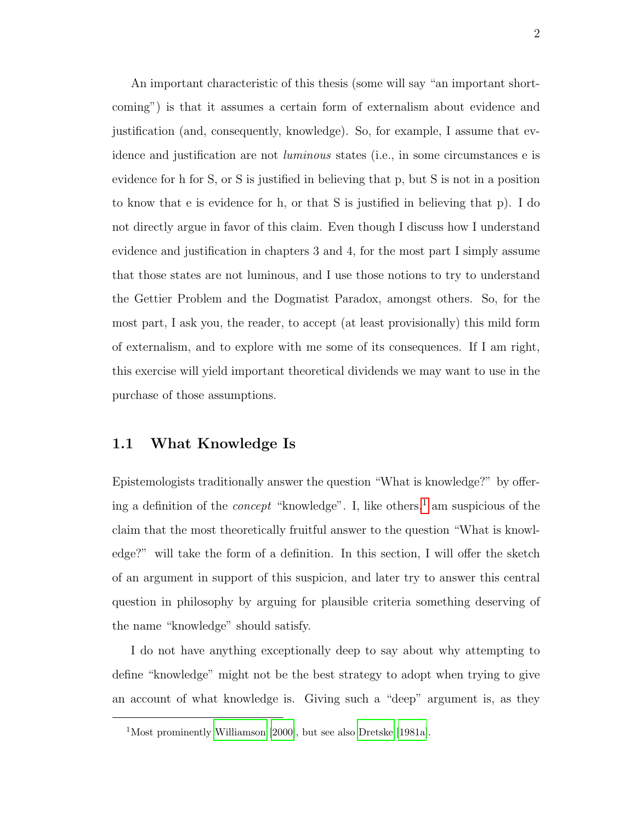An important characteristic of this thesis (some will say "an important shortcoming") is that it assumes a certain form of externalism about evidence and justification (and, consequently, knowledge). So, for example, I assume that evidence and justification are not luminous states (i.e., in some circumstances e is evidence for h for S, or S is justified in believing that p, but S is not in a position to know that e is evidence for h, or that S is justified in believing that p). I do not directly argue in favor of this claim. Even though I discuss how I understand evidence and justification in chapters 3 and 4, for the most part I simply assume that those states are not luminous, and I use those notions to try to understand the Gettier Problem and the Dogmatist Paradox, amongst others. So, for the most part, I ask you, the reader, to accept (at least provisionally) this mild form of externalism, and to explore with me some of its consequences. If I am right, this exercise will yield important theoretical dividends we may want to use in the purchase of those assumptions.

#### <span id="page-9-0"></span>1.1 What Knowledge Is

Epistemologists traditionally answer the question "What is knowledge?" by offering a definition of the *concept* "knowledge". I, like others,<sup>[1](#page-9-1)</sup> am suspicious of the claim that the most theoretically fruitful answer to the question "What is knowledge?" will take the form of a definition. In this section, I will offer the sketch of an argument in support of this suspicion, and later try to answer this central question in philosophy by arguing for plausible criteria something deserving of the name "knowledge" should satisfy.

I do not have anything exceptionally deep to say about why attempting to define "knowledge" might not be the best strategy to adopt when trying to give an account of what knowledge is. Giving such a "deep" argument is, as they

<span id="page-9-1"></span><sup>1</sup>Most prominently [Williamson](#page-174-0) [\[2000\]](#page-174-0), but see also [Dretske](#page-167-0) [\[1981a\]](#page-167-0).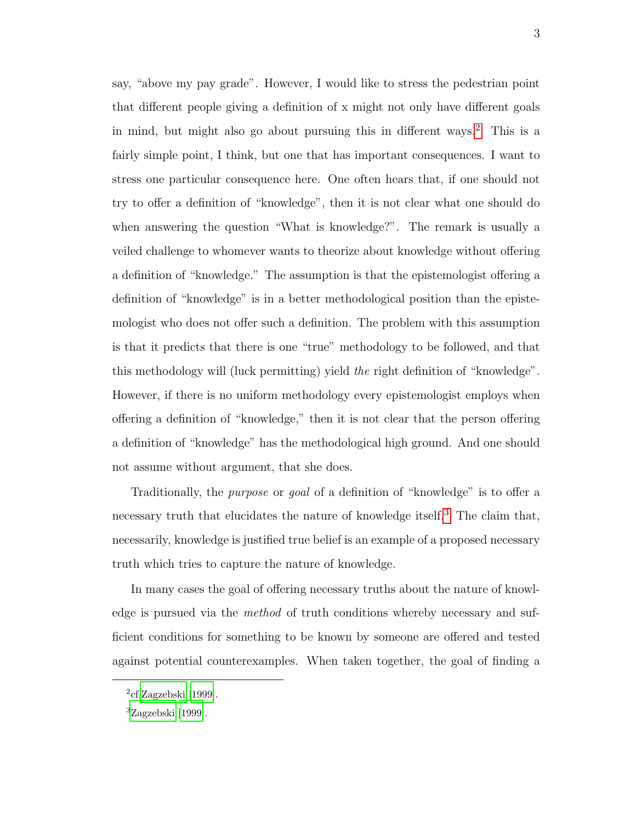say, "above my pay grade". However, I would like to stress the pedestrian point that different people giving a definition of x might not only have different goals in mind, but might also go about pursuing this in different ways.<sup>[2](#page-10-0)</sup> This is a fairly simple point, I think, but one that has important consequences. I want to stress one particular consequence here. One often hears that, if one should not try to offer a definition of "knowledge", then it is not clear what one should do when answering the question "What is knowledge?". The remark is usually a veiled challenge to whomever wants to theorize about knowledge without offering a definition of "knowledge." The assumption is that the epistemologist offering a definition of "knowledge" is in a better methodological position than the epistemologist who does not offer such a definition. The problem with this assumption is that it predicts that there is one "true" methodology to be followed, and that this methodology will (luck permitting) yield the right definition of "knowledge". However, if there is no uniform methodology every epistemologist employs when offering a definition of "knowledge," then it is not clear that the person offering a definition of "knowledge" has the methodological high ground. And one should not assume without argument, that she does.

Traditionally, the *purpose* or *goal* of a definition of "knowledge" is to offer a necessary truth that elucidates the nature of knowledge itself.<sup>[3](#page-10-1)</sup> The claim that, necessarily, knowledge is justified true belief is an example of a proposed necessary truth which tries to capture the nature of knowledge.

In many cases the goal of offering necessary truths about the nature of knowledge is pursued via the *method* of truth conditions whereby necessary and sufficient conditions for something to be known by someone are offered and tested against potential counterexamples. When taken together, the goal of finding a

<span id="page-10-0"></span><sup>2</sup> cf[.Zagzebski](#page-175-0) [\[1999\]](#page-175-0).

<span id="page-10-1"></span><sup>3</sup>[Zagzebski](#page-175-0) [\[1999\]](#page-175-0).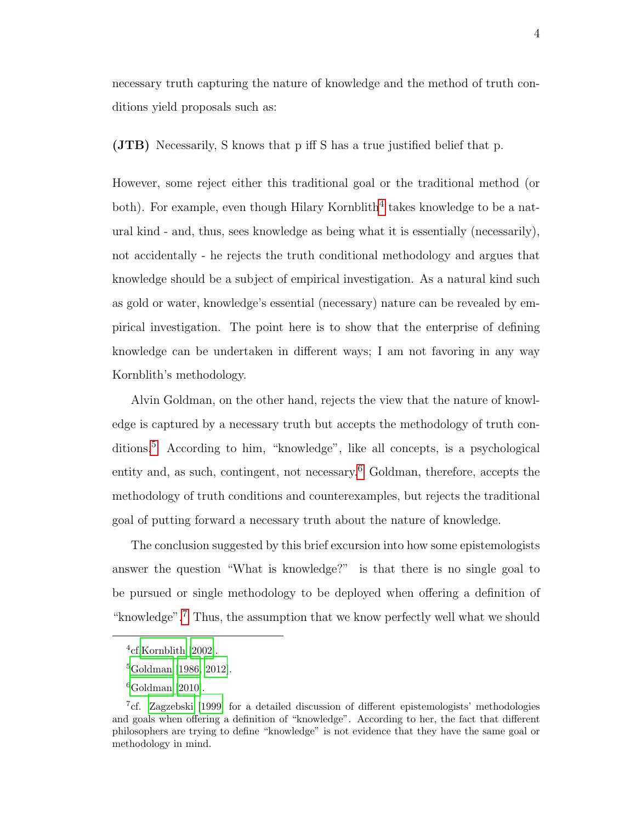necessary truth capturing the nature of knowledge and the method of truth conditions yield proposals such as:

(JTB) Necessarily, S knows that p iff S has a true justified belief that p.

However, some reject either this traditional goal or the traditional method (or both). For example, even though Hilary Kornblith<sup>[4](#page-11-0)</sup> takes knowledge to be a natural kind - and, thus, sees knowledge as being what it is essentially (necessarily), not accidentally - he rejects the truth conditional methodology and argues that knowledge should be a subject of empirical investigation. As a natural kind such as gold or water, knowledge's essential (necessary) nature can be revealed by empirical investigation. The point here is to show that the enterprise of defining knowledge can be undertaken in different ways; I am not favoring in any way Kornblith's methodology.

Alvin Goldman, on the other hand, rejects the view that the nature of knowledge is captured by a necessary truth but accepts the methodology of truth conditions.[5](#page-11-1) According to him, "knowledge", like all concepts, is a psychological entity and, as such, contingent, not necessary.<sup>[6](#page-11-2)</sup> Goldman, therefore, accepts the methodology of truth conditions and counterexamples, but rejects the traditional goal of putting forward a necessary truth about the nature of knowledge.

The conclusion suggested by this brief excursion into how some epistemologists answer the question "What is knowledge?" is that there is no single goal to be pursued or single methodology to be deployed when offering a definition of "knowledge".[7](#page-11-3) Thus, the assumption that we know perfectly well what we should

<span id="page-11-0"></span><sup>4</sup> cf[.Kornblith](#page-170-0) [\[2002\]](#page-170-0).

<span id="page-11-1"></span><sup>5</sup>[Goldman](#page-168-0) [\[1986,](#page-168-0) [2012\]](#page-168-1).

<span id="page-11-3"></span><span id="page-11-2"></span> $6$ [Goldman](#page-168-2) [\[2010\]](#page-168-2).

<sup>7</sup> cf. [Zagzebski](#page-175-0) [\[1999\]](#page-175-0) for a detailed discussion of different epistemologists' methodologies and goals when offering a definition of "knowledge". According to her, the fact that different philosophers are trying to define "knowledge" is not evidence that they have the same goal or methodology in mind.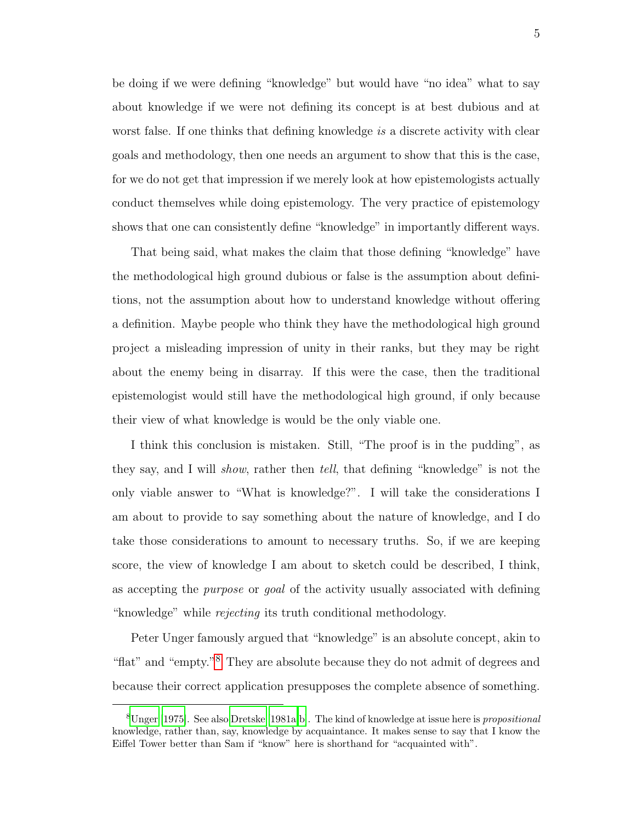be doing if we were defining "knowledge" but would have "no idea" what to say about knowledge if we were not defining its concept is at best dubious and at worst false. If one thinks that defining knowledge is a discrete activity with clear goals and methodology, then one needs an argument to show that this is the case, for we do not get that impression if we merely look at how epistemologists actually conduct themselves while doing epistemology. The very practice of epistemology shows that one can consistently define "knowledge" in importantly different ways.

That being said, what makes the claim that those defining "knowledge" have the methodological high ground dubious or false is the assumption about definitions, not the assumption about how to understand knowledge without offering a definition. Maybe people who think they have the methodological high ground project a misleading impression of unity in their ranks, but they may be right about the enemy being in disarray. If this were the case, then the traditional epistemologist would still have the methodological high ground, if only because their view of what knowledge is would be the only viable one.

I think this conclusion is mistaken. Still, "The proof is in the pudding", as they say, and I will *show*, rather then tell, that defining "knowledge" is not the only viable answer to "What is knowledge?". I will take the considerations I am about to provide to say something about the nature of knowledge, and I do take those considerations to amount to necessary truths. So, if we are keeping score, the view of knowledge I am about to sketch could be described, I think, as accepting the *purpose* or *goal* of the activity usually associated with defining "knowledge" while rejecting its truth conditional methodology.

Peter Unger famously argued that "knowledge" is an absolute concept, akin to "flat" and "empty."[8](#page-12-0) They are absolute because they do not admit of degrees and because their correct application presupposes the complete absence of something.

<span id="page-12-0"></span><sup>8</sup>[Unger](#page-174-1) [\[1975\]](#page-174-1). See also [Dretske](#page-167-0) [\[1981a](#page-167-0)[,b\]](#page-167-1). The kind of knowledge at issue here is propositional knowledge, rather than, say, knowledge by acquaintance. It makes sense to say that I know the Eiffel Tower better than Sam if "know" here is shorthand for "acquainted with".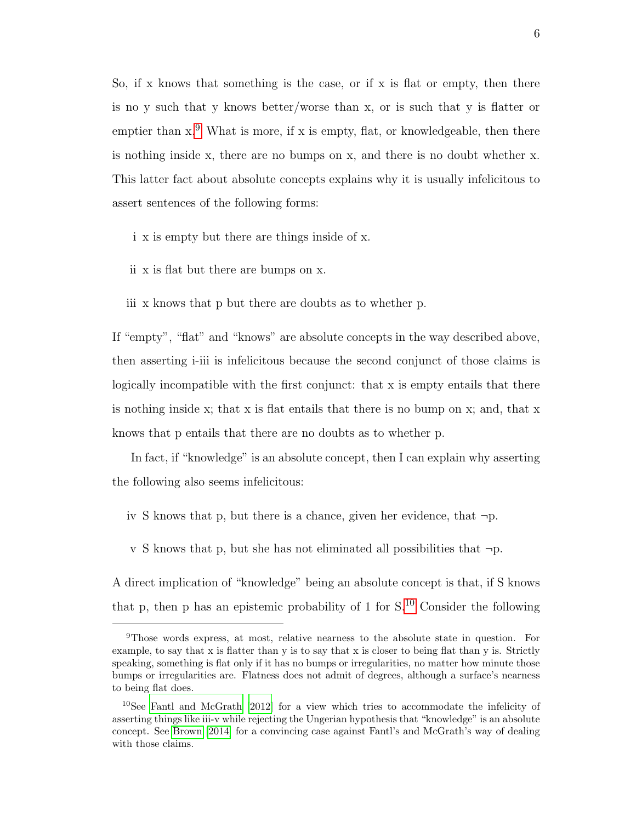So, if x knows that something is the case, or if x is flat or empty, then there is no y such that y knows better/worse than x, or is such that y is flatter or emptier than  $x^9$  $x^9$ . What is more, if x is empty, flat, or knowledgeable, then there is nothing inside x, there are no bumps on x, and there is no doubt whether x. This latter fact about absolute concepts explains why it is usually infelicitous to assert sentences of the following forms:

i x is empty but there are things inside of x.

ii x is flat but there are bumps on x.

iii x knows that p but there are doubts as to whether p.

If "empty", "flat" and "knows" are absolute concepts in the way described above, then asserting i-iii is infelicitous because the second conjunct of those claims is logically incompatible with the first conjunct: that x is empty entails that there is nothing inside x; that x is flat entails that there is no bump on x; and, that x knows that p entails that there are no doubts as to whether p.

In fact, if "knowledge" is an absolute concept, then I can explain why asserting the following also seems infelicitous:

iv S knows that p, but there is a chance, given her evidence, that  $\neg p$ .

v S knows that p, but she has not eliminated all possibilities that  $\neg p$ .

A direct implication of "knowledge" being an absolute concept is that, if S knows that p, then p has an epistemic probability of 1 for  $S^{10}$  $S^{10}$  $S^{10}$  Consider the following

<span id="page-13-0"></span><sup>9</sup>Those words express, at most, relative nearness to the absolute state in question. For example, to say that  $x$  is flatter than  $y$  is to say that  $x$  is closer to being flat than  $y$  is. Strictly speaking, something is flat only if it has no bumps or irregularities, no matter how minute those bumps or irregularities are. Flatness does not admit of degrees, although a surface's nearness to being flat does.

<span id="page-13-1"></span><sup>10</sup>See [Fantl and McGrath](#page-167-2) [\[2012\]](#page-167-2) for a view which tries to accommodate the infelicity of asserting things like iii-v while rejecting the Ungerian hypothesis that "knowledge" is an absolute concept. See [Brown](#page-165-0) [\[2014\]](#page-165-0) for a convincing case against Fantl's and McGrath's way of dealing with those claims.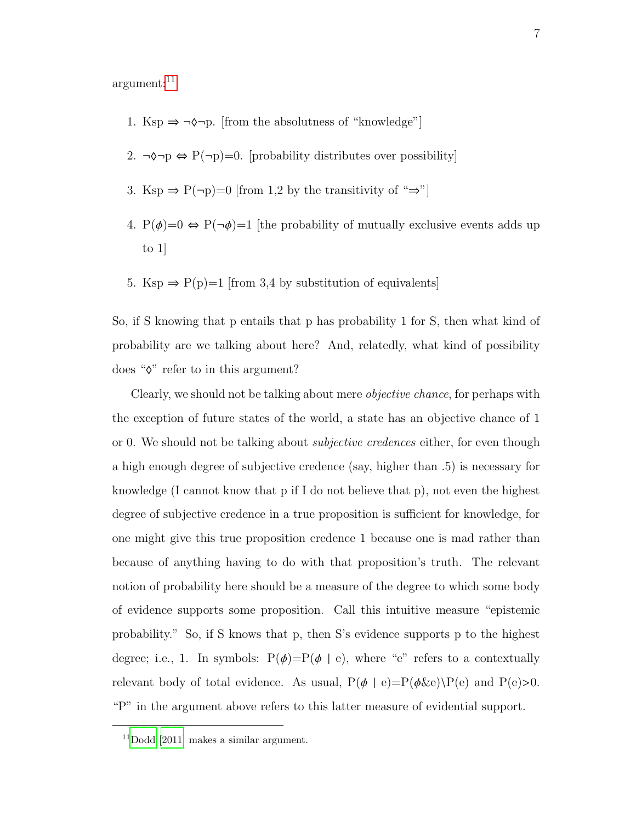argument:[11](#page-14-0)

- 1. Ksp  $\Rightarrow \neg \Diamond \neg p$ . [from the absolutness of "knowledge"]
- 2.  $\neg \Diamond \neg p \Leftrightarrow P(\neg p)=0$ . [probability distributes over possibility]
- 3. Ksp  $\Rightarrow$  P(¬p)=0 [from 1,2 by the transitivity of " $\Rightarrow$ "]
- 4.  $P(\phi)=0 \Leftrightarrow P(\neg \phi)=1$  [the probability of mutually exclusive events adds up to 1]
- 5. Ksp  $\Rightarrow$  P(p)=1 [from 3,4 by substitution of equivalents]

So, if S knowing that p entails that p has probability 1 for S, then what kind of probability are we talking about here? And, relatedly, what kind of possibility does " $\Diamond$ " refer to in this argument?

Clearly, we should not be talking about mere objective chance, for perhaps with the exception of future states of the world, a state has an objective chance of 1 or 0. We should not be talking about subjective credences either, for even though a high enough degree of subjective credence (say, higher than .5) is necessary for knowledge (I cannot know that p if I do not believe that p), not even the highest degree of subjective credence in a true proposition is sufficient for knowledge, for one might give this true proposition credence 1 because one is mad rather than because of anything having to do with that proposition's truth. The relevant notion of probability here should be a measure of the degree to which some body of evidence supports some proposition. Call this intuitive measure "epistemic probability." So, if S knows that p, then S's evidence supports p to the highest degree; i.e., 1. In symbols:  $P(\phi)=P(\phi | e)$ , where "e" refers to a contextually relevant body of total evidence. As usual,  $P(\phi \mid e)=P(\phi \& e)\P(e)$  and  $P(e) > 0$ . "P" in the argument above refers to this latter measure of evidential support.

<span id="page-14-0"></span><sup>11</sup>[Dodd](#page-166-0) [\[2011\]](#page-166-0) makes a similar argument.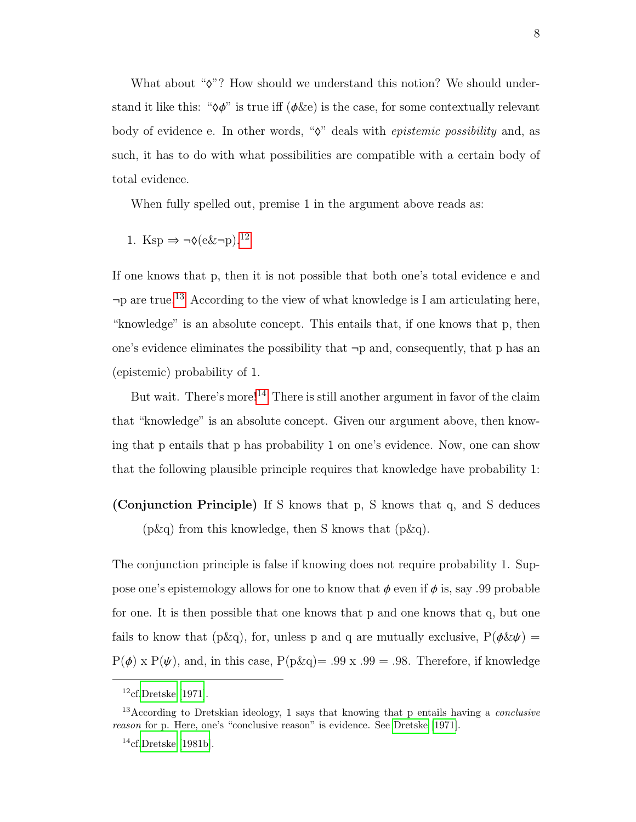What about " $\Diamond$ "? How should we understand this notion? We should understand it like this: " $\phi \phi$ " is true iff ( $\phi \&e$ ) is the case, for some contextually relevant body of evidence e. In other words, " $\Diamond$ " deals with *epistemic possibility* and, as such, it has to do with what possibilities are compatible with a certain body of total evidence.

When fully spelled out, premise 1 in the argument above reads as:

1. Ksp  $\Rightarrow \neg \Diamond (e \& \neg p)$ .<sup>[12](#page-15-0)</sup>

If one knows that p, then it is not possible that both one's total evidence e and  $\neg p$  are true.<sup>[13](#page-15-1)</sup> According to the view of what knowledge is I am articulating here, "knowledge" is an absolute concept. This entails that, if one knows that p, then one's evidence eliminates the possibility that  $\neg p$  and, consequently, that p has an (epistemic) probability of 1.

But wait. There's more!<sup>[14](#page-15-2)</sup> There is still another argument in favor of the claim that "knowledge" is an absolute concept. Given our argument above, then knowing that p entails that p has probability 1 on one's evidence. Now, one can show that the following plausible principle requires that knowledge have probability 1:

### (Conjunction Principle) If S knows that p, S knows that q, and S deduces  $(p\&q)$  from this knowledge, then S knows that  $(p\&q)$ .

The conjunction principle is false if knowing does not require probability 1. Suppose one's epistemology allows for one to know that  $\phi$  even if  $\phi$  is, say .99 probable for one. It is then possible that one knows that p and one knows that q, but one fails to know that (p&q), for, unless p and q are mutually exclusive,  $P(\phi \& \psi)$  =  $P(\phi)$  x  $P(\psi)$ , and, in this case,  $P(p\&q) = .99$  x .99 = .98. Therefore, if knowledge

<span id="page-15-1"></span><span id="page-15-0"></span> $12$ cf[.Dretske](#page-167-3) [\[1971\]](#page-167-3).

 $13$ According to Dretskian ideology, 1 says that knowing that p entails having a *conclusive* reason for p. Here, one's "conclusive reason" is evidence. See [Dretske](#page-167-3) [\[1971\]](#page-167-3).

<span id="page-15-2"></span> $14$ cf[.Dretske](#page-167-1) [\[1981b\]](#page-167-1).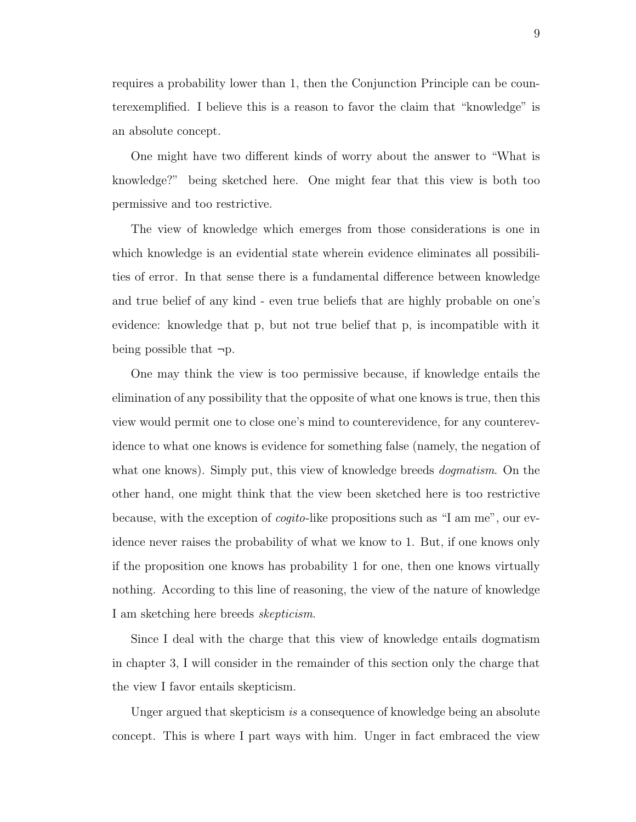requires a probability lower than 1, then the Conjunction Principle can be counterexemplified. I believe this is a reason to favor the claim that "knowledge" is an absolute concept.

One might have two different kinds of worry about the answer to "What is knowledge?" being sketched here. One might fear that this view is both too permissive and too restrictive.

The view of knowledge which emerges from those considerations is one in which knowledge is an evidential state wherein evidence eliminates all possibilities of error. In that sense there is a fundamental difference between knowledge and true belief of any kind - even true beliefs that are highly probable on one's evidence: knowledge that p, but not true belief that p, is incompatible with it being possible that  $\neg p$ .

One may think the view is too permissive because, if knowledge entails the elimination of any possibility that the opposite of what one knows is true, then this view would permit one to close one's mind to counterevidence, for any counterevidence to what one knows is evidence for something false (namely, the negation of what one knows). Simply put, this view of knowledge breeds *dogmatism*. On the other hand, one might think that the view been sketched here is too restrictive because, with the exception of cogito-like propositions such as "I am me", our evidence never raises the probability of what we know to 1. But, if one knows only if the proposition one knows has probability 1 for one, then one knows virtually nothing. According to this line of reasoning, the view of the nature of knowledge I am sketching here breeds skepticism.

Since I deal with the charge that this view of knowledge entails dogmatism in chapter 3, I will consider in the remainder of this section only the charge that the view I favor entails skepticism.

Unger argued that skepticism is a consequence of knowledge being an absolute concept. This is where I part ways with him. Unger in fact embraced the view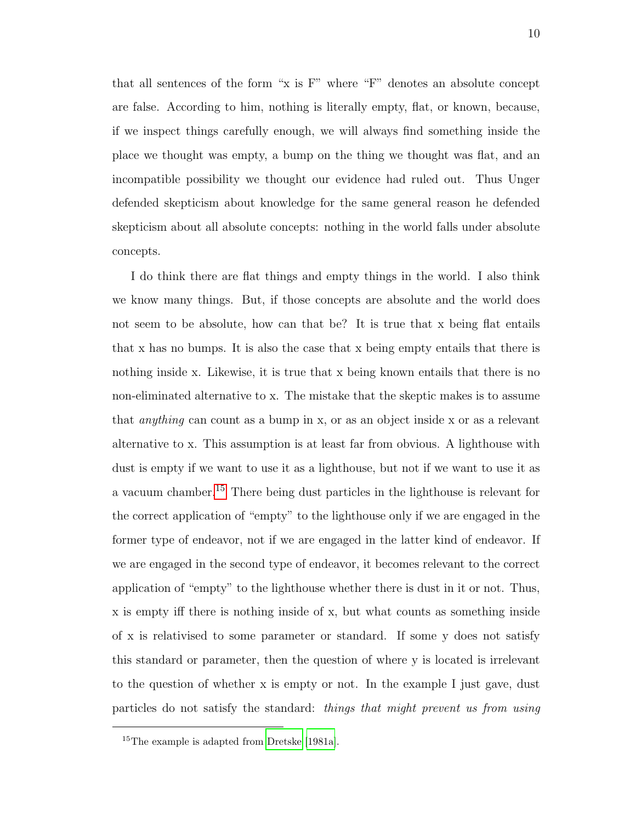that all sentences of the form "x is F" where "F" denotes an absolute concept are false. According to him, nothing is literally empty, flat, or known, because, if we inspect things carefully enough, we will always find something inside the place we thought was empty, a bump on the thing we thought was flat, and an incompatible possibility we thought our evidence had ruled out. Thus Unger defended skepticism about knowledge for the same general reason he defended skepticism about all absolute concepts: nothing in the world falls under absolute concepts.

I do think there are flat things and empty things in the world. I also think we know many things. But, if those concepts are absolute and the world does not seem to be absolute, how can that be? It is true that x being flat entails that x has no bumps. It is also the case that x being empty entails that there is nothing inside x. Likewise, it is true that x being known entails that there is no non-eliminated alternative to x. The mistake that the skeptic makes is to assume that anything can count as a bump in x, or as an object inside x or as a relevant alternative to x. This assumption is at least far from obvious. A lighthouse with dust is empty if we want to use it as a lighthouse, but not if we want to use it as a vacuum chamber.[15](#page-17-0) There being dust particles in the lighthouse is relevant for the correct application of "empty" to the lighthouse only if we are engaged in the former type of endeavor, not if we are engaged in the latter kind of endeavor. If we are engaged in the second type of endeavor, it becomes relevant to the correct application of "empty" to the lighthouse whether there is dust in it or not. Thus, x is empty iff there is nothing inside of x, but what counts as something inside of x is relativised to some parameter or standard. If some y does not satisfy this standard or parameter, then the question of where y is located is irrelevant to the question of whether x is empty or not. In the example I just gave, dust particles do not satisfy the standard: things that might prevent us from using

<span id="page-17-0"></span><sup>15</sup>The example is adapted from [Dretske](#page-167-0) [\[1981a\]](#page-167-0).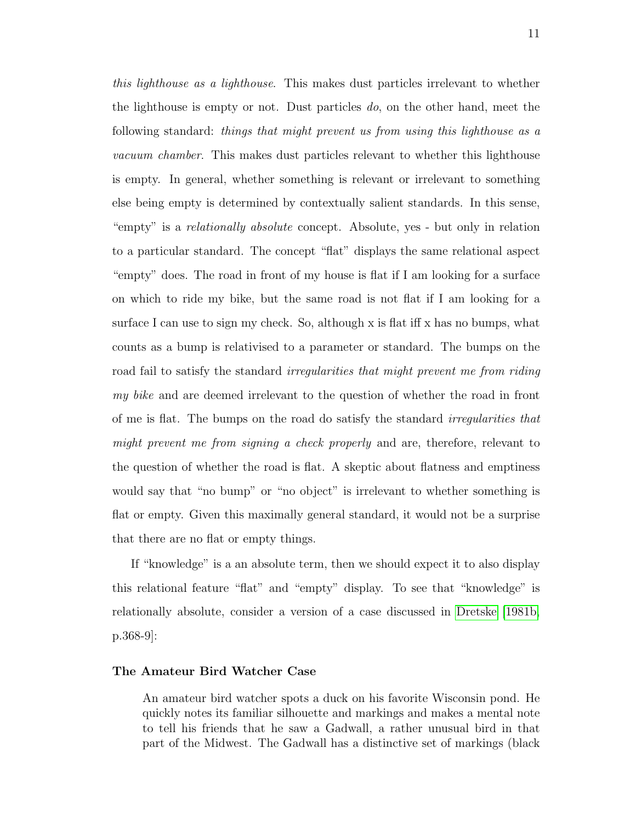this lighthouse as a lighthouse. This makes dust particles irrelevant to whether the lighthouse is empty or not. Dust particles  $do$ , on the other hand, meet the following standard: things that might prevent us from using this lighthouse as a vacuum chamber. This makes dust particles relevant to whether this lighthouse is empty. In general, whether something is relevant or irrelevant to something else being empty is determined by contextually salient standards. In this sense, "empty" is a relationally absolute concept. Absolute, yes - but only in relation to a particular standard. The concept "flat" displays the same relational aspect "empty" does. The road in front of my house is flat if I am looking for a surface on which to ride my bike, but the same road is not flat if I am looking for a surface I can use to sign my check. So, although x is flat iff x has no bumps, what counts as a bump is relativised to a parameter or standard. The bumps on the road fail to satisfy the standard irregularities that might prevent me from riding my bike and are deemed irrelevant to the question of whether the road in front of me is flat. The bumps on the road do satisfy the standard irregularities that might prevent me from signing a check properly and are, therefore, relevant to the question of whether the road is flat. A skeptic about flatness and emptiness would say that "no bump" or "no object" is irrelevant to whether something is flat or empty. Given this maximally general standard, it would not be a surprise that there are no flat or empty things.

If "knowledge" is a an absolute term, then we should expect it to also display this relational feature "flat" and "empty" display. To see that "knowledge" is relationally absolute, consider a version of a case discussed in [Dretske](#page-167-1) [\[1981b,](#page-167-1) p.368-9]:

#### The Amateur Bird Watcher Case

An amateur bird watcher spots a duck on his favorite Wisconsin pond. He quickly notes its familiar silhouette and markings and makes a mental note to tell his friends that he saw a Gadwall, a rather unusual bird in that part of the Midwest. The Gadwall has a distinctive set of markings (black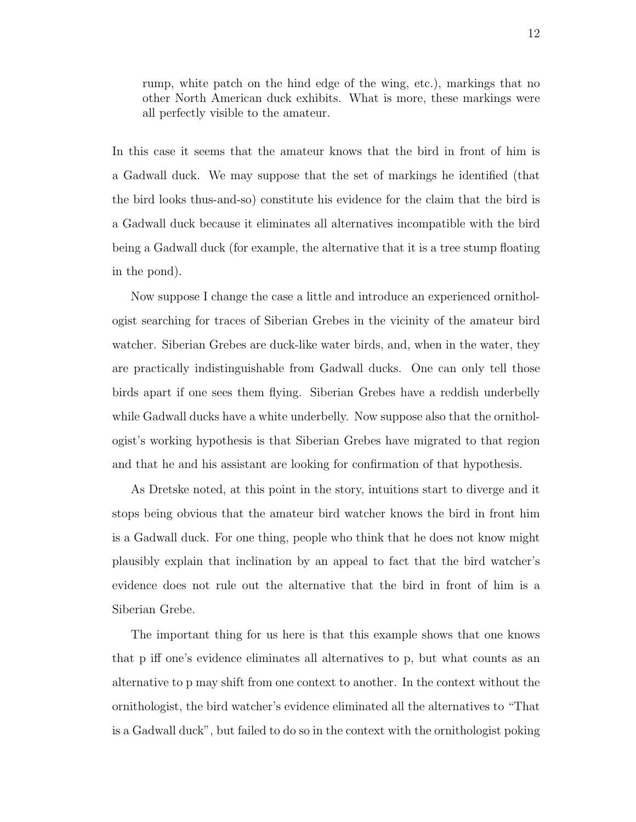rump, white patch on the hind edge of the wing, etc.), markings that no other North American duck exhibits. What is more, these markings were all perfectly visible to the amateur.

In this case it seems that the amateur knows that the bird in front of him is a Gadwall duck. We may suppose that the set of markings he identified (that the bird looks thus-and-so) constitute his evidence for the claim that the bird is a Gadwall duck because it eliminates all alternatives incompatible with the bird being a Gadwall duck (for example, the alternative that it is a tree stump floating in the pond).

Now suppose I change the case a little and introduce an experienced ornithologist searching for traces of Siberian Grebes in the vicinity of the amateur bird watcher. Siberian Grebes are duck-like water birds, and, when in the water, they are practically indistinguishable from Gadwall ducks. One can only tell those birds apart if one sees them flying. Siberian Grebes have a reddish underbelly while Gadwall ducks have a white underbelly. Now suppose also that the ornithologist's working hypothesis is that Siberian Grebes have migrated to that region and that he and his assistant are looking for confirmation of that hypothesis.

As Dretske noted, at this point in the story, intuitions start to diverge and it stops being obvious that the amateur bird watcher knows the bird in front him is a Gadwall duck. For one thing, people who think that he does not know might plausibly explain that inclination by an appeal to fact that the bird watcher's evidence does not rule out the alternative that the bird in front of him is a Siberian Grebe.

The important thing for us here is that this example shows that one knows that p iff one's evidence eliminates all alternatives to p, but what counts as an alternative to p may shift from one context to another. In the context without the ornithologist, the bird watcher's evidence eliminated all the alternatives to "That is a Gadwall duck", but failed to do so in the context with the ornithologist poking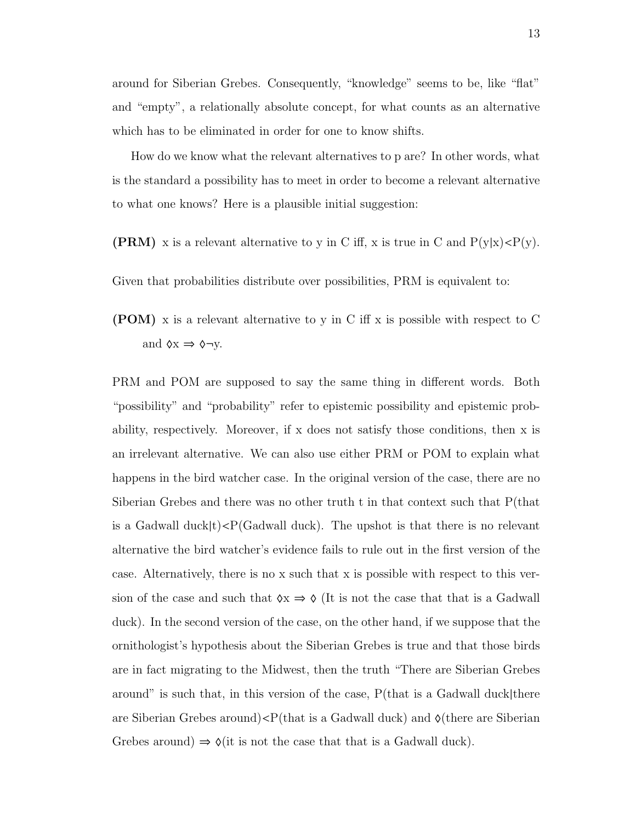around for Siberian Grebes. Consequently, "knowledge" seems to be, like "flat" and "empty", a relationally absolute concept, for what counts as an alternative which has to be eliminated in order for one to know shifts.

How do we know what the relevant alternatives to p are? In other words, what is the standard a possibility has to meet in order to become a relevant alternative to what one knows? Here is a plausible initial suggestion:

**(PRM)** x is a relevant alternative to y in C iff, x is true in C and  $P(y|x) < P(y)$ .

Given that probabilities distribute over possibilities, PRM is equivalent to:

(POM) x is a relevant alternative to y in C iff x is possible with respect to C and  $\Diamond x \Rightarrow \Diamond \neg y$ .

PRM and POM are supposed to say the same thing in different words. Both "possibility" and "probability" refer to epistemic possibility and epistemic probability, respectively. Moreover, if x does not satisfy those conditions, then x is an irrelevant alternative. We can also use either PRM or POM to explain what happens in the bird watcher case. In the original version of the case, there are no Siberian Grebes and there was no other truth t in that context such that P(that is a Gadwall duck $|t\rangle < P(Ga d$ wall duck). The upshot is that there is no relevant alternative the bird watcher's evidence fails to rule out in the first version of the case. Alternatively, there is no x such that x is possible with respect to this version of the case and such that  $\Diamond x \Rightarrow \Diamond$  (It is not the case that that is a Gadwall duck). In the second version of the case, on the other hand, if we suppose that the ornithologist's hypothesis about the Siberian Grebes is true and that those birds are in fact migrating to the Midwest, then the truth "There are Siberian Grebes around" is such that, in this version of the case,  $P$ (that is a Gadwall duck) there are Siberian Grebes around) $P$ (that is a Gadwall duck) and  $\Diamond$ (there are Siberian Grebes around)  $\Rightarrow \Diamond$  (it is not the case that that is a Gadwall duck).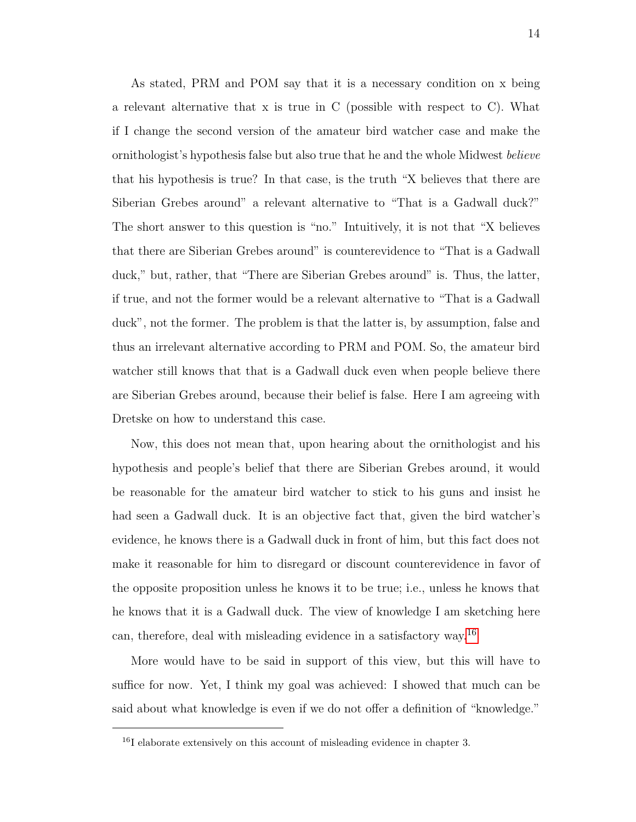As stated, PRM and POM say that it is a necessary condition on x being a relevant alternative that x is true in  $C$  (possible with respect to  $C$ ). What if I change the second version of the amateur bird watcher case and make the ornithologist's hypothesis false but also true that he and the whole Midwest believe that his hypothesis is true? In that case, is the truth "X believes that there are Siberian Grebes around" a relevant alternative to "That is a Gadwall duck?" The short answer to this question is "no." Intuitively, it is not that "X believes that there are Siberian Grebes around" is counterevidence to "That is a Gadwall duck," but, rather, that "There are Siberian Grebes around" is. Thus, the latter, if true, and not the former would be a relevant alternative to "That is a Gadwall duck", not the former. The problem is that the latter is, by assumption, false and thus an irrelevant alternative according to PRM and POM. So, the amateur bird watcher still knows that that is a Gadwall duck even when people believe there are Siberian Grebes around, because their belief is false. Here I am agreeing with Dretske on how to understand this case.

Now, this does not mean that, upon hearing about the ornithologist and his hypothesis and people's belief that there are Siberian Grebes around, it would be reasonable for the amateur bird watcher to stick to his guns and insist he had seen a Gadwall duck. It is an objective fact that, given the bird watcher's evidence, he knows there is a Gadwall duck in front of him, but this fact does not make it reasonable for him to disregard or discount counterevidence in favor of the opposite proposition unless he knows it to be true; i.e., unless he knows that he knows that it is a Gadwall duck. The view of knowledge I am sketching here can, therefore, deal with misleading evidence in a satisfactory way.[16](#page-21-0)

More would have to be said in support of this view, but this will have to suffice for now. Yet, I think my goal was achieved: I showed that much can be said about what knowledge is even if we do not offer a definition of "knowledge."

<span id="page-21-0"></span><sup>16</sup>I elaborate extensively on this account of misleading evidence in chapter 3.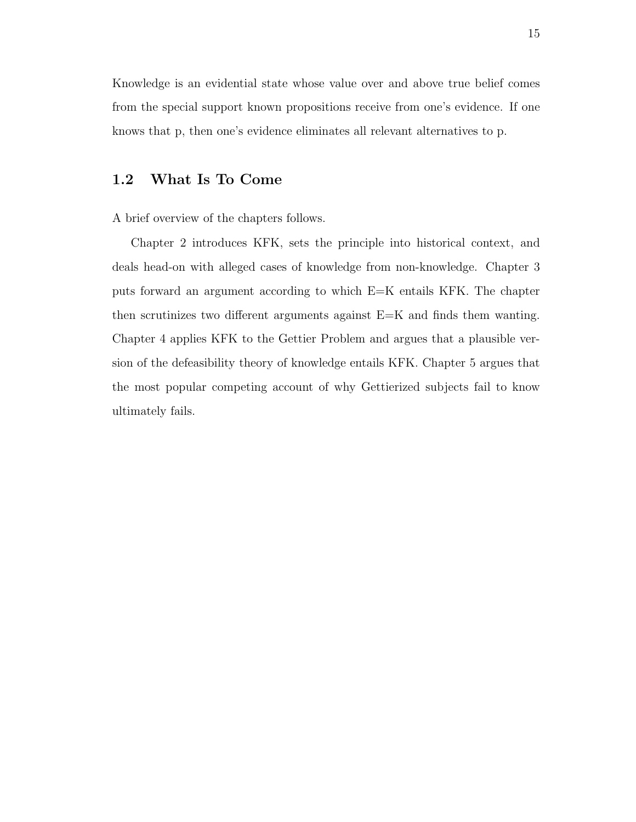Knowledge is an evidential state whose value over and above true belief comes from the special support known propositions receive from one's evidence. If one knows that p, then one's evidence eliminates all relevant alternatives to p.

#### <span id="page-22-0"></span>1.2 What Is To Come

A brief overview of the chapters follows.

Chapter 2 introduces KFK, sets the principle into historical context, and deals head-on with alleged cases of knowledge from non-knowledge. Chapter 3 puts forward an argument according to which E=K entails KFK. The chapter then scrutinizes two different arguments against E=K and finds them wanting. Chapter 4 applies KFK to the Gettier Problem and argues that a plausible version of the defeasibility theory of knowledge entails KFK. Chapter 5 argues that the most popular competing account of why Gettierized subjects fail to know ultimately fails.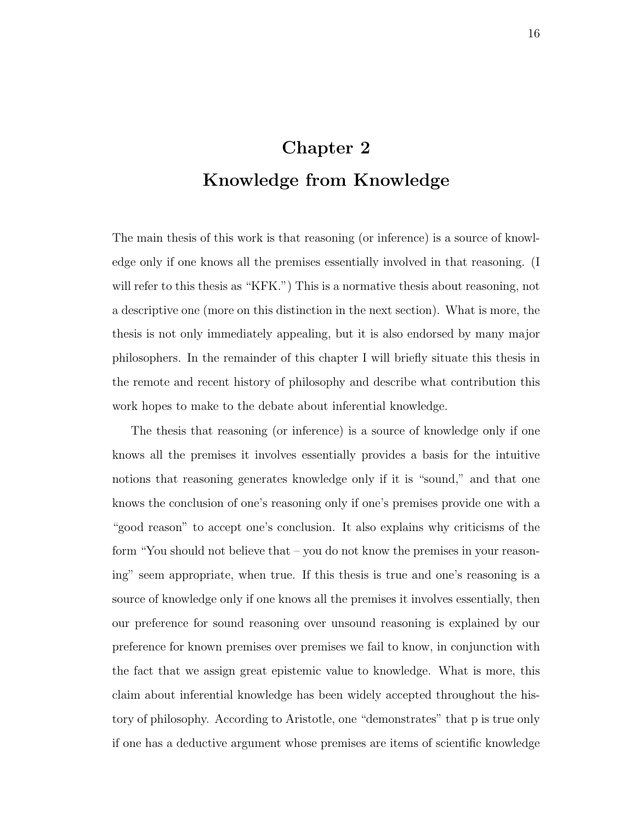# <span id="page-23-0"></span>Chapter 2 Knowledge from Knowledge

The main thesis of this work is that reasoning (or inference) is a source of knowledge only if one knows all the premises essentially involved in that reasoning. (I will refer to this thesis as "KFK.") This is a normative thesis about reasoning, not a descriptive one (more on this distinction in the next section). What is more, the thesis is not only immediately appealing, but it is also endorsed by many major philosophers. In the remainder of this chapter I will briefly situate this thesis in the remote and recent history of philosophy and describe what contribution this work hopes to make to the debate about inferential knowledge.

The thesis that reasoning (or inference) is a source of knowledge only if one knows all the premises it involves essentially provides a basis for the intuitive notions that reasoning generates knowledge only if it is "sound," and that one knows the conclusion of one's reasoning only if one's premises provide one with a "good reason" to accept one's conclusion. It also explains why criticisms of the form "You should not believe that – you do not know the premises in your reasoning" seem appropriate, when true. If this thesis is true and one's reasoning is a source of knowledge only if one knows all the premises it involves essentially, then our preference for sound reasoning over unsound reasoning is explained by our preference for known premises over premises we fail to know, in conjunction with the fact that we assign great epistemic value to knowledge. What is more, this claim about inferential knowledge has been widely accepted throughout the history of philosophy. According to Aristotle, one "demonstrates" that p is true only if one has a deductive argument whose premises are items of scientific knowledge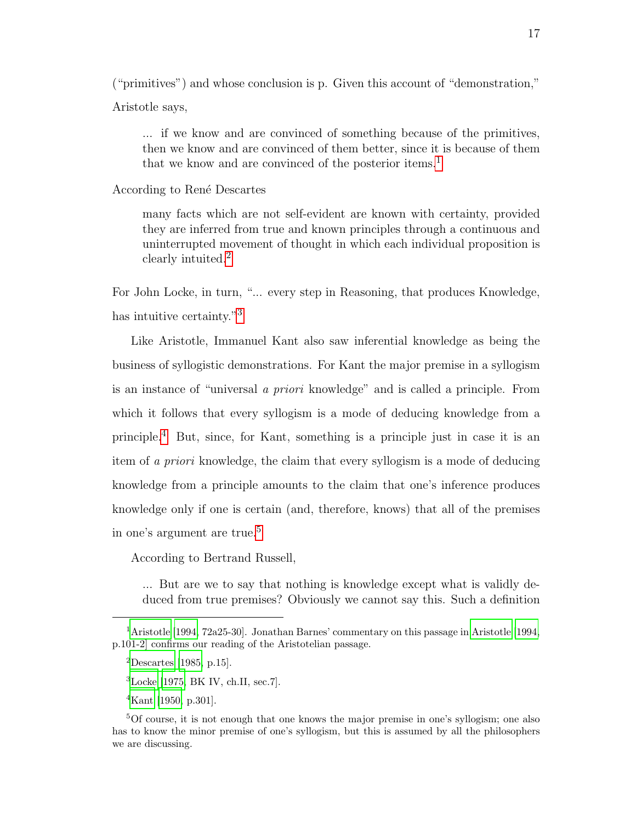("primitives") and whose conclusion is p. Given this account of "demonstration," Aristotle says,

... if we know and are convinced of something because of the primitives, then we know and are convinced of them better, since it is because of them that we know and are convinced of the posterior items.<sup>[1](#page-24-0)</sup>

According to René Descartes

many facts which are not self-evident are known with certainty, provided they are inferred from true and known principles through a continuous and uninterrupted movement of thought in which each individual proposition is clearly intuited.[2](#page-24-1)

For John Locke, in turn, "... every step in Reasoning, that produces Knowledge, has intuitive certainty."<sup>[3](#page-24-2)</sup>

Like Aristotle, Immanuel Kant also saw inferential knowledge as being the business of syllogistic demonstrations. For Kant the major premise in a syllogism is an instance of "universal a priori knowledge" and is called a principle. From which it follows that every syllogism is a mode of deducing knowledge from a principle.[4](#page-24-3) But, since, for Kant, something is a principle just in case it is an item of a priori knowledge, the claim that every syllogism is a mode of deducing knowledge from a principle amounts to the claim that one's inference produces knowledge only if one is certain (and, therefore, knows) that all of the premises in one's argument are true.[5](#page-24-4)

According to Bertrand Russell,

... But are we to say that nothing is knowledge except what is validly deduced from true premises? Obviously we cannot say this. Such a definition

<span id="page-24-0"></span><sup>1</sup>[Aristotle](#page-165-1) [\[1994,](#page-165-1) 72a25-30]. Jonathan Barnes' commentary on this passage in [Aristotle](#page-165-1) [\[1994,](#page-165-1) p.101-2] confirms our reading of the Aristotelian passage.

<span id="page-24-1"></span><sup>2</sup>[Descartes](#page-166-1) [\[1985,](#page-166-1) p.15].

<span id="page-24-2"></span> ${}^{3}$ [Locke](#page-171-0) [\[1975,](#page-171-0) BK IV, ch.II, sec.7].

<span id="page-24-4"></span><span id="page-24-3"></span><sup>4</sup>[Kant](#page-169-0) [\[1950,](#page-169-0) p.301].

<sup>5</sup>Of course, it is not enough that one knows the major premise in one's syllogism; one also has to know the minor premise of one's syllogism, but this is assumed by all the philosophers we are discussing.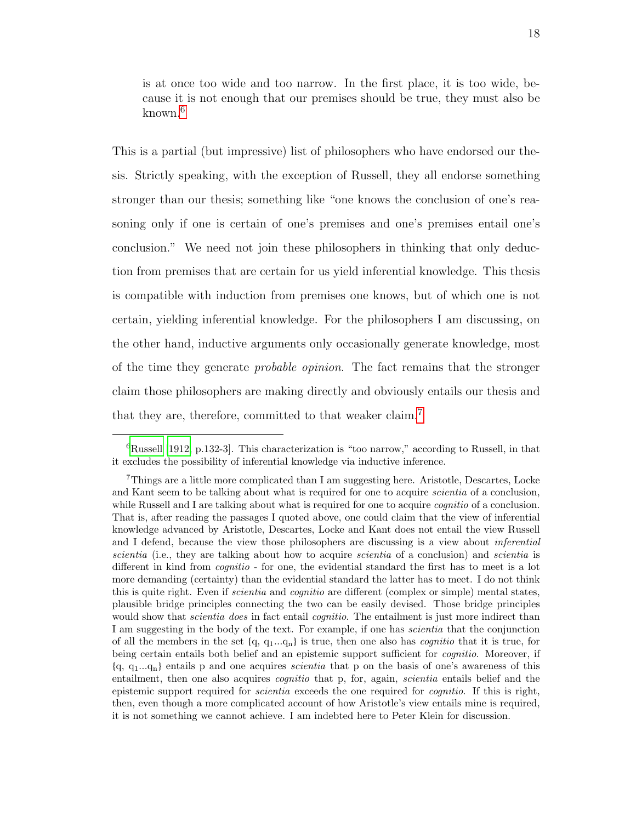is at once too wide and too narrow. In the first place, it is too wide, because it is not enough that our premises should be true, they must also be known.[6](#page-25-0)

This is a partial (but impressive) list of philosophers who have endorsed our thesis. Strictly speaking, with the exception of Russell, they all endorse something stronger than our thesis; something like "one knows the conclusion of one's reasoning only if one is certain of one's premises and one's premises entail one's conclusion." We need not join these philosophers in thinking that only deduction from premises that are certain for us yield inferential knowledge. This thesis is compatible with induction from premises one knows, but of which one is not certain, yielding inferential knowledge. For the philosophers I am discussing, on the other hand, inductive arguments only occasionally generate knowledge, most of the time they generate probable opinion. The fact remains that the stronger claim those philosophers are making directly and obviously entails our thesis and that they are, therefore, committed to that weaker claim.<sup>[7](#page-25-1)</sup>

<span id="page-25-0"></span> $6$ [Russell](#page-172-0) [\[1912,](#page-172-0) p.132-3]. This characterization is "too narrow," according to Russell, in that it excludes the possibility of inferential knowledge via inductive inference.

<span id="page-25-1"></span><sup>7</sup>Things are a little more complicated than I am suggesting here. Aristotle, Descartes, Locke and Kant seem to be talking about what is required for one to acquire *scientia* of a conclusion, while Russell and I are talking about what is required for one to acquire *cognitio* of a conclusion. That is, after reading the passages I quoted above, one could claim that the view of inferential knowledge advanced by Aristotle, Descartes, Locke and Kant does not entail the view Russell and I defend, because the view those philosophers are discussing is a view about inferential scientia (i.e., they are talking about how to acquire *scientia* of a conclusion) and *scientia* is different in kind from *cognitio* - for one, the evidential standard the first has to meet is a lot more demanding (certainty) than the evidential standard the latter has to meet. I do not think this is quite right. Even if *scientia* and *cognitio* are different (complex or simple) mental states, plausible bridge principles connecting the two can be easily devised. Those bridge principles would show that *scientia does* in fact entail *cognitio*. The entailment is just more indirect than I am suggesting in the body of the text. For example, if one has scientia that the conjunction of all the members in the set  $\{q, q_1...q_n\}$  is true, then one also has *cognitio* that it is true, for being certain entails both belief and an epistemic support sufficient for *cognitio*. Moreover, if  $\{q, q_1...q_n\}$  entails p and one acquires *scientia* that p on the basis of one's awareness of this entailment, then one also acquires *cognitio* that p, for, again, *scientia* entails belief and the epistemic support required for *scientia* exceeds the one required for *cognitio*. If this is right, then, even though a more complicated account of how Aristotle's view entails mine is required, it is not something we cannot achieve. I am indebted here to Peter Klein for discussion.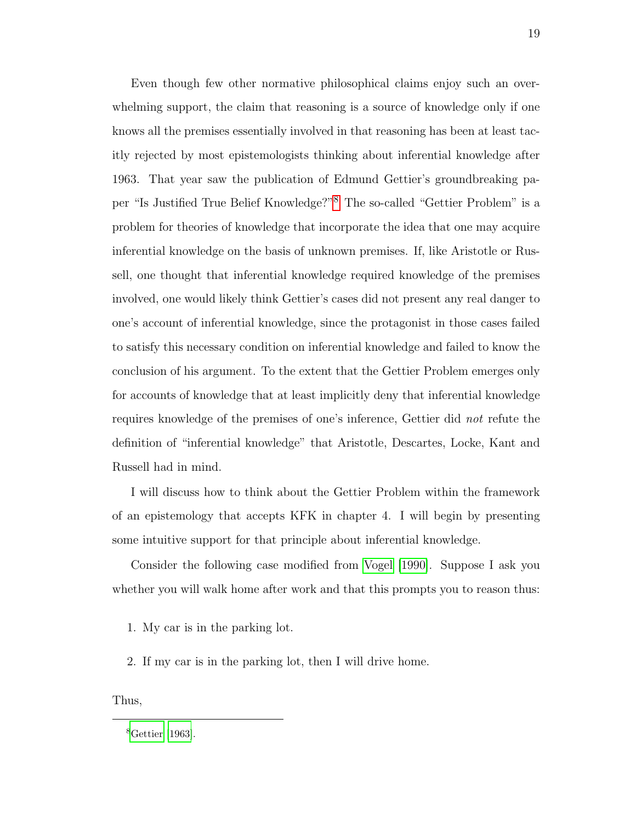Even though few other normative philosophical claims enjoy such an overwhelming support, the claim that reasoning is a source of knowledge only if one knows all the premises essentially involved in that reasoning has been at least tacitly rejected by most epistemologists thinking about inferential knowledge after 1963. That year saw the publication of Edmund Gettier's groundbreaking paper "Is Justified True Belief Knowledge?"[8](#page-26-0) The so-called "Gettier Problem" is a problem for theories of knowledge that incorporate the idea that one may acquire inferential knowledge on the basis of unknown premises. If, like Aristotle or Russell, one thought that inferential knowledge required knowledge of the premises involved, one would likely think Gettier's cases did not present any real danger to one's account of inferential knowledge, since the protagonist in those cases failed to satisfy this necessary condition on inferential knowledge and failed to know the conclusion of his argument. To the extent that the Gettier Problem emerges only for accounts of knowledge that at least implicitly deny that inferential knowledge requires knowledge of the premises of one's inference, Gettier did not refute the definition of "inferential knowledge" that Aristotle, Descartes, Locke, Kant and Russell had in mind.

I will discuss how to think about the Gettier Problem within the framework of an epistemology that accepts KFK in chapter 4. I will begin by presenting some intuitive support for that principle about inferential knowledge.

Consider the following case modified from [Vogel](#page-174-2) [\[1990\]](#page-174-2). Suppose I ask you whether you will walk home after work and that this prompts you to reason thus:

- 1. My car is in the parking lot.
- 2. If my car is in the parking lot, then I will drive home.

Thus,

<span id="page-26-0"></span><sup>8</sup>[Gettier](#page-168-3) [\[1963\]](#page-168-3).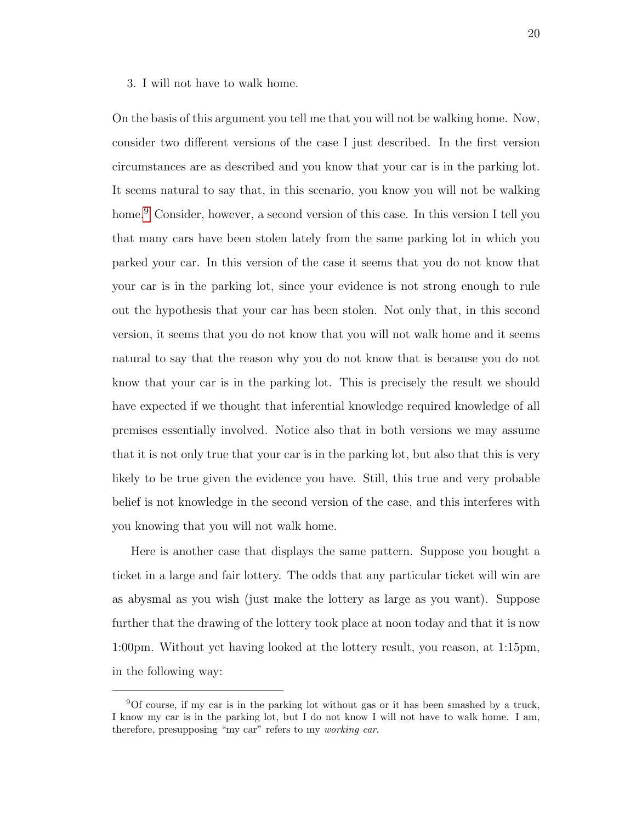#### 3. I will not have to walk home.

On the basis of this argument you tell me that you will not be walking home. Now, consider two different versions of the case I just described. In the first version circumstances are as described and you know that your car is in the parking lot. It seems natural to say that, in this scenario, you know you will not be walking home.<sup>[9](#page-27-0)</sup> Consider, however, a second version of this case. In this version I tell you that many cars have been stolen lately from the same parking lot in which you parked your car. In this version of the case it seems that you do not know that your car is in the parking lot, since your evidence is not strong enough to rule out the hypothesis that your car has been stolen. Not only that, in this second version, it seems that you do not know that you will not walk home and it seems natural to say that the reason why you do not know that is because you do not know that your car is in the parking lot. This is precisely the result we should have expected if we thought that inferential knowledge required knowledge of all premises essentially involved. Notice also that in both versions we may assume that it is not only true that your car is in the parking lot, but also that this is very likely to be true given the evidence you have. Still, this true and very probable belief is not knowledge in the second version of the case, and this interferes with you knowing that you will not walk home.

Here is another case that displays the same pattern. Suppose you bought a ticket in a large and fair lottery. The odds that any particular ticket will win are as abysmal as you wish (just make the lottery as large as you want). Suppose further that the drawing of the lottery took place at noon today and that it is now 1:00pm. Without yet having looked at the lottery result, you reason, at 1:15pm, in the following way:

<span id="page-27-0"></span><sup>9</sup>Of course, if my car is in the parking lot without gas or it has been smashed by a truck, I know my car is in the parking lot, but I do not know I will not have to walk home. I am, therefore, presupposing "my car" refers to my working car.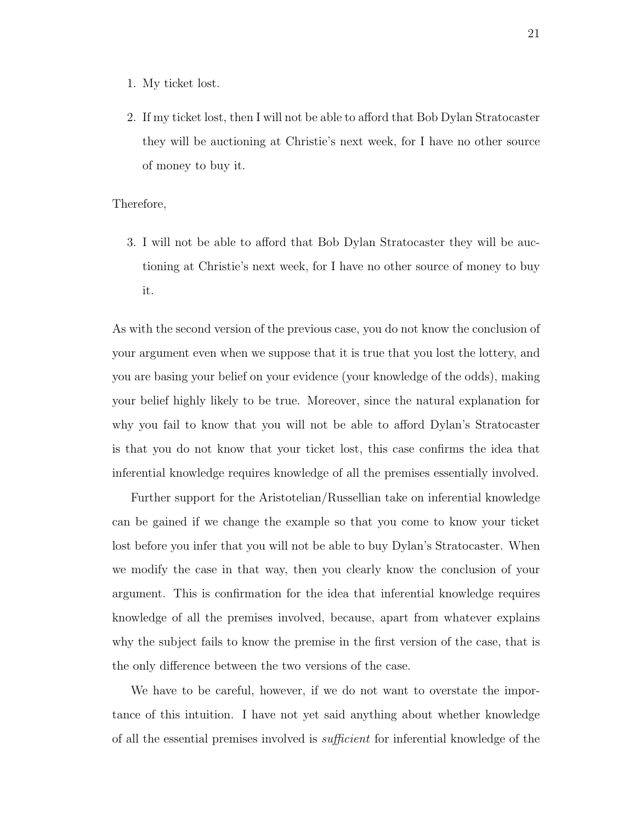- 1. My ticket lost.
- 2. If my ticket lost, then I will not be able to afford that Bob Dylan Stratocaster they will be auctioning at Christie's next week, for I have no other source of money to buy it.

Therefore,

3. I will not be able to afford that Bob Dylan Stratocaster they will be auctioning at Christie's next week, for I have no other source of money to buy it.

As with the second version of the previous case, you do not know the conclusion of your argument even when we suppose that it is true that you lost the lottery, and you are basing your belief on your evidence (your knowledge of the odds), making your belief highly likely to be true. Moreover, since the natural explanation for why you fail to know that you will not be able to afford Dylan's Stratocaster is that you do not know that your ticket lost, this case confirms the idea that inferential knowledge requires knowledge of all the premises essentially involved.

Further support for the Aristotelian/Russellian take on inferential knowledge can be gained if we change the example so that you come to know your ticket lost before you infer that you will not be able to buy Dylan's Stratocaster. When we modify the case in that way, then you clearly know the conclusion of your argument. This is confirmation for the idea that inferential knowledge requires knowledge of all the premises involved, because, apart from whatever explains why the subject fails to know the premise in the first version of the case, that is the only difference between the two versions of the case.

We have to be careful, however, if we do not want to overstate the importance of this intuition. I have not yet said anything about whether knowledge of all the essential premises involved is sufficient for inferential knowledge of the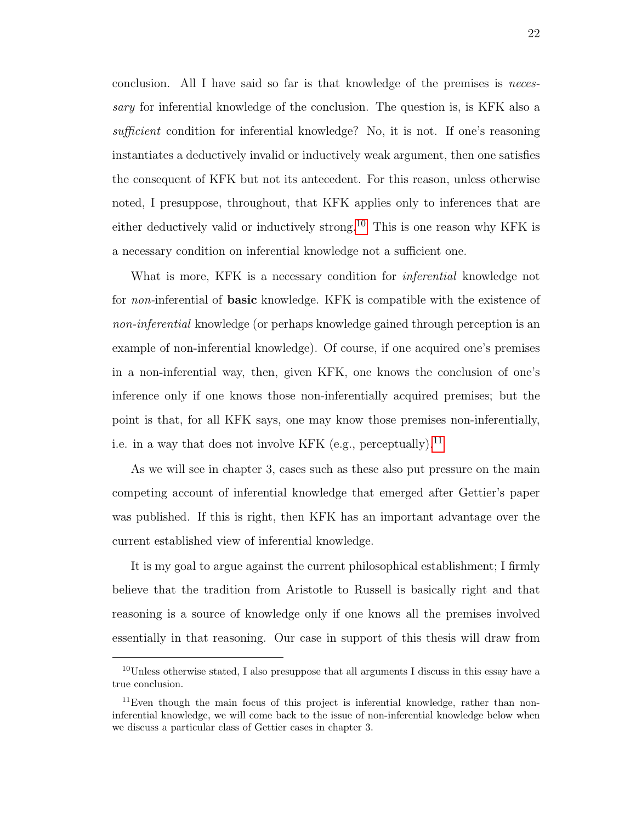conclusion. All I have said so far is that knowledge of the premises is necessary for inferential knowledge of the conclusion. The question is, is KFK also a sufficient condition for inferential knowledge? No, it is not. If one's reasoning instantiates a deductively invalid or inductively weak argument, then one satisfies the consequent of KFK but not its antecedent. For this reason, unless otherwise noted, I presuppose, throughout, that KFK applies only to inferences that are either deductively valid or inductively strong.[10](#page-29-0) This is one reason why KFK is a necessary condition on inferential knowledge not a sufficient one.

What is more, KFK is a necessary condition for *inferential* knowledge not for non-inferential of **basic** knowledge. KFK is compatible with the existence of non-inferential knowledge (or perhaps knowledge gained through perception is an example of non-inferential knowledge). Of course, if one acquired one's premises in a non-inferential way, then, given KFK, one knows the conclusion of one's inference only if one knows those non-inferentially acquired premises; but the point is that, for all KFK says, one may know those premises non-inferentially, i.e. in a way that does not involve KFK (e.g., perceptually).<sup>[11](#page-29-1)</sup>

As we will see in chapter 3, cases such as these also put pressure on the main competing account of inferential knowledge that emerged after Gettier's paper was published. If this is right, then KFK has an important advantage over the current established view of inferential knowledge.

It is my goal to argue against the current philosophical establishment; I firmly believe that the tradition from Aristotle to Russell is basically right and that reasoning is a source of knowledge only if one knows all the premises involved essentially in that reasoning. Our case in support of this thesis will draw from

<span id="page-29-0"></span> $10$ Unless otherwise stated, I also presuppose that all arguments I discuss in this essay have a true conclusion.

<span id="page-29-1"></span> $11$ Even though the main focus of this project is inferential knowledge, rather than noninferential knowledge, we will come back to the issue of non-inferential knowledge below when we discuss a particular class of Gettier cases in chapter 3.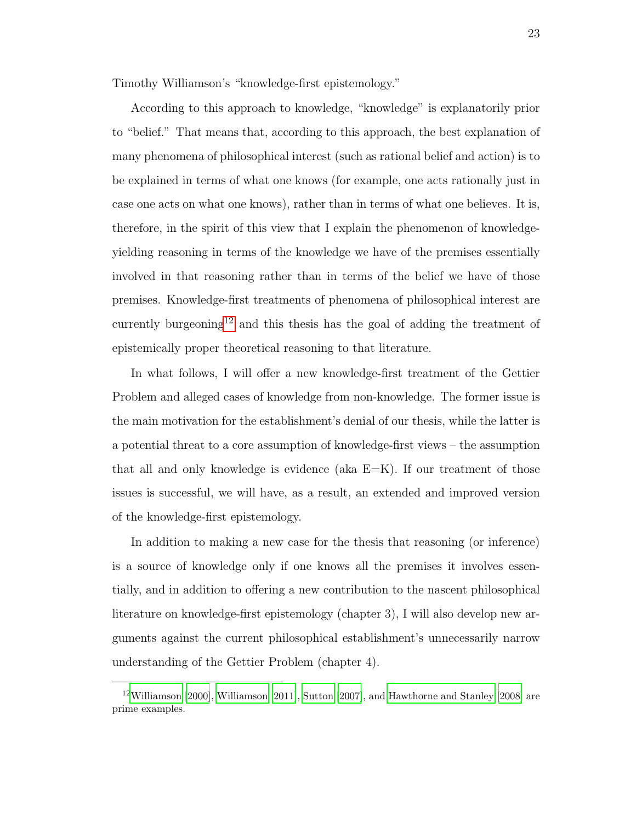Timothy Williamson's "knowledge-first epistemology."

According to this approach to knowledge, "knowledge" is explanatorily prior to "belief." That means that, according to this approach, the best explanation of many phenomena of philosophical interest (such as rational belief and action) is to be explained in terms of what one knows (for example, one acts rationally just in case one acts on what one knows), rather than in terms of what one believes. It is, therefore, in the spirit of this view that I explain the phenomenon of knowledgeyielding reasoning in terms of the knowledge we have of the premises essentially involved in that reasoning rather than in terms of the belief we have of those premises. Knowledge-first treatments of phenomena of philosophical interest are currently burgeoning<sup>[12](#page-30-0)</sup> and this thesis has the goal of adding the treatment of epistemically proper theoretical reasoning to that literature.

In what follows, I will offer a new knowledge-first treatment of the Gettier Problem and alleged cases of knowledge from non-knowledge. The former issue is the main motivation for the establishment's denial of our thesis, while the latter is a potential threat to a core assumption of knowledge-first views – the assumption that all and only knowledge is evidence (aka E=K). If our treatment of those issues is successful, we will have, as a result, an extended and improved version of the knowledge-first epistemology.

In addition to making a new case for the thesis that reasoning (or inference) is a source of knowledge only if one knows all the premises it involves essentially, and in addition to offering a new contribution to the nascent philosophical literature on knowledge-first epistemology (chapter 3), I will also develop new arguments against the current philosophical establishment's unnecessarily narrow understanding of the Gettier Problem (chapter 4).

<span id="page-30-0"></span><sup>&</sup>lt;sup>12</sup>[Williamson](#page-174-0) [\[2000\]](#page-174-0), [Williamson](#page-174-3) [\[2011\]](#page-174-3), [Sutton](#page-173-0) [\[2007\]](#page-173-0), and [Hawthorne and Stanley](#page-169-1) [\[2008\]](#page-169-1) are prime examples.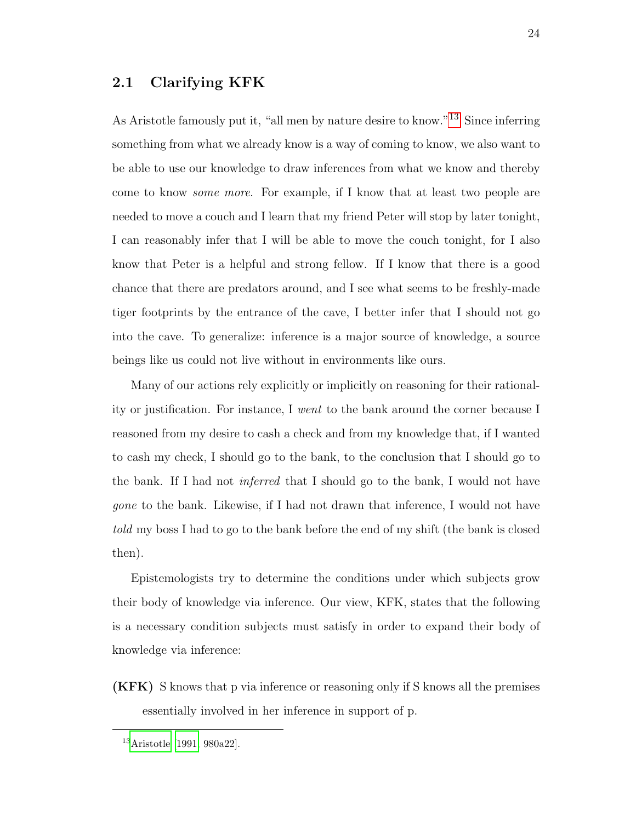#### <span id="page-31-0"></span>2.1 Clarifying KFK

As Aristotle famously put it, "all men by nature desire to know."[13](#page-31-1) Since inferring something from what we already know is a way of coming to know, we also want to be able to use our knowledge to draw inferences from what we know and thereby come to know some more. For example, if I know that at least two people are needed to move a couch and I learn that my friend Peter will stop by later tonight, I can reasonably infer that I will be able to move the couch tonight, for I also know that Peter is a helpful and strong fellow. If I know that there is a good chance that there are predators around, and I see what seems to be freshly-made tiger footprints by the entrance of the cave, I better infer that I should not go into the cave. To generalize: inference is a major source of knowledge, a source beings like us could not live without in environments like ours.

Many of our actions rely explicitly or implicitly on reasoning for their rationality or justification. For instance, I went to the bank around the corner because I reasoned from my desire to cash a check and from my knowledge that, if I wanted to cash my check, I should go to the bank, to the conclusion that I should go to the bank. If I had not inferred that I should go to the bank, I would not have gone to the bank. Likewise, if I had not drawn that inference, I would not have told my boss I had to go to the bank before the end of my shift (the bank is closed then).

Epistemologists try to determine the conditions under which subjects grow their body of knowledge via inference. Our view, KFK, states that the following is a necessary condition subjects must satisfy in order to expand their body of knowledge via inference:

(KFK) S knows that p via inference or reasoning only if S knows all the premises essentially involved in her inference in support of p.

<span id="page-31-1"></span><sup>13</sup>[Aristotle](#page-165-2) [\[1991,](#page-165-2) 980a22].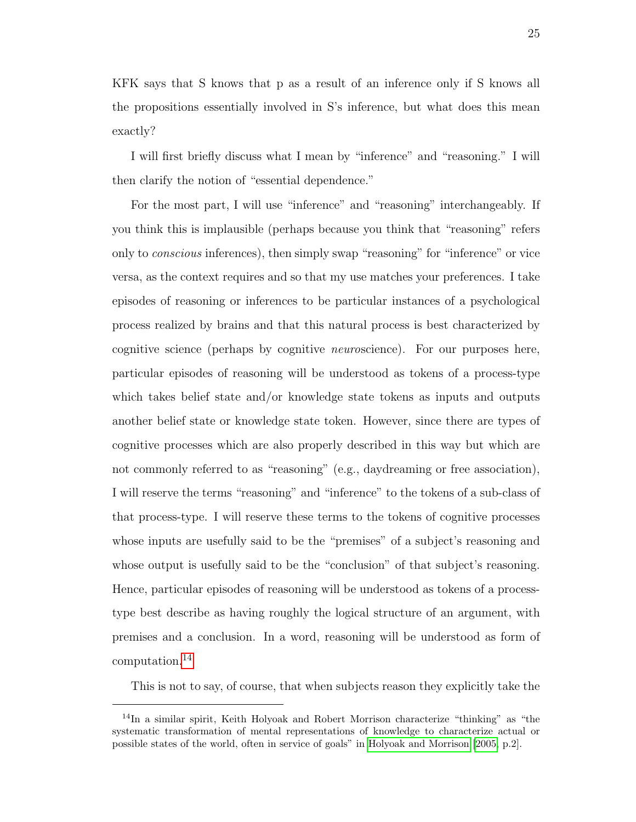KFK says that S knows that p as a result of an inference only if S knows all the propositions essentially involved in S's inference, but what does this mean exactly?

I will first briefly discuss what I mean by "inference" and "reasoning." I will then clarify the notion of "essential dependence."

For the most part, I will use "inference" and "reasoning" interchangeably. If you think this is implausible (perhaps because you think that "reasoning" refers only to conscious inferences), then simply swap "reasoning" for "inference" or vice versa, as the context requires and so that my use matches your preferences. I take episodes of reasoning or inferences to be particular instances of a psychological process realized by brains and that this natural process is best characterized by cognitive science (perhaps by cognitive neuroscience). For our purposes here, particular episodes of reasoning will be understood as tokens of a process-type which takes belief state and/or knowledge state tokens as inputs and outputs another belief state or knowledge state token. However, since there are types of cognitive processes which are also properly described in this way but which are not commonly referred to as "reasoning" (e.g., daydreaming or free association), I will reserve the terms "reasoning" and "inference" to the tokens of a sub-class of that process-type. I will reserve these terms to the tokens of cognitive processes whose inputs are usefully said to be the "premises" of a subject's reasoning and whose output is usefully said to be the "conclusion" of that subject's reasoning. Hence, particular episodes of reasoning will be understood as tokens of a processtype best describe as having roughly the logical structure of an argument, with premises and a conclusion. In a word, reasoning will be understood as form of computation.[14](#page-32-0)

This is not to say, of course, that when subjects reason they explicitly take the

<span id="page-32-0"></span><sup>14</sup>In a similar spirit, Keith Holyoak and Robert Morrison characterize "thinking" as "the systematic transformation of mental representations of knowledge to characterize actual or possible states of the world, often in service of goals" in [Holyoak and Morrison](#page-169-2) [\[2005,](#page-169-2) p.2].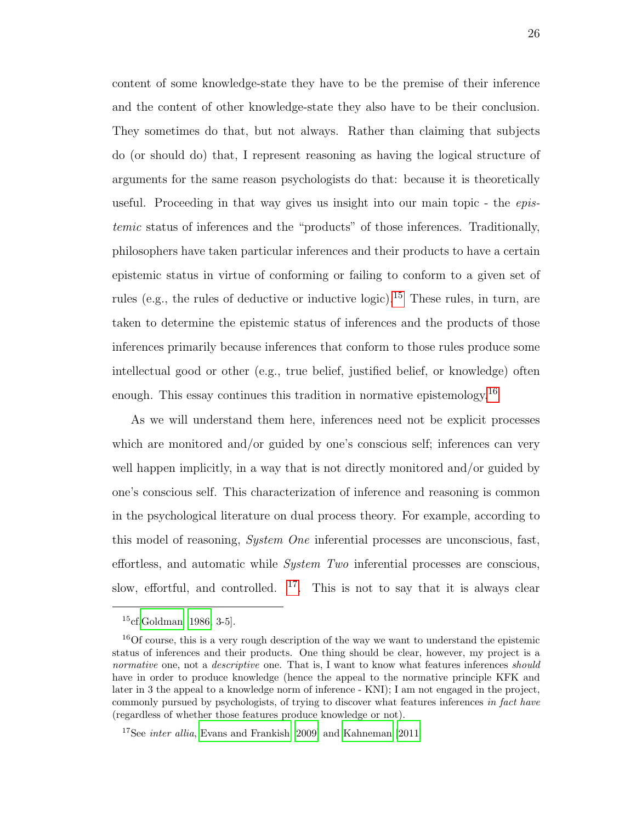content of some knowledge-state they have to be the premise of their inference and the content of other knowledge-state they also have to be their conclusion. They sometimes do that, but not always. Rather than claiming that subjects do (or should do) that, I represent reasoning as having the logical structure of arguments for the same reason psychologists do that: because it is theoretically useful. Proceeding in that way gives us insight into our main topic - the *epis*temic status of inferences and the "products" of those inferences. Traditionally, philosophers have taken particular inferences and their products to have a certain epistemic status in virtue of conforming or failing to conform to a given set of rules (e.g., the rules of deductive or inductive logic).<sup>[15](#page-33-0)</sup> These rules, in turn, are taken to determine the epistemic status of inferences and the products of those inferences primarily because inferences that conform to those rules produce some intellectual good or other (e.g., true belief, justified belief, or knowledge) often enough. This essay continues this tradition in normative epistemology.<sup>[16](#page-33-1)</sup>

As we will understand them here, inferences need not be explicit processes which are monitored and/or guided by one's conscious self; inferences can very well happen implicitly, in a way that is not directly monitored and/or guided by one's conscious self. This characterization of inference and reasoning is common in the psychological literature on dual process theory. For example, according to this model of reasoning, System One inferential processes are unconscious, fast, effortless, and automatic while System Two inferential processes are conscious, slow, effortful, and controlled.  $17$ . This is not to say that it is always clear

<span id="page-33-1"></span><span id="page-33-0"></span> $15c$ f[.Goldman](#page-168-0) [\[1986,](#page-168-0) 3-5].

<sup>16</sup>Of course, this is a very rough description of the way we want to understand the epistemic status of inferences and their products. One thing should be clear, however, my project is a normative one, not a *descriptive* one. That is, I want to know what features inferences *should* have in order to produce knowledge (hence the appeal to the normative principle KFK and later in 3 the appeal to a knowledge norm of inference - KNI); I am not engaged in the project, commonly pursued by psychologists, of trying to discover what features inferences in fact have (regardless of whether those features produce knowledge or not).

<span id="page-33-2"></span><sup>17</sup>See inter allia, [Evans and Frankish](#page-167-4) [\[2009\]](#page-167-4) and [Kahneman](#page-169-3) [\[2011\]](#page-169-3)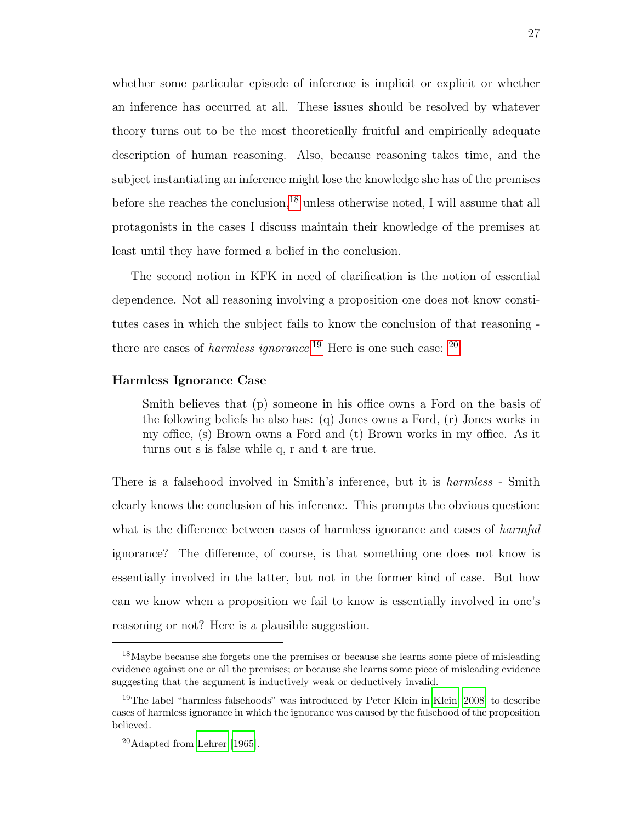whether some particular episode of inference is implicit or explicit or whether an inference has occurred at all. These issues should be resolved by whatever theory turns out to be the most theoretically fruitful and empirically adequate description of human reasoning. Also, because reasoning takes time, and the subject instantiating an inference might lose the knowledge she has of the premises before she reaches the conclusion, $^{18}$  $^{18}$  $^{18}$  unless otherwise noted, I will assume that all protagonists in the cases I discuss maintain their knowledge of the premises at least until they have formed a belief in the conclusion.

The second notion in KFK in need of clarification is the notion of essential dependence. Not all reasoning involving a proposition one does not know constitutes cases in which the subject fails to know the conclusion of that reasoning there are cases of *harmless ignorance*.<sup>[19](#page-34-1)</sup> Here is one such case:  $^{20}$  $^{20}$  $^{20}$ 

#### Harmless Ignorance Case

Smith believes that (p) someone in his office owns a Ford on the basis of the following beliefs he also has: (q) Jones owns a Ford, (r) Jones works in my office, (s) Brown owns a Ford and (t) Brown works in my office. As it turns out s is false while q, r and t are true.

There is a falsehood involved in Smith's inference, but it is harmless - Smith clearly knows the conclusion of his inference. This prompts the obvious question: what is the difference between cases of harmless ignorance and cases of *harmful* ignorance? The difference, of course, is that something one does not know is essentially involved in the latter, but not in the former kind of case. But how can we know when a proposition we fail to know is essentially involved in one's reasoning or not? Here is a plausible suggestion.

<span id="page-34-0"></span><sup>18</sup>Maybe because she forgets one the premises or because she learns some piece of misleading evidence against one or all the premises; or because she learns some piece of misleading evidence suggesting that the argument is inductively weak or deductively invalid.

<span id="page-34-1"></span><sup>19</sup>The label "harmless falsehoods" was introduced by Peter Klein in [Klein](#page-170-1) [\[2008\]](#page-170-1) to describe cases of harmless ignorance in which the ignorance was caused by the falsehood of the proposition believed.

<span id="page-34-2"></span><sup>20</sup>Adapted from [Lehrer](#page-171-1) [\[1965\]](#page-171-1).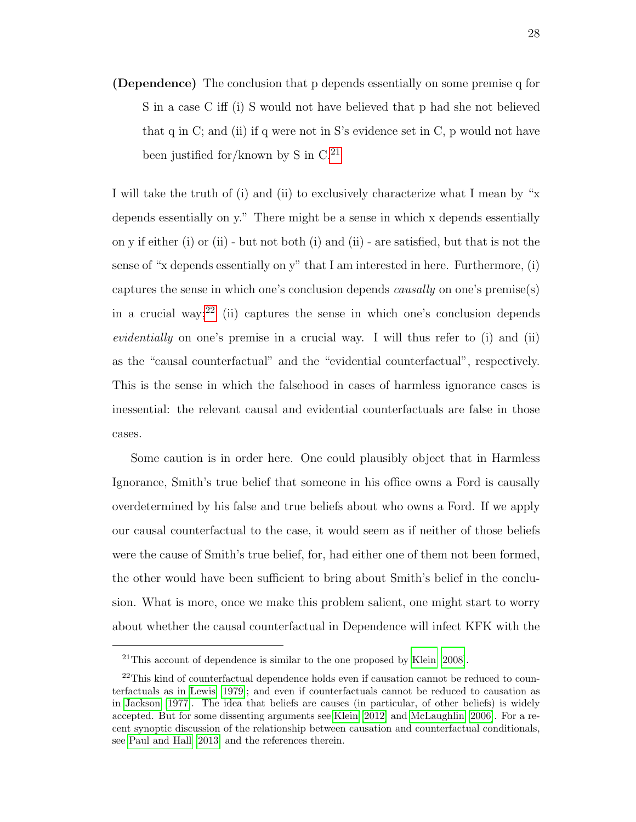(Dependence) The conclusion that p depends essentially on some premise q for S in a case C iff (i) S would not have believed that p had she not believed that q in  $C$ ; and (ii) if q were not in S's evidence set in  $C$ , p would not have been justified for/known by S in  $\mathbb{C}^{21}$  $\mathbb{C}^{21}$  $\mathbb{C}^{21}$ 

I will take the truth of (i) and (ii) to exclusively characterize what I mean by "x depends essentially on y." There might be a sense in which x depends essentially on y if either (i) or (ii) - but not both (i) and (ii) - are satisfied, but that is not the sense of "x depends essentially on y" that I am interested in here. Furthermore, (i) captures the sense in which one's conclusion depends causally on one's premise(s) in a crucial way;<sup>[22](#page-35-1)</sup> (ii) captures the sense in which one's conclusion depends evidentially on one's premise in a crucial way. I will thus refer to (i) and (ii) as the "causal counterfactual" and the "evidential counterfactual", respectively. This is the sense in which the falsehood in cases of harmless ignorance cases is inessential: the relevant causal and evidential counterfactuals are false in those cases.

Some caution is in order here. One could plausibly object that in Harmless Ignorance, Smith's true belief that someone in his office owns a Ford is causally overdetermined by his false and true beliefs about who owns a Ford. If we apply our causal counterfactual to the case, it would seem as if neither of those beliefs were the cause of Smith's true belief, for, had either one of them not been formed, the other would have been sufficient to bring about Smith's belief in the conclusion. What is more, once we make this problem salient, one might start to worry about whether the causal counterfactual in Dependence will infect KFK with the

<span id="page-35-0"></span> $21$ This account of dependence is similar to the one proposed by [Klein](#page-170-1) [\[2008\]](#page-170-1).

<span id="page-35-1"></span><sup>22</sup>This kind of counterfactual dependence holds even if causation cannot be reduced to counterfactuals as in [Lewis](#page-171-2) [\[1979\]](#page-171-2); and even if counterfactuals cannot be reduced to causation as in [Jackson](#page-169-4) [\[1977\]](#page-169-4). The idea that beliefs are causes (in particular, of other beliefs) is widely accepted. But for some dissenting arguments see [Klein](#page-170-2) [\[2012\]](#page-170-2) and [McLaughlin](#page-172-1) [\[2006\]](#page-172-1). For a recent synoptic discussion of the relationship between causation and counterfactual conditionals, see [Paul and Hall](#page-172-2) [\[2013\]](#page-172-2) and the references therein.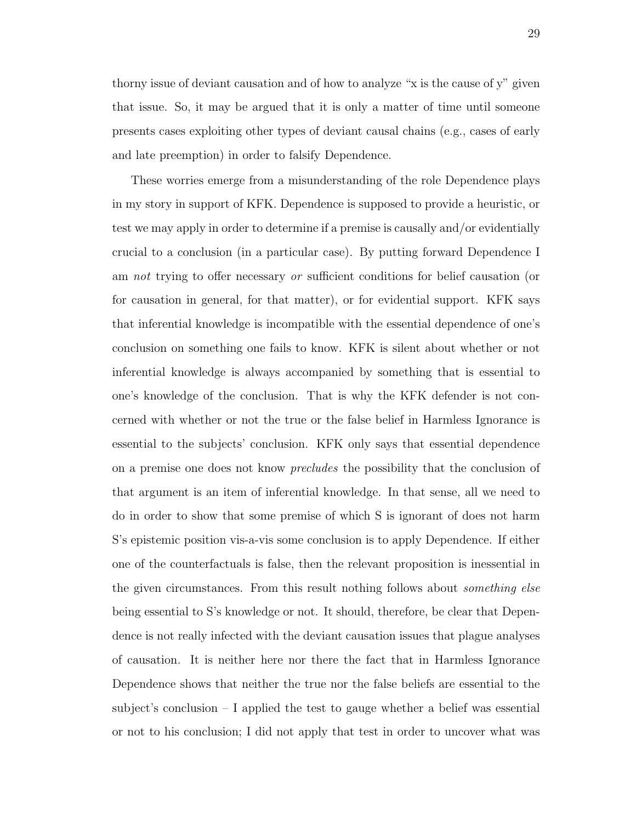thorny issue of deviant causation and of how to analyze "x is the cause of y" given that issue. So, it may be argued that it is only a matter of time until someone presents cases exploiting other types of deviant causal chains (e.g., cases of early and late preemption) in order to falsify Dependence.

These worries emerge from a misunderstanding of the role Dependence plays in my story in support of KFK. Dependence is supposed to provide a heuristic, or test we may apply in order to determine if a premise is causally and/or evidentially crucial to a conclusion (in a particular case). By putting forward Dependence I am not trying to offer necessary or sufficient conditions for belief causation (or for causation in general, for that matter), or for evidential support. KFK says that inferential knowledge is incompatible with the essential dependence of one's conclusion on something one fails to know. KFK is silent about whether or not inferential knowledge is always accompanied by something that is essential to one's knowledge of the conclusion. That is why the KFK defender is not concerned with whether or not the true or the false belief in Harmless Ignorance is essential to the subjects' conclusion. KFK only says that essential dependence on a premise one does not know *precludes* the possibility that the conclusion of that argument is an item of inferential knowledge. In that sense, all we need to do in order to show that some premise of which S is ignorant of does not harm S's epistemic position vis-a-vis some conclusion is to apply Dependence. If either one of the counterfactuals is false, then the relevant proposition is inessential in the given circumstances. From this result nothing follows about *something else* being essential to S's knowledge or not. It should, therefore, be clear that Dependence is not really infected with the deviant causation issues that plague analyses of causation. It is neither here nor there the fact that in Harmless Ignorance Dependence shows that neither the true nor the false beliefs are essential to the subject's conclusion  $- I$  applied the test to gauge whether a belief was essential or not to his conclusion; I did not apply that test in order to uncover what was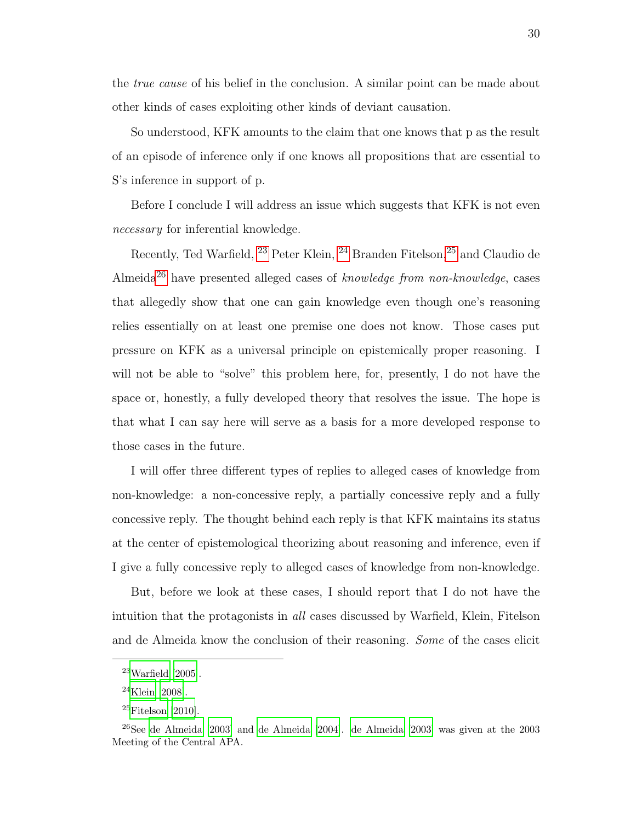the *true cause* of his belief in the conclusion. A similar point can be made about other kinds of cases exploiting other kinds of deviant causation.

So understood, KFK amounts to the claim that one knows that p as the result of an episode of inference only if one knows all propositions that are essential to S's inference in support of p.

Before I conclude I will address an issue which suggests that KFK is not even necessary for inferential knowledge.

Recently, Ted Warfield, [23](#page-37-0) Peter Klein, [24](#page-37-1) Branden Fitelson,[25](#page-37-2) and Claudio de Almeida<sup>[26](#page-37-3)</sup> have presented alleged cases of knowledge from non-knowledge, cases that allegedly show that one can gain knowledge even though one's reasoning relies essentially on at least one premise one does not know. Those cases put pressure on KFK as a universal principle on epistemically proper reasoning. I will not be able to "solve" this problem here, for, presently, I do not have the space or, honestly, a fully developed theory that resolves the issue. The hope is that what I can say here will serve as a basis for a more developed response to those cases in the future.

I will offer three different types of replies to alleged cases of knowledge from non-knowledge: a non-concessive reply, a partially concessive reply and a fully concessive reply. The thought behind each reply is that KFK maintains its status at the center of epistemological theorizing about reasoning and inference, even if I give a fully concessive reply to alleged cases of knowledge from non-knowledge.

But, before we look at these cases, I should report that I do not have the intuition that the protagonists in *all* cases discussed by Warfield, Klein, Fitelson and de Almeida know the conclusion of their reasoning. Some of the cases elicit

<span id="page-37-0"></span> $23$ [Warfield](#page-174-0) [\[2005\]](#page-174-0).

<span id="page-37-1"></span> $24$ [Klein](#page-170-0) [\[2008\]](#page-170-0).

<span id="page-37-3"></span><span id="page-37-2"></span> $25$ [Fitelson](#page-167-0) [\[2010\]](#page-167-0).

<sup>&</sup>lt;sup>26</sup>See [de Almeida](#page-166-0) [\[2003\]](#page-166-0) and de Almeida [\[2004\]](#page-166-1). de Almeida [2003] was given at the 2003 Meeting of the Central APA.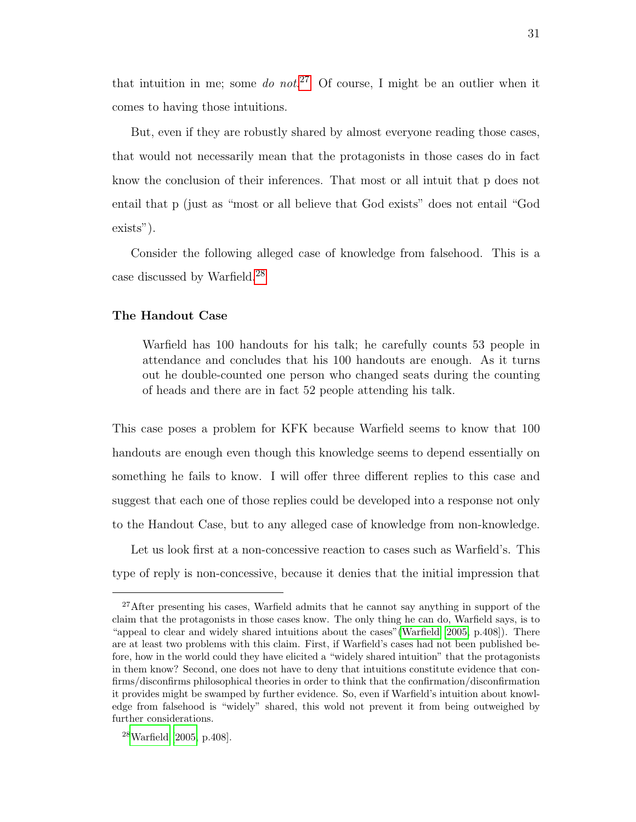that intuition in me; some *do not.*<sup>[27](#page-38-0)</sup> Of course, I might be an outlier when it comes to having those intuitions.

But, even if they are robustly shared by almost everyone reading those cases, that would not necessarily mean that the protagonists in those cases do in fact know the conclusion of their inferences. That most or all intuit that p does not entail that p (just as "most or all believe that God exists" does not entail "God exists").

Consider the following alleged case of knowledge from falsehood. This is a case discussed by Warfield.[28](#page-38-1)

#### The Handout Case

Warfield has 100 handouts for his talk; he carefully counts 53 people in attendance and concludes that his 100 handouts are enough. As it turns out he double-counted one person who changed seats during the counting of heads and there are in fact 52 people attending his talk.

This case poses a problem for KFK because Warfield seems to know that 100 handouts are enough even though this knowledge seems to depend essentially on something he fails to know. I will offer three different replies to this case and suggest that each one of those replies could be developed into a response not only to the Handout Case, but to any alleged case of knowledge from non-knowledge.

Let us look first at a non-concessive reaction to cases such as Warfield's. This type of reply is non-concessive, because it denies that the initial impression that

<span id="page-38-0"></span><sup>&</sup>lt;sup>27</sup>After presenting his cases, Warfield admits that he cannot say anything in support of the claim that the protagonists in those cases know. The only thing he can do, Warfield says, is to "appeal to clear and widely shared intuitions about the cases"[\(Warfield](#page-174-0) [\[2005,](#page-174-0) p.408]). There are at least two problems with this claim. First, if Warfield's cases had not been published before, how in the world could they have elicited a "widely shared intuition" that the protagonists in them know? Second, one does not have to deny that intuitions constitute evidence that confirms/disconfirms philosophical theories in order to think that the confirmation/disconfirmation it provides might be swamped by further evidence. So, even if Warfield's intuition about knowledge from falsehood is "widely" shared, this wold not prevent it from being outweighed by further considerations.

<span id="page-38-1"></span> $28$ [Warfield](#page-174-0) [\[2005,](#page-174-0) p.408].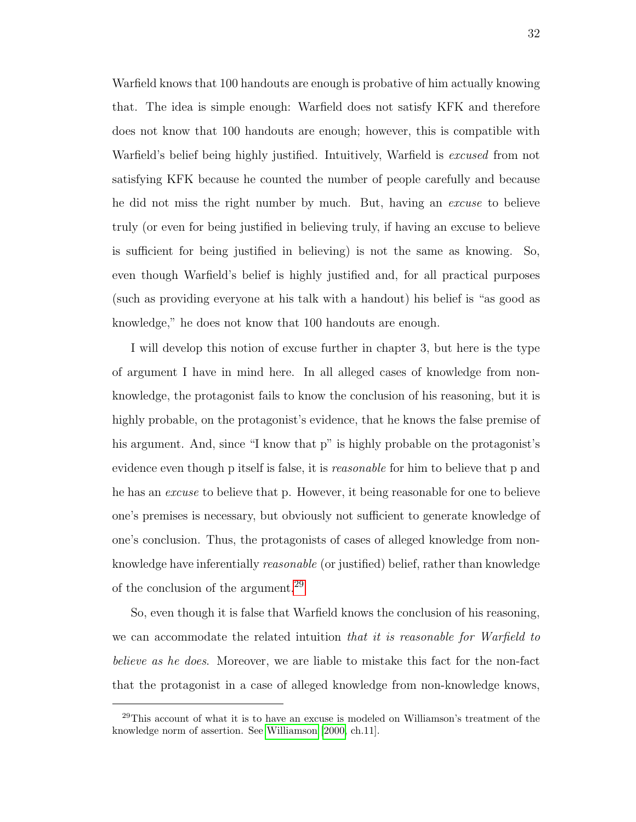Warfield knows that 100 handouts are enough is probative of him actually knowing that. The idea is simple enough: Warfield does not satisfy KFK and therefore does not know that 100 handouts are enough; however, this is compatible with Warfield's belief being highly justified. Intuitively, Warfield is *excused* from not satisfying KFK because he counted the number of people carefully and because he did not miss the right number by much. But, having an *excuse* to believe truly (or even for being justified in believing truly, if having an excuse to believe is sufficient for being justified in believing) is not the same as knowing. So, even though Warfield's belief is highly justified and, for all practical purposes (such as providing everyone at his talk with a handout) his belief is "as good as knowledge," he does not know that 100 handouts are enough.

I will develop this notion of excuse further in chapter 3, but here is the type of argument I have in mind here. In all alleged cases of knowledge from nonknowledge, the protagonist fails to know the conclusion of his reasoning, but it is highly probable, on the protagonist's evidence, that he knows the false premise of his argument. And, since "I know that p" is highly probable on the protagonist's evidence even though p itself is false, it is *reasonable* for him to believe that p and he has an excuse to believe that p. However, it being reasonable for one to believe one's premises is necessary, but obviously not sufficient to generate knowledge of one's conclusion. Thus, the protagonists of cases of alleged knowledge from nonknowledge have inferentially reasonable (or justified) belief, rather than knowledge of the conclusion of the argument.<sup>[29](#page-39-0)</sup>

So, even though it is false that Warfield knows the conclusion of his reasoning, we can accommodate the related intuition *that it is reasonable for Warfield to* believe as he does. Moreover, we are liable to mistake this fact for the non-fact that the protagonist in a case of alleged knowledge from non-knowledge knows,

<span id="page-39-0"></span> $^{29}$ This account of what it is to have an excuse is modeled on Williamson's treatment of the knowledge norm of assertion. See [Williamson](#page-174-1) [\[2000,](#page-174-1) ch.11].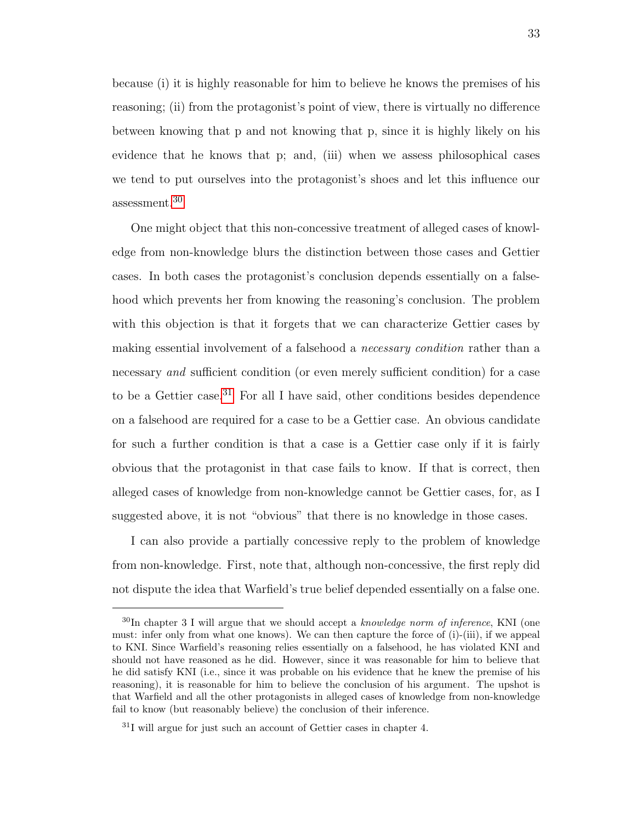because (i) it is highly reasonable for him to believe he knows the premises of his reasoning; (ii) from the protagonist's point of view, there is virtually no difference between knowing that p and not knowing that p, since it is highly likely on his evidence that he knows that p; and, (iii) when we assess philosophical cases we tend to put ourselves into the protagonist's shoes and let this influence our assessment.[30](#page-40-0)

One might object that this non-concessive treatment of alleged cases of knowledge from non-knowledge blurs the distinction between those cases and Gettier cases. In both cases the protagonist's conclusion depends essentially on a falsehood which prevents her from knowing the reasoning's conclusion. The problem with this objection is that it forgets that we can characterize Gettier cases by making essential involvement of a falsehood a *necessary condition* rather than a necessary and sufficient condition (or even merely sufficient condition) for a case to be a Gettier case.<sup>[31](#page-40-1)</sup> For all I have said, other conditions besides dependence on a falsehood are required for a case to be a Gettier case. An obvious candidate for such a further condition is that a case is a Gettier case only if it is fairly obvious that the protagonist in that case fails to know. If that is correct, then alleged cases of knowledge from non-knowledge cannot be Gettier cases, for, as I suggested above, it is not "obvious" that there is no knowledge in those cases.

I can also provide a partially concessive reply to the problem of knowledge from non-knowledge. First, note that, although non-concessive, the first reply did not dispute the idea that Warfield's true belief depended essentially on a false one.

<span id="page-40-0"></span> $30$ In chapter 3 I will argue that we should accept a knowledge norm of inference, KNI (one must: infer only from what one knows). We can then capture the force of (i)-(iii), if we appeal to KNI. Since Warfield's reasoning relies essentially on a falsehood, he has violated KNI and should not have reasoned as he did. However, since it was reasonable for him to believe that he did satisfy KNI (i.e., since it was probable on his evidence that he knew the premise of his reasoning), it is reasonable for him to believe the conclusion of his argument. The upshot is that Warfield and all the other protagonists in alleged cases of knowledge from non-knowledge fail to know (but reasonably believe) the conclusion of their inference.

<span id="page-40-1"></span><sup>31</sup>I will argue for just such an account of Gettier cases in chapter 4.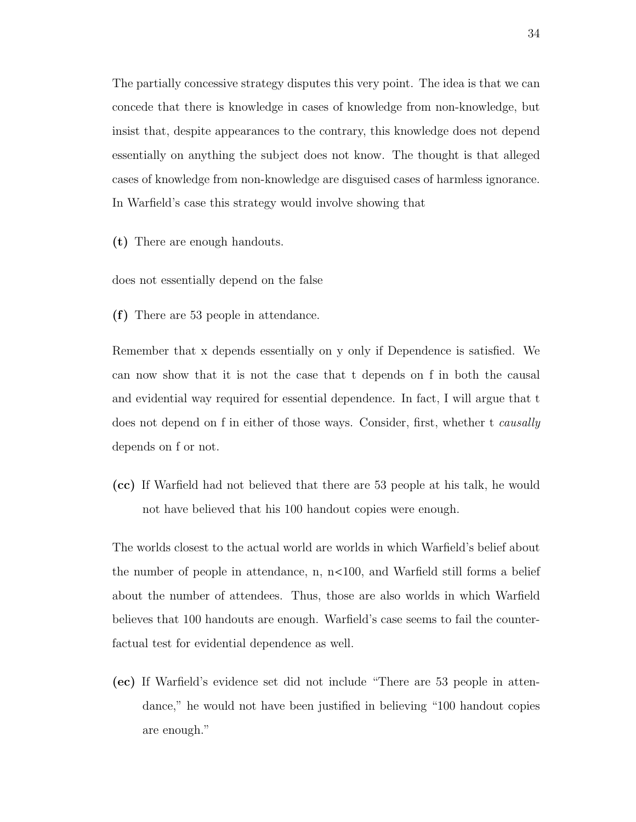The partially concessive strategy disputes this very point. The idea is that we can concede that there is knowledge in cases of knowledge from non-knowledge, but insist that, despite appearances to the contrary, this knowledge does not depend essentially on anything the subject does not know. The thought is that alleged cases of knowledge from non-knowledge are disguised cases of harmless ignorance. In Warfield's case this strategy would involve showing that

(t) There are enough handouts.

does not essentially depend on the false

(f) There are 53 people in attendance.

Remember that x depends essentially on y only if Dependence is satisfied. We can now show that it is not the case that t depends on f in both the causal and evidential way required for essential dependence. In fact, I will argue that t does not depend on f in either of those ways. Consider, first, whether t *causally* depends on f or not.

(cc) If Warfield had not believed that there are 53 people at his talk, he would not have believed that his 100 handout copies were enough.

The worlds closest to the actual world are worlds in which Warfield's belief about the number of people in attendance, n, n<100, and Warfield still forms a belief about the number of attendees. Thus, those are also worlds in which Warfield believes that 100 handouts are enough. Warfield's case seems to fail the counterfactual test for evidential dependence as well.

(ec) If Warfield's evidence set did not include "There are 53 people in attendance," he would not have been justified in believing "100 handout copies are enough."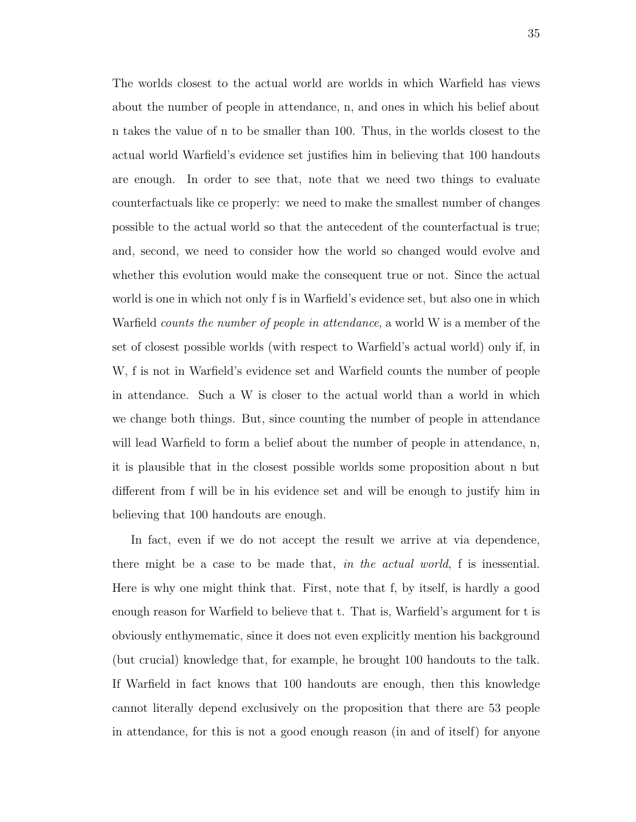The worlds closest to the actual world are worlds in which Warfield has views about the number of people in attendance, n, and ones in which his belief about n takes the value of n to be smaller than 100. Thus, in the worlds closest to the actual world Warfield's evidence set justifies him in believing that 100 handouts are enough. In order to see that, note that we need two things to evaluate counterfactuals like ce properly: we need to make the smallest number of changes possible to the actual world so that the antecedent of the counterfactual is true; and, second, we need to consider how the world so changed would evolve and whether this evolution would make the consequent true or not. Since the actual world is one in which not only f is in Warfield's evidence set, but also one in which Warfield *counts the number of people in attendance*, a world W is a member of the set of closest possible worlds (with respect to Warfield's actual world) only if, in W, f is not in Warfield's evidence set and Warfield counts the number of people in attendance. Such a W is closer to the actual world than a world in which we change both things. But, since counting the number of people in attendance will lead Warfield to form a belief about the number of people in attendance, n, it is plausible that in the closest possible worlds some proposition about n but different from f will be in his evidence set and will be enough to justify him in believing that 100 handouts are enough.

In fact, even if we do not accept the result we arrive at via dependence, there might be a case to be made that, in the actual world, f is inessential. Here is why one might think that. First, note that f, by itself, is hardly a good enough reason for Warfield to believe that t. That is, Warfield's argument for t is obviously enthymematic, since it does not even explicitly mention his background (but crucial) knowledge that, for example, he brought 100 handouts to the talk. If Warfield in fact knows that 100 handouts are enough, then this knowledge cannot literally depend exclusively on the proposition that there are 53 people in attendance, for this is not a good enough reason (in and of itself) for anyone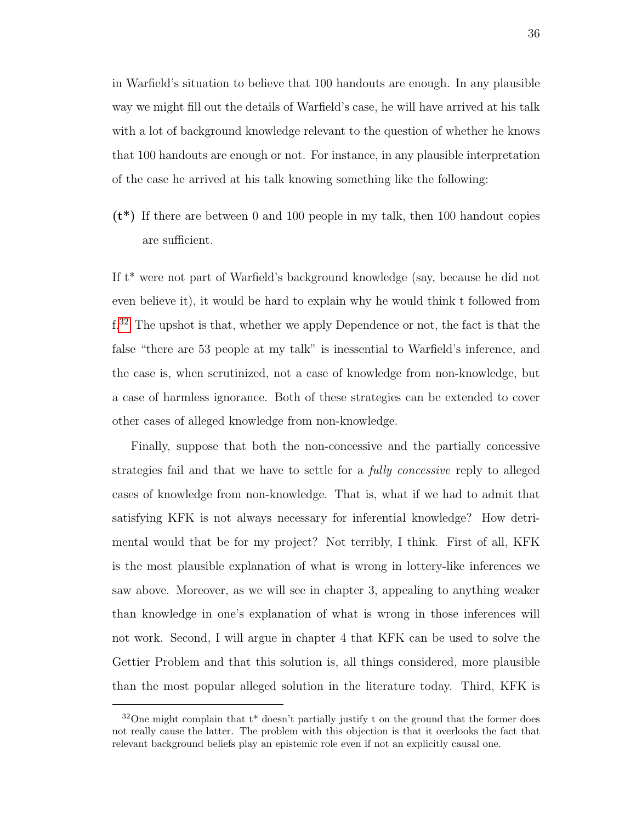in Warfield's situation to believe that 100 handouts are enough. In any plausible way we might fill out the details of Warfield's case, he will have arrived at his talk with a lot of background knowledge relevant to the question of whether he knows that 100 handouts are enough or not. For instance, in any plausible interpretation of the case he arrived at his talk knowing something like the following:

(t\*) If there are between 0 and 100 people in my talk, then 100 handout copies are sufficient.

If t\* were not part of Warfield's background knowledge (say, because he did not even believe it), it would be hard to explain why he would think t followed from  $f^{32}$  $f^{32}$  $f^{32}$ . The upshot is that, whether we apply Dependence or not, the fact is that the false "there are 53 people at my talk" is inessential to Warfield's inference, and the case is, when scrutinized, not a case of knowledge from non-knowledge, but a case of harmless ignorance. Both of these strategies can be extended to cover other cases of alleged knowledge from non-knowledge.

Finally, suppose that both the non-concessive and the partially concessive strategies fail and that we have to settle for a fully concessive reply to alleged cases of knowledge from non-knowledge. That is, what if we had to admit that satisfying KFK is not always necessary for inferential knowledge? How detrimental would that be for my project? Not terribly, I think. First of all, KFK is the most plausible explanation of what is wrong in lottery-like inferences we saw above. Moreover, as we will see in chapter 3, appealing to anything weaker than knowledge in one's explanation of what is wrong in those inferences will not work. Second, I will argue in chapter 4 that KFK can be used to solve the Gettier Problem and that this solution is, all things considered, more plausible than the most popular alleged solution in the literature today. Third, KFK is

<span id="page-43-0"></span> $32$ One might complain that  $t^*$  doesn't partially justify t on the ground that the former does not really cause the latter. The problem with this objection is that it overlooks the fact that relevant background beliefs play an epistemic role even if not an explicitly causal one.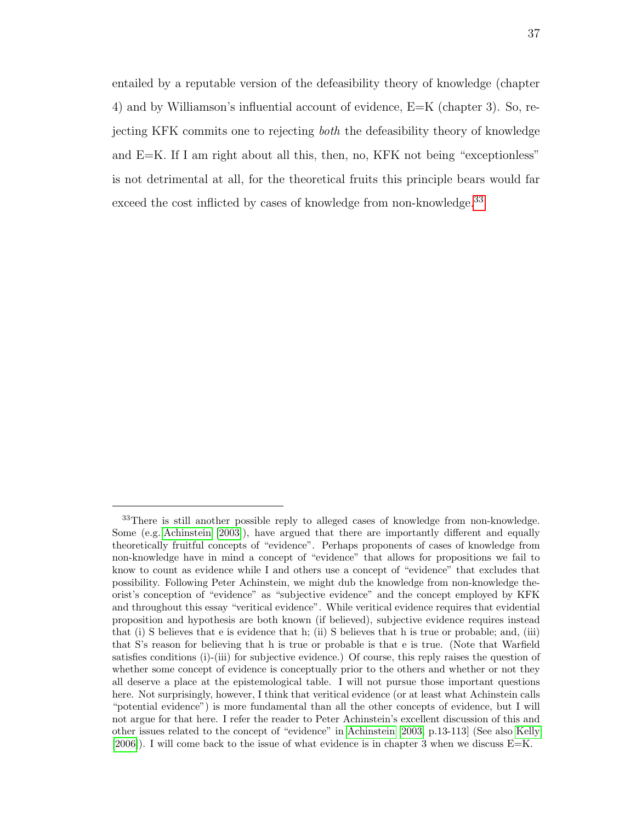entailed by a reputable version of the defeasibility theory of knowledge (chapter 4) and by Williamson's influential account of evidence, E=K (chapter 3). So, rejecting KFK commits one to rejecting both the defeasibility theory of knowledge and E=K. If I am right about all this, then, no, KFK not being "exceptionless" is not detrimental at all, for the theoretical fruits this principle bears would far exceed the cost inflicted by cases of knowledge from non-knowledge.<sup>[33](#page-44-0)</sup>

<span id="page-44-0"></span><sup>&</sup>lt;sup>33</sup>There is still another possible reply to alleged cases of knowledge from non-knowledge. Some (e.g.[,Achinstein](#page-165-0) [\[2003\]](#page-165-0)), have argued that there are importantly different and equally theoretically fruitful concepts of "evidence". Perhaps proponents of cases of knowledge from non-knowledge have in mind a concept of "evidence" that allows for propositions we fail to know to count as evidence while I and others use a concept of "evidence" that excludes that possibility. Following Peter Achinstein, we might dub the knowledge from non-knowledge theorist's conception of "evidence" as "subjective evidence" and the concept employed by KFK and throughout this essay "veritical evidence". While veritical evidence requires that evidential proposition and hypothesis are both known (if believed), subjective evidence requires instead that (i) S believes that e is evidence that h; (ii) S believes that h is true or probable; and, (iii) that S's reason for believing that h is true or probable is that e is true. (Note that Warfield satisfies conditions (i)-(iii) for subjective evidence.) Of course, this reply raises the question of whether some concept of evidence is conceptually prior to the others and whether or not they all deserve a place at the epistemological table. I will not pursue those important questions here. Not surprisingly, however, I think that veritical evidence (or at least what Achinstein calls "potential evidence") is more fundamental than all the other concepts of evidence, but I will not argue for that here. I refer the reader to Peter Achinstein's excellent discussion of this and other issues related to the concept of "evidence" in [Achinstein](#page-165-0) [\[2003,](#page-165-0) p.13-113] (See also [Kelly](#page-170-1) [\[2006\]](#page-170-1)). I will come back to the issue of what evidence is in chapter 3 when we discuss E=K.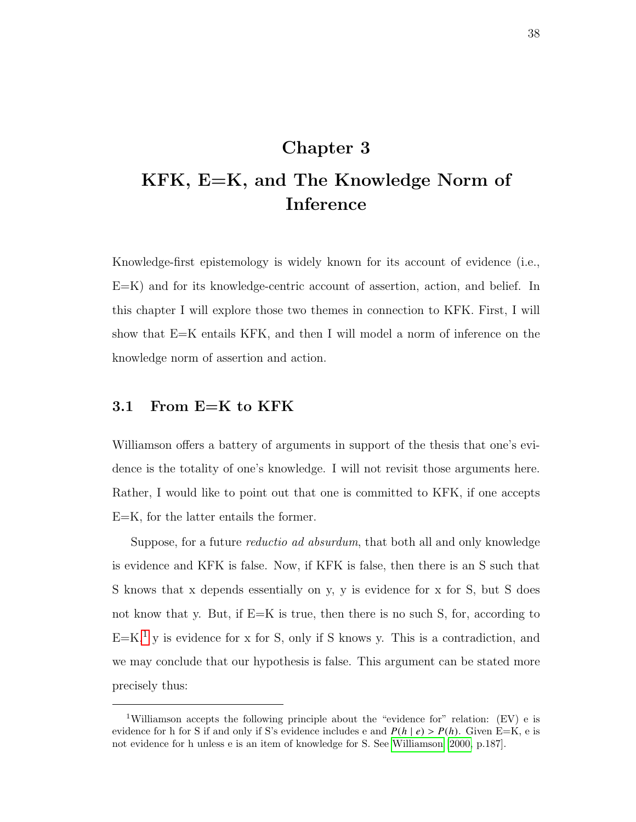## Chapter 3

# KFK, E=K, and The Knowledge Norm of Inference

Knowledge-first epistemology is widely known for its account of evidence (i.e., E=K) and for its knowledge-centric account of assertion, action, and belief. In this chapter I will explore those two themes in connection to KFK. First, I will show that E=K entails KFK, and then I will model a norm of inference on the knowledge norm of assertion and action.

### 3.1 From E=K to KFK

Williamson offers a battery of arguments in support of the thesis that one's evidence is the totality of one's knowledge. I will not revisit those arguments here. Rather, I would like to point out that one is committed to KFK, if one accepts E=K, for the latter entails the former.

Suppose, for a future *reductio ad absurdum*, that both all and only knowledge is evidence and KFK is false. Now, if KFK is false, then there is an S such that S knows that x depends essentially on y, y is evidence for x for S, but S does not know that y. But, if  $E=K$  is true, then there is no such S, for, according to  $E=K$ ,<sup>[1](#page-45-0)</sup> y is evidence for x for S, only if S knows y. This is a contradiction, and we may conclude that our hypothesis is false. This argument can be stated more precisely thus:

<span id="page-45-0"></span><sup>1</sup>Williamson accepts the following principle about the "evidence for" relation: (EV) e is evidence for h for S if and only if S's evidence includes e and  $P(h \mid e) > P(h)$ . Given E=K, e is not evidence for h unless e is an item of knowledge for S. See [Williamson](#page-174-1) [\[2000,](#page-174-1) p.187].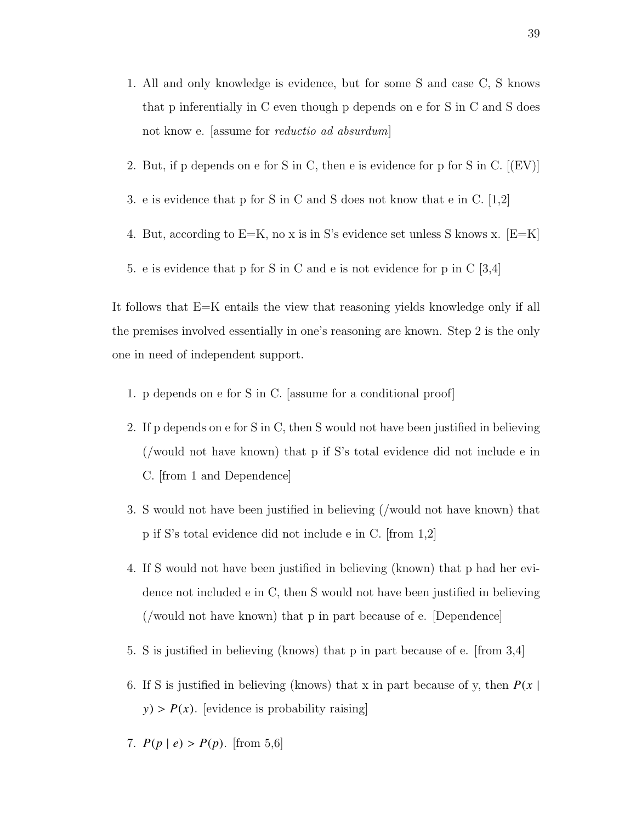- 1. All and only knowledge is evidence, but for some S and case C, S knows that p inferentially in C even though p depends on e for S in C and S does not know e. [assume for reductio ad absurdum]
- 2. But, if p depends on e for S in C, then e is evidence for p for S in C. [(EV)]
- 3. e is evidence that p for S in C and S does not know that e in C. [1,2]
- 4. But, according to  $E=K$ , no x is in S's evidence set unless S knows x.  $[E=K]$
- 5. e is evidence that p for S in C and e is not evidence for p in C [3,4]

It follows that E=K entails the view that reasoning yields knowledge only if all the premises involved essentially in one's reasoning are known. Step 2 is the only one in need of independent support.

- 1. p depends on e for S in C. [assume for a conditional proof]
- 2. If p depends on e for S in C, then S would not have been justified in believing (/would not have known) that p if S's total evidence did not include e in C. [from 1 and Dependence]
- 3. S would not have been justified in believing (/would not have known) that p if S's total evidence did not include e in C. [from 1,2]
- 4. If S would not have been justified in believing (known) that p had her evidence not included e in C, then S would not have been justified in believing (/would not have known) that p in part because of e. [Dependence]
- 5. S is justified in believing (knows) that p in part because of e. [from 3,4]
- 6. If S is justified in believing (knows) that x in part because of y, then  $P(x)$  $y$ ) >  $P(x)$ . [evidence is probability raising]
- 7.  $P(p | e) > P(p)$ . [from 5,6]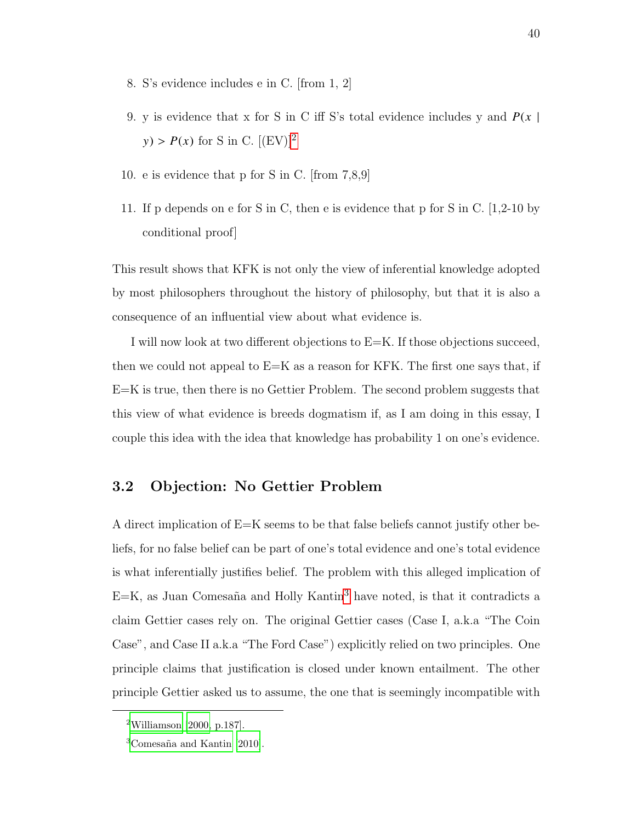- 8. S's evidence includes e in C. [from 1, 2]
- 9. y is evidence that x for S in C iff S's total evidence includes y and  $P(x)$  $y$ ) >  $P(x)$  for S in C.  $[(EV)]^2$  $[(EV)]^2$
- 10. e is evidence that p for S in C. [from 7,8,9]
- 11. If p depends on e for S in C, then e is evidence that p for S in C. [1,2-10 by conditional proof]

This result shows that KFK is not only the view of inferential knowledge adopted by most philosophers throughout the history of philosophy, but that it is also a consequence of an influential view about what evidence is.

I will now look at two different objections to E=K. If those objections succeed, then we could not appeal to  $E=K$  as a reason for KFK. The first one says that, if E=K is true, then there is no Gettier Problem. The second problem suggests that this view of what evidence is breeds dogmatism if, as I am doing in this essay, I couple this idea with the idea that knowledge has probability 1 on one's evidence.

## 3.2 Objection: No Gettier Problem

A direct implication of E=K seems to be that false beliefs cannot justify other beliefs, for no false belief can be part of one's total evidence and one's total evidence is what inferentially justifies belief. The problem with this alleged implication of  $E=K$ , as Juan Comesaña and Holly Kantin<sup>[3](#page-47-1)</sup> have noted, is that it contradicts a claim Gettier cases rely on. The original Gettier cases (Case I, a.k.a "The Coin Case", and Case II a.k.a "The Ford Case") explicitly relied on two principles. One principle claims that justification is closed under known entailment. The other principle Gettier asked us to assume, the one that is seemingly incompatible with

<span id="page-47-0"></span><sup>2</sup>[Williamson](#page-174-1) [\[2000,](#page-174-1) p.187].

<span id="page-47-1"></span> ${}^{3}$ Comesaña and Kantin [\[2010\]](#page-166-2).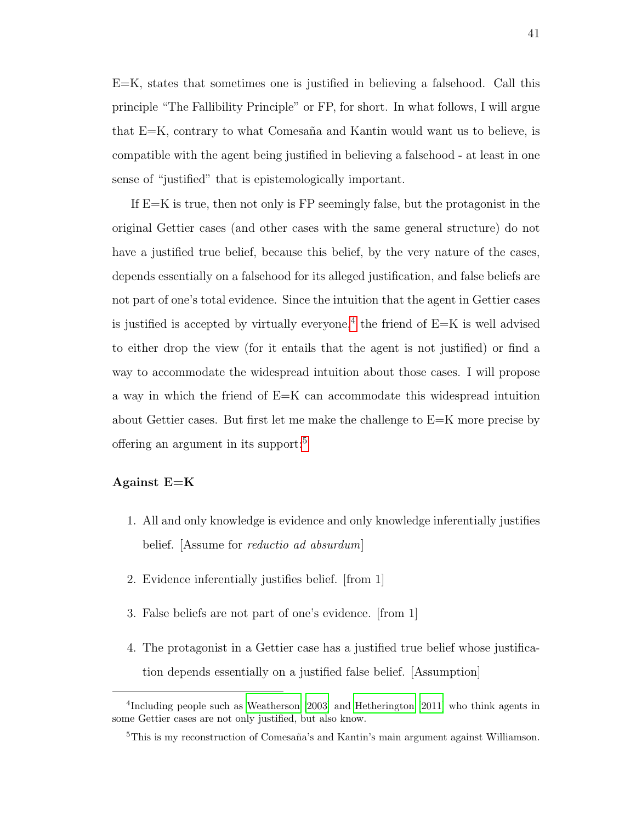E=K, states that sometimes one is justified in believing a falsehood. Call this principle "The Fallibility Principle" or FP, for short. In what follows, I will argue that  $E=K$ , contrary to what Comesaña and Kantin would want us to believe, is compatible with the agent being justified in believing a falsehood - at least in one sense of "justified" that is epistemologically important.

If E=K is true, then not only is FP seemingly false, but the protagonist in the original Gettier cases (and other cases with the same general structure) do not have a justified true belief, because this belief, by the very nature of the cases, depends essentially on a falsehood for its alleged justification, and false beliefs are not part of one's total evidence. Since the intuition that the agent in Gettier cases is justified is accepted by virtually everyone,<sup>[4](#page-48-0)</sup> the friend of  $E=K$  is well advised to either drop the view (for it entails that the agent is not justified) or find a way to accommodate the widespread intuition about those cases. I will propose a way in which the friend of E=K can accommodate this widespread intuition about Gettier cases. But first let me make the challenge to E=K more precise by offering an argument in its support:[5](#page-48-1)

#### Against  $E=K$

- 1. All and only knowledge is evidence and only knowledge inferentially justifies belief. [Assume for reductio ad absurdum]
- 2. Evidence inferentially justifies belief. [from 1]
- 3. False beliefs are not part of one's evidence. [from 1]
- 4. The protagonist in a Gettier case has a justified true belief whose justification depends essentially on a justified false belief. [Assumption]

<span id="page-48-0"></span><sup>&</sup>lt;sup>4</sup>Including people such as [Weatherson](#page-174-2) [\[2003\]](#page-174-2) and [Hetherington](#page-169-0) [\[2011\]](#page-169-0) who think agents in some Gettier cases are not only justified, but also know.

<span id="page-48-1"></span> $5$ This is my reconstruction of Comesaña's and Kantin's main argument against Williamson.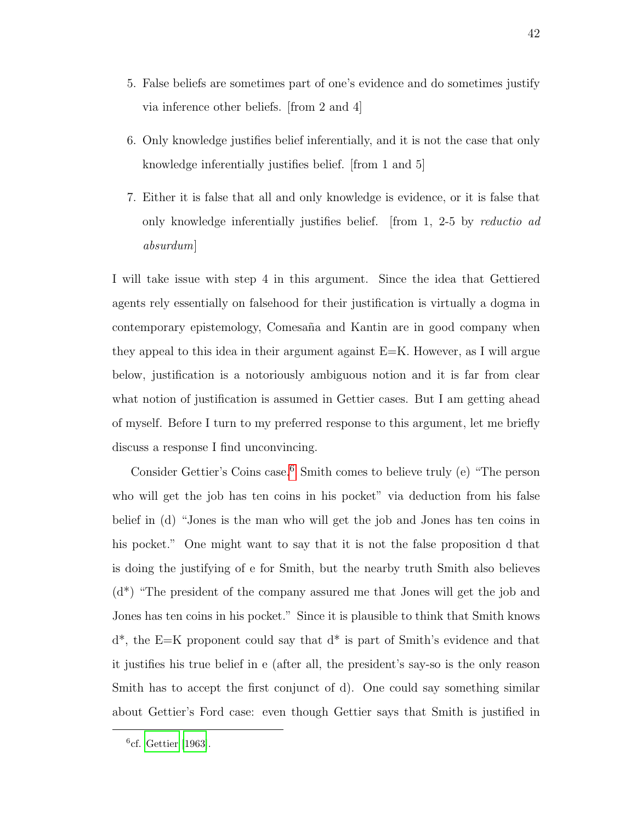- 5. False beliefs are sometimes part of one's evidence and do sometimes justify via inference other beliefs. [from 2 and 4]
- 6. Only knowledge justifies belief inferentially, and it is not the case that only knowledge inferentially justifies belief. [from 1 and 5]
- 7. Either it is false that all and only knowledge is evidence, or it is false that only knowledge inferentially justifies belief. [from 1, 2-5 by reductio ad absurdum]

I will take issue with step 4 in this argument. Since the idea that Gettiered agents rely essentially on falsehood for their justification is virtually a dogma in contemporary epistemology, Comesaña and Kantin are in good company when they appeal to this idea in their argument against E=K. However, as I will argue below, justification is a notoriously ambiguous notion and it is far from clear what notion of justification is assumed in Gettier cases. But I am getting ahead of myself. Before I turn to my preferred response to this argument, let me briefly discuss a response I find unconvincing.

Consider Gettier's Coins case.<sup>[6](#page-49-0)</sup> Smith comes to believe truly (e) "The person who will get the job has ten coins in his pocket" via deduction from his false belief in (d) "Jones is the man who will get the job and Jones has ten coins in his pocket." One might want to say that it is not the false proposition d that is doing the justifying of e for Smith, but the nearby truth Smith also believes (d\*) "The president of the company assured me that Jones will get the job and Jones has ten coins in his pocket." Since it is plausible to think that Smith knows  $d^*$ , the E=K proponent could say that  $d^*$  is part of Smith's evidence and that it justifies his true belief in e (after all, the president's say-so is the only reason Smith has to accept the first conjunct of d). One could say something similar about Gettier's Ford case: even though Gettier says that Smith is justified in

<span id="page-49-0"></span><sup>&</sup>lt;sup>6</sup>cf. [Gettier](#page-168-0) [\[1963\]](#page-168-0).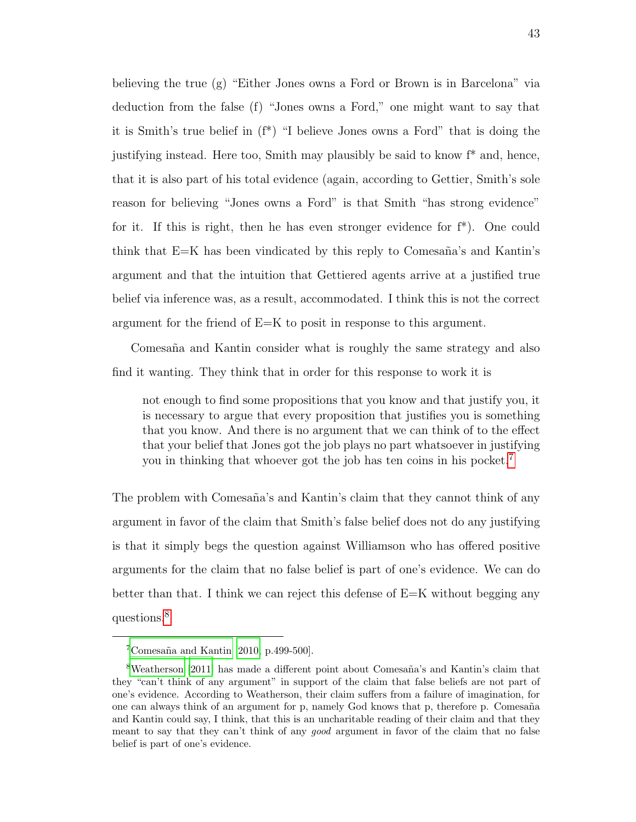believing the true (g) "Either Jones owns a Ford or Brown is in Barcelona" via deduction from the false (f) "Jones owns a Ford," one might want to say that it is Smith's true belief in (f\*) "I believe Jones owns a Ford" that is doing the justifying instead. Here too, Smith may plausibly be said to know f\* and, hence, that it is also part of his total evidence (again, according to Gettier, Smith's sole reason for believing "Jones owns a Ford" is that Smith "has strong evidence" for it. If this is right, then he has even stronger evidence for f\*). One could think that  $E=K$  has been vindicated by this reply to Comesaña's and Kantin's argument and that the intuition that Gettiered agents arrive at a justified true belief via inference was, as a result, accommodated. I think this is not the correct argument for the friend of E=K to posit in response to this argument.

Comesaña and Kantin consider what is roughly the same strategy and also find it wanting. They think that in order for this response to work it is

not enough to find some propositions that you know and that justify you, it is necessary to argue that every proposition that justifies you is something that you know. And there is no argument that we can think of to the effect that your belief that Jones got the job plays no part whatsoever in justifying you in thinking that whoever got the job has ten coins in his pocket.[7](#page-50-0)

The problem with Comesaña's and Kantin's claim that they cannot think of any argument in favor of the claim that Smith's false belief does not do any justifying is that it simply begs the question against Williamson who has offered positive arguments for the claim that no false belief is part of one's evidence. We can do better than that. I think we can reject this defense of  $E=K$  without begging any questions.[8](#page-50-1)

<span id="page-50-1"></span><span id="page-50-0"></span> $7$ Comesaña and Kantin [\[2010,](#page-166-2) p.499-500].

 $8$ [Weatherson](#page-174-3) [\[2011\]](#page-174-3) has made a different point about Comesaña's and Kantin's claim that they "can't think of any argument" in support of the claim that false beliefs are not part of one's evidence. According to Weatherson, their claim suffers from a failure of imagination, for one can always think of an argument for p, namely God knows that p, therefore p. Comesaña and Kantin could say, I think, that this is an uncharitable reading of their claim and that they meant to say that they can't think of any good argument in favor of the claim that no false belief is part of one's evidence.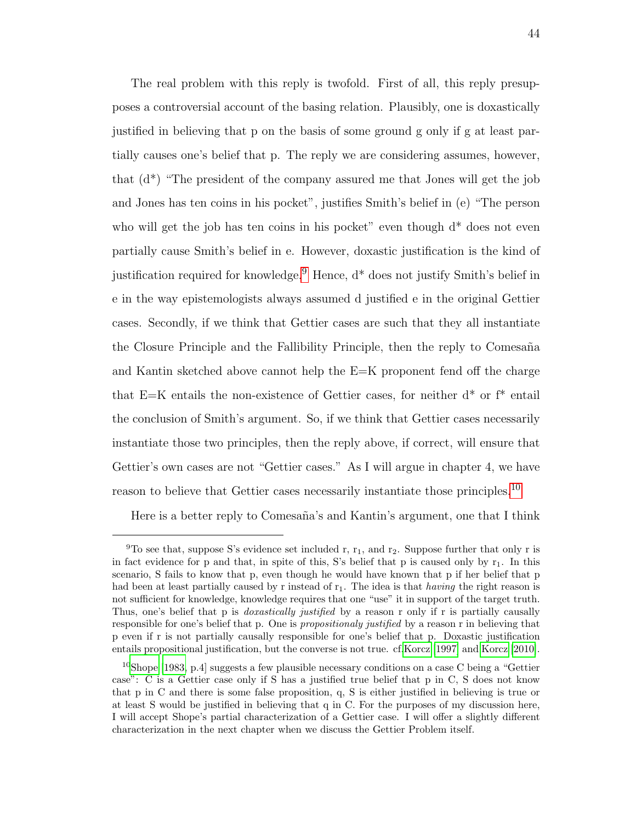The real problem with this reply is twofold. First of all, this reply presupposes a controversial account of the basing relation. Plausibly, one is doxastically justified in believing that p on the basis of some ground g only if g at least partially causes one's belief that p. The reply we are considering assumes, however, that (d\*) "The president of the company assured me that Jones will get the job and Jones has ten coins in his pocket", justifies Smith's belief in (e) "The person who will get the job has ten coins in his pocket" even though d\* does not even partially cause Smith's belief in e. However, doxastic justification is the kind of justification required for knowledge.<sup>[9](#page-51-0)</sup> Hence,  $d^*$  does not justify Smith's belief in e in the way epistemologists always assumed d justified e in the original Gettier cases. Secondly, if we think that Gettier cases are such that they all instantiate the Closure Principle and the Fallibility Principle, then the reply to Comesaña and Kantin sketched above cannot help the E=K proponent fend off the charge that E=K entails the non-existence of Gettier cases, for neither  $d^*$  or  $f^*$  entail the conclusion of Smith's argument. So, if we think that Gettier cases necessarily instantiate those two principles, then the reply above, if correct, will ensure that Gettier's own cases are not "Gettier cases." As I will argue in chapter 4, we have reason to believe that Gettier cases necessarily instantiate those principles.<sup>[10](#page-51-1)</sup>

Here is a better reply to Comesaña's and Kantin's argument, one that I think

<span id="page-51-0"></span><sup>&</sup>lt;sup>9</sup>To see that, suppose S's evidence set included r,  $r_1$ , and  $r_2$ . Suppose further that only r is in fact evidence for p and that, in spite of this, S's belief that p is caused only by  $r_1$ . In this scenario, S fails to know that p, even though he would have known that p if her belief that p had been at least partially caused by r instead of  $r_1$ . The idea is that *having* the right reason is not sufficient for knowledge, knowledge requires that one "use" it in support of the target truth. Thus, one's belief that p is *doxastically justified* by a reason r only if r is partially causally responsible for one's belief that p. One is *propositionaly justified* by a reason r in believing that p even if r is not partially causally responsible for one's belief that p. Doxastic justification entails propositional justification, but the converse is not true. cf[.Korcz](#page-170-2) [\[1997\]](#page-170-2) and [Korcz](#page-170-3) [\[2010\]](#page-170-3).

<span id="page-51-1"></span><sup>10</sup>[Shope](#page-173-0) [\[1983,](#page-173-0) p.4] suggests a few plausible necessary conditions on a case C being a "Gettier case": C is a Gettier case only if S has a justified true belief that p in C, S does not know that p in C and there is some false proposition, q, S is either justified in believing is true or at least S would be justified in believing that q in C. For the purposes of my discussion here, I will accept Shope's partial characterization of a Gettier case. I will offer a slightly different characterization in the next chapter when we discuss the Gettier Problem itself.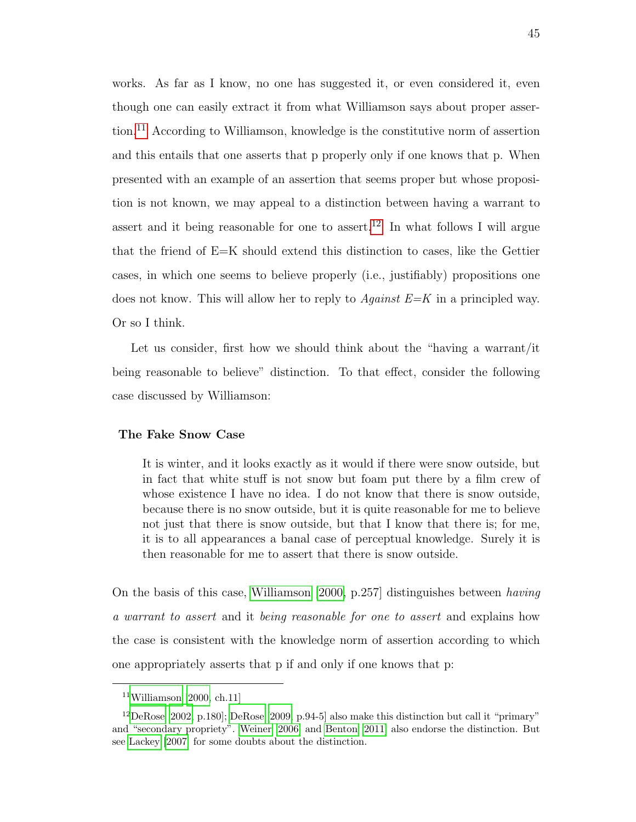works. As far as I know, no one has suggested it, or even considered it, even though one can easily extract it from what Williamson says about proper assertion.[11](#page-52-0) According to Williamson, knowledge is the constitutive norm of assertion and this entails that one asserts that p properly only if one knows that p. When presented with an example of an assertion that seems proper but whose proposition is not known, we may appeal to a distinction between having a warrant to assert and it being reasonable for one to assert.<sup>[12](#page-52-1)</sup> In what follows I will argue that the friend of E=K should extend this distinction to cases, like the Gettier cases, in which one seems to believe properly (i.e., justifiably) propositions one does not know. This will allow her to reply to  $Against E=K$  in a principled way. Or so I think.

Let us consider, first how we should think about the "having a warrant/it being reasonable to believe" distinction. To that effect, consider the following case discussed by Williamson:

#### The Fake Snow Case

It is winter, and it looks exactly as it would if there were snow outside, but in fact that white stuff is not snow but foam put there by a film crew of whose existence I have no idea. I do not know that there is snow outside, because there is no snow outside, but it is quite reasonable for me to believe not just that there is snow outside, but that I know that there is; for me, it is to all appearances a banal case of perceptual knowledge. Surely it is then reasonable for me to assert that there is snow outside.

On the basis of this case, [Williamson](#page-174-1) [\[2000,](#page-174-1) p.257] distinguishes between having a warrant to assert and it being reasonable for one to assert and explains how the case is consistent with the knowledge norm of assertion according to which one appropriately asserts that p if and only if one knows that p:

<span id="page-52-1"></span><span id="page-52-0"></span> $11$ [Williamson](#page-174-1) [\[2000,](#page-174-1) ch.11]

<sup>&</sup>lt;sup>12</sup>[DeRose](#page-166-3) [\[2002,](#page-166-3) p.180]; [DeRose](#page-166-4) [\[2009,](#page-166-4) p.94-5] also make this distinction but call it "primary" and "secondary propriety". [Weiner](#page-174-4) [\[2006\]](#page-174-4) and [Benton](#page-165-1) [\[2011\]](#page-165-1) also endorse the distinction. But see [Lackey](#page-171-0) [\[2007\]](#page-171-0) for some doubts about the distinction.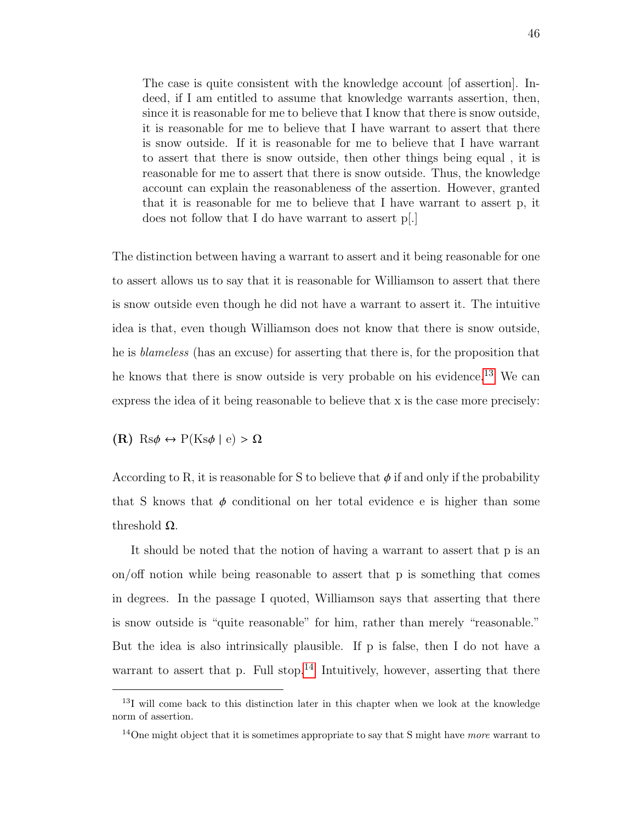The case is quite consistent with the knowledge account of assertion. Indeed, if I am entitled to assume that knowledge warrants assertion, then, since it is reasonable for me to believe that I know that there is snow outside, it is reasonable for me to believe that I have warrant to assert that there is snow outside. If it is reasonable for me to believe that I have warrant to assert that there is snow outside, then other things being equal , it is reasonable for me to assert that there is snow outside. Thus, the knowledge account can explain the reasonableness of the assertion. However, granted that it is reasonable for me to believe that I have warrant to assert p, it does not follow that I do have warrant to assert p[.]

The distinction between having a warrant to assert and it being reasonable for one to assert allows us to say that it is reasonable for Williamson to assert that there is snow outside even though he did not have a warrant to assert it. The intuitive idea is that, even though Williamson does not know that there is snow outside, he is blameless (has an excuse) for asserting that there is, for the proposition that he knows that there is snow outside is very probable on his evidence.<sup>[13](#page-53-0)</sup> We can express the idea of it being reasonable to believe that x is the case more precisely:

$$
(\mathbf{R}) \ \mathrm{Rs}\phi \leftrightarrow \mathrm{P}(\mathrm{Ks}\phi \mid \mathrm{e}) > \Omega
$$

According to R, it is reasonable for S to believe that  $\phi$  if and only if the probability that S knows that  $\phi$  conditional on her total evidence e is higher than some threshold  $Ω$ .

It should be noted that the notion of having a warrant to assert that p is an on/off notion while being reasonable to assert that p is something that comes in degrees. In the passage I quoted, Williamson says that asserting that there is snow outside is "quite reasonable" for him, rather than merely "reasonable." But the idea is also intrinsically plausible. If p is false, then I do not have a warrant to assert that p. Full stop.<sup>[14](#page-53-1)</sup> Intuitively, however, asserting that there

<span id="page-53-0"></span><sup>13</sup>I will come back to this distinction later in this chapter when we look at the knowledge norm of assertion.

<span id="page-53-1"></span><sup>&</sup>lt;sup>14</sup>One might object that it is sometimes appropriate to say that S might have more warrant to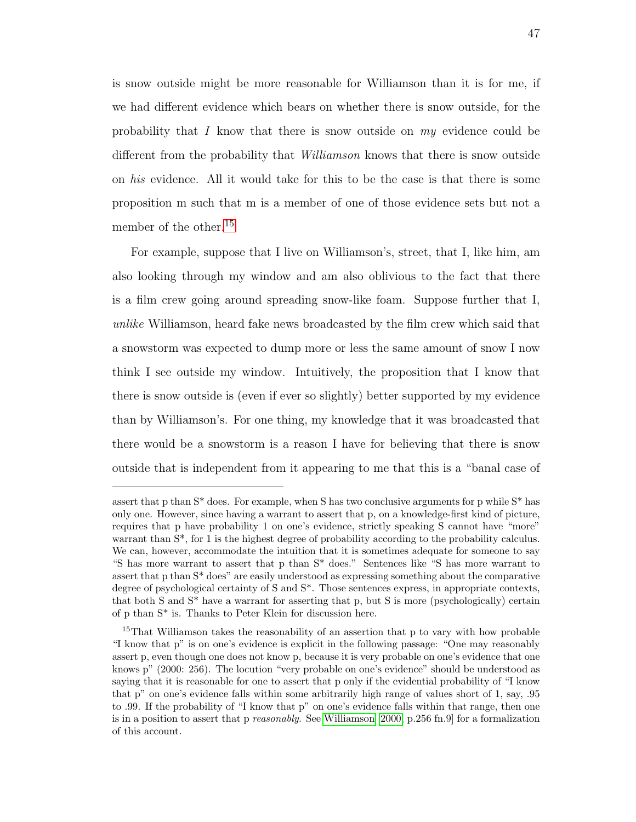is snow outside might be more reasonable for Williamson than it is for me, if we had different evidence which bears on whether there is snow outside, for the probability that I know that there is snow outside on  $my$  evidence could be different from the probability that *Williamson* knows that there is snow outside on his evidence. All it would take for this to be the case is that there is some proposition m such that m is a member of one of those evidence sets but not a member of the other.<sup>[15](#page-54-0)</sup>

For example, suppose that I live on Williamson's, street, that I, like him, am also looking through my window and am also oblivious to the fact that there is a film crew going around spreading snow-like foam. Suppose further that I, unlike Williamson, heard fake news broadcasted by the film crew which said that a snowstorm was expected to dump more or less the same amount of snow I now think I see outside my window. Intuitively, the proposition that I know that there is snow outside is (even if ever so slightly) better supported by my evidence than by Williamson's. For one thing, my knowledge that it was broadcasted that there would be a snowstorm is a reason I have for believing that there is snow outside that is independent from it appearing to me that this is a "banal case of

assert that p than  $S^*$  does. For example, when S has two conclusive arguments for p while  $S^*$  has only one. However, since having a warrant to assert that p, on a knowledge-first kind of picture, requires that p have probability 1 on one's evidence, strictly speaking S cannot have "more" warrant than  $S^*$ , for 1 is the highest degree of probability according to the probability calculus. We can, however, accommodate the intuition that it is sometimes adequate for someone to say "S has more warrant to assert that p than S\* does." Sentences like "S has more warrant to assert that p than S\* does" are easily understood as expressing something about the comparative degree of psychological certainty of S and S\*. Those sentences express, in appropriate contexts, that both S and  $S^*$  have a warrant for asserting that p, but S is more (psychologically) certain of p than S\* is. Thanks to Peter Klein for discussion here.

<span id="page-54-0"></span><sup>15</sup>That Williamson takes the reasonability of an assertion that p to vary with how probable "I know that p" is on one's evidence is explicit in the following passage: "One may reasonably assert p, even though one does not know p, because it is very probable on one's evidence that one knows p" (2000: 256). The locution "very probable on one's evidence" should be understood as saying that it is reasonable for one to assert that p only if the evidential probability of "I know that p" on one's evidence falls within some arbitrarily high range of values short of 1, say, .95 to .99. If the probability of "I know that p" on one's evidence falls within that range, then one is in a position to assert that p reasonably. See [Williamson](#page-174-1) [\[2000,](#page-174-1) p.256 fn.9] for a formalization of this account.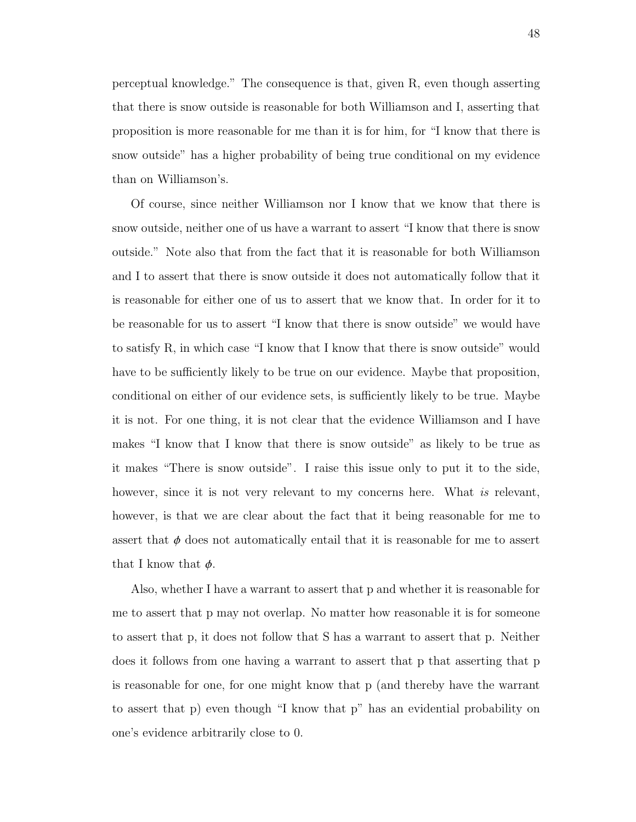perceptual knowledge." The consequence is that, given R, even though asserting that there is snow outside is reasonable for both Williamson and I, asserting that proposition is more reasonable for me than it is for him, for "I know that there is snow outside" has a higher probability of being true conditional on my evidence than on Williamson's.

Of course, since neither Williamson nor I know that we know that there is snow outside, neither one of us have a warrant to assert "I know that there is snow outside." Note also that from the fact that it is reasonable for both Williamson and I to assert that there is snow outside it does not automatically follow that it is reasonable for either one of us to assert that we know that. In order for it to be reasonable for us to assert "I know that there is snow outside" we would have to satisfy R, in which case "I know that I know that there is snow outside" would have to be sufficiently likely to be true on our evidence. Maybe that proposition, conditional on either of our evidence sets, is sufficiently likely to be true. Maybe it is not. For one thing, it is not clear that the evidence Williamson and I have makes "I know that I know that there is snow outside" as likely to be true as it makes "There is snow outside". I raise this issue only to put it to the side, however, since it is not very relevant to my concerns here. What is relevant, however, is that we are clear about the fact that it being reasonable for me to assert that  $\phi$  does not automatically entail that it is reasonable for me to assert that I know that  $\phi$ .

Also, whether I have a warrant to assert that p and whether it is reasonable for me to assert that p may not overlap. No matter how reasonable it is for someone to assert that p, it does not follow that S has a warrant to assert that p. Neither does it follows from one having a warrant to assert that p that asserting that p is reasonable for one, for one might know that p (and thereby have the warrant to assert that p) even though "I know that p" has an evidential probability on one's evidence arbitrarily close to 0.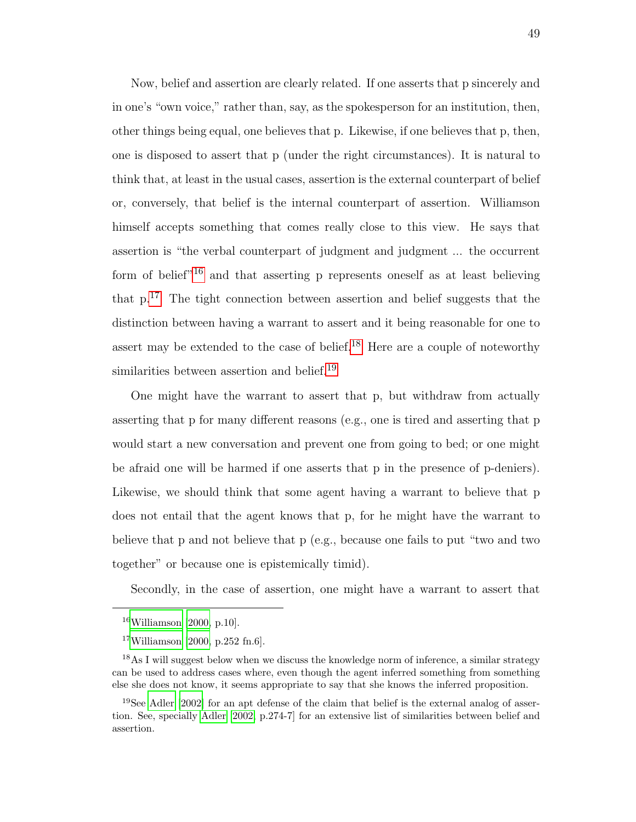Now, belief and assertion are clearly related. If one asserts that p sincerely and in one's "own voice," rather than, say, as the spokesperson for an institution, then, other things being equal, one believes that p. Likewise, if one believes that p, then, one is disposed to assert that p (under the right circumstances). It is natural to think that, at least in the usual cases, assertion is the external counterpart of belief or, conversely, that belief is the internal counterpart of assertion. Williamson himself accepts something that comes really close to this view. He says that assertion is "the verbal counterpart of judgment and judgment ... the occurrent form of belief<sup> $n^{16}$  $n^{16}$  $n^{16}$ </sup> and that asserting p represents oneself as at least believing that  $p^{17}$  $p^{17}$  $p^{17}$ . The tight connection between assertion and belief suggests that the distinction between having a warrant to assert and it being reasonable for one to assert may be extended to the case of belief.<sup>[18](#page-56-2)</sup> Here are a couple of noteworthy similarities between assertion and belief.<sup>[19](#page-56-3)</sup>

One might have the warrant to assert that p, but withdraw from actually asserting that p for many different reasons (e.g., one is tired and asserting that p would start a new conversation and prevent one from going to bed; or one might be afraid one will be harmed if one asserts that p in the presence of p-deniers). Likewise, we should think that some agent having a warrant to believe that p does not entail that the agent knows that p, for he might have the warrant to believe that p and not believe that p (e.g., because one fails to put "two and two together" or because one is epistemically timid).

Secondly, in the case of assertion, one might have a warrant to assert that

<span id="page-56-0"></span> $16$ [Williamson](#page-174-1) [\[2000,](#page-174-1) p.10].

<span id="page-56-2"></span><span id="page-56-1"></span> $17$ [Williamson](#page-174-1) [\[2000,](#page-174-1) p.252 fn.6].

<sup>18</sup>As I will suggest below when we discuss the knowledge norm of inference, a similar strategy can be used to address cases where, even though the agent inferred something from something else she does not know, it seems appropriate to say that she knows the inferred proposition.

<span id="page-56-3"></span><sup>19</sup>See [Adler](#page-165-2) [\[2002\]](#page-165-2) for an apt defense of the claim that belief is the external analog of assertion. See, specially [Adler](#page-165-2) [\[2002,](#page-165-2) p.274-7] for an extensive list of similarities between belief and assertion.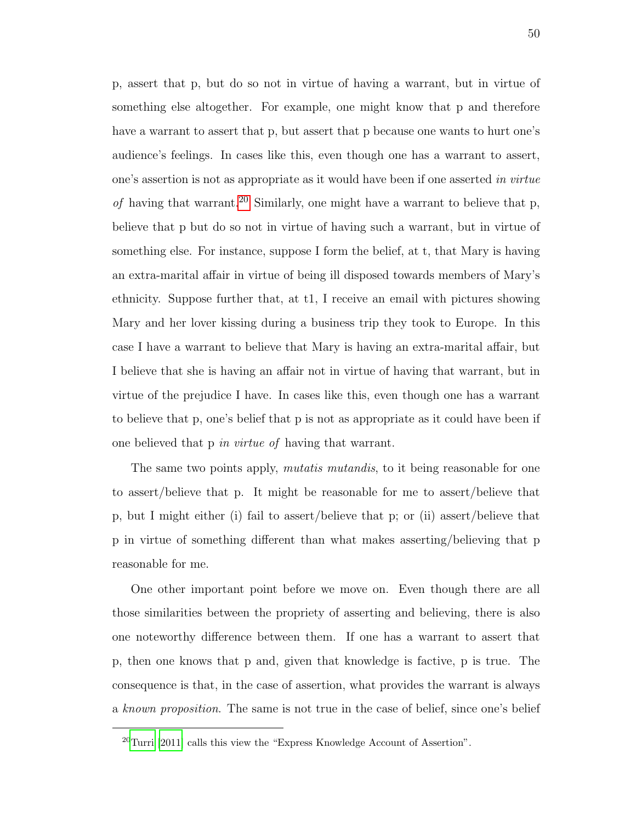p, assert that p, but do so not in virtue of having a warrant, but in virtue of something else altogether. For example, one might know that p and therefore have a warrant to assert that p, but assert that p because one wants to hurt one's audience's feelings. In cases like this, even though one has a warrant to assert, one's assertion is not as appropriate as it would have been if one asserted in virtue of having that warrant.<sup>[20](#page-57-0)</sup> Similarly, one might have a warrant to believe that p, believe that p but do so not in virtue of having such a warrant, but in virtue of something else. For instance, suppose I form the belief, at t, that Mary is having an extra-marital affair in virtue of being ill disposed towards members of Mary's ethnicity. Suppose further that, at t1, I receive an email with pictures showing Mary and her lover kissing during a business trip they took to Europe. In this case I have a warrant to believe that Mary is having an extra-marital affair, but I believe that she is having an affair not in virtue of having that warrant, but in virtue of the prejudice I have. In cases like this, even though one has a warrant to believe that p, one's belief that p is not as appropriate as it could have been if one believed that p in virtue of having that warrant.

The same two points apply, *mutatis mutandis*, to it being reasonable for one to assert/believe that p. It might be reasonable for me to assert/believe that p, but I might either (i) fail to assert/believe that p; or (ii) assert/believe that p in virtue of something different than what makes asserting/believing that p reasonable for me.

One other important point before we move on. Even though there are all those similarities between the propriety of asserting and believing, there is also one noteworthy difference between them. If one has a warrant to assert that p, then one knows that p and, given that knowledge is factive, p is true. The consequence is that, in the case of assertion, what provides the warrant is always a known proposition. The same is not true in the case of belief, since one's belief

<span id="page-57-0"></span><sup>20</sup>[Turri](#page-173-1) [\[2011\]](#page-173-1) calls this view the "Express Knowledge Account of Assertion".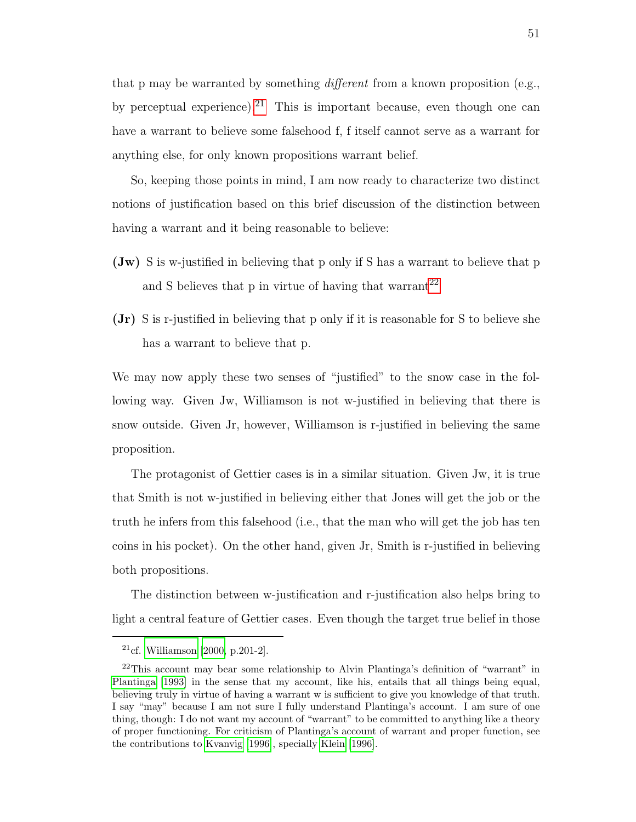that p may be warranted by something *different* from a known proposition (e.g., by perceptual experience).<sup>[21](#page-58-0)</sup> This is important because, even though one can have a warrant to believe some falsehood f, f itself cannot serve as a warrant for anything else, for only known propositions warrant belief.

So, keeping those points in mind, I am now ready to characterize two distinct notions of justification based on this brief discussion of the distinction between having a warrant and it being reasonable to believe:

- (Jw) S is w-justified in believing that p only if S has a warrant to believe that p and S believes that p in virtue of having that warrant<sup>[22](#page-58-1)</sup>
- (Jr) S is r-justified in believing that p only if it is reasonable for S to believe she has a warrant to believe that p.

We may now apply these two senses of "justified" to the snow case in the following way. Given Jw, Williamson is not w-justified in believing that there is snow outside. Given Jr, however, Williamson is r-justified in believing the same proposition.

The protagonist of Gettier cases is in a similar situation. Given Jw, it is true that Smith is not w-justified in believing either that Jones will get the job or the truth he infers from this falsehood (i.e., that the man who will get the job has ten coins in his pocket). On the other hand, given Jr, Smith is r-justified in believing both propositions.

The distinction between w-justification and r-justification also helps bring to light a central feature of Gettier cases. Even though the target true belief in those

<span id="page-58-1"></span><span id="page-58-0"></span><sup>&</sup>lt;sup>21</sup>cf. [Williamson](#page-174-1) [\[2000,](#page-174-1) p.201-2].

<sup>&</sup>lt;sup>22</sup>This account may bear some relationship to Alvin Plantinga's definition of "warrant" in [Plantinga](#page-172-0) [\[1993\]](#page-172-0) in the sense that my account, like his, entails that all things being equal, believing truly in virtue of having a warrant w is sufficient to give you knowledge of that truth. I say "may" because I am not sure I fully understand Plantinga's account. I am sure of one thing, though: I do not want my account of "warrant" to be committed to anything like a theory of proper functioning. For criticism of Plantinga's account of warrant and proper function, see the contributions to [Kvanvig](#page-171-1) [\[1996\]](#page-171-1), specially [Klein](#page-170-4) [\[1996\]](#page-170-4).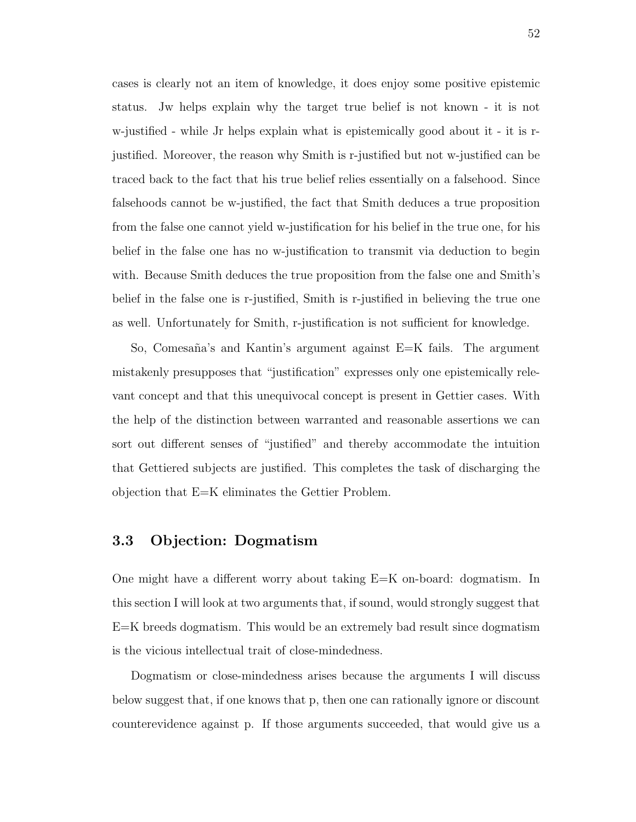cases is clearly not an item of knowledge, it does enjoy some positive epistemic status. Jw helps explain why the target true belief is not known - it is not w-justified - while Jr helps explain what is epistemically good about it - it is rjustified. Moreover, the reason why Smith is r-justified but not w-justified can be traced back to the fact that his true belief relies essentially on a falsehood. Since falsehoods cannot be w-justified, the fact that Smith deduces a true proposition from the false one cannot yield w-justification for his belief in the true one, for his belief in the false one has no w-justification to transmit via deduction to begin with. Because Smith deduces the true proposition from the false one and Smith's belief in the false one is r-justified, Smith is r-justified in believing the true one as well. Unfortunately for Smith, r-justification is not sufficient for knowledge.

So, Comesaña's and Kantin's argument against  $E=K$  fails. The argument mistakenly presupposes that "justification" expresses only one epistemically relevant concept and that this unequivocal concept is present in Gettier cases. With the help of the distinction between warranted and reasonable assertions we can sort out different senses of "justified" and thereby accommodate the intuition that Gettiered subjects are justified. This completes the task of discharging the objection that E=K eliminates the Gettier Problem.

## 3.3 Objection: Dogmatism

One might have a different worry about taking E=K on-board: dogmatism. In this section I will look at two arguments that, if sound, would strongly suggest that E=K breeds dogmatism. This would be an extremely bad result since dogmatism is the vicious intellectual trait of close-mindedness.

Dogmatism or close-mindedness arises because the arguments I will discuss below suggest that, if one knows that p, then one can rationally ignore or discount counterevidence against p. If those arguments succeeded, that would give us a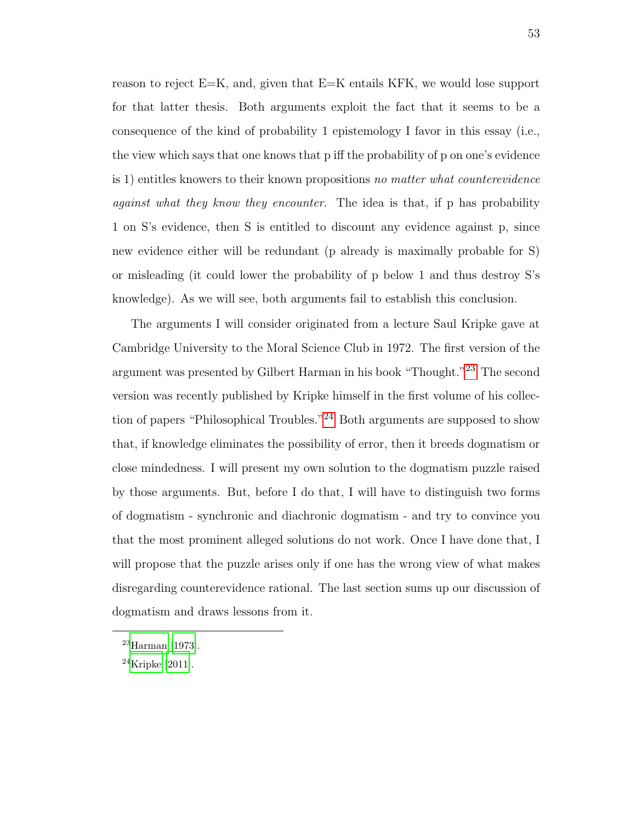reason to reject E=K, and, given that E=K entails KFK, we would lose support for that latter thesis. Both arguments exploit the fact that it seems to be a consequence of the kind of probability 1 epistemology I favor in this essay (i.e., the view which says that one knows that p iff the probability of p on one's evidence is 1) entitles knowers to their known propositions no matter what counterevidence against what they know they encounter. The idea is that, if p has probability 1 on S's evidence, then S is entitled to discount any evidence against p, since new evidence either will be redundant (p already is maximally probable for S) or misleading (it could lower the probability of p below 1 and thus destroy S's knowledge). As we will see, both arguments fail to establish this conclusion.

The arguments I will consider originated from a lecture Saul Kripke gave at Cambridge University to the Moral Science Club in 1972. The first version of the argument was presented by Gilbert Harman in his book "Thought."[23](#page-60-0) The second version was recently published by Kripke himself in the first volume of his collection of papers "Philosophical Troubles."[24](#page-60-1) Both arguments are supposed to show that, if knowledge eliminates the possibility of error, then it breeds dogmatism or close mindedness. I will present my own solution to the dogmatism puzzle raised by those arguments. But, before I do that, I will have to distinguish two forms of dogmatism - synchronic and diachronic dogmatism - and try to convince you that the most prominent alleged solutions do not work. Once I have done that, I will propose that the puzzle arises only if one has the wrong view of what makes disregarding counterevidence rational. The last section sums up our discussion of dogmatism and draws lessons from it.

<span id="page-60-0"></span><sup>23</sup>[Harman](#page-168-1) [\[1973\]](#page-168-1).

<span id="page-60-1"></span><sup>24</sup>[Kripke](#page-171-2) [\[2011\]](#page-171-2).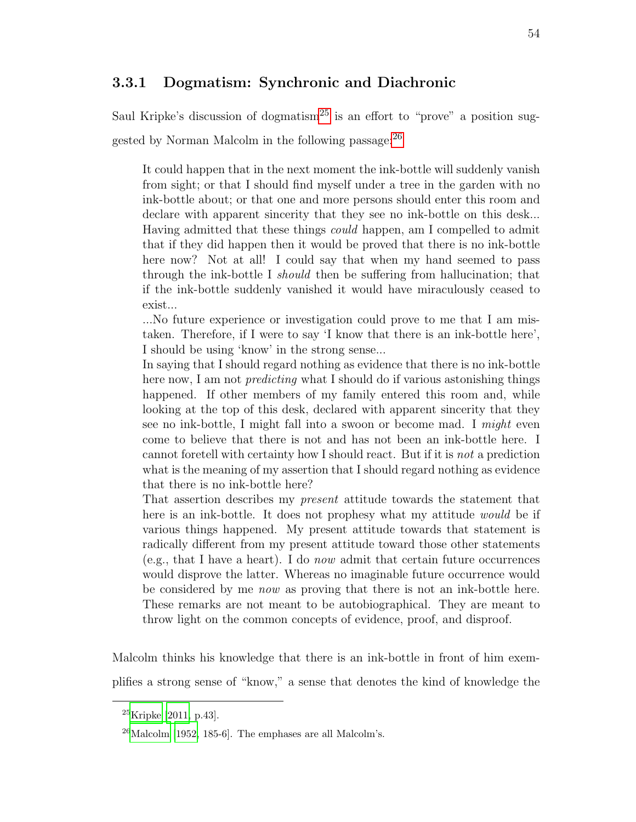## 3.3.1 Dogmatism: Synchronic and Diachronic

Saul Kripke's discussion of dogmatism<sup>[25](#page-61-0)</sup> is an effort to "prove" a position suggested by Norman Malcolm in the following passage:[26](#page-61-1)

It could happen that in the next moment the ink-bottle will suddenly vanish from sight; or that I should find myself under a tree in the garden with no ink-bottle about; or that one and more persons should enter this room and declare with apparent sincerity that they see no ink-bottle on this desk... Having admitted that these things could happen, am I compelled to admit that if they did happen then it would be proved that there is no ink-bottle here now? Not at all! I could say that when my hand seemed to pass through the ink-bottle I should then be suffering from hallucination; that if the ink-bottle suddenly vanished it would have miraculously ceased to exist...

...No future experience or investigation could prove to me that I am mistaken. Therefore, if I were to say 'I know that there is an ink-bottle here', I should be using 'know' in the strong sense...

In saying that I should regard nothing as evidence that there is no ink-bottle here now, I am not *predicting* what I should do if various astonishing things happened. If other members of my family entered this room and, while looking at the top of this desk, declared with apparent sincerity that they see no ink-bottle, I might fall into a swoon or become mad. I might even come to believe that there is not and has not been an ink-bottle here. I cannot foretell with certainty how I should react. But if it is not a prediction what is the meaning of my assertion that I should regard nothing as evidence that there is no ink-bottle here?

That assertion describes my present attitude towards the statement that here is an ink-bottle. It does not prophesy what my attitude *would* be if various things happened. My present attitude towards that statement is radically different from my present attitude toward those other statements (e.g., that I have a heart). I do *now* admit that certain future occurrences would disprove the latter. Whereas no imaginable future occurrence would be considered by me now as proving that there is not an ink-bottle here. These remarks are not meant to be autobiographical. They are meant to throw light on the common concepts of evidence, proof, and disproof.

Malcolm thinks his knowledge that there is an ink-bottle in front of him exemplifies a strong sense of "know," a sense that denotes the kind of knowledge the

<span id="page-61-0"></span> $^{25}$ [Kripke](#page-171-2) [\[2011,](#page-171-2) p.43].

<span id="page-61-1"></span> $^{26}$ [Malcolm](#page-172-1) [\[1952,](#page-172-1) 185-6]. The emphases are all Malcolm's.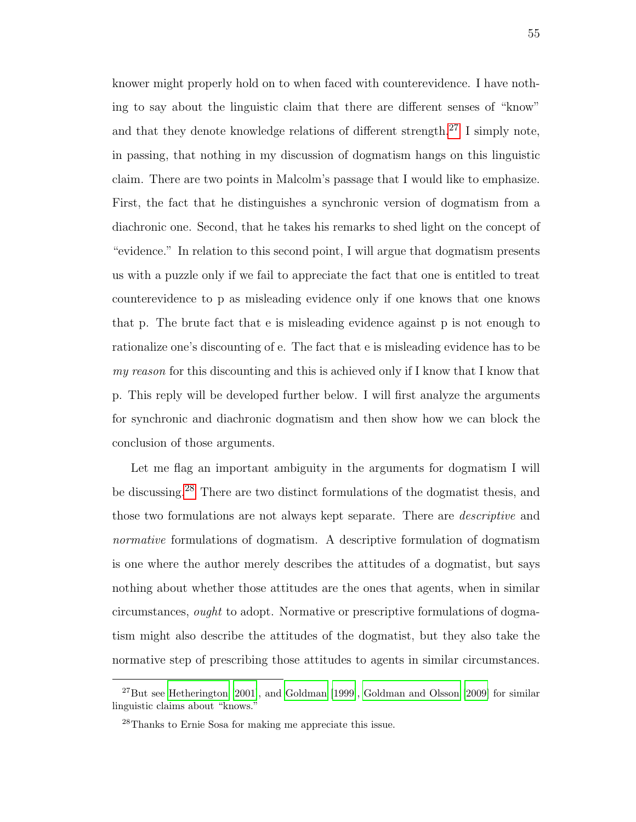knower might properly hold on to when faced with counterevidence. I have nothing to say about the linguistic claim that there are different senses of "know" and that they denote knowledge relations of different strength.<sup>[27](#page-62-0)</sup> I simply note, in passing, that nothing in my discussion of dogmatism hangs on this linguistic claim. There are two points in Malcolm's passage that I would like to emphasize. First, the fact that he distinguishes a synchronic version of dogmatism from a diachronic one. Second, that he takes his remarks to shed light on the concept of "evidence." In relation to this second point, I will argue that dogmatism presents us with a puzzle only if we fail to appreciate the fact that one is entitled to treat counterevidence to p as misleading evidence only if one knows that one knows that p. The brute fact that e is misleading evidence against p is not enough to rationalize one's discounting of e. The fact that e is misleading evidence has to be my reason for this discounting and this is achieved only if I know that I know that p. This reply will be developed further below. I will first analyze the arguments for synchronic and diachronic dogmatism and then show how we can block the conclusion of those arguments.

Let me flag an important ambiguity in the arguments for dogmatism I will be discussing.[28](#page-62-1) There are two distinct formulations of the dogmatist thesis, and those two formulations are not always kept separate. There are *descriptive* and normative formulations of dogmatism. A descriptive formulation of dogmatism is one where the author merely describes the attitudes of a dogmatist, but says nothing about whether those attitudes are the ones that agents, when in similar circumstances, ought to adopt. Normative or prescriptive formulations of dogmatism might also describe the attitudes of the dogmatist, but they also take the normative step of prescribing those attitudes to agents in similar circumstances.

<span id="page-62-0"></span><sup>27</sup>But see [Hetherington](#page-169-1) [\[2001\]](#page-169-1), and [Goldman](#page-168-2) [\[1999\]](#page-168-2), [Goldman and Olsson](#page-168-3) [\[2009\]](#page-168-3) for similar linguistic claims about "knows."

<span id="page-62-1"></span><sup>28</sup>Thanks to Ernie Sosa for making me appreciate this issue.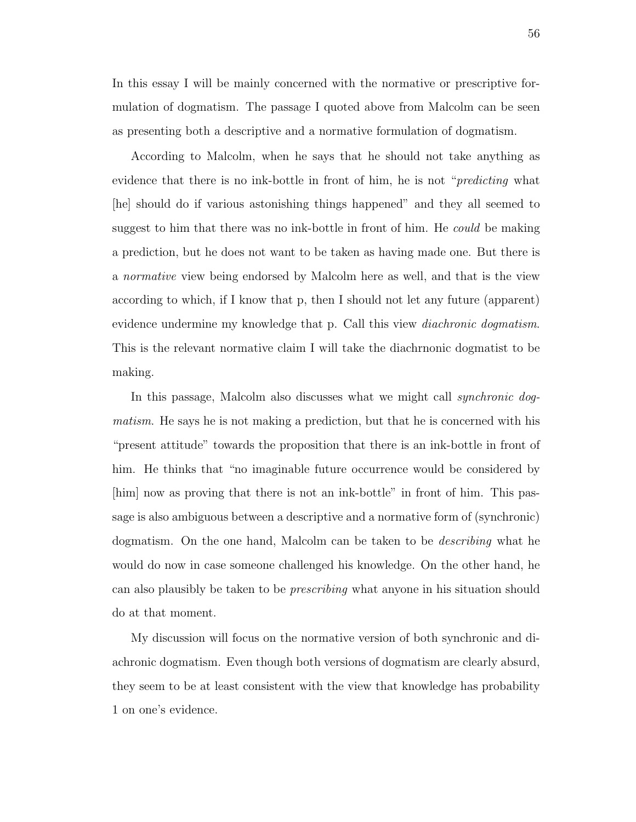In this essay I will be mainly concerned with the normative or prescriptive formulation of dogmatism. The passage I quoted above from Malcolm can be seen as presenting both a descriptive and a normative formulation of dogmatism.

According to Malcolm, when he says that he should not take anything as evidence that there is no ink-bottle in front of him, he is not "*predicting* what [he] should do if various astonishing things happened" and they all seemed to suggest to him that there was no ink-bottle in front of him. He *could* be making a prediction, but he does not want to be taken as having made one. But there is a normative view being endorsed by Malcolm here as well, and that is the view according to which, if I know that p, then I should not let any future (apparent) evidence undermine my knowledge that p. Call this view *diachronic dogmatism*. This is the relevant normative claim I will take the diachrnonic dogmatist to be making.

In this passage, Malcolm also discusses what we might call *synchronic dog*matism. He says he is not making a prediction, but that he is concerned with his "present attitude" towards the proposition that there is an ink-bottle in front of him. He thinks that "no imaginable future occurrence would be considered by [him] now as proving that there is not an ink-bottle" in front of him. This passage is also ambiguous between a descriptive and a normative form of (synchronic) dogmatism. On the one hand, Malcolm can be taken to be *describing* what he would do now in case someone challenged his knowledge. On the other hand, he can also plausibly be taken to be prescribing what anyone in his situation should do at that moment.

My discussion will focus on the normative version of both synchronic and diachronic dogmatism. Even though both versions of dogmatism are clearly absurd, they seem to be at least consistent with the view that knowledge has probability 1 on one's evidence.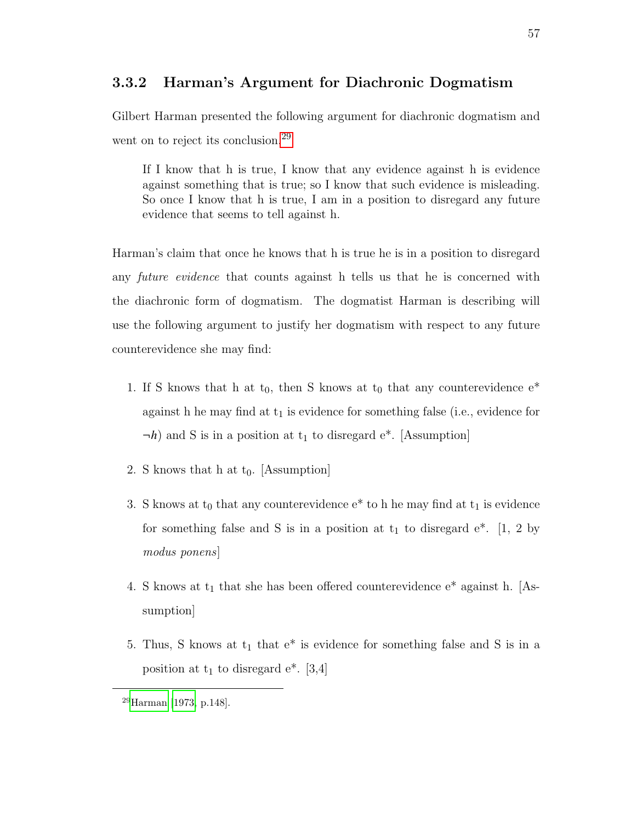## 3.3.2 Harman's Argument for Diachronic Dogmatism

Gilbert Harman presented the following argument for diachronic dogmatism and went on to reject its conclusion.<sup>[29](#page-64-0)</sup>

If I know that h is true, I know that any evidence against h is evidence against something that is true; so I know that such evidence is misleading. So once I know that h is true, I am in a position to disregard any future evidence that seems to tell against h.

Harman's claim that once he knows that h is true he is in a position to disregard any future evidence that counts against h tells us that he is concerned with the diachronic form of dogmatism. The dogmatist Harman is describing will use the following argument to justify her dogmatism with respect to any future counterevidence she may find:

- 1. If S knows that h at  $t_0$ , then S knows at  $t_0$  that any counterevidence  $e^*$ against h he may find at  $t_1$  is evidence for something false (i.e., evidence for  $\neg h$ ) and S is in a position at t<sub>1</sub> to disregard e<sup>\*</sup>. [Assumption]
- 2. S knows that h at  $t_0$ . [Assumption]
- 3. S knows at  $t_0$  that any counterevidence  $e^*$  to h he may find at  $t_1$  is evidence for something false and S is in a position at  $t_1$  to disregard  $e^*$ . [1, 2 by modus ponens]
- 4. S knows at  $t_1$  that she has been offered counterevidence  $e^*$  against h. [Assumption]
- 5. Thus, S knows at  $t_1$  that  $e^*$  is evidence for something false and S is in a position at  $t_1$  to disregard  $e^*$ . [3,4]

<span id="page-64-0"></span><sup>29</sup>[Harman](#page-168-1) [\[1973,](#page-168-1) p.148].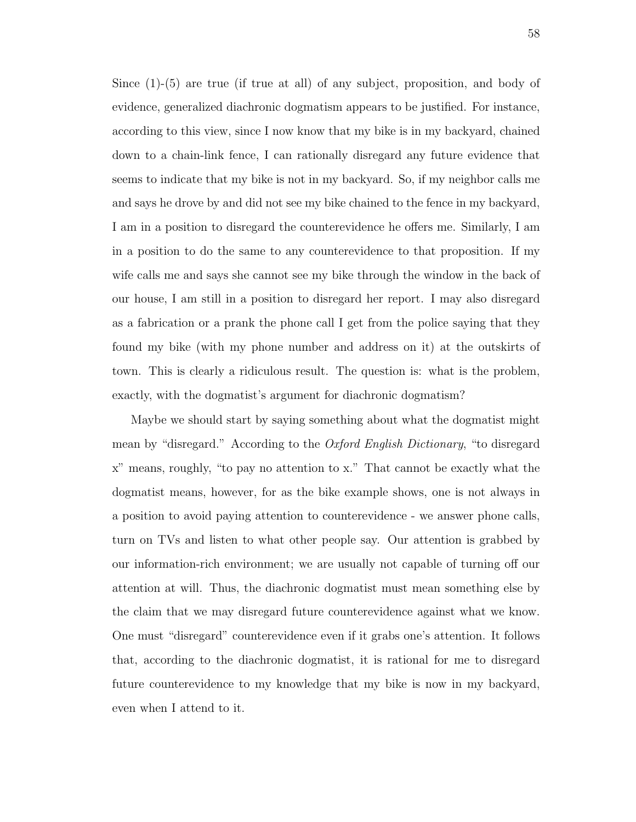Since (1)-(5) are true (if true at all) of any subject, proposition, and body of evidence, generalized diachronic dogmatism appears to be justified. For instance, according to this view, since I now know that my bike is in my backyard, chained down to a chain-link fence, I can rationally disregard any future evidence that seems to indicate that my bike is not in my backyard. So, if my neighbor calls me and says he drove by and did not see my bike chained to the fence in my backyard, I am in a position to disregard the counterevidence he offers me. Similarly, I am in a position to do the same to any counterevidence to that proposition. If my wife calls me and says she cannot see my bike through the window in the back of our house, I am still in a position to disregard her report. I may also disregard as a fabrication or a prank the phone call I get from the police saying that they found my bike (with my phone number and address on it) at the outskirts of town. This is clearly a ridiculous result. The question is: what is the problem, exactly, with the dogmatist's argument for diachronic dogmatism?

Maybe we should start by saying something about what the dogmatist might mean by "disregard." According to the *Oxford English Dictionary*, "to disregard x" means, roughly, "to pay no attention to x." That cannot be exactly what the dogmatist means, however, for as the bike example shows, one is not always in a position to avoid paying attention to counterevidence - we answer phone calls, turn on TVs and listen to what other people say. Our attention is grabbed by our information-rich environment; we are usually not capable of turning off our attention at will. Thus, the diachronic dogmatist must mean something else by the claim that we may disregard future counterevidence against what we know. One must "disregard" counterevidence even if it grabs one's attention. It follows that, according to the diachronic dogmatist, it is rational for me to disregard future counterevidence to my knowledge that my bike is now in my backyard, even when I attend to it.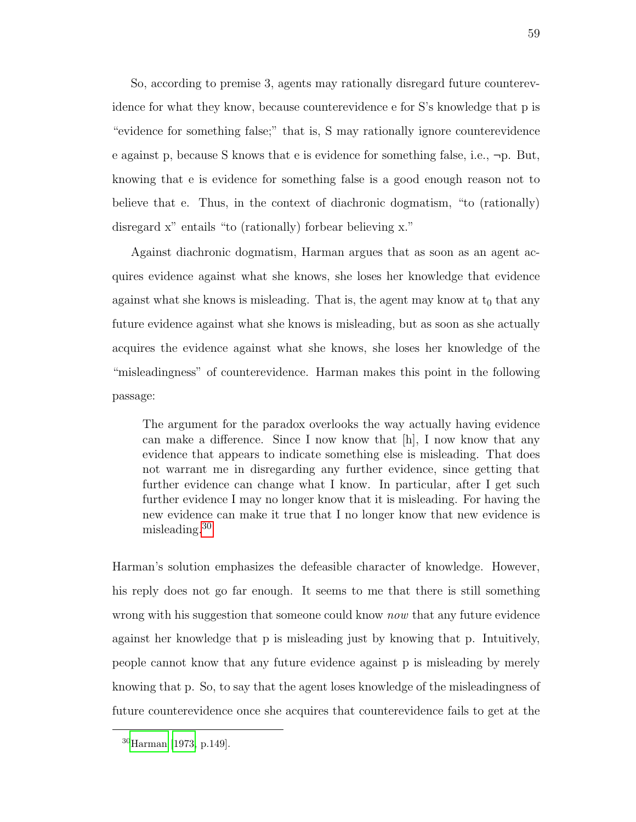So, according to premise 3, agents may rationally disregard future counterevidence for what they know, because counterevidence e for S's knowledge that p is "evidence for something false;" that is, S may rationally ignore counterevidence e against p, because S knows that e is evidence for something false, i.e.,  $\neg p$ . But, knowing that e is evidence for something false is a good enough reason not to believe that e. Thus, in the context of diachronic dogmatism, "to (rationally) disregard x" entails "to (rationally) forbear believing x."

Against diachronic dogmatism, Harman argues that as soon as an agent acquires evidence against what she knows, she loses her knowledge that evidence against what she knows is misleading. That is, the agent may know at  $t_0$  that any future evidence against what she knows is misleading, but as soon as she actually acquires the evidence against what she knows, she loses her knowledge of the "misleadingness" of counterevidence. Harman makes this point in the following passage:

The argument for the paradox overlooks the way actually having evidence can make a difference. Since I now know that [h], I now know that any evidence that appears to indicate something else is misleading. That does not warrant me in disregarding any further evidence, since getting that further evidence can change what I know. In particular, after I get such further evidence I may no longer know that it is misleading. For having the new evidence can make it true that I no longer know that new evidence is misleading.[30](#page-66-0)

Harman's solution emphasizes the defeasible character of knowledge. However, his reply does not go far enough. It seems to me that there is still something wrong with his suggestion that someone could know now that any future evidence against her knowledge that p is misleading just by knowing that p. Intuitively, people cannot know that any future evidence against p is misleading by merely knowing that p. So, to say that the agent loses knowledge of the misleadingness of future counterevidence once she acquires that counterevidence fails to get at the

<span id="page-66-0"></span><sup>30</sup>[Harman](#page-168-1) [\[1973,](#page-168-1) p.149].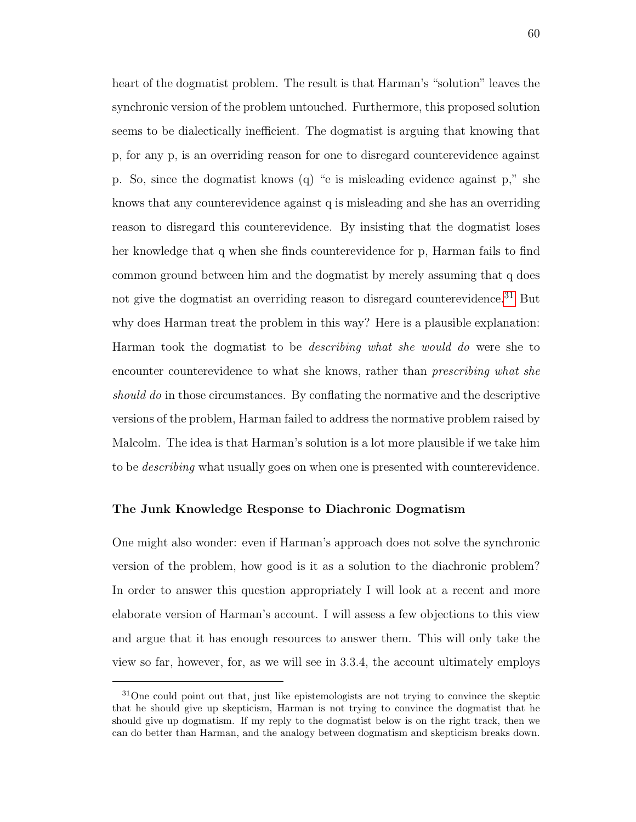heart of the dogmatist problem. The result is that Harman's "solution" leaves the synchronic version of the problem untouched. Furthermore, this proposed solution seems to be dialectically inefficient. The dogmatist is arguing that knowing that p, for any p, is an overriding reason for one to disregard counterevidence against p. So, since the dogmatist knows (q) "e is misleading evidence against p," she knows that any counterevidence against q is misleading and she has an overriding reason to disregard this counterevidence. By insisting that the dogmatist loses her knowledge that q when she finds counterevidence for p, Harman fails to find common ground between him and the dogmatist by merely assuming that q does not give the dogmatist an overriding reason to disregard counterevidence.<sup>[31](#page-67-0)</sup> But why does Harman treat the problem in this way? Here is a plausible explanation: Harman took the dogmatist to be describing what she would do were she to encounter counterevidence to what she knows, rather than *prescribing what she* should do in those circumstances. By conflating the normative and the descriptive versions of the problem, Harman failed to address the normative problem raised by Malcolm. The idea is that Harman's solution is a lot more plausible if we take him to be *describing* what usually goes on when one is presented with counterevidence.

#### The Junk Knowledge Response to Diachronic Dogmatism

One might also wonder: even if Harman's approach does not solve the synchronic version of the problem, how good is it as a solution to the diachronic problem? In order to answer this question appropriately I will look at a recent and more elaborate version of Harman's account. I will assess a few objections to this view and argue that it has enough resources to answer them. This will only take the view so far, however, for, as we will see in 3.3.4, the account ultimately employs

<span id="page-67-0"></span> $31$ One could point out that, just like epistemologists are not trying to convince the skeptic that he should give up skepticism, Harman is not trying to convince the dogmatist that he should give up dogmatism. If my reply to the dogmatist below is on the right track, then we can do better than Harman, and the analogy between dogmatism and skepticism breaks down.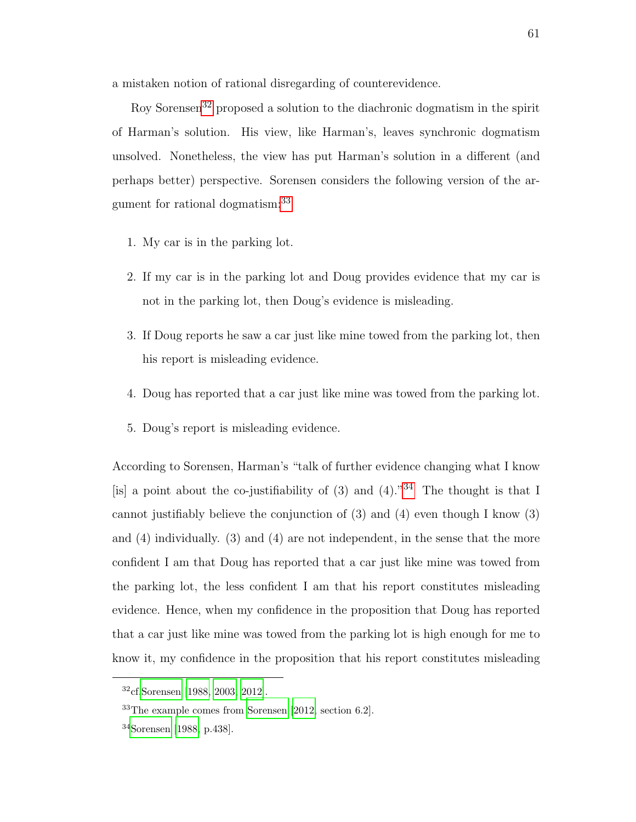a mistaken notion of rational disregarding of counterevidence.

Roy Sorensen<sup>[32](#page-68-0)</sup> proposed a solution to the diachronic dogmatism in the spirit of Harman's solution. His view, like Harman's, leaves synchronic dogmatism unsolved. Nonetheless, the view has put Harman's solution in a different (and perhaps better) perspective. Sorensen considers the following version of the argument for rational dogmatism:[33](#page-68-1)

- 1. My car is in the parking lot.
- 2. If my car is in the parking lot and Doug provides evidence that my car is not in the parking lot, then Doug's evidence is misleading.
- 3. If Doug reports he saw a car just like mine towed from the parking lot, then his report is misleading evidence.
- 4. Doug has reported that a car just like mine was towed from the parking lot.
- 5. Doug's report is misleading evidence.

According to Sorensen, Harman's "talk of further evidence changing what I know [is] a point about the co-justifiability of (3) and (4)."<sup>[34](#page-68-2)</sup> The thought is that I cannot justifiably believe the conjunction of  $(3)$  and  $(4)$  even though I know  $(3)$ and (4) individually. (3) and (4) are not independent, in the sense that the more confident I am that Doug has reported that a car just like mine was towed from the parking lot, the less confident I am that his report constitutes misleading evidence. Hence, when my confidence in the proposition that Doug has reported that a car just like mine was towed from the parking lot is high enough for me to know it, my confidence in the proposition that his report constitutes misleading

<span id="page-68-0"></span><sup>32</sup>cf[.Sorensen](#page-173-2) [\[1988,](#page-173-2) [2003,](#page-173-3) [2012\]](#page-173-4).

<span id="page-68-1"></span><sup>33</sup>The example comes from [Sorensen](#page-173-4) [\[2012,](#page-173-4) section 6.2].

<span id="page-68-2"></span><sup>34</sup>[Sorensen](#page-173-2) [\[1988,](#page-173-2) p.438].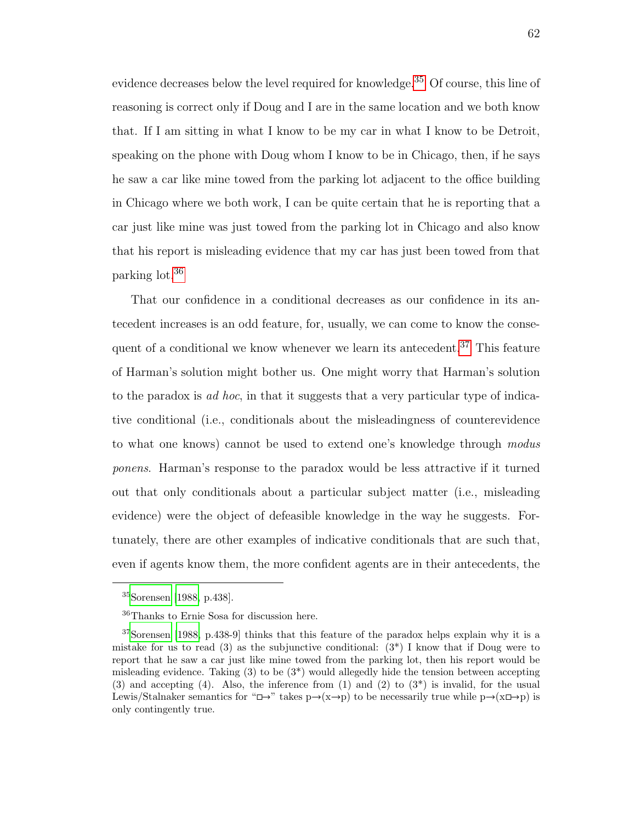evidence decreases below the level required for knowledge.<sup>[35](#page-69-0)</sup> Of course, this line of reasoning is correct only if Doug and I are in the same location and we both know that. If I am sitting in what I know to be my car in what I know to be Detroit, speaking on the phone with Doug whom I know to be in Chicago, then, if he says he saw a car like mine towed from the parking lot adjacent to the office building in Chicago where we both work, I can be quite certain that he is reporting that a car just like mine was just towed from the parking lot in Chicago and also know that his report is misleading evidence that my car has just been towed from that parking lot.[36](#page-69-1)

That our confidence in a conditional decreases as our confidence in its antecedent increases is an odd feature, for, usually, we can come to know the conse-quent of a conditional we know whenever we learn its antecedent.<sup>[37](#page-69-2)</sup> This feature of Harman's solution might bother us. One might worry that Harman's solution to the paradox is ad hoc, in that it suggests that a very particular type of indicative conditional (i.e., conditionals about the misleadingness of counterevidence to what one knows) cannot be used to extend one's knowledge through modus ponens. Harman's response to the paradox would be less attractive if it turned out that only conditionals about a particular subject matter (i.e., misleading evidence) were the object of defeasible knowledge in the way he suggests. Fortunately, there are other examples of indicative conditionals that are such that, even if agents know them, the more confident agents are in their antecedents, the

<span id="page-69-0"></span><sup>35</sup>[Sorensen](#page-173-2) [\[1988,](#page-173-2) p.438].

<span id="page-69-2"></span><span id="page-69-1"></span><sup>36</sup>Thanks to Ernie Sosa for discussion here.

<sup>37</sup>[Sorensen](#page-173-2) [\[1988,](#page-173-2) p.438-9] thinks that this feature of the paradox helps explain why it is a mistake for us to read (3) as the subjunctive conditional:  $(3^*)$  I know that if Doug were to report that he saw a car just like mine towed from the parking lot, then his report would be misleading evidence. Taking  $(3)$  to be  $(3^*)$  would allegedly hide the tension between accepting (3) and accepting (4). Also, the inference from (1) and (2) to  $(3^*)$  is invalid, for the usual Lewis/Stalnaker semantics for " $\Box \rightarrow$ " takes  $p \rightarrow (x \rightarrow p)$  to be necessarily true while  $p \rightarrow (x \Box \rightarrow p)$  is only contingently true.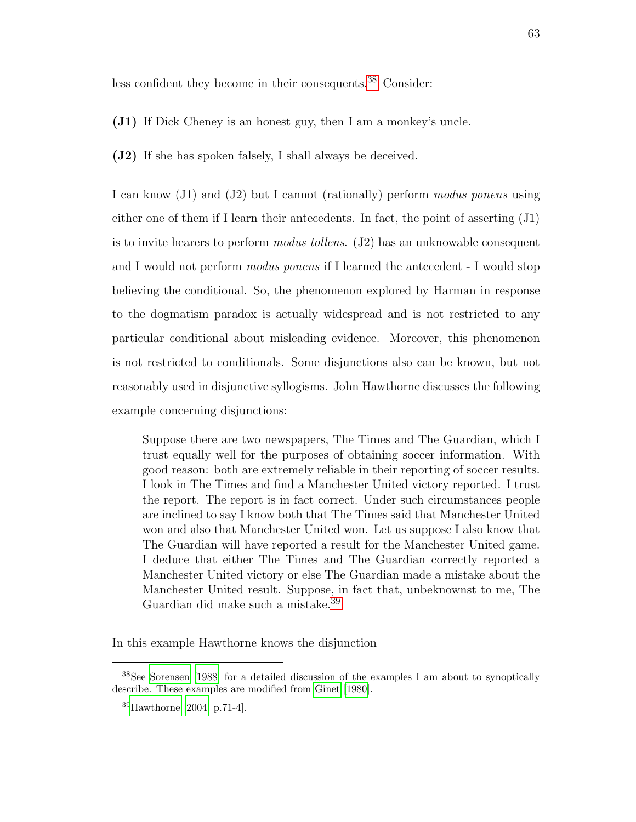less confident they become in their consequents.<sup>[38](#page-70-0)</sup> Consider:

(J1) If Dick Cheney is an honest guy, then I am a monkey's uncle.

(J2) If she has spoken falsely, I shall always be deceived.

I can know (J1) and (J2) but I cannot (rationally) perform modus ponens using either one of them if I learn their antecedents. In fact, the point of asserting (J1) is to invite hearers to perform modus tollens. (J2) has an unknowable consequent and I would not perform modus ponens if I learned the antecedent - I would stop believing the conditional. So, the phenomenon explored by Harman in response to the dogmatism paradox is actually widespread and is not restricted to any particular conditional about misleading evidence. Moreover, this phenomenon is not restricted to conditionals. Some disjunctions also can be known, but not reasonably used in disjunctive syllogisms. John Hawthorne discusses the following example concerning disjunctions:

Suppose there are two newspapers, The Times and The Guardian, which I trust equally well for the purposes of obtaining soccer information. With good reason: both are extremely reliable in their reporting of soccer results. I look in The Times and find a Manchester United victory reported. I trust the report. The report is in fact correct. Under such circumstances people are inclined to say I know both that The Times said that Manchester United won and also that Manchester United won. Let us suppose I also know that The Guardian will have reported a result for the Manchester United game. I deduce that either The Times and The Guardian correctly reported a Manchester United victory or else The Guardian made a mistake about the Manchester United result. Suppose, in fact that, unbeknownst to me, The Guardian did make such a mistake.[39](#page-70-1)

In this example Hawthorne knows the disjunction

<span id="page-70-0"></span><sup>38</sup>See [Sorensen](#page-173-2) [\[1988\]](#page-173-2) for a detailed discussion of the examples I am about to synoptically describe. These examples are modified from [Ginet](#page-168-4) [\[1980\]](#page-168-4).

<span id="page-70-1"></span><sup>39</sup>[Hawthorne](#page-169-2) [\[2004,](#page-169-2) p.71-4].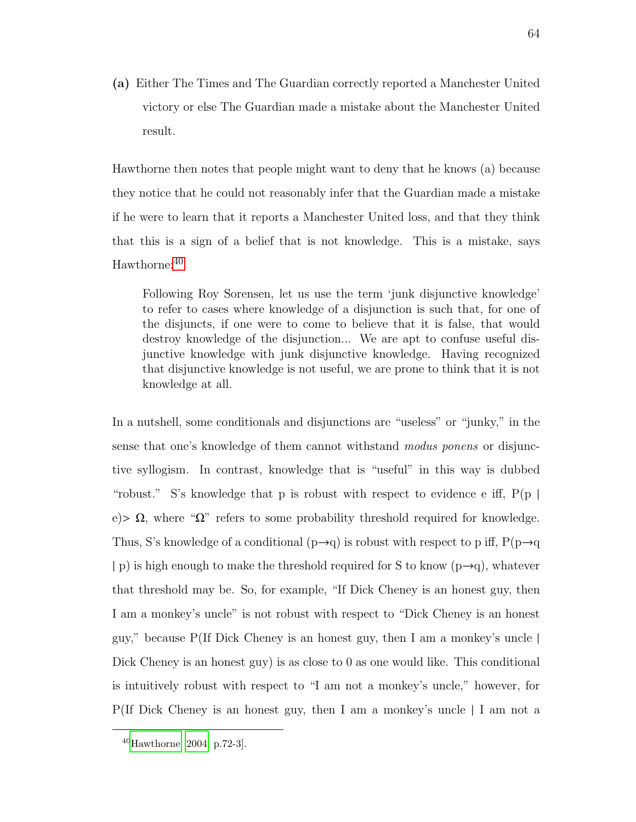(a) Either The Times and The Guardian correctly reported a Manchester United victory or else The Guardian made a mistake about the Manchester United result.

Hawthorne then notes that people might want to deny that he knows (a) because they notice that he could not reasonably infer that the Guardian made a mistake if he were to learn that it reports a Manchester United loss, and that they think that this is a sign of a belief that is not knowledge. This is a mistake, says Hawthorne:<sup>[40](#page-71-0)</sup>

Following Roy Sorensen, let us use the term 'junk disjunctive knowledge' to refer to cases where knowledge of a disjunction is such that, for one of the disjuncts, if one were to come to believe that it is false, that would destroy knowledge of the disjunction... We are apt to confuse useful disjunctive knowledge with junk disjunctive knowledge. Having recognized that disjunctive knowledge is not useful, we are prone to think that it is not knowledge at all.

In a nutshell, some conditionals and disjunctions are "useless" or "junky," in the sense that one's knowledge of them cannot withstand modus ponens or disjunctive syllogism. In contrast, knowledge that is "useful" in this way is dubbed "robust." S's knowledge that p is robust with respect to evidence e iff,  $P(p \mid$ e)>  $\Omega$ , where " $\Omega$ " refers to some probability threshold required for knowledge. Thus, S's knowledge of a conditional (p→q) is robust with respect to p iff,  $P(p\rightarrow q)$  $| p \rangle$  is high enough to make the threshold required for S to know  $(p \rightarrow q)$ , whatever that threshold may be. So, for example, "If Dick Cheney is an honest guy, then I am a monkey's uncle" is not robust with respect to "Dick Cheney is an honest guy," because P(If Dick Cheney is an honest guy, then I am a monkey's uncle | Dick Cheney is an honest guy) is as close to 0 as one would like. This conditional is intuitively robust with respect to "I am not a monkey's uncle," however, for P(If Dick Cheney is an honest guy, then I am a monkey's uncle | I am not a

<span id="page-71-0"></span> $^{40}$ [Hawthorne](#page-169-2) [\[2004,](#page-169-2) p.72-3].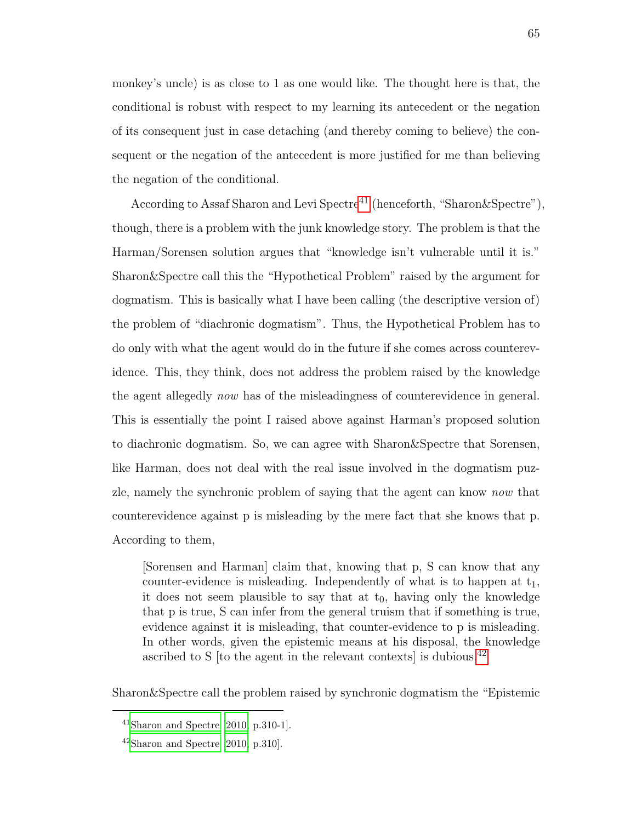monkey's uncle) is as close to 1 as one would like. The thought here is that, the conditional is robust with respect to my learning its antecedent or the negation of its consequent just in case detaching (and thereby coming to believe) the consequent or the negation of the antecedent is more justified for me than believing the negation of the conditional.

According to Assaf Sharon and Levi Spectre<sup>[41](#page-72-0)</sup> (henceforth, "Sharon & Spectre"), though, there is a problem with the junk knowledge story. The problem is that the Harman/Sorensen solution argues that "knowledge isn't vulnerable until it is." Sharon&Spectre call this the "Hypothetical Problem" raised by the argument for dogmatism. This is basically what I have been calling (the descriptive version of) the problem of "diachronic dogmatism". Thus, the Hypothetical Problem has to do only with what the agent would do in the future if she comes across counterevidence. This, they think, does not address the problem raised by the knowledge the agent allegedly now has of the misleadingness of counterevidence in general. This is essentially the point I raised above against Harman's proposed solution to diachronic dogmatism. So, we can agree with Sharon&Spectre that Sorensen, like Harman, does not deal with the real issue involved in the dogmatism puzzle, namely the synchronic problem of saying that the agent can know now that counterevidence against p is misleading by the mere fact that she knows that p. According to them,

[Sorensen and Harman] claim that, knowing that p, S can know that any counter-evidence is misleading. Independently of what is to happen at  $t_1$ , it does not seem plausible to say that at  $t_0$ , having only the knowledge that p is true, S can infer from the general truism that if something is true, evidence against it is misleading, that counter-evidence to p is misleading. In other words, given the epistemic means at his disposal, the knowledge ascribed to S [to the agent in the relevant contexts] is dubious.  $42$ 

Sharon&Spectre call the problem raised by synchronic dogmatism the "Epistemic

<span id="page-72-0"></span> $41$ [Sharon and Spectre](#page-173-0) [\[2010,](#page-173-0) p.310-1].

<span id="page-72-1"></span> $42$ [Sharon and Spectre](#page-173-0) [\[2010,](#page-173-0) p.310].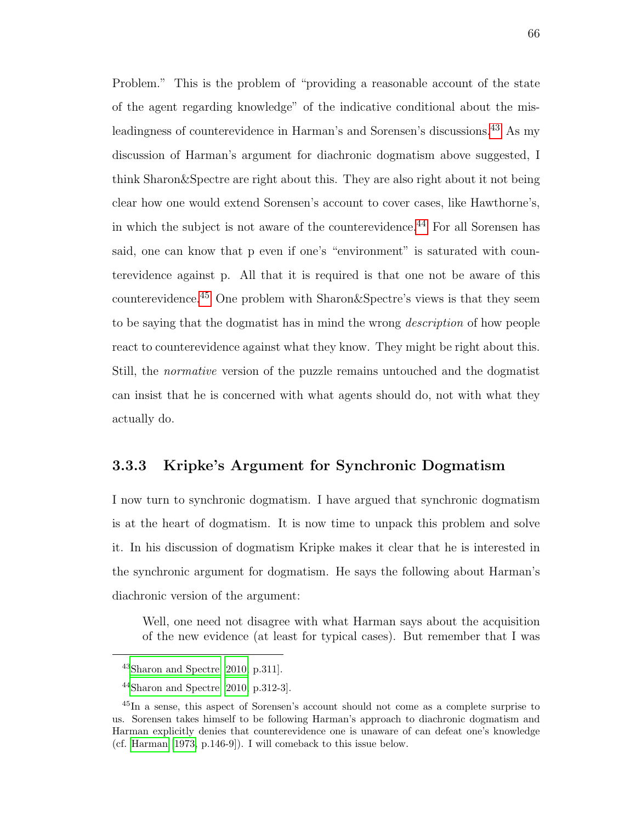Problem." This is the problem of "providing a reasonable account of the state of the agent regarding knowledge" of the indicative conditional about the misleadingness of counterevidence in Harman's and Sorensen's discussions.[43](#page-73-0) As my discussion of Harman's argument for diachronic dogmatism above suggested, I think Sharon&Spectre are right about this. They are also right about it not being clear how one would extend Sorensen's account to cover cases, like Hawthorne's, in which the subject is not aware of the counterevidence.<sup>[44](#page-73-1)</sup> For all Sorensen has said, one can know that p even if one's "environment" is saturated with counterevidence against p. All that it is required is that one not be aware of this counterevidence.[45](#page-73-2) One problem with Sharon&Spectre's views is that they seem to be saying that the dogmatist has in mind the wrong *description* of how people react to counterevidence against what they know. They might be right about this. Still, the normative version of the puzzle remains untouched and the dogmatist can insist that he is concerned with what agents should do, not with what they actually do.

# 3.3.3 Kripke's Argument for Synchronic Dogmatism

I now turn to synchronic dogmatism. I have argued that synchronic dogmatism is at the heart of dogmatism. It is now time to unpack this problem and solve it. In his discussion of dogmatism Kripke makes it clear that he is interested in the synchronic argument for dogmatism. He says the following about Harman's diachronic version of the argument:

Well, one need not disagree with what Harman says about the acquisition of the new evidence (at least for typical cases). But remember that I was

<span id="page-73-0"></span><sup>43</sup>[Sharon and Spectre](#page-173-0) [\[2010,](#page-173-0) p.311].

<span id="page-73-1"></span><sup>44</sup>[Sharon and Spectre](#page-173-0) [\[2010,](#page-173-0) p.312-3].

<span id="page-73-2"></span><sup>45</sup>In a sense, this aspect of Sorensen's account should not come as a complete surprise to us. Sorensen takes himself to be following Harman's approach to diachronic dogmatism and Harman explicitly denies that counterevidence one is unaware of can defeat one's knowledge (cf. [Harman](#page-168-0) [\[1973,](#page-168-0) p.146-9]). I will comeback to this issue below.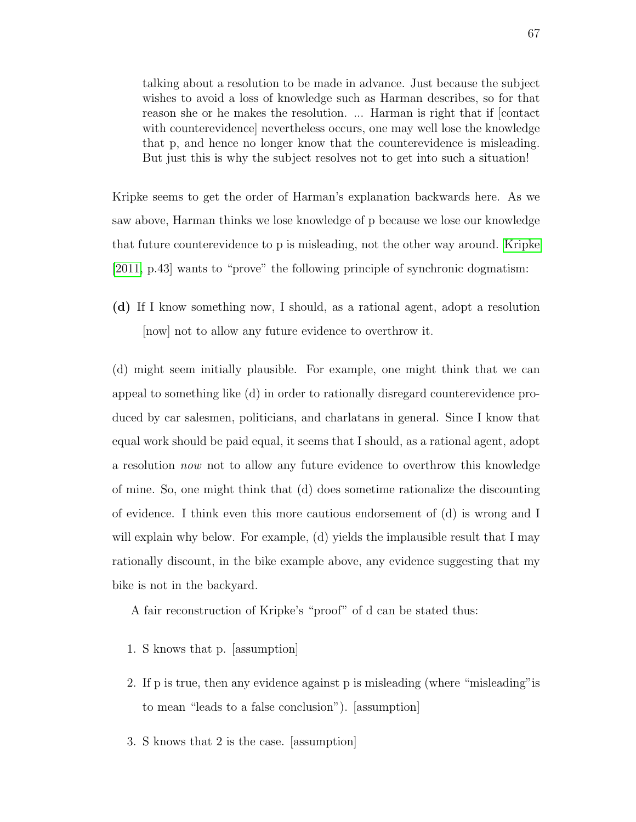talking about a resolution to be made in advance. Just because the subject wishes to avoid a loss of knowledge such as Harman describes, so for that reason she or he makes the resolution. ... Harman is right that if [contact with counterevidence] nevertheless occurs, one may well lose the knowledge that p, and hence no longer know that the counterevidence is misleading. But just this is why the subject resolves not to get into such a situation!

Kripke seems to get the order of Harman's explanation backwards here. As we saw above, Harman thinks we lose knowledge of p because we lose our knowledge that future counterevidence to p is misleading, not the other way around. [Kripke](#page-171-0) [\[2011,](#page-171-0) p.43] wants to "prove" the following principle of synchronic dogmatism:

(d) If I know something now, I should, as a rational agent, adopt a resolution [now] not to allow any future evidence to overthrow it.

(d) might seem initially plausible. For example, one might think that we can appeal to something like (d) in order to rationally disregard counterevidence produced by car salesmen, politicians, and charlatans in general. Since I know that equal work should be paid equal, it seems that I should, as a rational agent, adopt a resolution now not to allow any future evidence to overthrow this knowledge of mine. So, one might think that (d) does sometime rationalize the discounting of evidence. I think even this more cautious endorsement of (d) is wrong and I will explain why below. For example, (d) yields the implausible result that I may rationally discount, in the bike example above, any evidence suggesting that my bike is not in the backyard.

A fair reconstruction of Kripke's "proof" of d can be stated thus:

- 1. S knows that p. [assumption]
- 2. If p is true, then any evidence against p is misleading (where "misleading"is to mean "leads to a false conclusion"). [assumption]
- 3. S knows that 2 is the case. [assumption]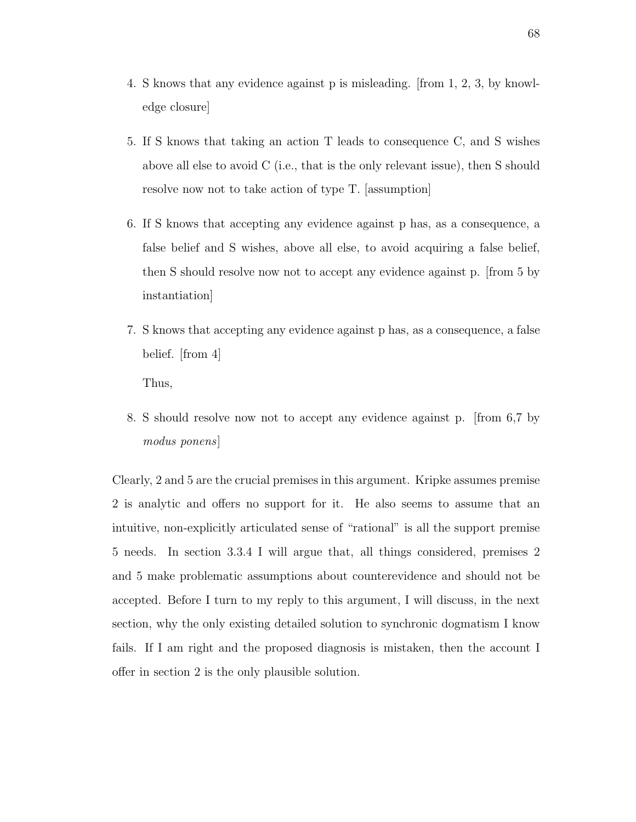- 4. S knows that any evidence against p is misleading. [from 1, 2, 3, by knowledge closure]
- 5. If S knows that taking an action T leads to consequence C, and S wishes above all else to avoid C (i.e., that is the only relevant issue), then S should resolve now not to take action of type T. [assumption]
- 6. If S knows that accepting any evidence against p has, as a consequence, a false belief and S wishes, above all else, to avoid acquiring a false belief, then S should resolve now not to accept any evidence against p. [from 5 by instantiation]
- 7. S knows that accepting any evidence against p has, as a consequence, a false belief. [from 4]

Thus,

8. S should resolve now not to accept any evidence against p. [from 6,7 by modus ponens]

Clearly, 2 and 5 are the crucial premises in this argument. Kripke assumes premise 2 is analytic and offers no support for it. He also seems to assume that an intuitive, non-explicitly articulated sense of "rational" is all the support premise 5 needs. In section 3.3.4 I will argue that, all things considered, premises 2 and 5 make problematic assumptions about counterevidence and should not be accepted. Before I turn to my reply to this argument, I will discuss, in the next section, why the only existing detailed solution to synchronic dogmatism I know fails. If I am right and the proposed diagnosis is mistaken, then the account I offer in section 2 is the only plausible solution.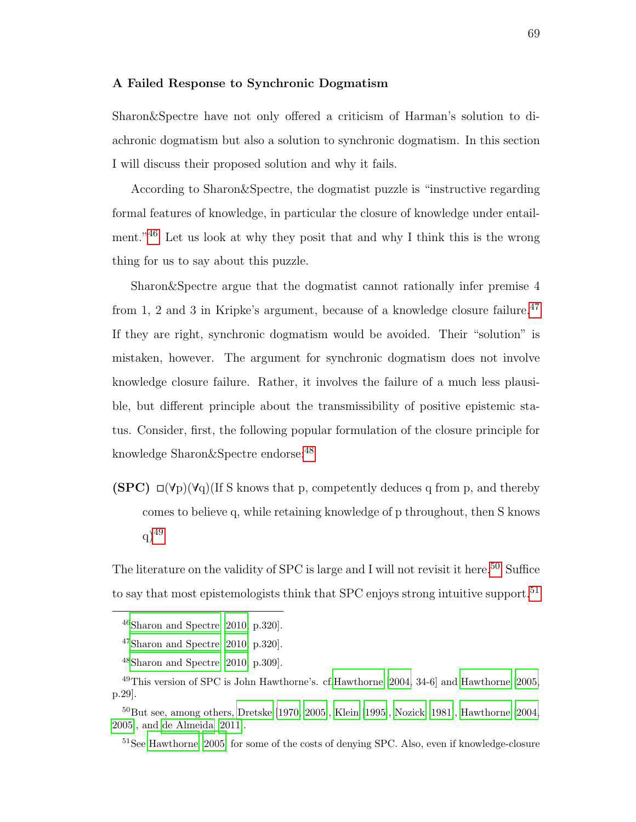#### A Failed Response to Synchronic Dogmatism

Sharon&Spectre have not only offered a criticism of Harman's solution to diachronic dogmatism but also a solution to synchronic dogmatism. In this section I will discuss their proposed solution and why it fails.

According to Sharon&Spectre, the dogmatist puzzle is "instructive regarding formal features of knowledge, in particular the closure of knowledge under entail-ment."<sup>[46](#page-76-0)</sup> Let us look at why they posit that and why I think this is the wrong thing for us to say about this puzzle.

Sharon&Spectre argue that the dogmatist cannot rationally infer premise 4 from 1, 2 and 3 in Kripke's argument, because of a knowledge closure failure.<sup>[47](#page-76-1)</sup> If they are right, synchronic dogmatism would be avoided. Their "solution" is mistaken, however. The argument for synchronic dogmatism does not involve knowledge closure failure. Rather, it involves the failure of a much less plausible, but different principle about the transmissibility of positive epistemic status. Consider, first, the following popular formulation of the closure principle for knowledge Sharon&Spectre endorse:[48](#page-76-2)

(SPC)  $\Box(\forall p)(\forall q)$ (If S knows that p, competently deduces q from p, and thereby comes to believe q, while retaining knowledge of p throughout, then S knows  $q$ <sup>[49](#page-76-3)</sup>

The literature on the validity of SPC is large and I will not revisit it here.<sup>[50](#page-76-4)</sup> Suffice to say that most epistemologists think that SPC enjoys strong intuitive support.<sup>[51](#page-76-5)</sup>

<span id="page-76-0"></span> $46$ [Sharon and Spectre](#page-173-0) [\[2010,](#page-173-0) p.320].

<span id="page-76-1"></span> $47$ [Sharon and Spectre](#page-173-0) [\[2010,](#page-173-0) p.320].

<span id="page-76-3"></span><span id="page-76-2"></span><sup>48</sup>[Sharon and Spectre](#page-173-0) [\[2010,](#page-173-0) p.309].

<sup>49</sup>This version of SPC is John Hawthorne's. cf[.Hawthorne](#page-169-0) [\[2004,](#page-169-0) 34-6] and [Hawthorne](#page-169-1) [\[2005,](#page-169-1) p.29].

<span id="page-76-4"></span> $50$ But see, among others, [Dretske](#page-167-0) [\[1970,](#page-167-0) [2005\]](#page-167-1), [Klein](#page-170-0) [\[1995\]](#page-170-0), [Nozick](#page-172-0) [\[1981\]](#page-172-0), [Hawthorne](#page-169-0) [\[2004,](#page-169-0) [2005\]](#page-169-1), and [de Almeida](#page-166-0) [\[2011\]](#page-166-0).

<span id="page-76-5"></span><sup>&</sup>lt;sup>51</sup>See [Hawthorne](#page-169-1) [\[2005\]](#page-169-1) for some of the costs of denying SPC. Also, even if knowledge-closure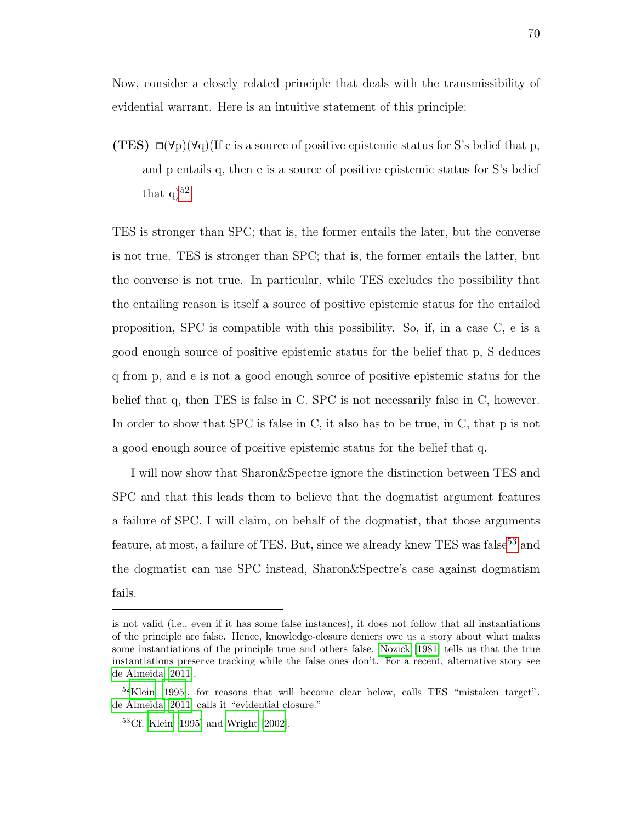Now, consider a closely related principle that deals with the transmissibility of evidential warrant. Here is an intuitive statement of this principle:

**(TES)**  $\Box(\forall p)(\forall q)$  (If e is a source of positive epistemic status for S's belief that p, and p entails q, then e is a source of positive epistemic status for S's belief that  $q^{52}$  $q^{52}$  $q^{52}$ 

TES is stronger than SPC; that is, the former entails the later, but the converse is not true. TES is stronger than SPC; that is, the former entails the latter, but the converse is not true. In particular, while TES excludes the possibility that the entailing reason is itself a source of positive epistemic status for the entailed proposition, SPC is compatible with this possibility. So, if, in a case C, e is a good enough source of positive epistemic status for the belief that p, S deduces q from p, and e is not a good enough source of positive epistemic status for the belief that q, then TES is false in C. SPC is not necessarily false in C, however. In order to show that SPC is false in C, it also has to be true, in C, that p is not a good enough source of positive epistemic status for the belief that q.

I will now show that Sharon&Spectre ignore the distinction between TES and SPC and that this leads them to believe that the dogmatist argument features a failure of SPC. I will claim, on behalf of the dogmatist, that those arguments feature, at most, a failure of TES. But, since we already knew TES was false<sup>[53](#page-77-1)</sup> and the dogmatist can use SPC instead, Sharon&Spectre's case against dogmatism fails.

is not valid (i.e., even if it has some false instances), it does not follow that all instantiations of the principle are false. Hence, knowledge-closure deniers owe us a story about what makes some instantiations of the principle true and others false. [Nozick](#page-172-0) [\[1981\]](#page-172-0) tells us that the true instantiations preserve tracking while the false ones don't. For a recent, alternative story see [de Almeida](#page-166-0) [\[2011\]](#page-166-0).

<span id="page-77-0"></span> $52$ [Klein](#page-170-0) [\[1995\]](#page-170-0), for reasons that will become clear below, calls TES "mistaken target". [de Almeida](#page-166-0) [\[2011\]](#page-166-0) calls it "evidential closure."

<span id="page-77-1"></span><sup>53</sup>Cf. [Klein](#page-170-0) [\[1995\]](#page-170-0) and [Wright](#page-174-0) [\[2002\]](#page-174-0).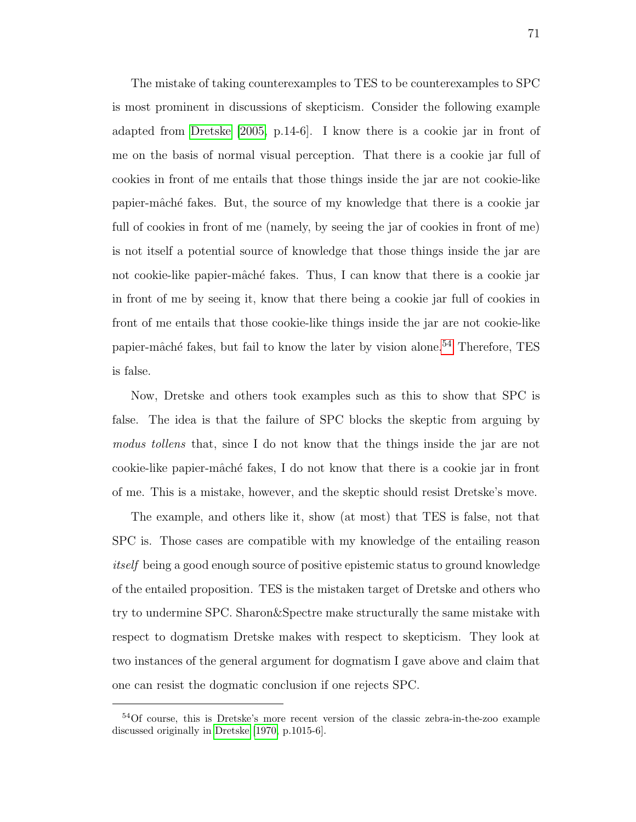The mistake of taking counterexamples to TES to be counterexamples to SPC is most prominent in discussions of skepticism. Consider the following example adapted from [Dretske](#page-167-1) [\[2005,](#page-167-1) p.14-6]. I know there is a cookie jar in front of me on the basis of normal visual perception. That there is a cookie jar full of cookies in front of me entails that those things inside the jar are not cookie-like papier-mâché fakes. But, the source of my knowledge that there is a cookie jar full of cookies in front of me (namely, by seeing the jar of cookies in front of me) is not itself a potential source of knowledge that those things inside the jar are not cookie-like papier-mâché fakes. Thus, I can know that there is a cookie jar in front of me by seeing it, know that there being a cookie jar full of cookies in front of me entails that those cookie-like things inside the jar are not cookie-like papier-mâché fakes, but fail to know the later by vision alone.<sup>[54](#page-78-0)</sup> Therefore, TES is false.

Now, Dretske and others took examples such as this to show that SPC is false. The idea is that the failure of SPC blocks the skeptic from arguing by modus tollens that, since I do not know that the things inside the jar are not cookie-like papier-mâché fakes, I do not know that there is a cookie jar in front of me. This is a mistake, however, and the skeptic should resist Dretske's move.

The example, and others like it, show (at most) that TES is false, not that SPC is. Those cases are compatible with my knowledge of the entailing reason itself being a good enough source of positive epistemic status to ground knowledge of the entailed proposition. TES is the mistaken target of Dretske and others who try to undermine SPC. Sharon&Spectre make structurally the same mistake with respect to dogmatism Dretske makes with respect to skepticism. They look at two instances of the general argument for dogmatism I gave above and claim that one can resist the dogmatic conclusion if one rejects SPC.

<span id="page-78-0"></span><sup>54</sup>Of course, this is Dretske's more recent version of the classic zebra-in-the-zoo example discussed originally in [Dretske](#page-167-0) [\[1970,](#page-167-0) p.1015-6].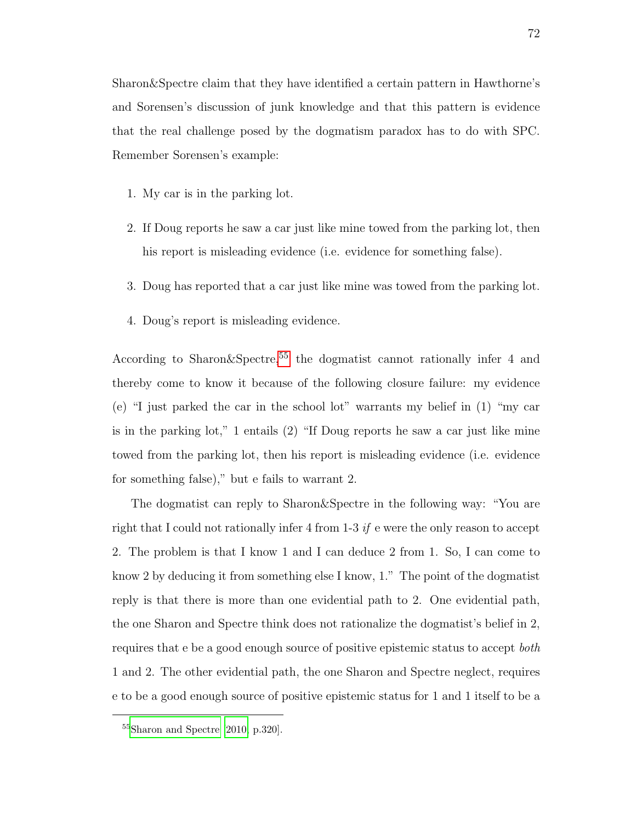Sharon&Spectre claim that they have identified a certain pattern in Hawthorne's and Sorensen's discussion of junk knowledge and that this pattern is evidence that the real challenge posed by the dogmatism paradox has to do with SPC. Remember Sorensen's example:

- 1. My car is in the parking lot.
- 2. If Doug reports he saw a car just like mine towed from the parking lot, then his report is misleading evidence (i.e. evidence for something false).
- 3. Doug has reported that a car just like mine was towed from the parking lot.
- 4. Doug's report is misleading evidence.

According to Sharon&Spectre,<sup>[55](#page-79-0)</sup> the dogmatist cannot rationally infer 4 and thereby come to know it because of the following closure failure: my evidence (e) "I just parked the car in the school lot" warrants my belief in (1) "my car is in the parking lot," 1 entails (2) "If Doug reports he saw a car just like mine towed from the parking lot, then his report is misleading evidence (i.e. evidence for something false)," but e fails to warrant 2.

The dogmatist can reply to Sharon&Spectre in the following way: "You are right that I could not rationally infer 4 from 1-3 if e were the only reason to accept 2. The problem is that I know 1 and I can deduce 2 from 1. So, I can come to know 2 by deducing it from something else I know, 1." The point of the dogmatist reply is that there is more than one evidential path to 2. One evidential path, the one Sharon and Spectre think does not rationalize the dogmatist's belief in 2, requires that e be a good enough source of positive epistemic status to accept both 1 and 2. The other evidential path, the one Sharon and Spectre neglect, requires e to be a good enough source of positive epistemic status for 1 and 1 itself to be a

<span id="page-79-0"></span><sup>55</sup>[Sharon and Spectre](#page-173-0) [\[2010,](#page-173-0) p.320].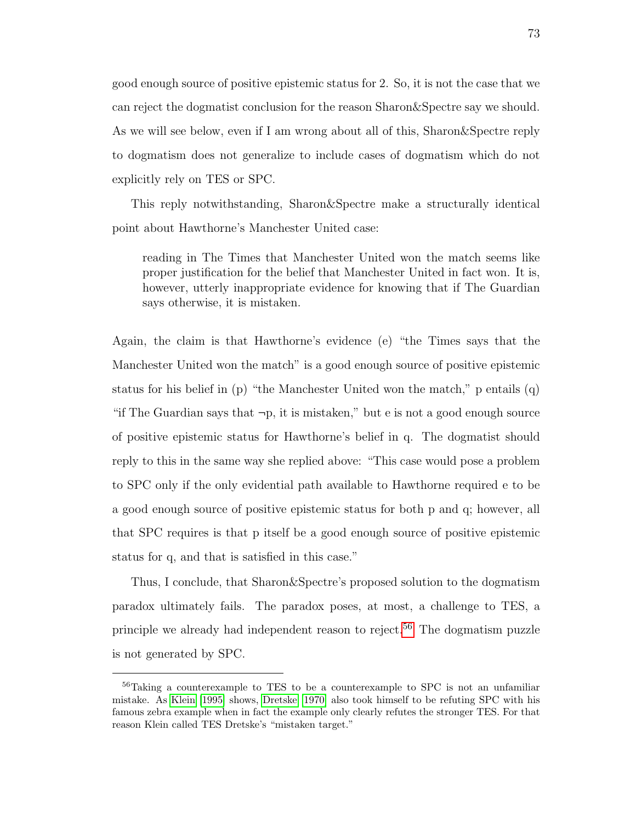good enough source of positive epistemic status for 2. So, it is not the case that we can reject the dogmatist conclusion for the reason Sharon&Spectre say we should. As we will see below, even if I am wrong about all of this, Sharon&Spectre reply to dogmatism does not generalize to include cases of dogmatism which do not explicitly rely on TES or SPC.

This reply notwithstanding, Sharon&Spectre make a structurally identical point about Hawthorne's Manchester United case:

reading in The Times that Manchester United won the match seems like proper justification for the belief that Manchester United in fact won. It is, however, utterly inappropriate evidence for knowing that if The Guardian says otherwise, it is mistaken.

Again, the claim is that Hawthorne's evidence (e) "the Times says that the Manchester United won the match" is a good enough source of positive epistemic status for his belief in (p) "the Manchester United won the match," p entails (q) "if The Guardian says that  $\neg p$ , it is mistaken," but e is not a good enough source of positive epistemic status for Hawthorne's belief in q. The dogmatist should reply to this in the same way she replied above: "This case would pose a problem to SPC only if the only evidential path available to Hawthorne required e to be a good enough source of positive epistemic status for both p and q; however, all that SPC requires is that p itself be a good enough source of positive epistemic status for q, and that is satisfied in this case."

Thus, I conclude, that Sharon&Spectre's proposed solution to the dogmatism paradox ultimately fails. The paradox poses, at most, a challenge to TES, a principle we already had independent reason to reject.<sup>[56](#page-80-0)</sup> The dogmatism puzzle is not generated by SPC.

<span id="page-80-0"></span><sup>56</sup>Taking a counterexample to TES to be a counterexample to SPC is not an unfamiliar mistake. As [Klein](#page-170-0) [\[1995\]](#page-170-0) shows, [Dretske](#page-167-0) [\[1970\]](#page-167-0) also took himself to be refuting SPC with his famous zebra example when in fact the example only clearly refutes the stronger TES. For that reason Klein called TES Dretske's "mistaken target."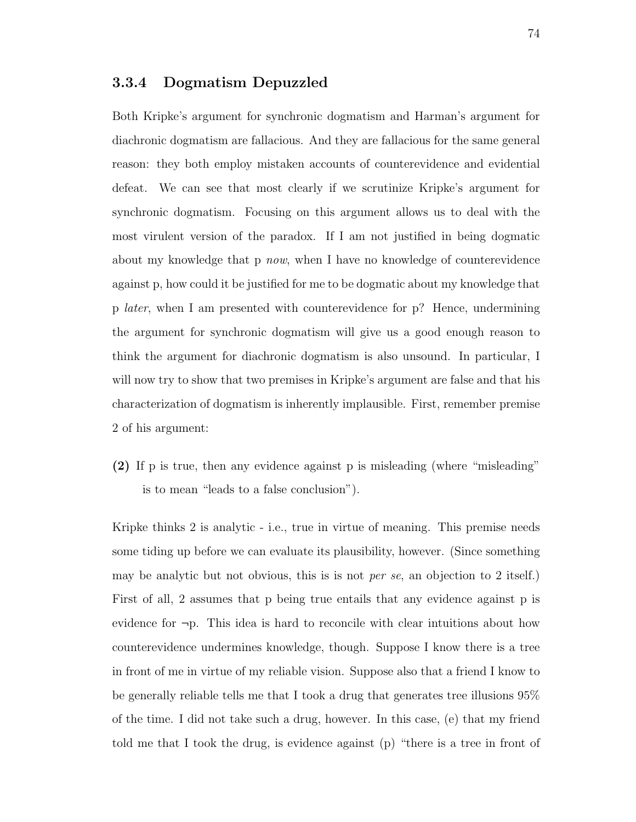### 3.3.4 Dogmatism Depuzzled

Both Kripke's argument for synchronic dogmatism and Harman's argument for diachronic dogmatism are fallacious. And they are fallacious for the same general reason: they both employ mistaken accounts of counterevidence and evidential defeat. We can see that most clearly if we scrutinize Kripke's argument for synchronic dogmatism. Focusing on this argument allows us to deal with the most virulent version of the paradox. If I am not justified in being dogmatic about my knowledge that p now, when I have no knowledge of counterevidence against p, how could it be justified for me to be dogmatic about my knowledge that p later, when I am presented with counterevidence for p? Hence, undermining the argument for synchronic dogmatism will give us a good enough reason to think the argument for diachronic dogmatism is also unsound. In particular, I will now try to show that two premises in Kripke's argument are false and that his characterization of dogmatism is inherently implausible. First, remember premise 2 of his argument:

(2) If p is true, then any evidence against p is misleading (where "misleading" is to mean "leads to a false conclusion").

Kripke thinks 2 is analytic - i.e., true in virtue of meaning. This premise needs some tiding up before we can evaluate its plausibility, however. (Since something may be analytic but not obvious, this is is not per se, an objection to 2 itself.) First of all, 2 assumes that p being true entails that any evidence against p is evidence for  $\neg p$ . This idea is hard to reconcile with clear intuitions about how counterevidence undermines knowledge, though. Suppose I know there is a tree in front of me in virtue of my reliable vision. Suppose also that a friend I know to be generally reliable tells me that I took a drug that generates tree illusions 95% of the time. I did not take such a drug, however. In this case, (e) that my friend told me that I took the drug, is evidence against (p) "there is a tree in front of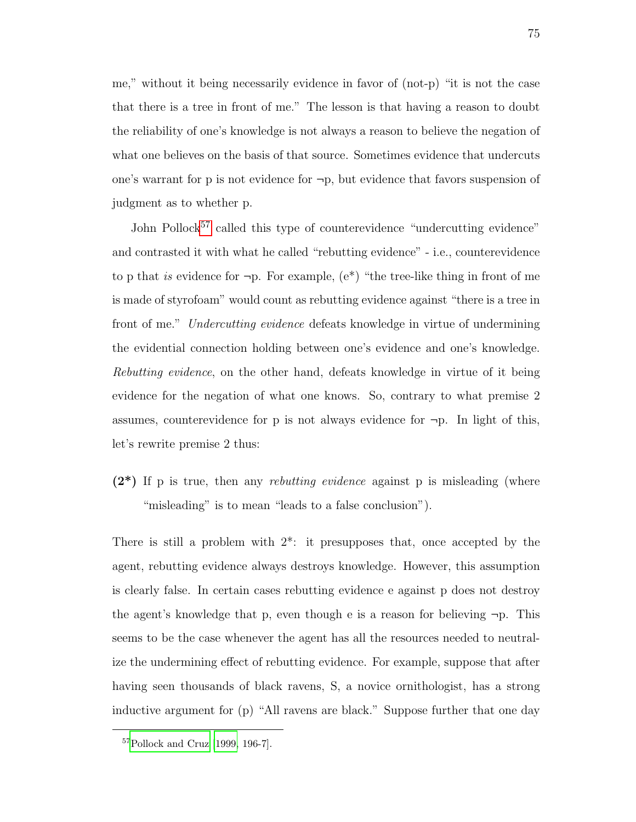me," without it being necessarily evidence in favor of (not-p) "it is not the case that there is a tree in front of me." The lesson is that having a reason to doubt the reliability of one's knowledge is not always a reason to believe the negation of what one believes on the basis of that source. Sometimes evidence that undercuts one's warrant for p is not evidence for  $\neg p$ , but evidence that favors suspension of judgment as to whether p.

John Pollock<sup>[57](#page-82-0)</sup> called this type of counterevidence "undercutting evidence" and contrasted it with what he called "rebutting evidence" - i.e., counterevidence to p that is evidence for  $\neg p$ . For example,  $(e^*)$  "the tree-like thing in front of me is made of styrofoam" would count as rebutting evidence against "there is a tree in front of me." Undercutting evidence defeats knowledge in virtue of undermining the evidential connection holding between one's evidence and one's knowledge. Rebutting evidence, on the other hand, defeats knowledge in virtue of it being evidence for the negation of what one knows. So, contrary to what premise 2 assumes, counterevidence for p is not always evidence for  $\neg p$ . In light of this, let's rewrite premise 2 thus:

 $(2^*)$  If p is true, then any *rebutting evidence* against p is misleading (where "misleading" is to mean "leads to a false conclusion").

There is still a problem with  $2^*$ : it presupposes that, once accepted by the agent, rebutting evidence always destroys knowledge. However, this assumption is clearly false. In certain cases rebutting evidence e against p does not destroy the agent's knowledge that p, even though e is a reason for believing ¬p. This seems to be the case whenever the agent has all the resources needed to neutralize the undermining effect of rebutting evidence. For example, suppose that after having seen thousands of black ravens, S, a novice ornithologist, has a strong inductive argument for (p) "All ravens are black." Suppose further that one day

<span id="page-82-0"></span><sup>57</sup>[Pollock and Cruz](#page-172-1) [\[1999,](#page-172-1) 196-7].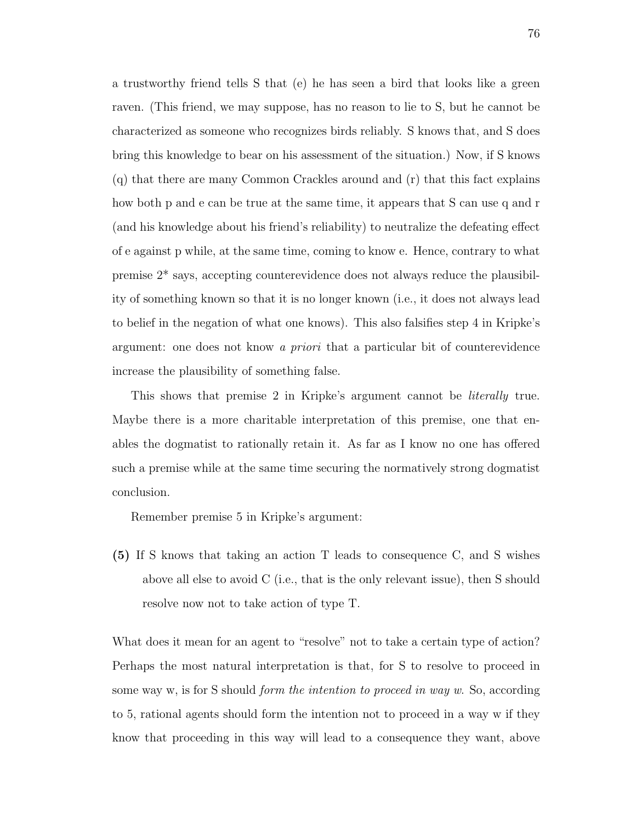a trustworthy friend tells S that (e) he has seen a bird that looks like a green raven. (This friend, we may suppose, has no reason to lie to S, but he cannot be characterized as someone who recognizes birds reliably. S knows that, and S does bring this knowledge to bear on his assessment of the situation.) Now, if S knows (q) that there are many Common Crackles around and (r) that this fact explains how both p and e can be true at the same time, it appears that S can use q and r (and his knowledge about his friend's reliability) to neutralize the defeating effect of e against p while, at the same time, coming to know e. Hence, contrary to what premise 2\* says, accepting counterevidence does not always reduce the plausibility of something known so that it is no longer known (i.e., it does not always lead to belief in the negation of what one knows). This also falsifies step 4 in Kripke's argument: one does not know a priori that a particular bit of counterevidence increase the plausibility of something false.

This shows that premise 2 in Kripke's argument cannot be literally true. Maybe there is a more charitable interpretation of this premise, one that enables the dogmatist to rationally retain it. As far as I know no one has offered such a premise while at the same time securing the normatively strong dogmatist conclusion.

Remember premise 5 in Kripke's argument:

(5) If S knows that taking an action T leads to consequence C, and S wishes above all else to avoid C (i.e., that is the only relevant issue), then S should resolve now not to take action of type T.

What does it mean for an agent to "resolve" not to take a certain type of action? Perhaps the most natural interpretation is that, for S to resolve to proceed in some way w, is for S should *form the intention to proceed in way w*. So, according to 5, rational agents should form the intention not to proceed in a way w if they know that proceeding in this way will lead to a consequence they want, above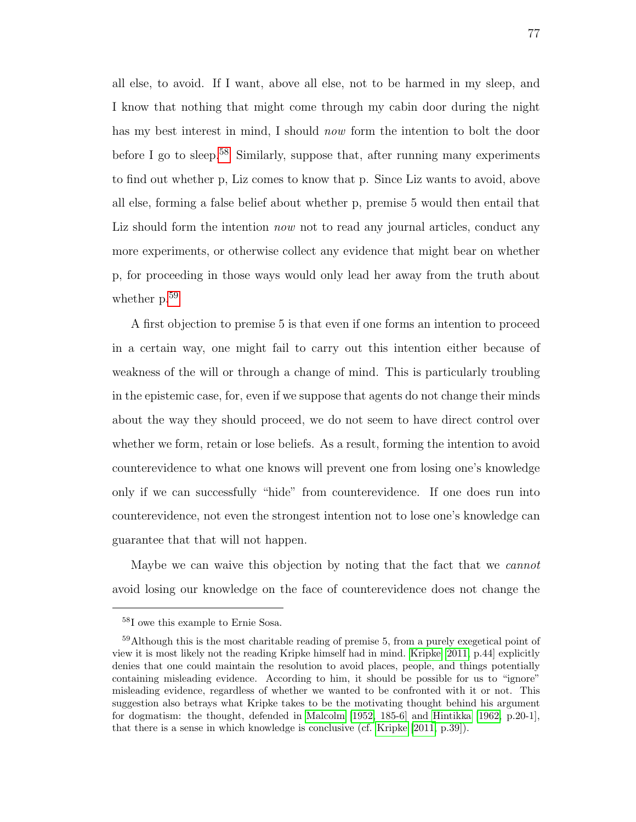all else, to avoid. If I want, above all else, not to be harmed in my sleep, and I know that nothing that might come through my cabin door during the night has my best interest in mind, I should *now* form the intention to bolt the door before I go to sleep.<sup>[58](#page-84-0)</sup> Similarly, suppose that, after running many experiments to find out whether p, Liz comes to know that p. Since Liz wants to avoid, above all else, forming a false belief about whether p, premise 5 would then entail that Liz should form the intention now not to read any journal articles, conduct any more experiments, or otherwise collect any evidence that might bear on whether p, for proceeding in those ways would only lead her away from the truth about whether  $p^{59}$  $p^{59}$  $p^{59}$ 

A first objection to premise 5 is that even if one forms an intention to proceed in a certain way, one might fail to carry out this intention either because of weakness of the will or through a change of mind. This is particularly troubling in the epistemic case, for, even if we suppose that agents do not change their minds about the way they should proceed, we do not seem to have direct control over whether we form, retain or lose beliefs. As a result, forming the intention to avoid counterevidence to what one knows will prevent one from losing one's knowledge only if we can successfully "hide" from counterevidence. If one does run into counterevidence, not even the strongest intention not to lose one's knowledge can guarantee that that will not happen.

Maybe we can waive this objection by noting that the fact that we *cannot* avoid losing our knowledge on the face of counterevidence does not change the

<span id="page-84-1"></span><span id="page-84-0"></span><sup>58</sup>I owe this example to Ernie Sosa.

<sup>59</sup>Although this is the most charitable reading of premise 5, from a purely exegetical point of view it is most likely not the reading Kripke himself had in mind. [Kripke](#page-171-0) [\[2011,](#page-171-0) p.44] explicitly denies that one could maintain the resolution to avoid places, people, and things potentially containing misleading evidence. According to him, it should be possible for us to "ignore" misleading evidence, regardless of whether we wanted to be confronted with it or not. This suggestion also betrays what Kripke takes to be the motivating thought behind his argument for dogmatism: the thought, defended in [Malcolm](#page-172-2) [\[1952,](#page-172-2) 185-6] and [Hintikka](#page-169-2) [\[1962,](#page-169-2) p.20-1], that there is a sense in which knowledge is conclusive (cf. [Kripke](#page-171-0) [\[2011,](#page-171-0) p.39]).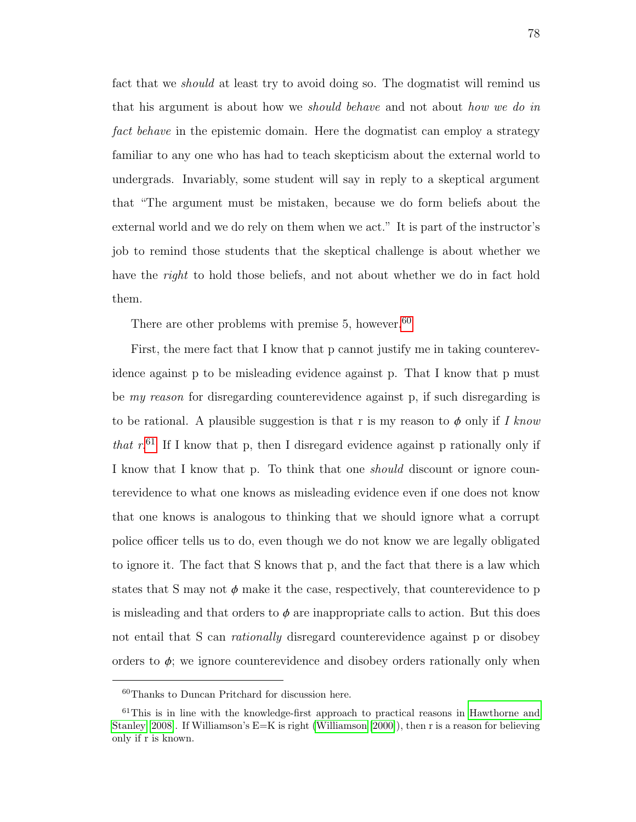fact that we *should* at least try to avoid doing so. The dogmatist will remind us that his argument is about how we should behave and not about how we do in fact behave in the epistemic domain. Here the dogmatist can employ a strategy familiar to any one who has had to teach skepticism about the external world to undergrads. Invariably, some student will say in reply to a skeptical argument that "The argument must be mistaken, because we do form beliefs about the external world and we do rely on them when we act." It is part of the instructor's job to remind those students that the skeptical challenge is about whether we have the *right* to hold those beliefs, and not about whether we do in fact hold them.

There are other problems with premise 5, however.  $60$ 

First, the mere fact that I know that p cannot justify me in taking counterevidence against p to be misleading evidence against p. That I know that p must be my reason for disregarding counterevidence against p, if such disregarding is to be rational. A plausible suggestion is that r is my reason to  $\phi$  only if I know that  $r^{61}$  $r^{61}$  $r^{61}$  If I know that p, then I disregard evidence against p rationally only if I know that I know that p. To think that one *should* discount or ignore counterevidence to what one knows as misleading evidence even if one does not know that one knows is analogous to thinking that we should ignore what a corrupt police officer tells us to do, even though we do not know we are legally obligated to ignore it. The fact that S knows that p, and the fact that there is a law which states that S may not  $\phi$  make it the case, respectively, that counterevidence to p is misleading and that orders to  $\phi$  are inappropriate calls to action. But this does not entail that S can *rationally* disregard counterevidence against p or disobey orders to  $\phi$ ; we ignore counterevidence and disobey orders rationally only when

<span id="page-85-0"></span><sup>60</sup>Thanks to Duncan Pritchard for discussion here.

<span id="page-85-1"></span><sup>61</sup>This is in line with the knowledge-first approach to practical reasons in [Hawthorne and](#page-169-3) [Stanley](#page-169-3) [\[2008\]](#page-169-3). If Williamson's  $E=K$  is right [\(Williamson](#page-174-1) [\[2000\]](#page-174-1)), then r is a reason for believing only if r is known.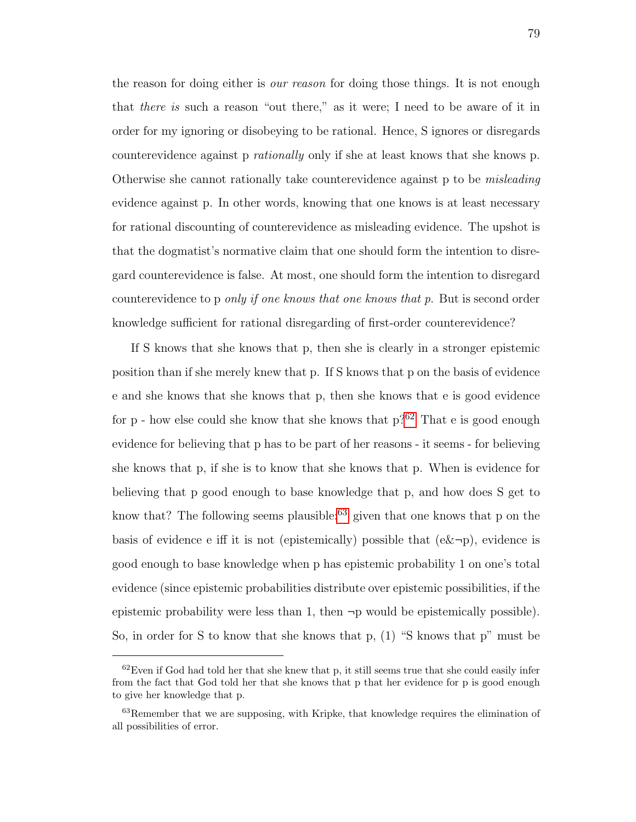the reason for doing either is *our reason* for doing those things. It is not enough that there is such a reason "out there," as it were; I need to be aware of it in order for my ignoring or disobeying to be rational. Hence, S ignores or disregards counterevidence against p rationally only if she at least knows that she knows p. Otherwise she cannot rationally take counterevidence against p to be misleading evidence against p. In other words, knowing that one knows is at least necessary for rational discounting of counterevidence as misleading evidence. The upshot is that the dogmatist's normative claim that one should form the intention to disregard counterevidence is false. At most, one should form the intention to disregard counterevidence to p only if one knows that one knows that p. But is second order knowledge sufficient for rational disregarding of first-order counterevidence?

If S knows that she knows that p, then she is clearly in a stronger epistemic position than if she merely knew that p. If S knows that p on the basis of evidence e and she knows that she knows that p, then she knows that e is good evidence for p - how else could she know that she knows that  $p^{0.2}$  That e is good enough evidence for believing that p has to be part of her reasons - it seems - for believing she knows that p, if she is to know that she knows that p. When is evidence for believing that p good enough to base knowledge that p, and how does S get to know that? The following seems plausible: $63$  given that one knows that p on the basis of evidence e iff it is not (epistemically) possible that  $(e\&\neg p)$ , evidence is good enough to base knowledge when p has epistemic probability 1 on one's total evidence (since epistemic probabilities distribute over epistemic possibilities, if the epistemic probability were less than 1, then  $\neg p$  would be epistemically possible). So, in order for S to know that she knows that p, (1) "S knows that p" must be

<span id="page-86-0"></span> $62$ Even if God had told her that she knew that p, it still seems true that she could easily infer from the fact that God told her that she knows that p that her evidence for p is good enough to give her knowledge that p.

<span id="page-86-1"></span><sup>63</sup>Remember that we are supposing, with Kripke, that knowledge requires the elimination of all possibilities of error.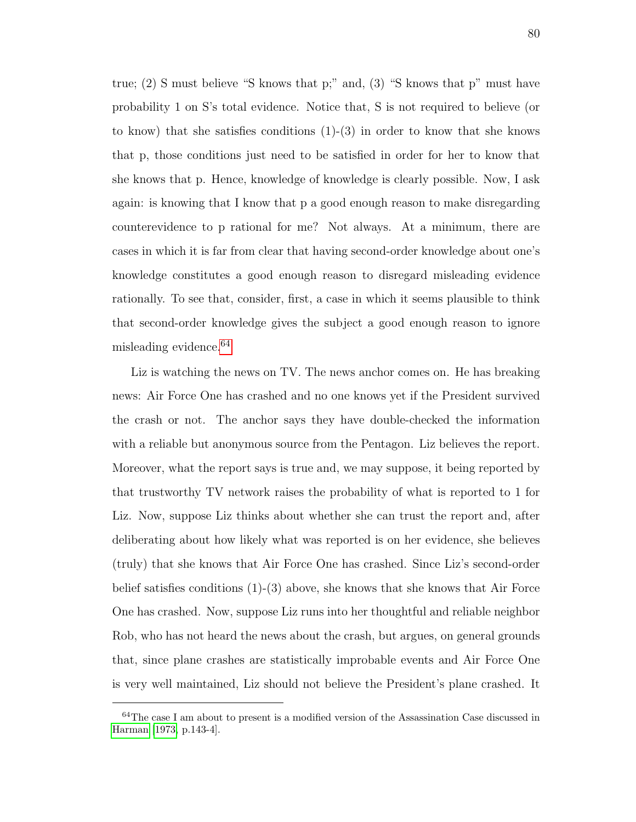true; (2) S must believe "S knows that p;" and, (3) "S knows that  $p$ " must have probability 1 on S's total evidence. Notice that, S is not required to believe (or to know) that she satisfies conditions  $(1)-(3)$  in order to know that she knows that p, those conditions just need to be satisfied in order for her to know that she knows that p. Hence, knowledge of knowledge is clearly possible. Now, I ask again: is knowing that I know that p a good enough reason to make disregarding counterevidence to p rational for me? Not always. At a minimum, there are cases in which it is far from clear that having second-order knowledge about one's knowledge constitutes a good enough reason to disregard misleading evidence rationally. To see that, consider, first, a case in which it seems plausible to think that second-order knowledge gives the subject a good enough reason to ignore misleading evidence.<sup>[64](#page-87-0)</sup>

Liz is watching the news on TV. The news anchor comes on. He has breaking news: Air Force One has crashed and no one knows yet if the President survived the crash or not. The anchor says they have double-checked the information with a reliable but anonymous source from the Pentagon. Liz believes the report. Moreover, what the report says is true and, we may suppose, it being reported by that trustworthy TV network raises the probability of what is reported to 1 for Liz. Now, suppose Liz thinks about whether she can trust the report and, after deliberating about how likely what was reported is on her evidence, she believes (truly) that she knows that Air Force One has crashed. Since Liz's second-order belief satisfies conditions  $(1)-(3)$  above, she knows that she knows that Air Force One has crashed. Now, suppose Liz runs into her thoughtful and reliable neighbor Rob, who has not heard the news about the crash, but argues, on general grounds that, since plane crashes are statistically improbable events and Air Force One is very well maintained, Liz should not believe the President's plane crashed. It

<span id="page-87-0"></span> $64$ The case I am about to present is a modified version of the Assassination Case discussed in [Harman](#page-168-0) [\[1973,](#page-168-0) p.143-4].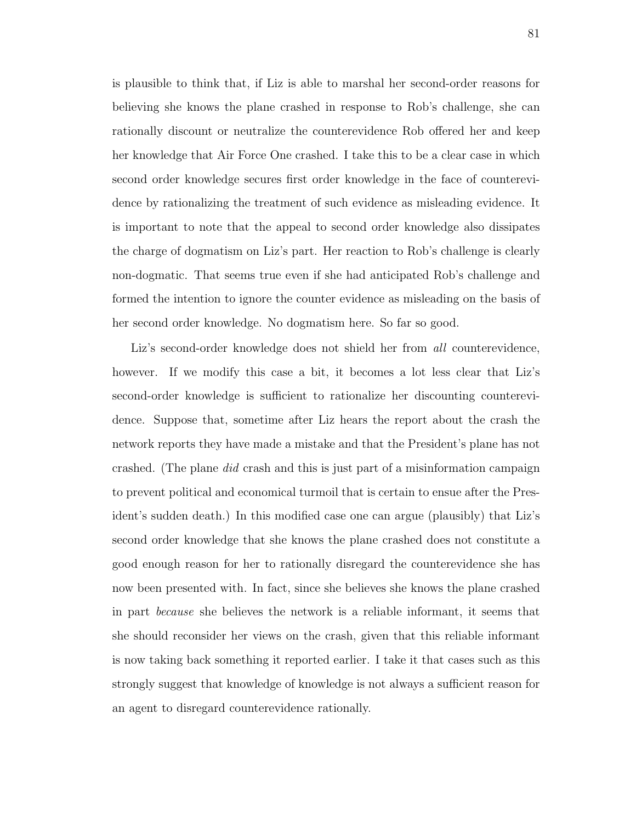is plausible to think that, if Liz is able to marshal her second-order reasons for believing she knows the plane crashed in response to Rob's challenge, she can rationally discount or neutralize the counterevidence Rob offered her and keep her knowledge that Air Force One crashed. I take this to be a clear case in which second order knowledge secures first order knowledge in the face of counterevidence by rationalizing the treatment of such evidence as misleading evidence. It is important to note that the appeal to second order knowledge also dissipates the charge of dogmatism on Liz's part. Her reaction to Rob's challenge is clearly non-dogmatic. That seems true even if she had anticipated Rob's challenge and formed the intention to ignore the counter evidence as misleading on the basis of her second order knowledge. No dogmatism here. So far so good.

Liz's second-order knowledge does not shield her from *all* counterevidence, however. If we modify this case a bit, it becomes a lot less clear that Liz's second-order knowledge is sufficient to rationalize her discounting counterevidence. Suppose that, sometime after Liz hears the report about the crash the network reports they have made a mistake and that the President's plane has not crashed. (The plane did crash and this is just part of a misinformation campaign to prevent political and economical turmoil that is certain to ensue after the President's sudden death.) In this modified case one can argue (plausibly) that Liz's second order knowledge that she knows the plane crashed does not constitute a good enough reason for her to rationally disregard the counterevidence she has now been presented with. In fact, since she believes she knows the plane crashed in part because she believes the network is a reliable informant, it seems that she should reconsider her views on the crash, given that this reliable informant is now taking back something it reported earlier. I take it that cases such as this strongly suggest that knowledge of knowledge is not always a sufficient reason for an agent to disregard counterevidence rationally.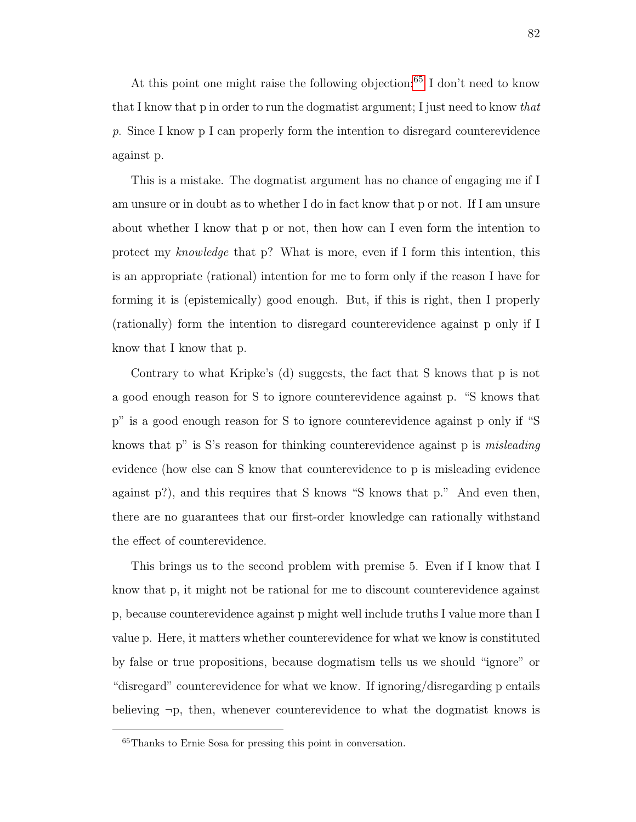At this point one might raise the following objection:<sup>[65](#page-89-0)</sup> I don't need to know that I know that p in order to run the dogmatist argument; I just need to know that p. Since I know p I can properly form the intention to disregard counterevidence against p.

This is a mistake. The dogmatist argument has no chance of engaging me if I am unsure or in doubt as to whether I do in fact know that p or not. If I am unsure about whether I know that p or not, then how can I even form the intention to protect my knowledge that p? What is more, even if I form this intention, this is an appropriate (rational) intention for me to form only if the reason I have for forming it is (epistemically) good enough. But, if this is right, then I properly (rationally) form the intention to disregard counterevidence against p only if I know that I know that p.

Contrary to what Kripke's (d) suggests, the fact that S knows that p is not a good enough reason for S to ignore counterevidence against p. "S knows that p" is a good enough reason for S to ignore counterevidence against p only if "S knows that p" is S's reason for thinking counterevidence against p is *misleading* evidence (how else can S know that counterevidence to p is misleading evidence against p?), and this requires that S knows "S knows that p." And even then, there are no guarantees that our first-order knowledge can rationally withstand the effect of counterevidence.

This brings us to the second problem with premise 5. Even if I know that I know that p, it might not be rational for me to discount counterevidence against p, because counterevidence against p might well include truths I value more than I value p. Here, it matters whether counterevidence for what we know is constituted by false or true propositions, because dogmatism tells us we should "ignore" or "disregard" counterevidence for what we know. If ignoring/disregarding p entails believing  $\neg p$ , then, whenever counterevidence to what the dogmatist knows is

<span id="page-89-0"></span><sup>65</sup>Thanks to Ernie Sosa for pressing this point in conversation.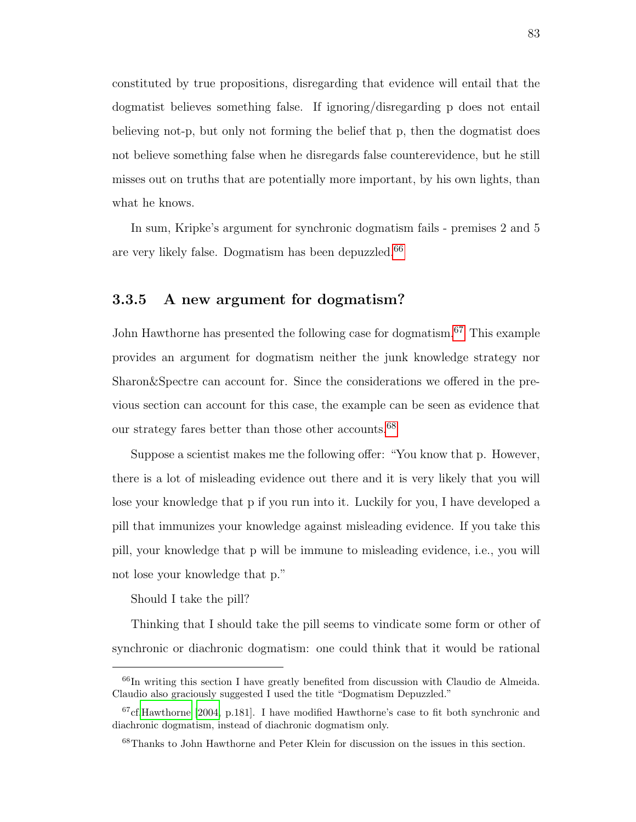constituted by true propositions, disregarding that evidence will entail that the dogmatist believes something false. If ignoring/disregarding p does not entail believing not-p, but only not forming the belief that p, then the dogmatist does not believe something false when he disregards false counterevidence, but he still misses out on truths that are potentially more important, by his own lights, than what he knows.

In sum, Kripke's argument for synchronic dogmatism fails - premises 2 and 5 are very likely false. Dogmatism has been depuzzled.[66](#page-90-0)

# 3.3.5 A new argument for dogmatism?

John Hawthorne has presented the following case for dogmatism.<sup>[67](#page-90-1)</sup> This example provides an argument for dogmatism neither the junk knowledge strategy nor Sharon&Spectre can account for. Since the considerations we offered in the previous section can account for this case, the example can be seen as evidence that our strategy fares better than those other accounts.<sup>[68](#page-90-2)</sup>

Suppose a scientist makes me the following offer: "You know that p. However, there is a lot of misleading evidence out there and it is very likely that you will lose your knowledge that p if you run into it. Luckily for you, I have developed a pill that immunizes your knowledge against misleading evidence. If you take this pill, your knowledge that p will be immune to misleading evidence, i.e., you will not lose your knowledge that p."

Should I take the pill?

Thinking that I should take the pill seems to vindicate some form or other of synchronic or diachronic dogmatism: one could think that it would be rational

<span id="page-90-0"></span><sup>66</sup>In writing this section I have greatly benefited from discussion with Claudio de Almeida. Claudio also graciously suggested I used the title "Dogmatism Depuzzled."

<span id="page-90-1"></span> $67c$ f[.Hawthorne](#page-169-0) [\[2004,](#page-169-0) p.181]. I have modified Hawthorne's case to fit both synchronic and diachronic dogmatism, instead of diachronic dogmatism only.

<span id="page-90-2"></span><sup>68</sup>Thanks to John Hawthorne and Peter Klein for discussion on the issues in this section.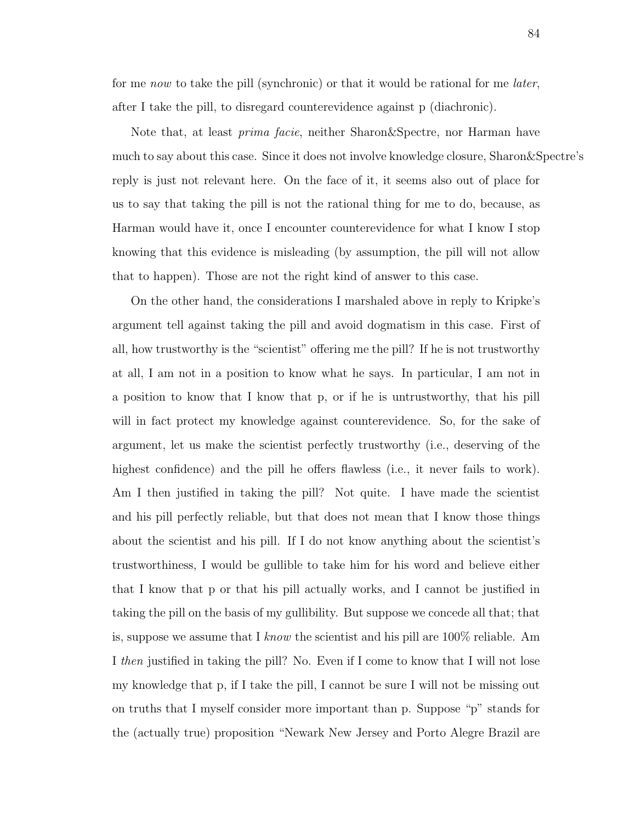for me now to take the pill (synchronic) or that it would be rational for me *later*, after I take the pill, to disregard counterevidence against p (diachronic).

Note that, at least prima facie, neither Sharon&Spectre, nor Harman have much to say about this case. Since it does not involve knowledge closure, Sharon&Spectre's reply is just not relevant here. On the face of it, it seems also out of place for us to say that taking the pill is not the rational thing for me to do, because, as Harman would have it, once I encounter counterevidence for what I know I stop knowing that this evidence is misleading (by assumption, the pill will not allow that to happen). Those are not the right kind of answer to this case.

On the other hand, the considerations I marshaled above in reply to Kripke's argument tell against taking the pill and avoid dogmatism in this case. First of all, how trustworthy is the "scientist" offering me the pill? If he is not trustworthy at all, I am not in a position to know what he says. In particular, I am not in a position to know that I know that p, or if he is untrustworthy, that his pill will in fact protect my knowledge against counterevidence. So, for the sake of argument, let us make the scientist perfectly trustworthy (i.e., deserving of the highest confidence) and the pill he offers flawless (i.e., it never fails to work). Am I then justified in taking the pill? Not quite. I have made the scientist and his pill perfectly reliable, but that does not mean that I know those things about the scientist and his pill. If I do not know anything about the scientist's trustworthiness, I would be gullible to take him for his word and believe either that I know that p or that his pill actually works, and I cannot be justified in taking the pill on the basis of my gullibility. But suppose we concede all that; that is, suppose we assume that I know the scientist and his pill are  $100\%$  reliable. Am I then justified in taking the pill? No. Even if I come to know that I will not lose my knowledge that p, if I take the pill, I cannot be sure I will not be missing out on truths that I myself consider more important than p. Suppose "p" stands for the (actually true) proposition "Newark New Jersey and Porto Alegre Brazil are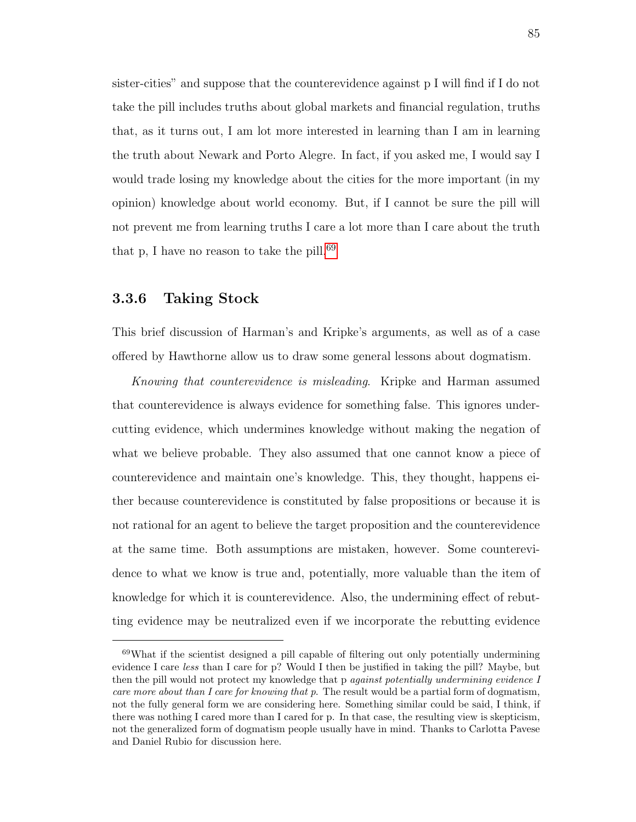sister-cities" and suppose that the counterevidence against p I will find if I do not take the pill includes truths about global markets and financial regulation, truths that, as it turns out, I am lot more interested in learning than I am in learning the truth about Newark and Porto Alegre. In fact, if you asked me, I would say I would trade losing my knowledge about the cities for the more important (in my opinion) knowledge about world economy. But, if I cannot be sure the pill will not prevent me from learning truths I care a lot more than I care about the truth that p, I have no reason to take the pill.<sup>[69](#page-92-0)</sup>

# 3.3.6 Taking Stock

This brief discussion of Harman's and Kripke's arguments, as well as of a case offered by Hawthorne allow us to draw some general lessons about dogmatism.

Knowing that counterevidence is misleading. Kripke and Harman assumed that counterevidence is always evidence for something false. This ignores undercutting evidence, which undermines knowledge without making the negation of what we believe probable. They also assumed that one cannot know a piece of counterevidence and maintain one's knowledge. This, they thought, happens either because counterevidence is constituted by false propositions or because it is not rational for an agent to believe the target proposition and the counterevidence at the same time. Both assumptions are mistaken, however. Some counterevidence to what we know is true and, potentially, more valuable than the item of knowledge for which it is counterevidence. Also, the undermining effect of rebutting evidence may be neutralized even if we incorporate the rebutting evidence

<span id="page-92-0"></span> $^{69}$ What if the scientist designed a pill capable of filtering out only potentially undermining evidence I care less than I care for p? Would I then be justified in taking the pill? Maybe, but then the pill would not protect my knowledge that p *against potentially undermining evidence* I care more about than I care for knowing that  $p$ . The result would be a partial form of dogmatism, not the fully general form we are considering here. Something similar could be said, I think, if there was nothing I cared more than I cared for p. In that case, the resulting view is skepticism, not the generalized form of dogmatism people usually have in mind. Thanks to Carlotta Pavese and Daniel Rubio for discussion here.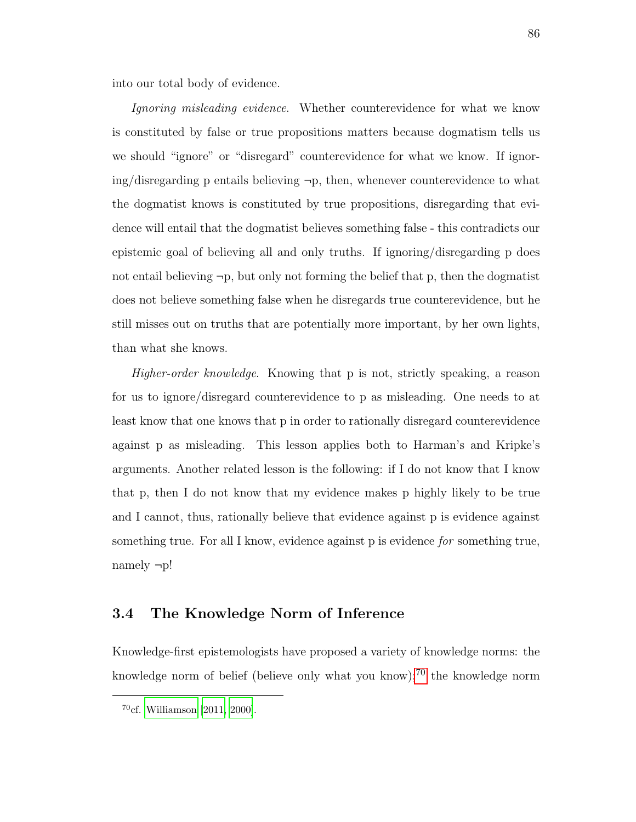into our total body of evidence.

Ignoring misleading evidence. Whether counterevidence for what we know is constituted by false or true propositions matters because dogmatism tells us we should "ignore" or "disregard" counterevidence for what we know. If ignoring/disregarding p entails believing ¬p, then, whenever counterevidence to what the dogmatist knows is constituted by true propositions, disregarding that evidence will entail that the dogmatist believes something false - this contradicts our epistemic goal of believing all and only truths. If ignoring/disregarding p does not entail believing  $\neg p$ , but only not forming the belief that p, then the dogmatist does not believe something false when he disregards true counterevidence, but he still misses out on truths that are potentially more important, by her own lights, than what she knows.

Higher-order knowledge. Knowing that p is not, strictly speaking, a reason for us to ignore/disregard counterevidence to p as misleading. One needs to at least know that one knows that p in order to rationally disregard counterevidence against p as misleading. This lesson applies both to Harman's and Kripke's arguments. Another related lesson is the following: if I do not know that I know that p, then I do not know that my evidence makes p highly likely to be true and I cannot, thus, rationally believe that evidence against p is evidence against something true. For all I know, evidence against p is evidence for something true, namely ¬p!

## 3.4 The Knowledge Norm of Inference

Knowledge-first epistemologists have proposed a variety of knowledge norms: the knowledge norm of belief (believe only what you know);<sup>[70](#page-93-0)</sup> the knowledge norm

<span id="page-93-0"></span> $70c$ <sub>f</sub>. [Williamson](#page-174-2) [\[2011,](#page-174-2) [2000\]](#page-174-1).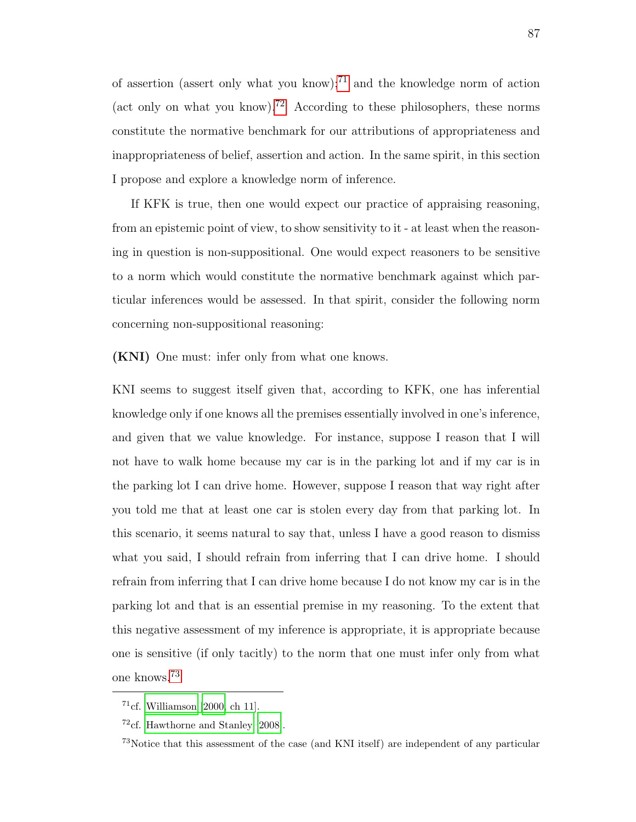of assertion (assert only what you know);<sup>[71](#page-94-0)</sup> and the knowledge norm of action (act only on what you know).<sup>[72](#page-94-1)</sup> According to these philosophers, these norms constitute the normative benchmark for our attributions of appropriateness and inappropriateness of belief, assertion and action. In the same spirit, in this section I propose and explore a knowledge norm of inference.

If KFK is true, then one would expect our practice of appraising reasoning, from an epistemic point of view, to show sensitivity to it - at least when the reasoning in question is non-suppositional. One would expect reasoners to be sensitive to a norm which would constitute the normative benchmark against which particular inferences would be assessed. In that spirit, consider the following norm concerning non-suppositional reasoning:

(KNI) One must: infer only from what one knows.

KNI seems to suggest itself given that, according to KFK, one has inferential knowledge only if one knows all the premises essentially involved in one's inference, and given that we value knowledge. For instance, suppose I reason that I will not have to walk home because my car is in the parking lot and if my car is in the parking lot I can drive home. However, suppose I reason that way right after you told me that at least one car is stolen every day from that parking lot. In this scenario, it seems natural to say that, unless I have a good reason to dismiss what you said, I should refrain from inferring that I can drive home. I should refrain from inferring that I can drive home because I do not know my car is in the parking lot and that is an essential premise in my reasoning. To the extent that this negative assessment of my inference is appropriate, it is appropriate because one is sensitive (if only tacitly) to the norm that one must infer only from what one knows.[73](#page-94-2)

<span id="page-94-0"></span> $71 \text{cf.}$  [Williamson](#page-174-1) [\[2000,](#page-174-1) ch 11].

<span id="page-94-1"></span><sup>72</sup>cf. [Hawthorne and Stanley](#page-169-3) [\[2008\]](#page-169-3).

<span id="page-94-2"></span><sup>&</sup>lt;sup>73</sup>Notice that this assessment of the case (and KNI itself) are independent of any particular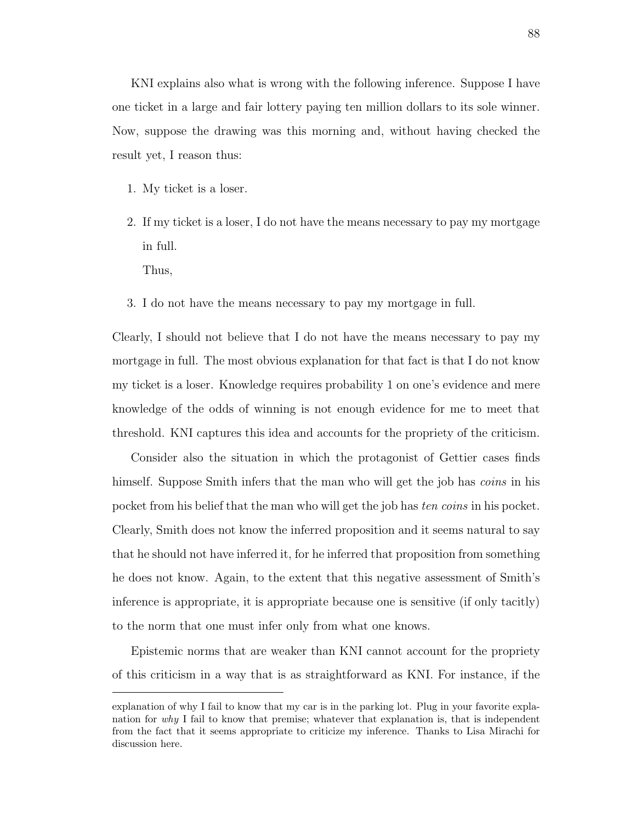KNI explains also what is wrong with the following inference. Suppose I have one ticket in a large and fair lottery paying ten million dollars to its sole winner. Now, suppose the drawing was this morning and, without having checked the result yet, I reason thus:

- 1. My ticket is a loser.
- 2. If my ticket is a loser, I do not have the means necessary to pay my mortgage in full.

Thus,

3. I do not have the means necessary to pay my mortgage in full.

Clearly, I should not believe that I do not have the means necessary to pay my mortgage in full. The most obvious explanation for that fact is that I do not know my ticket is a loser. Knowledge requires probability 1 on one's evidence and mere knowledge of the odds of winning is not enough evidence for me to meet that threshold. KNI captures this idea and accounts for the propriety of the criticism.

Consider also the situation in which the protagonist of Gettier cases finds himself. Suppose Smith infers that the man who will get the job has *coins* in his pocket from his belief that the man who will get the job has ten coins in his pocket. Clearly, Smith does not know the inferred proposition and it seems natural to say that he should not have inferred it, for he inferred that proposition from something he does not know. Again, to the extent that this negative assessment of Smith's inference is appropriate, it is appropriate because one is sensitive (if only tacitly) to the norm that one must infer only from what one knows.

Epistemic norms that are weaker than KNI cannot account for the propriety of this criticism in a way that is as straightforward as KNI. For instance, if the

explanation of why I fail to know that my car is in the parking lot. Plug in your favorite explanation for why I fail to know that premise; whatever that explanation is, that is independent from the fact that it seems appropriate to criticize my inference. Thanks to Lisa Mirachi for discussion here.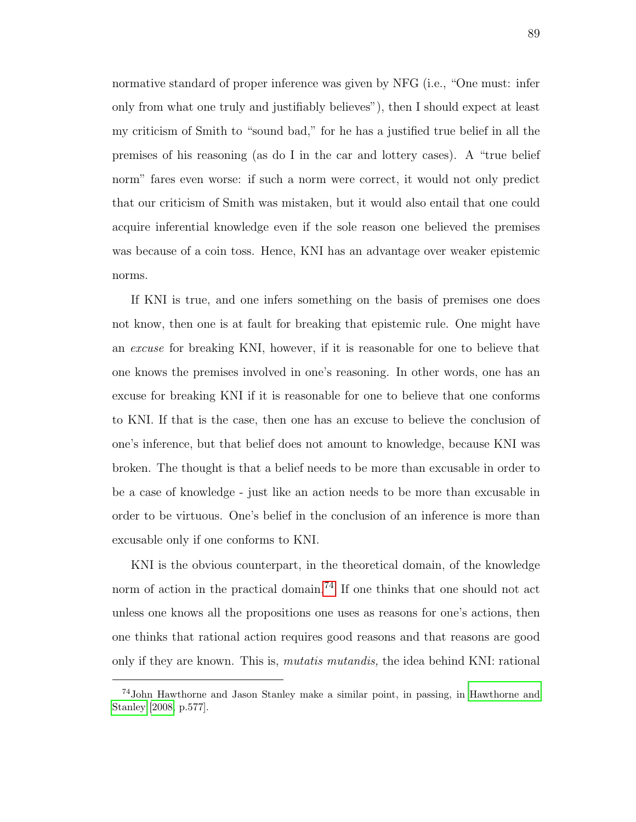normative standard of proper inference was given by NFG (i.e., "One must: infer only from what one truly and justifiably believes"), then I should expect at least my criticism of Smith to "sound bad," for he has a justified true belief in all the premises of his reasoning (as do I in the car and lottery cases). A "true belief norm" fares even worse: if such a norm were correct, it would not only predict that our criticism of Smith was mistaken, but it would also entail that one could acquire inferential knowledge even if the sole reason one believed the premises was because of a coin toss. Hence, KNI has an advantage over weaker epistemic norms.

If KNI is true, and one infers something on the basis of premises one does not know, then one is at fault for breaking that epistemic rule. One might have an excuse for breaking KNI, however, if it is reasonable for one to believe that one knows the premises involved in one's reasoning. In other words, one has an excuse for breaking KNI if it is reasonable for one to believe that one conforms to KNI. If that is the case, then one has an excuse to believe the conclusion of one's inference, but that belief does not amount to knowledge, because KNI was broken. The thought is that a belief needs to be more than excusable in order to be a case of knowledge - just like an action needs to be more than excusable in order to be virtuous. One's belief in the conclusion of an inference is more than excusable only if one conforms to KNI.

KNI is the obvious counterpart, in the theoretical domain, of the knowledge norm of action in the practical domain.<sup>[74](#page-96-0)</sup> If one thinks that one should not act unless one knows all the propositions one uses as reasons for one's actions, then one thinks that rational action requires good reasons and that reasons are good only if they are known. This is, *mutatis mutandis*, the idea behind KNI: rational

<span id="page-96-0"></span><sup>74</sup>John Hawthorne and Jason Stanley make a similar point, in passing, in [Hawthorne and](#page-169-3) [Stanley](#page-169-3) [\[2008,](#page-169-3) p.577].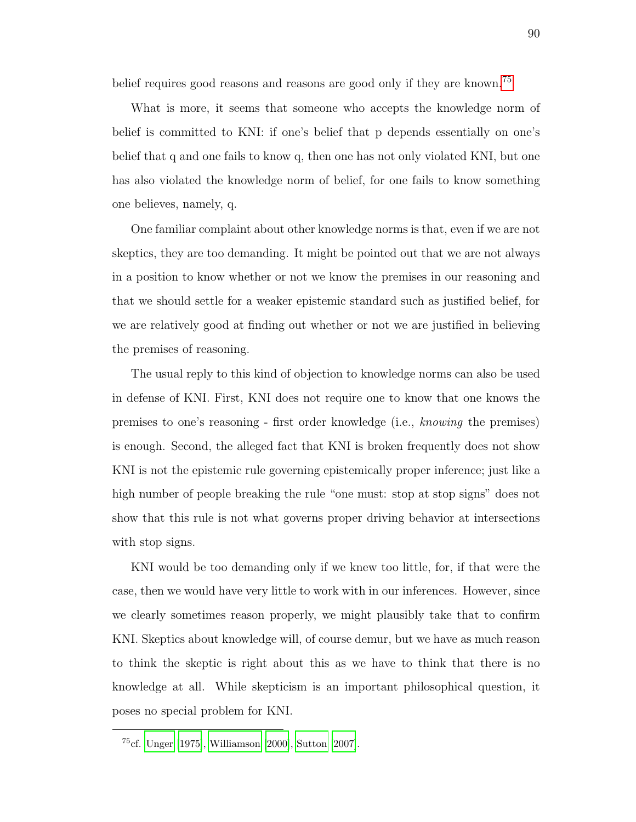belief requires good reasons and reasons are good only if they are known.<sup>[75](#page-97-0)</sup>

What is more, it seems that someone who accepts the knowledge norm of belief is committed to KNI: if one's belief that p depends essentially on one's belief that q and one fails to know q, then one has not only violated KNI, but one has also violated the knowledge norm of belief, for one fails to know something one believes, namely, q.

One familiar complaint about other knowledge norms is that, even if we are not skeptics, they are too demanding. It might be pointed out that we are not always in a position to know whether or not we know the premises in our reasoning and that we should settle for a weaker epistemic standard such as justified belief, for we are relatively good at finding out whether or not we are justified in believing the premises of reasoning.

The usual reply to this kind of objection to knowledge norms can also be used in defense of KNI. First, KNI does not require one to know that one knows the premises to one's reasoning - first order knowledge (i.e., knowing the premises) is enough. Second, the alleged fact that KNI is broken frequently does not show KNI is not the epistemic rule governing epistemically proper inference; just like a high number of people breaking the rule "one must: stop at stop signs" does not show that this rule is not what governs proper driving behavior at intersections with stop signs.

KNI would be too demanding only if we knew too little, for, if that were the case, then we would have very little to work with in our inferences. However, since we clearly sometimes reason properly, we might plausibly take that to confirm KNI. Skeptics about knowledge will, of course demur, but we have as much reason to think the skeptic is right about this as we have to think that there is no knowledge at all. While skepticism is an important philosophical question, it poses no special problem for KNI.

<span id="page-97-0"></span><sup>75</sup>cf. [Unger](#page-174-3) [\[1975\]](#page-174-3), [Williamson](#page-174-1) [\[2000\]](#page-174-1), [Sutton](#page-173-1) [\[2007\]](#page-173-1).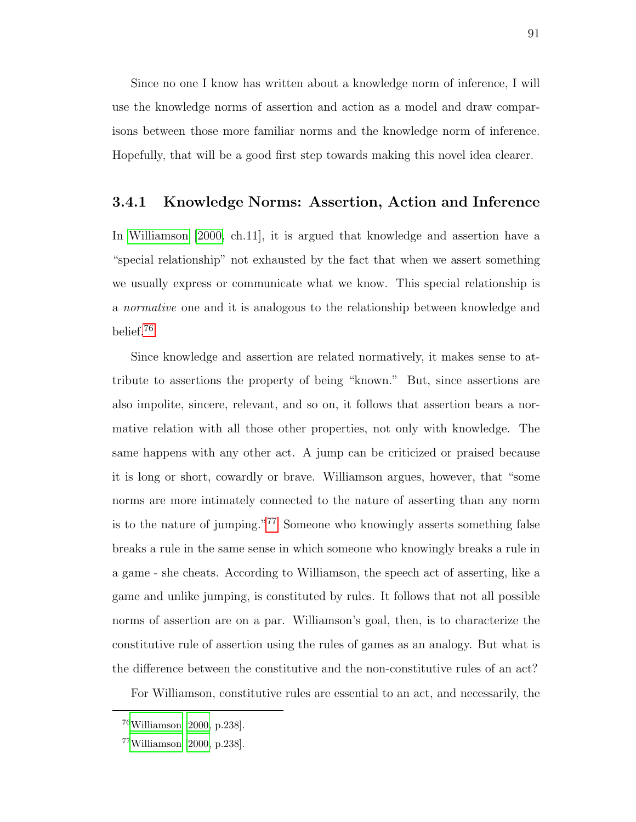Since no one I know has written about a knowledge norm of inference, I will use the knowledge norms of assertion and action as a model and draw comparisons between those more familiar norms and the knowledge norm of inference. Hopefully, that will be a good first step towards making this novel idea clearer.

### 3.4.1 Knowledge Norms: Assertion, Action and Inference

In [Williamson](#page-174-1) [\[2000,](#page-174-1) ch.11], it is argued that knowledge and assertion have a "special relationship" not exhausted by the fact that when we assert something we usually express or communicate what we know. This special relationship is a normative one and it is analogous to the relationship between knowledge and belief.[76](#page-98-0)

Since knowledge and assertion are related normatively, it makes sense to attribute to assertions the property of being "known." But, since assertions are also impolite, sincere, relevant, and so on, it follows that assertion bears a normative relation with all those other properties, not only with knowledge. The same happens with any other act. A jump can be criticized or praised because it is long or short, cowardly or brave. Williamson argues, however, that "some norms are more intimately connected to the nature of asserting than any norm is to the nature of jumping."[77](#page-98-1) Someone who knowingly asserts something false breaks a rule in the same sense in which someone who knowingly breaks a rule in a game - she cheats. According to Williamson, the speech act of asserting, like a game and unlike jumping, is constituted by rules. It follows that not all possible norms of assertion are on a par. Williamson's goal, then, is to characterize the constitutive rule of assertion using the rules of games as an analogy. But what is the difference between the constitutive and the non-constitutive rules of an act?

For Williamson, constitutive rules are essential to an act, and necessarily, the

<span id="page-98-0"></span><sup>76</sup>[Williamson](#page-174-1) [\[2000,](#page-174-1) p.238].

<span id="page-98-1"></span> $77$ [Williamson](#page-174-1) [\[2000,](#page-174-1) p.238].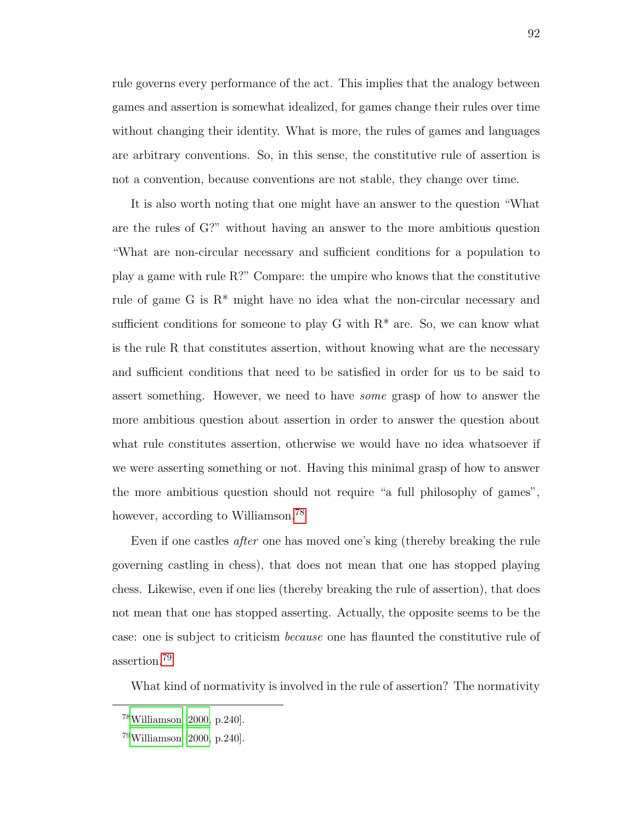rule governs every performance of the act. This implies that the analogy between games and assertion is somewhat idealized, for games change their rules over time without changing their identity. What is more, the rules of games and languages are arbitrary conventions. So, in this sense, the constitutive rule of assertion is not a convention, because conventions are not stable, they change over time.

It is also worth noting that one might have an answer to the question "What are the rules of G?" without having an answer to the more ambitious question "What are non-circular necessary and sufficient conditions for a population to play a game with rule R?" Compare: the umpire who knows that the constitutive rule of game G is  $\mathbb{R}^*$  might have no idea what the non-circular necessary and sufficient conditions for someone to play  $G$  with  $R^*$  are. So, we can know what is the rule R that constitutes assertion, without knowing what are the necessary and sufficient conditions that need to be satisfied in order for us to be said to assert something. However, we need to have some grasp of how to answer the more ambitious question about assertion in order to answer the question about what rule constitutes assertion, otherwise we would have no idea whatsoever if we were asserting something or not. Having this minimal grasp of how to answer the more ambitious question should not require "a full philosophy of games", however, according to Williamson.<sup>[78](#page-99-0)</sup>

Even if one castles after one has moved one's king (thereby breaking the rule governing castling in chess), that does not mean that one has stopped playing chess. Likewise, even if one lies (thereby breaking the rule of assertion), that does not mean that one has stopped asserting. Actually, the opposite seems to be the case: one is subject to criticism because one has flaunted the constitutive rule of assertion.[79](#page-99-1)

What kind of normativity is involved in the rule of assertion? The normativity

<span id="page-99-0"></span><sup>78</sup>[Williamson](#page-174-1) [\[2000,](#page-174-1) p.240].

<span id="page-99-1"></span><sup>79</sup>[Williamson](#page-174-1) [\[2000,](#page-174-1) p.240].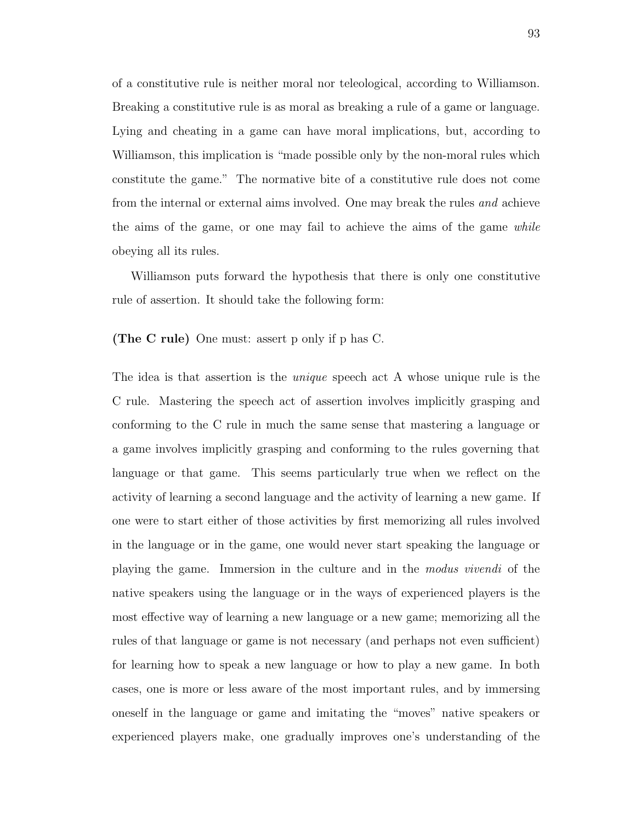of a constitutive rule is neither moral nor teleological, according to Williamson. Breaking a constitutive rule is as moral as breaking a rule of a game or language. Lying and cheating in a game can have moral implications, but, according to Williamson, this implication is "made possible only by the non-moral rules which constitute the game." The normative bite of a constitutive rule does not come from the internal or external aims involved. One may break the rules and achieve the aims of the game, or one may fail to achieve the aims of the game while obeying all its rules.

Williamson puts forward the hypothesis that there is only one constitutive rule of assertion. It should take the following form:

(The C rule) One must: assert p only if p has C.

The idea is that assertion is the unique speech act A whose unique rule is the C rule. Mastering the speech act of assertion involves implicitly grasping and conforming to the C rule in much the same sense that mastering a language or a game involves implicitly grasping and conforming to the rules governing that language or that game. This seems particularly true when we reflect on the activity of learning a second language and the activity of learning a new game. If one were to start either of those activities by first memorizing all rules involved in the language or in the game, one would never start speaking the language or playing the game. Immersion in the culture and in the modus vivendi of the native speakers using the language or in the ways of experienced players is the most effective way of learning a new language or a new game; memorizing all the rules of that language or game is not necessary (and perhaps not even sufficient) for learning how to speak a new language or how to play a new game. In both cases, one is more or less aware of the most important rules, and by immersing oneself in the language or game and imitating the "moves" native speakers or experienced players make, one gradually improves one's understanding of the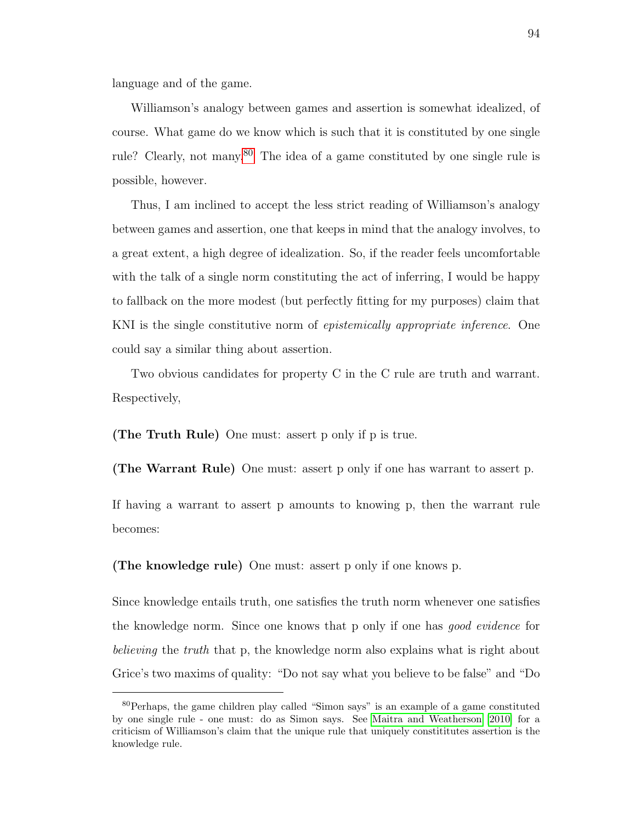language and of the game.

Williamson's analogy between games and assertion is somewhat idealized, of course. What game do we know which is such that it is constituted by one single rule? Clearly, not many.<sup>[80](#page-101-0)</sup> The idea of a game constituted by one single rule is possible, however.

Thus, I am inclined to accept the less strict reading of Williamson's analogy between games and assertion, one that keeps in mind that the analogy involves, to a great extent, a high degree of idealization. So, if the reader feels uncomfortable with the talk of a single norm constituting the act of inferring, I would be happy to fallback on the more modest (but perfectly fitting for my purposes) claim that KNI is the single constitutive norm of *epistemically appropriate inference*. One could say a similar thing about assertion.

Two obvious candidates for property C in the C rule are truth and warrant. Respectively,

(The Truth Rule) One must: assert p only if p is true.

(The Warrant Rule) One must: assert p only if one has warrant to assert p.

If having a warrant to assert p amounts to knowing p, then the warrant rule becomes:

(The knowledge rule) One must: assert p only if one knows p.

Since knowledge entails truth, one satisfies the truth norm whenever one satisfies the knowledge norm. Since one knows that p only if one has good evidence for believing the truth that p, the knowledge norm also explains what is right about Grice's two maxims of quality: "Do not say what you believe to be false" and "Do

<span id="page-101-0"></span><sup>80</sup>Perhaps, the game children play called "Simon says" is an example of a game constituted by one single rule - one must: do as Simon says. See [Maitra and Weatherson](#page-172-3) [\[2010\]](#page-172-3) for a criticism of Williamson's claim that the unique rule that uniquely constititutes assertion is the knowledge rule.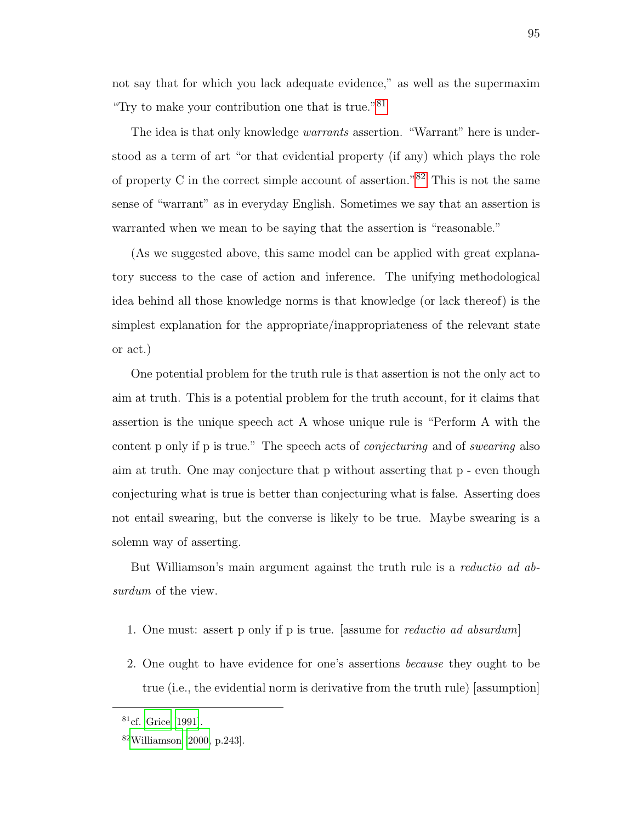not say that for which you lack adequate evidence," as well as the supermaxim "Try to make your contribution one that is true."[81](#page-102-0)

The idea is that only knowledge warrants assertion. "Warrant" here is understood as a term of art "or that evidential property (if any) which plays the role of property C in the correct simple account of assertion."<sup>[82](#page-102-1)</sup> This is not the same sense of "warrant" as in everyday English. Sometimes we say that an assertion is warranted when we mean to be saying that the assertion is "reasonable."

(As we suggested above, this same model can be applied with great explanatory success to the case of action and inference. The unifying methodological idea behind all those knowledge norms is that knowledge (or lack thereof) is the simplest explanation for the appropriate/inappropriateness of the relevant state or act.)

One potential problem for the truth rule is that assertion is not the only act to aim at truth. This is a potential problem for the truth account, for it claims that assertion is the unique speech act A whose unique rule is "Perform A with the content p only if p is true." The speech acts of *conjecturing* and of *swearing* also aim at truth. One may conjecture that p without asserting that p - even though conjecturing what is true is better than conjecturing what is false. Asserting does not entail swearing, but the converse is likely to be true. Maybe swearing is a solemn way of asserting.

But Williamson's main argument against the truth rule is a *reductio ad ab*surdum of the view.

- 1. One must: assert p only if p is true. [assume for reductio ad absurdum]
- 2. One ought to have evidence for one's assertions because they ought to be true (i.e., the evidential norm is derivative from the truth rule) [assumption]

<span id="page-102-0"></span> $81$ <sub>cf.</sub> [Grice](#page-168-1) [\[1991\]](#page-168-1).

<span id="page-102-1"></span><sup>82</sup>[Williamson](#page-174-1) [\[2000,](#page-174-1) p.243].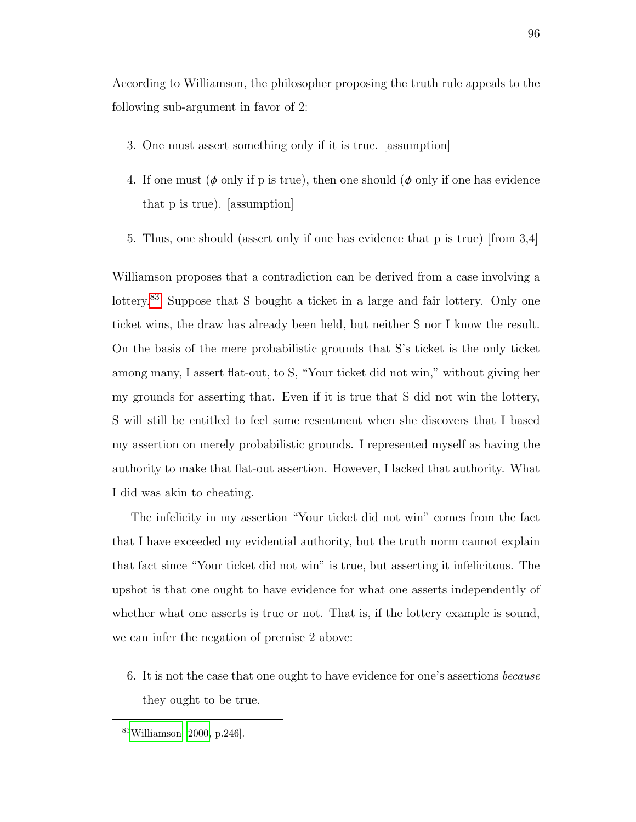According to Williamson, the philosopher proposing the truth rule appeals to the following sub-argument in favor of 2:

- 3. One must assert something only if it is true. [assumption]
- 4. If one must ( $\phi$  only if p is true), then one should ( $\phi$  only if one has evidence that p is true). [assumption]
- 5. Thus, one should (assert only if one has evidence that p is true) [from 3,4]

Williamson proposes that a contradiction can be derived from a case involving a lottery.<sup>[83](#page-103-0)</sup> Suppose that S bought a ticket in a large and fair lottery. Only one ticket wins, the draw has already been held, but neither S nor I know the result. On the basis of the mere probabilistic grounds that S's ticket is the only ticket among many, I assert flat-out, to S, "Your ticket did not win," without giving her my grounds for asserting that. Even if it is true that S did not win the lottery, S will still be entitled to feel some resentment when she discovers that I based my assertion on merely probabilistic grounds. I represented myself as having the authority to make that flat-out assertion. However, I lacked that authority. What I did was akin to cheating.

The infelicity in my assertion "Your ticket did not win" comes from the fact that I have exceeded my evidential authority, but the truth norm cannot explain that fact since "Your ticket did not win" is true, but asserting it infelicitous. The upshot is that one ought to have evidence for what one asserts independently of whether what one asserts is true or not. That is, if the lottery example is sound, we can infer the negation of premise 2 above:

6. It is not the case that one ought to have evidence for one's assertions because they ought to be true.

<span id="page-103-0"></span><sup>83</sup>[Williamson](#page-174-1) [\[2000,](#page-174-1) p.246].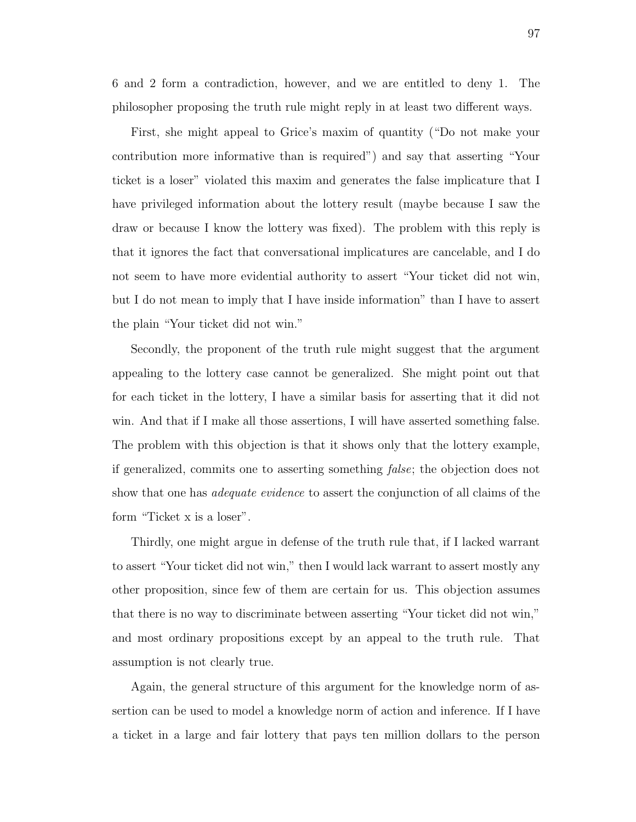97

6 and 2 form a contradiction, however, and we are entitled to deny 1. The philosopher proposing the truth rule might reply in at least two different ways.

First, she might appeal to Grice's maxim of quantity ("Do not make your contribution more informative than is required") and say that asserting "Your ticket is a loser" violated this maxim and generates the false implicature that I have privileged information about the lottery result (maybe because I saw the draw or because I know the lottery was fixed). The problem with this reply is that it ignores the fact that conversational implicatures are cancelable, and I do not seem to have more evidential authority to assert "Your ticket did not win, but I do not mean to imply that I have inside information" than I have to assert the plain "Your ticket did not win."

Secondly, the proponent of the truth rule might suggest that the argument appealing to the lottery case cannot be generalized. She might point out that for each ticket in the lottery, I have a similar basis for asserting that it did not win. And that if I make all those assertions, I will have asserted something false. The problem with this objection is that it shows only that the lottery example, if generalized, commits one to asserting something false; the objection does not show that one has *adequate evidence* to assert the conjunction of all claims of the form "Ticket x is a loser".

Thirdly, one might argue in defense of the truth rule that, if I lacked warrant to assert "Your ticket did not win," then I would lack warrant to assert mostly any other proposition, since few of them are certain for us. This objection assumes that there is no way to discriminate between asserting "Your ticket did not win," and most ordinary propositions except by an appeal to the truth rule. That assumption is not clearly true.

Again, the general structure of this argument for the knowledge norm of assertion can be used to model a knowledge norm of action and inference. If I have a ticket in a large and fair lottery that pays ten million dollars to the person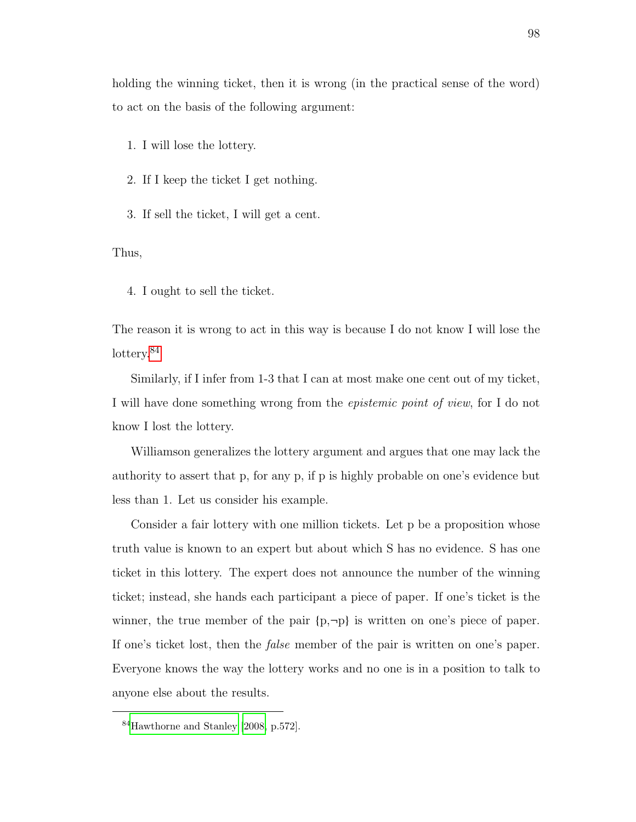holding the winning ticket, then it is wrong (in the practical sense of the word) to act on the basis of the following argument:

1. I will lose the lottery.

2. If I keep the ticket I get nothing.

3. If sell the ticket, I will get a cent.

Thus,

4. I ought to sell the ticket.

The reason it is wrong to act in this way is because I do not know I will lose the lottery.<sup>[84](#page-105-0)</sup>

Similarly, if I infer from 1-3 that I can at most make one cent out of my ticket, I will have done something wrong from the epistemic point of view, for I do not know I lost the lottery.

Williamson generalizes the lottery argument and argues that one may lack the authority to assert that p, for any p, if p is highly probable on one's evidence but less than 1. Let us consider his example.

Consider a fair lottery with one million tickets. Let p be a proposition whose truth value is known to an expert but about which S has no evidence. S has one ticket in this lottery. The expert does not announce the number of the winning ticket; instead, she hands each participant a piece of paper. If one's ticket is the winner, the true member of the pair  ${p, \neg p}$  is written on one's piece of paper. If one's ticket lost, then the false member of the pair is written on one's paper. Everyone knows the way the lottery works and no one is in a position to talk to anyone else about the results.

<span id="page-105-0"></span><sup>84</sup>[Hawthorne and Stanley](#page-169-3) [\[2008,](#page-169-3) p.572].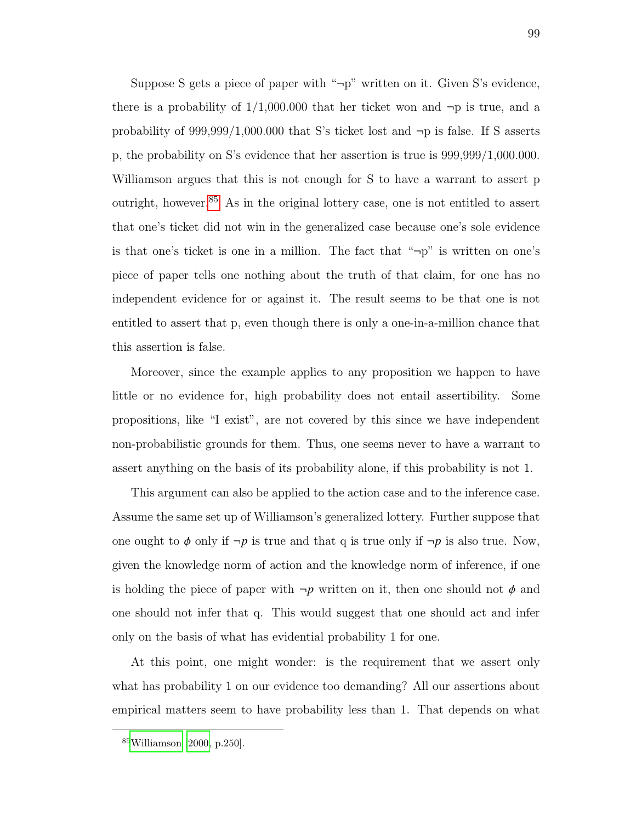Suppose S gets a piece of paper with " $\neg p$ " written on it. Given S's evidence, there is a probability of  $1/1,000.000$  that her ticket won and  $\neg p$  is true, and a probability of  $999,999/1,000.000$  that S's ticket lost and  $\neg p$  is false. If S asserts p, the probability on S's evidence that her assertion is true is 999,999/1,000.000. Williamson argues that this is not enough for S to have a warrant to assert p outright, however.[85](#page-106-0) As in the original lottery case, one is not entitled to assert that one's ticket did not win in the generalized case because one's sole evidence is that one's ticket is one in a million. The fact that " $\neg p$ " is written on one's piece of paper tells one nothing about the truth of that claim, for one has no independent evidence for or against it. The result seems to be that one is not entitled to assert that p, even though there is only a one-in-a-million chance that this assertion is false.

Moreover, since the example applies to any proposition we happen to have little or no evidence for, high probability does not entail assertibility. Some propositions, like "I exist", are not covered by this since we have independent non-probabilistic grounds for them. Thus, one seems never to have a warrant to assert anything on the basis of its probability alone, if this probability is not 1.

This argument can also be applied to the action case and to the inference case. Assume the same set up of Williamson's generalized lottery. Further suppose that one ought to  $\phi$  only if  $\neg p$  is true and that q is true only if  $\neg p$  is also true. Now, given the knowledge norm of action and the knowledge norm of inference, if one is holding the piece of paper with  $\neg p$  written on it, then one should not  $\phi$  and one should not infer that q. This would suggest that one should act and infer only on the basis of what has evidential probability 1 for one.

At this point, one might wonder: is the requirement that we assert only what has probability 1 on our evidence too demanding? All our assertions about empirical matters seem to have probability less than 1. That depends on what

<span id="page-106-0"></span><sup>85</sup>[Williamson](#page-174-1) [\[2000,](#page-174-1) p.250].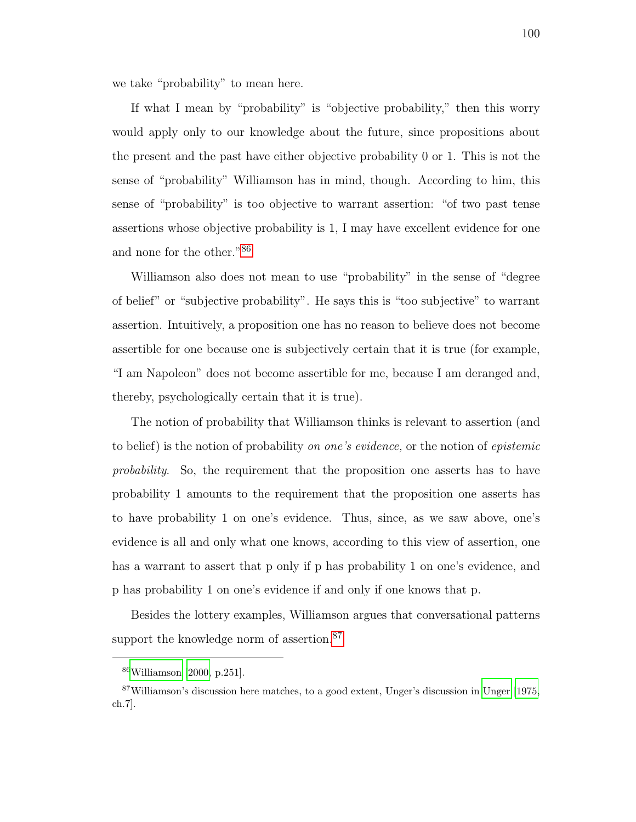we take "probability" to mean here.

If what I mean by "probability" is "objective probability," then this worry would apply only to our knowledge about the future, since propositions about the present and the past have either objective probability 0 or 1. This is not the sense of "probability" Williamson has in mind, though. According to him, this sense of "probability" is too objective to warrant assertion: "of two past tense assertions whose objective probability is 1, I may have excellent evidence for one and none for the other."[86](#page-107-0)

Williamson also does not mean to use "probability" in the sense of "degree of belief" or "subjective probability". He says this is "too subjective" to warrant assertion. Intuitively, a proposition one has no reason to believe does not become assertible for one because one is subjectively certain that it is true (for example, "I am Napoleon" does not become assertible for me, because I am deranged and, thereby, psychologically certain that it is true).

The notion of probability that Williamson thinks is relevant to assertion (and to belief) is the notion of probability on one's evidence, or the notion of epistemic probability. So, the requirement that the proposition one asserts has to have probability 1 amounts to the requirement that the proposition one asserts has to have probability 1 on one's evidence. Thus, since, as we saw above, one's evidence is all and only what one knows, according to this view of assertion, one has a warrant to assert that p only if p has probability 1 on one's evidence, and p has probability 1 on one's evidence if and only if one knows that p.

Besides the lottery examples, Williamson argues that conversational patterns support the knowledge norm of assertion.<sup>[87](#page-107-1)</sup>

<span id="page-107-1"></span><span id="page-107-0"></span><sup>86</sup>[Williamson](#page-174-1) [\[2000,](#page-174-1) p.251].

 $87$ Williamson's discussion here matches, to a good extent, [Unger](#page-174-3)'s discussion in Unger [\[1975,](#page-174-3) ch.7].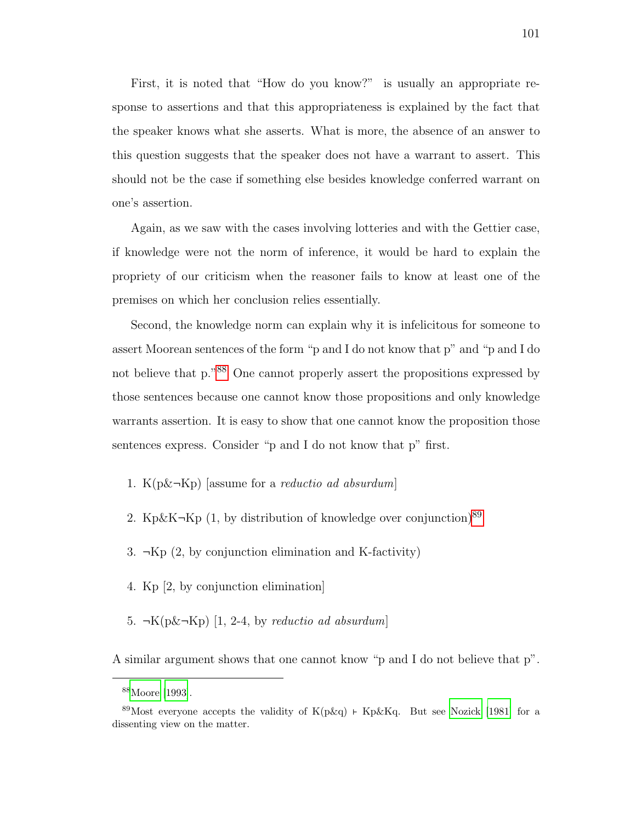First, it is noted that "How do you know?" is usually an appropriate response to assertions and that this appropriateness is explained by the fact that the speaker knows what she asserts. What is more, the absence of an answer to this question suggests that the speaker does not have a warrant to assert. This should not be the case if something else besides knowledge conferred warrant on one's assertion.

Again, as we saw with the cases involving lotteries and with the Gettier case, if knowledge were not the norm of inference, it would be hard to explain the propriety of our criticism when the reasoner fails to know at least one of the premises on which her conclusion relies essentially.

Second, the knowledge norm can explain why it is infelicitous for someone to assert Moorean sentences of the form "p and I do not know that p" and "p and I do not believe that p.<sup>38</sup> One cannot properly assert the propositions expressed by those sentences because one cannot know those propositions and only knowledge warrants assertion. It is easy to show that one cannot know the proposition those sentences express. Consider "p and I do not know that p" first.

- 1. K( $p\&\neg$ Kp) [assume for a *reductio ad absurdum*]
- 2. Kp&K¬Kp  $(1, b$  by distribution of knowledge over conjunction)<sup>[89](#page-108-1)</sup>
- 3.  $\neg$ Kp  $(2, by conjunction elimination and K-factority)$
- 4. Kp [2, by conjunction elimination]
- 5.  $\neg K(p\&\neg Kp)$  [1, 2-4, by reductio ad absurdum]

A similar argument shows that one cannot know "p and I do not believe that p".

<span id="page-108-1"></span><span id="page-108-0"></span><sup>88</sup>[Moore](#page-172-0) [\[1993\]](#page-172-0).

<sup>&</sup>lt;sup>89</sup>Most everyone accepts the validity of  $K(p\&q)$   $\vdash$  Kp $\&$ Kq. But see [Nozick](#page-172-1) [\[1981\]](#page-172-1) for a dissenting view on the matter.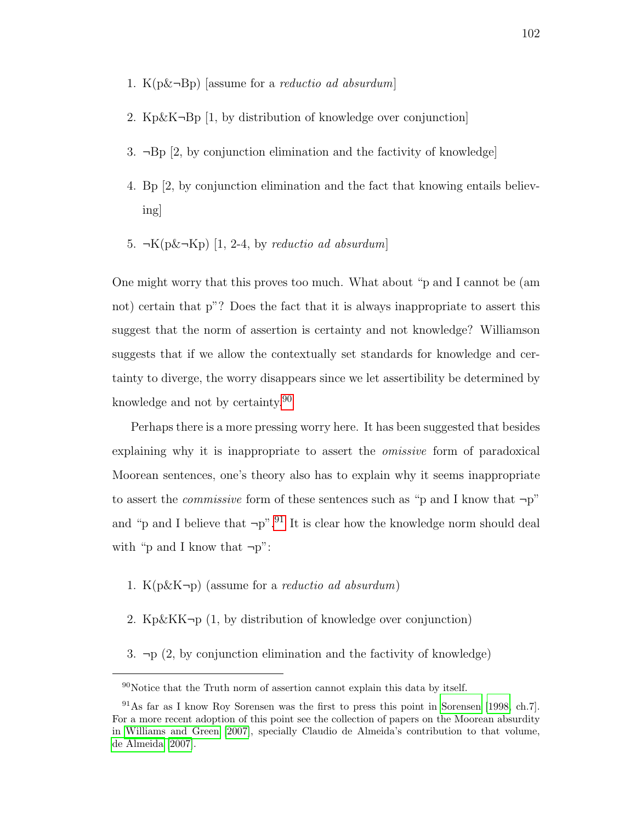- 1. K( $p\&\neg Bp$ ) [assume for a *reductio ad absurdum*]
- 2. Kp&K¬Bp [1, by distribution of knowledge over conjunction]
- 3.  $\neg$ Bp [2, by conjunction elimination and the factivity of knowledge]
- 4. Bp [2, by conjunction elimination and the fact that knowing entails believing]
- 5.  $\neg K(p\&\neg Kp)$  [1, 2-4, by reductio ad absurdum]

One might worry that this proves too much. What about "p and I cannot be (am not) certain that p"? Does the fact that it is always inappropriate to assert this suggest that the norm of assertion is certainty and not knowledge? Williamson suggests that if we allow the contextually set standards for knowledge and certainty to diverge, the worry disappears since we let assertibility be determined by knowledge and not by certainty.[90](#page-109-0)

Perhaps there is a more pressing worry here. It has been suggested that besides explaining why it is inappropriate to assert the omissive form of paradoxical Moorean sentences, one's theory also has to explain why it seems inappropriate to assert the *commissive* form of these sentences such as "p and I know that  $\neg p$ " and "p and I believe that  $\neg p$ ".<sup>[91](#page-109-1)</sup> It is clear how the knowledge norm should deal with "p and I know that  $\neg p$ ":

- 1. K( $p&K\neg p$ ) (assume for a *reductio ad absurdum*)
- 2. Kp $\&$ KK $\neg$ p (1, by distribution of knowledge over conjunction)
- 3.  $\neg p$  (2, by conjunction elimination and the factivity of knowledge)

<span id="page-109-0"></span> $90$  Notice that the Truth norm of assertion cannot explain this data by itself.

<span id="page-109-1"></span><sup>91</sup>As far as I know Roy Sorensen was the first to press this point in [Sorensen](#page-173-0) [\[1998,](#page-173-0) ch.7]. For a more recent adoption of this point see the collection of papers on the Moorean absurdity in [Williams and Green](#page-174-0) [\[2007\]](#page-174-0), specially Claudio de Almeida's contribution to that volume, [de Almeida](#page-166-0) [\[2007\]](#page-166-0).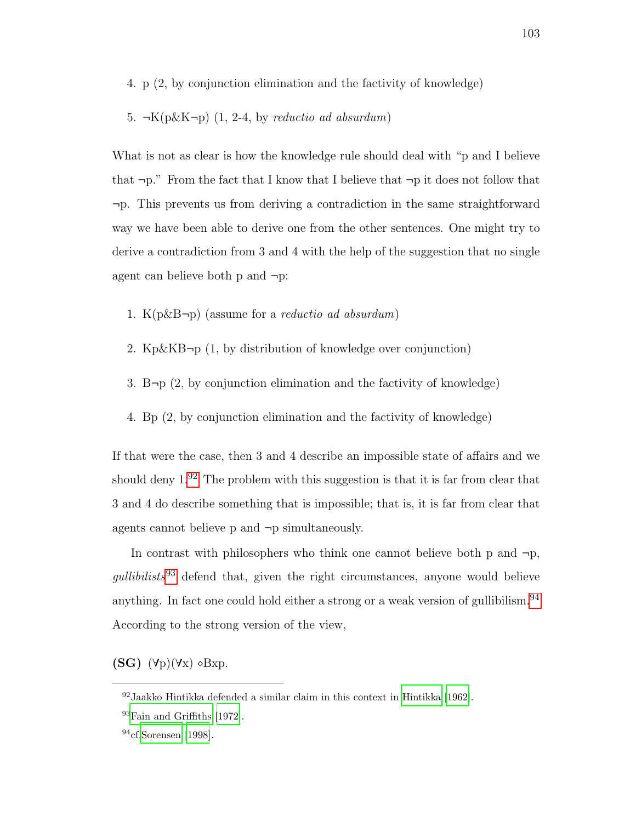- 4. p (2, by conjunction elimination and the factivity of knowledge)
- 5.  $\neg K(p\&K\neg p)$  (1, 2-4, by reductio ad absurdum)

What is not as clear is how the knowledge rule should deal with "p and I believe that  $\neg p$ ." From the fact that I know that I believe that  $\neg p$  it does not follow that ¬p. This prevents us from deriving a contradiction in the same straightforward way we have been able to derive one from the other sentences. One might try to derive a contradiction from 3 and 4 with the help of the suggestion that no single agent can believe both p and  $\neg p$ :

- 1. K( $p\&B\neg p$ ) (assume for a *reductio ad absurdum*)
- 2. Kp $\&$ KB $\neg$ p (1, by distribution of knowledge over conjunction)
- 3.  $B\neg p$  (2, by conjunction elimination and the factivity of knowledge)
- 4. Bp (2, by conjunction elimination and the factivity of knowledge)

If that were the case, then 3 and 4 describe an impossible state of affairs and we should deny  $1^{92}$  $1^{92}$  $1^{92}$ . The problem with this suggestion is that it is far from clear that 3 and 4 do describe something that is impossible; that is, it is far from clear that agents cannot believe p and ¬p simultaneously.

In contrast with philosophers who think one cannot believe both p and  $\neg p$ ,  $gullibilists<sup>93</sup>$  $gullibilists<sup>93</sup>$  $gullibilists<sup>93</sup>$  defend that, given the right circumstances, anyone would believe anything. In fact one could hold either a strong or a weak version of gullibilism.<sup>[94](#page-110-2)</sup> According to the strong version of the view,

 $(SG)$   $(\forall p)(\forall x) \triangleleft Bxp$ .

<span id="page-110-0"></span><sup>92</sup>Jaakko Hintikka defended a similar claim in this context in [Hintikka](#page-169-0) [\[1962\]](#page-169-0).

<span id="page-110-1"></span><sup>93</sup>[Fain and Griffiths](#page-167-0) [\[1972\]](#page-167-0).

<span id="page-110-2"></span> $94$ cf[.Sorensen](#page-173-0) [\[1998\]](#page-173-0).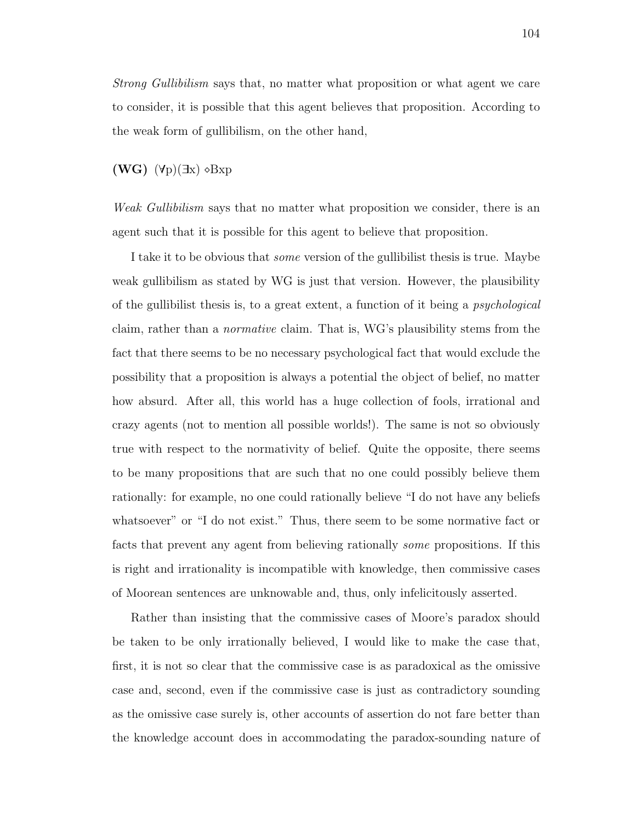Strong Gullibilism says that, no matter what proposition or what agent we care to consider, it is possible that this agent believes that proposition. According to the weak form of gullibilism, on the other hand,

#### $(WG)$   $(\forall p)(\exists x) \triangleleft Bxp$

Weak Gullibilism says that no matter what proposition we consider, there is an agent such that it is possible for this agent to believe that proposition.

I take it to be obvious that some version of the gullibilist thesis is true. Maybe weak gullibilism as stated by WG is just that version. However, the plausibility of the gullibilist thesis is, to a great extent, a function of it being a psychological claim, rather than a normative claim. That is, WG's plausibility stems from the fact that there seems to be no necessary psychological fact that would exclude the possibility that a proposition is always a potential the object of belief, no matter how absurd. After all, this world has a huge collection of fools, irrational and crazy agents (not to mention all possible worlds!). The same is not so obviously true with respect to the normativity of belief. Quite the opposite, there seems to be many propositions that are such that no one could possibly believe them rationally: for example, no one could rationally believe "I do not have any beliefs whatsoever" or "I do not exist." Thus, there seem to be some normative fact or facts that prevent any agent from believing rationally some propositions. If this is right and irrationality is incompatible with knowledge, then commissive cases of Moorean sentences are unknowable and, thus, only infelicitously asserted.

Rather than insisting that the commissive cases of Moore's paradox should be taken to be only irrationally believed, I would like to make the case that, first, it is not so clear that the commissive case is as paradoxical as the omissive case and, second, even if the commissive case is just as contradictory sounding as the omissive case surely is, other accounts of assertion do not fare better than the knowledge account does in accommodating the paradox-sounding nature of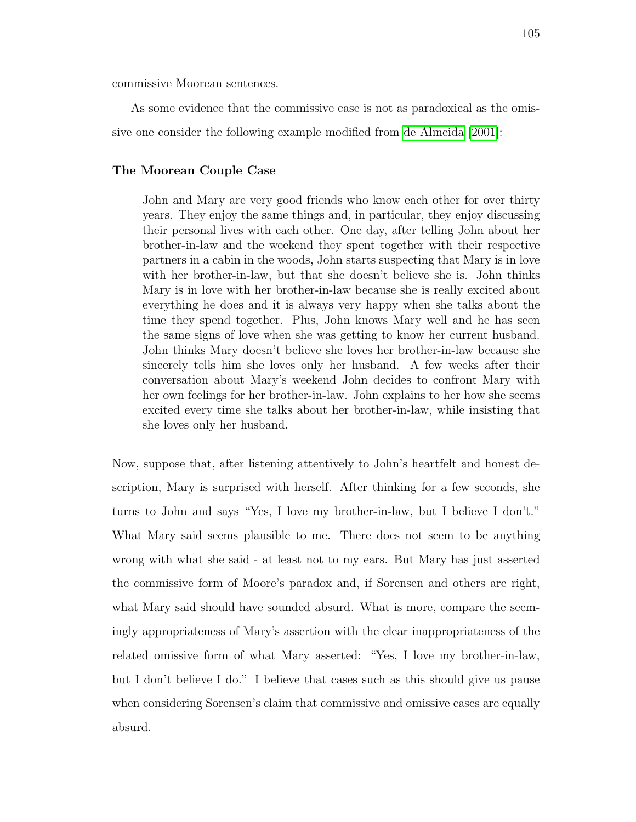commissive Moorean sentences.

As some evidence that the commissive case is not as paradoxical as the omissive one consider the following example modified from [de Almeida](#page-166-1) [\[2001\]](#page-166-1):

#### The Moorean Couple Case

John and Mary are very good friends who know each other for over thirty years. They enjoy the same things and, in particular, they enjoy discussing their personal lives with each other. One day, after telling John about her brother-in-law and the weekend they spent together with their respective partners in a cabin in the woods, John starts suspecting that Mary is in love with her brother-in-law, but that she doesn't believe she is. John thinks Mary is in love with her brother-in-law because she is really excited about everything he does and it is always very happy when she talks about the time they spend together. Plus, John knows Mary well and he has seen the same signs of love when she was getting to know her current husband. John thinks Mary doesn't believe she loves her brother-in-law because she sincerely tells him she loves only her husband. A few weeks after their conversation about Mary's weekend John decides to confront Mary with her own feelings for her brother-in-law. John explains to her how she seems excited every time she talks about her brother-in-law, while insisting that she loves only her husband.

Now, suppose that, after listening attentively to John's heartfelt and honest description, Mary is surprised with herself. After thinking for a few seconds, she turns to John and says "Yes, I love my brother-in-law, but I believe I don't." What Mary said seems plausible to me. There does not seem to be anything wrong with what she said - at least not to my ears. But Mary has just asserted the commissive form of Moore's paradox and, if Sorensen and others are right, what Mary said should have sounded absurd. What is more, compare the seemingly appropriateness of Mary's assertion with the clear inappropriateness of the related omissive form of what Mary asserted: "Yes, I love my brother-in-law, but I don't believe I do." I believe that cases such as this should give us pause when considering Sorensen's claim that commissive and omissive cases are equally absurd.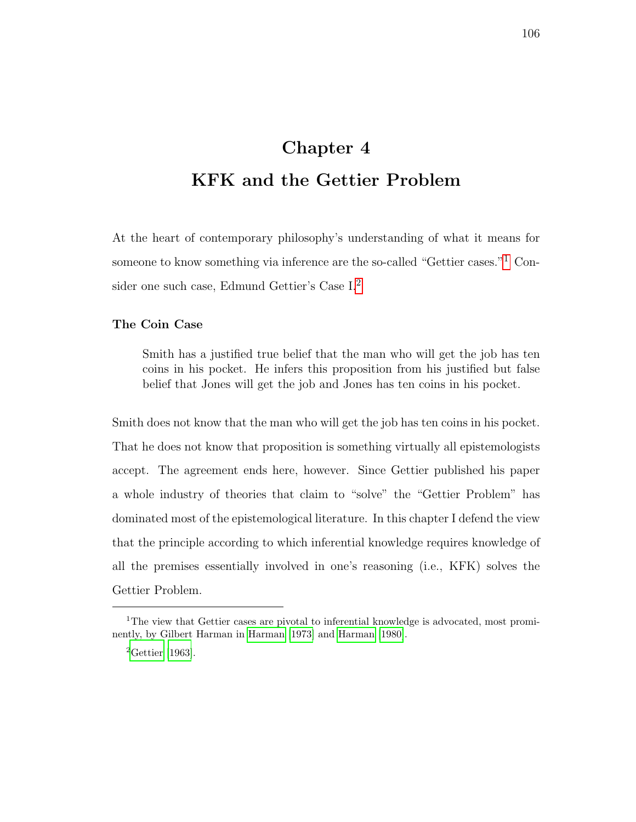# Chapter 4 KFK and the Gettier Problem

At the heart of contemporary philosophy's understanding of what it means for someone to know something via inference are the so-called "Gettier cases."<sup>[1](#page-113-0)</sup> Consider one such case, Edmund Gettier's Case I.[2](#page-113-1)

#### The Coin Case

Smith has a justified true belief that the man who will get the job has ten coins in his pocket. He infers this proposition from his justified but false belief that Jones will get the job and Jones has ten coins in his pocket.

Smith does not know that the man who will get the job has ten coins in his pocket. That he does not know that proposition is something virtually all epistemologists accept. The agreement ends here, however. Since Gettier published his paper a whole industry of theories that claim to "solve" the "Gettier Problem" has dominated most of the epistemological literature. In this chapter I defend the view that the principle according to which inferential knowledge requires knowledge of all the premises essentially involved in one's reasoning (i.e., KFK) solves the Gettier Problem.

<span id="page-113-0"></span><sup>&</sup>lt;sup>1</sup>The view that Gettier cases are pivotal to inferential knowledge is advocated, most prominently, by Gilbert Harman in [Harman](#page-168-0) [\[1973\]](#page-168-0) and [Harman](#page-168-1) [\[1980\]](#page-168-1).

<span id="page-113-1"></span><sup>2</sup>[Gettier](#page-168-2) [\[1963\]](#page-168-2).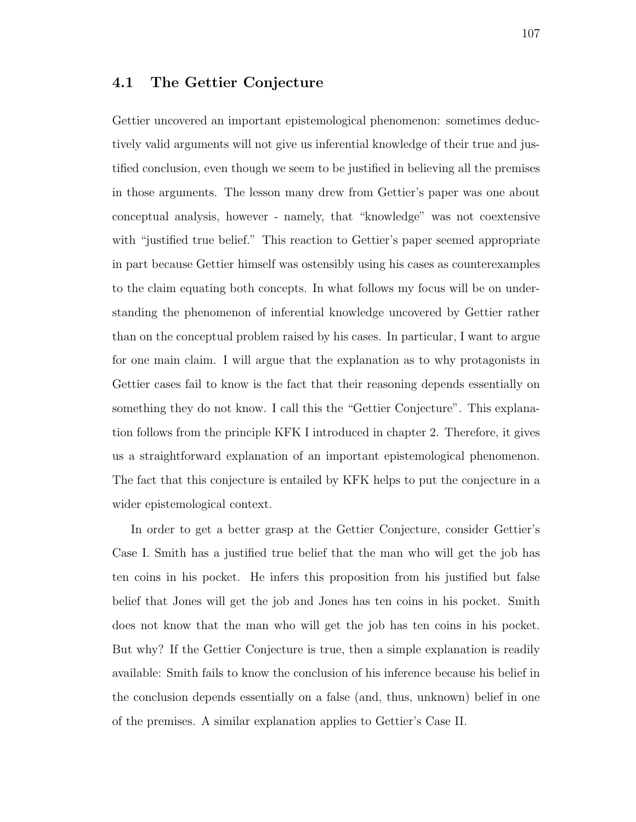## 4.1 The Gettier Conjecture

Gettier uncovered an important epistemological phenomenon: sometimes deductively valid arguments will not give us inferential knowledge of their true and justified conclusion, even though we seem to be justified in believing all the premises in those arguments. The lesson many drew from Gettier's paper was one about conceptual analysis, however - namely, that "knowledge" was not coextensive with "justified true belief." This reaction to Gettier's paper seemed appropriate in part because Gettier himself was ostensibly using his cases as counterexamples to the claim equating both concepts. In what follows my focus will be on understanding the phenomenon of inferential knowledge uncovered by Gettier rather than on the conceptual problem raised by his cases. In particular, I want to argue for one main claim. I will argue that the explanation as to why protagonists in Gettier cases fail to know is the fact that their reasoning depends essentially on something they do not know. I call this the "Gettier Conjecture". This explanation follows from the principle KFK I introduced in chapter 2. Therefore, it gives us a straightforward explanation of an important epistemological phenomenon. The fact that this conjecture is entailed by KFK helps to put the conjecture in a wider epistemological context.

In order to get a better grasp at the Gettier Conjecture, consider Gettier's Case I. Smith has a justified true belief that the man who will get the job has ten coins in his pocket. He infers this proposition from his justified but false belief that Jones will get the job and Jones has ten coins in his pocket. Smith does not know that the man who will get the job has ten coins in his pocket. But why? If the Gettier Conjecture is true, then a simple explanation is readily available: Smith fails to know the conclusion of his inference because his belief in the conclusion depends essentially on a false (and, thus, unknown) belief in one of the premises. A similar explanation applies to Gettier's Case II.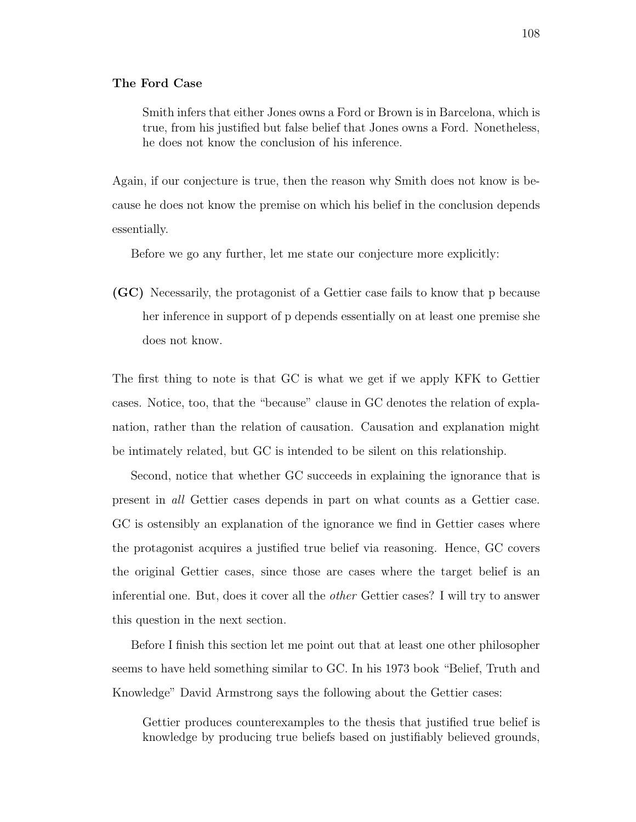#### The Ford Case

Smith infers that either Jones owns a Ford or Brown is in Barcelona, which is true, from his justified but false belief that Jones owns a Ford. Nonetheless, he does not know the conclusion of his inference.

Again, if our conjecture is true, then the reason why Smith does not know is because he does not know the premise on which his belief in the conclusion depends essentially.

Before we go any further, let me state our conjecture more explicitly:

(GC) Necessarily, the protagonist of a Gettier case fails to know that p because her inference in support of p depends essentially on at least one premise she does not know.

The first thing to note is that GC is what we get if we apply KFK to Gettier cases. Notice, too, that the "because" clause in GC denotes the relation of explanation, rather than the relation of causation. Causation and explanation might be intimately related, but GC is intended to be silent on this relationship.

Second, notice that whether GC succeeds in explaining the ignorance that is present in all Gettier cases depends in part on what counts as a Gettier case. GC is ostensibly an explanation of the ignorance we find in Gettier cases where the protagonist acquires a justified true belief via reasoning. Hence, GC covers the original Gettier cases, since those are cases where the target belief is an inferential one. But, does it cover all the other Gettier cases? I will try to answer this question in the next section.

Before I finish this section let me point out that at least one other philosopher seems to have held something similar to GC. In his 1973 book "Belief, Truth and Knowledge" David Armstrong says the following about the Gettier cases:

Gettier produces counterexamples to the thesis that justified true belief is knowledge by producing true beliefs based on justifiably believed grounds,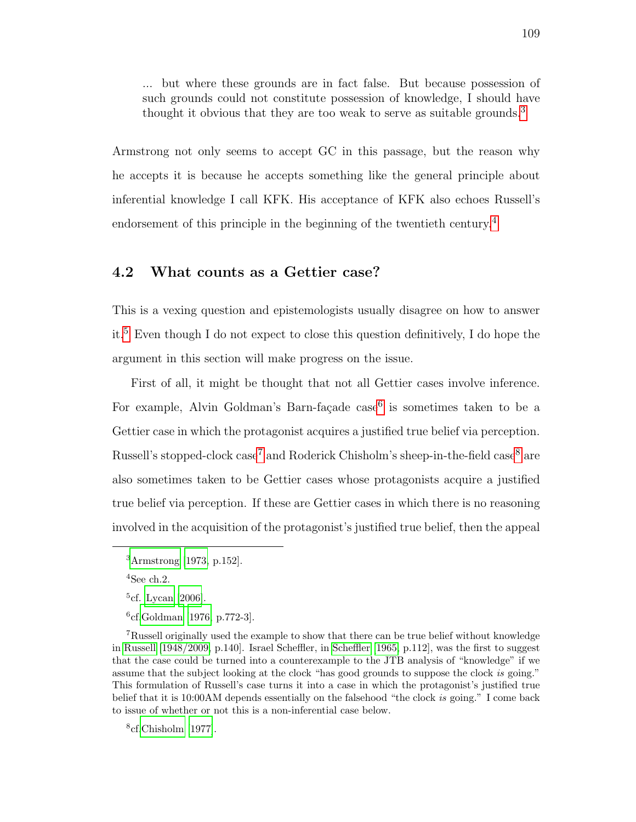... but where these grounds are in fact false. But because possession of such grounds could not constitute possession of knowledge, I should have thought it obvious that they are too weak to serve as suitable grounds.<sup>[3](#page-116-0)</sup>

Armstrong not only seems to accept GC in this passage, but the reason why he accepts it is because he accepts something like the general principle about inferential knowledge I call KFK. His acceptance of KFK also echoes Russell's endorsement of this principle in the beginning of the twentieth century.<sup>[4](#page-116-1)</sup>

## 4.2 What counts as a Gettier case?

This is a vexing question and epistemologists usually disagree on how to answer it.[5](#page-116-2) Even though I do not expect to close this question definitively, I do hope the argument in this section will make progress on the issue.

First of all, it might be thought that not all Gettier cases involve inference. For example, Alvin Goldman's Barn-façade case<sup>[6](#page-116-3)</sup> is sometimes taken to be a Gettier case in which the protagonist acquires a justified true belief via perception. Russell's stopped-clock case<sup>[7](#page-116-4)</sup> and Roderick Chisholm's sheep-in-the-field case<sup>[8](#page-116-5)</sup> are also sometimes taken to be Gettier cases whose protagonists acquire a justified true belief via perception. If these are Gettier cases in which there is no reasoning involved in the acquisition of the protagonist's justified true belief, then the appeal

<span id="page-116-1"></span> $4$ See ch.2.

<span id="page-116-5"></span>8 cf[.Chisholm](#page-165-1) [\[1977\]](#page-165-1).

<span id="page-116-0"></span><sup>3</sup>[Armstrong](#page-165-0) [\[1973,](#page-165-0) p.152].

<span id="page-116-2"></span> $^{5}$ cf. [Lycan](#page-171-0) [\[2006\]](#page-171-0).

<span id="page-116-4"></span><span id="page-116-3"></span><sup>6</sup> cf[.Goldman](#page-168-3) [\[1976,](#page-168-3) p.772-3].

<sup>7</sup>Russell originally used the example to show that there can be true belief without knowledge in [Russell](#page-173-1) [\[1948/2009,](#page-173-1) p.140]. Israel Scheffler, in [Scheffler](#page-173-2) [\[1965,](#page-173-2) p.112], was the first to suggest that the case could be turned into a counterexample to the JTB analysis of "knowledge" if we assume that the subject looking at the clock "has good grounds to suppose the clock is going." This formulation of Russell's case turns it into a case in which the protagonist's justified true belief that it is 10:00AM depends essentially on the falsehood "the clock is going." I come back to issue of whether or not this is a non-inferential case below.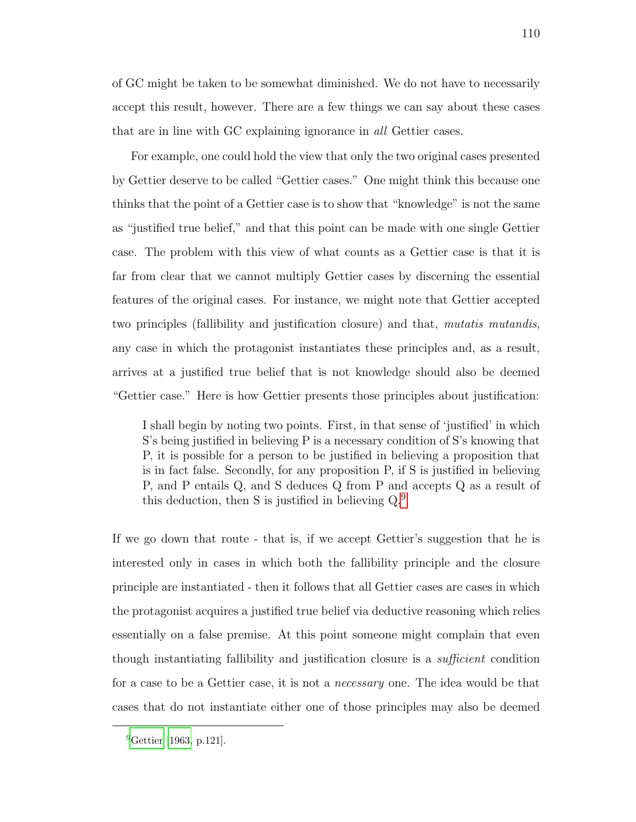of GC might be taken to be somewhat diminished. We do not have to necessarily accept this result, however. There are a few things we can say about these cases that are in line with GC explaining ignorance in all Gettier cases.

For example, one could hold the view that only the two original cases presented by Gettier deserve to be called "Gettier cases." One might think this because one thinks that the point of a Gettier case is to show that "knowledge" is not the same as "justified true belief," and that this point can be made with one single Gettier case. The problem with this view of what counts as a Gettier case is that it is far from clear that we cannot multiply Gettier cases by discerning the essential features of the original cases. For instance, we might note that Gettier accepted two principles (fallibility and justification closure) and that, mutatis mutandis, any case in which the protagonist instantiates these principles and, as a result, arrives at a justified true belief that is not knowledge should also be deemed "Gettier case." Here is how Gettier presents those principles about justification:

I shall begin by noting two points. First, in that sense of 'justified' in which S's being justified in believing P is a necessary condition of S's knowing that P, it is possible for a person to be justified in believing a proposition that is in fact false. Secondly, for any proposition P, if S is justified in believing P, and P entails Q, and S deduces Q from P and accepts Q as a result of this deduction, then S is justified in believing  $Q^{9}$  $Q^{9}$  $Q^{9}$ .

If we go down that route - that is, if we accept Gettier's suggestion that he is interested only in cases in which both the fallibility principle and the closure principle are instantiated - then it follows that all Gettier cases are cases in which the protagonist acquires a justified true belief via deductive reasoning which relies essentially on a false premise. At this point someone might complain that even though instantiating fallibility and justification closure is a sufficient condition for a case to be a Gettier case, it is not a necessary one. The idea would be that cases that do not instantiate either one of those principles may also be deemed

<span id="page-117-0"></span><sup>&</sup>lt;sup>9</sup>[Gettier](#page-168-2) [\[1963,](#page-168-2) p.121].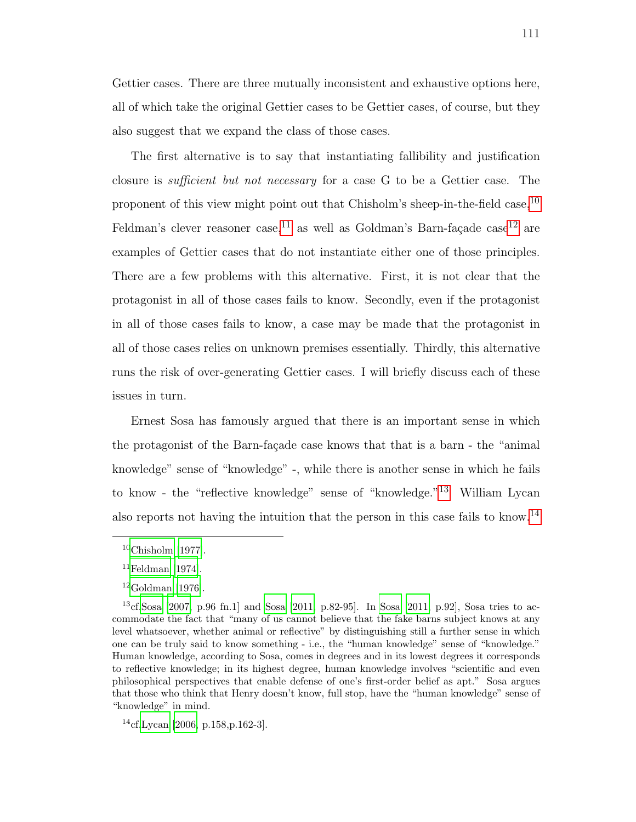Gettier cases. There are three mutually inconsistent and exhaustive options here, all of which take the original Gettier cases to be Gettier cases, of course, but they also suggest that we expand the class of those cases.

The first alternative is to say that instantiating fallibility and justification closure is sufficient but not necessary for a case G to be a Gettier case. The proponent of this view might point out that Chisholm's sheep-in-the-field case,  $^{10}$  $^{10}$  $^{10}$ Feldman's clever reasoner case,<sup>[11](#page-118-1)</sup> as well as Goldman's Barn-façade case<sup>[12](#page-118-2)</sup> are examples of Gettier cases that do not instantiate either one of those principles. There are a few problems with this alternative. First, it is not clear that the protagonist in all of those cases fails to know. Secondly, even if the protagonist in all of those cases fails to know, a case may be made that the protagonist in all of those cases relies on unknown premises essentially. Thirdly, this alternative runs the risk of over-generating Gettier cases. I will briefly discuss each of these issues in turn.

Ernest Sosa has famously argued that there is an important sense in which the protagonist of the Barn-façade case knows that that is a barn - the "animal" knowledge" sense of "knowledge" -, while there is another sense in which he fails to know - the "reflective knowledge" sense of "knowledge."[13](#page-118-3) William Lycan also reports not having the intuition that the person in this case fails to know.<sup>[14](#page-118-4)</sup>

<span id="page-118-0"></span><sup>10</sup>[Chisholm](#page-165-1) [\[1977\]](#page-165-1).

<span id="page-118-1"></span><sup>11</sup>[Feldman](#page-167-1) [\[1974\]](#page-167-1).

<span id="page-118-3"></span><span id="page-118-2"></span> $12$ [Goldman](#page-168-3) [\[1976\]](#page-168-3).

<sup>13</sup>cf[.Sosa](#page-173-3) [\[2007,](#page-173-3) p.96 fn.1] and [Sosa](#page-173-4) [\[2011,](#page-173-4) p.82-95]. In [Sosa](#page-173-4) [\[2011,](#page-173-4) p.92], Sosa tries to accommodate the fact that "many of us cannot believe that the fake barns subject knows at any level whatsoever, whether animal or reflective" by distinguishing still a further sense in which one can be truly said to know something - i.e., the "human knowledge" sense of "knowledge." Human knowledge, according to Sosa, comes in degrees and in its lowest degrees it corresponds to reflective knowledge; in its highest degree, human knowledge involves "scientific and even philosophical perspectives that enable defense of one's first-order belief as apt." Sosa argues that those who think that Henry doesn't know, full stop, have the "human knowledge" sense of "knowledge" in mind.

<span id="page-118-4"></span> $^{14}$ cf[.Lycan](#page-171-0) [\[2006,](#page-171-0) p.158,p.162-3].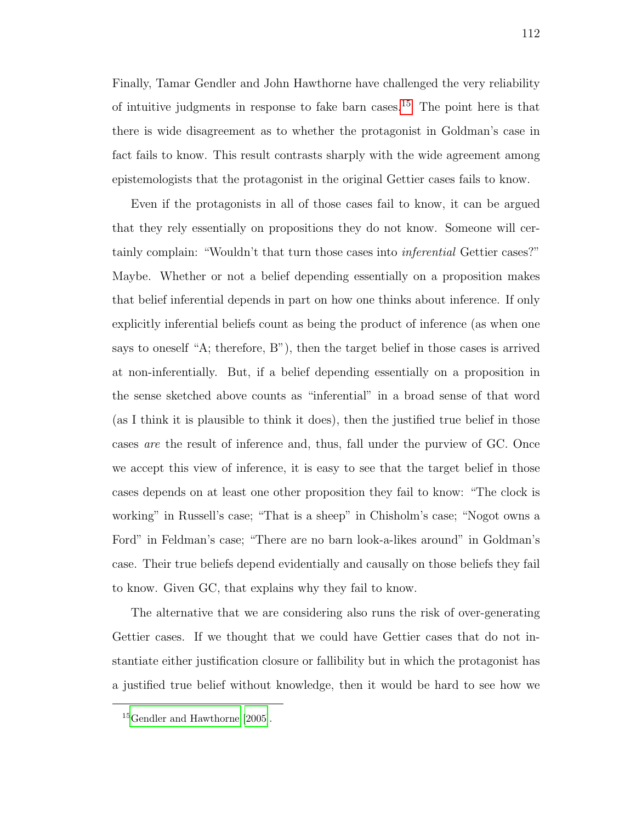Finally, Tamar Gendler and John Hawthorne have challenged the very reliability of intuitive judgments in response to fake barn cases.<sup>[15](#page-119-0)</sup> The point here is that there is wide disagreement as to whether the protagonist in Goldman's case in fact fails to know. This result contrasts sharply with the wide agreement among epistemologists that the protagonist in the original Gettier cases fails to know.

Even if the protagonists in all of those cases fail to know, it can be argued that they rely essentially on propositions they do not know. Someone will certainly complain: "Wouldn't that turn those cases into *inferential* Gettier cases?" Maybe. Whether or not a belief depending essentially on a proposition makes that belief inferential depends in part on how one thinks about inference. If only explicitly inferential beliefs count as being the product of inference (as when one says to oneself "A; therefore, B"), then the target belief in those cases is arrived at non-inferentially. But, if a belief depending essentially on a proposition in the sense sketched above counts as "inferential" in a broad sense of that word (as I think it is plausible to think it does), then the justified true belief in those cases are the result of inference and, thus, fall under the purview of GC. Once we accept this view of inference, it is easy to see that the target belief in those cases depends on at least one other proposition they fail to know: "The clock is working" in Russell's case; "That is a sheep" in Chisholm's case; "Nogot owns a Ford" in Feldman's case; "There are no barn look-a-likes around" in Goldman's case. Their true beliefs depend evidentially and causally on those beliefs they fail to know. Given GC, that explains why they fail to know.

The alternative that we are considering also runs the risk of over-generating Gettier cases. If we thought that we could have Gettier cases that do not instantiate either justification closure or fallibility but in which the protagonist has a justified true belief without knowledge, then it would be hard to see how we

<span id="page-119-0"></span><sup>&</sup>lt;sup>15</sup>[Gendler and Hawthorne](#page-168-4) [\[2005\]](#page-168-4).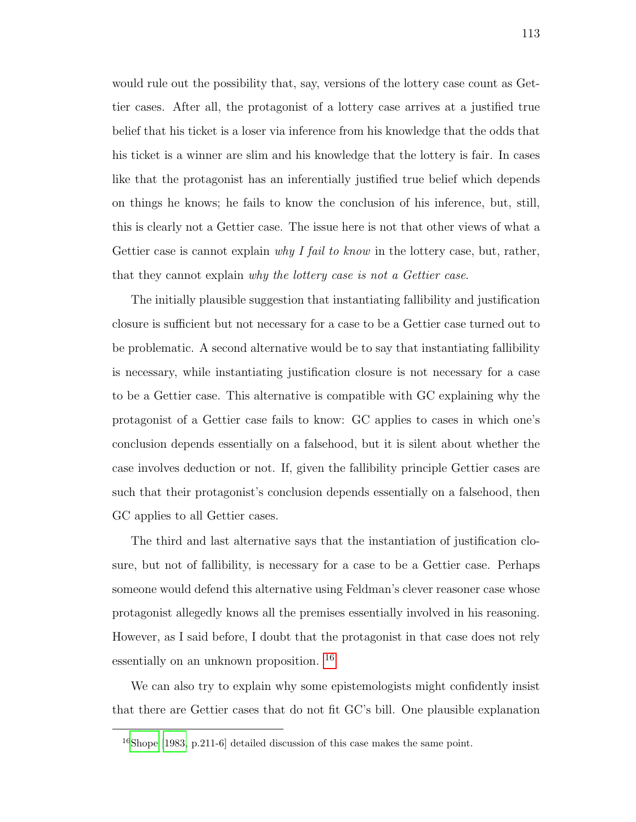would rule out the possibility that, say, versions of the lottery case count as Gettier cases. After all, the protagonist of a lottery case arrives at a justified true belief that his ticket is a loser via inference from his knowledge that the odds that his ticket is a winner are slim and his knowledge that the lottery is fair. In cases like that the protagonist has an inferentially justified true belief which depends on things he knows; he fails to know the conclusion of his inference, but, still, this is clearly not a Gettier case. The issue here is not that other views of what a Gettier case is cannot explain *why I fail to know* in the lottery case, but, rather, that they cannot explain why the lottery case is not a Gettier case.

The initially plausible suggestion that instantiating fallibility and justification closure is sufficient but not necessary for a case to be a Gettier case turned out to be problematic. A second alternative would be to say that instantiating fallibility is necessary, while instantiating justification closure is not necessary for a case to be a Gettier case. This alternative is compatible with GC explaining why the protagonist of a Gettier case fails to know: GC applies to cases in which one's conclusion depends essentially on a falsehood, but it is silent about whether the case involves deduction or not. If, given the fallibility principle Gettier cases are such that their protagonist's conclusion depends essentially on a falsehood, then GC applies to all Gettier cases.

The third and last alternative says that the instantiation of justification closure, but not of fallibility, is necessary for a case to be a Gettier case. Perhaps someone would defend this alternative using Feldman's clever reasoner case whose protagonist allegedly knows all the premises essentially involved in his reasoning. However, as I said before, I doubt that the protagonist in that case does not rely essentially on an unknown proposition. <sup>[16](#page-120-0)</sup>

We can also try to explain why some epistemologists might confidently insist that there are Gettier cases that do not fit GC's bill. One plausible explanation

<span id="page-120-0"></span><sup>16</sup>[Shope](#page-173-5) [\[1983,](#page-173-5) p.211-6] detailed discussion of this case makes the same point.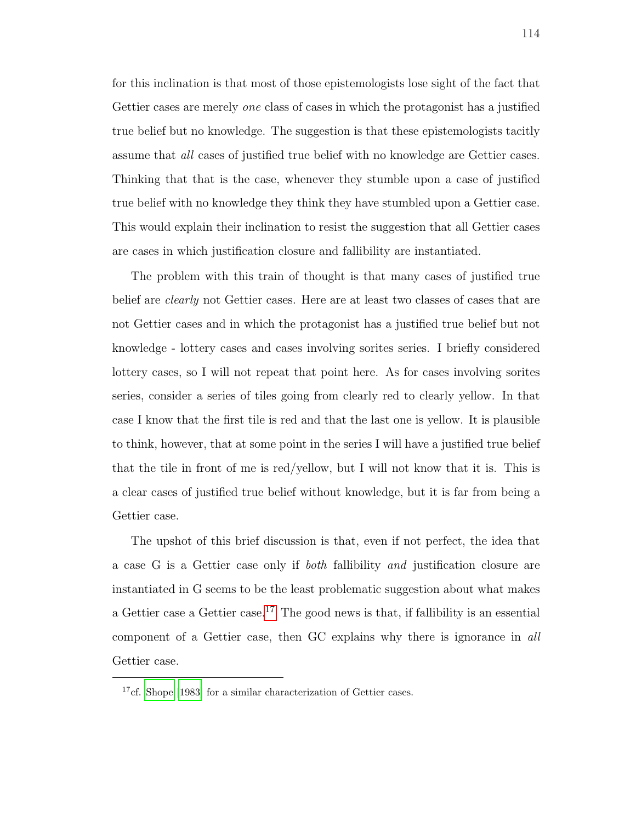for this inclination is that most of those epistemologists lose sight of the fact that Gettier cases are merely one class of cases in which the protagonist has a justified true belief but no knowledge. The suggestion is that these epistemologists tacitly assume that all cases of justified true belief with no knowledge are Gettier cases. Thinking that that is the case, whenever they stumble upon a case of justified true belief with no knowledge they think they have stumbled upon a Gettier case. This would explain their inclination to resist the suggestion that all Gettier cases are cases in which justification closure and fallibility are instantiated.

The problem with this train of thought is that many cases of justified true belief are *clearly* not Gettier cases. Here are at least two classes of cases that are not Gettier cases and in which the protagonist has a justified true belief but not knowledge - lottery cases and cases involving sorites series. I briefly considered lottery cases, so I will not repeat that point here. As for cases involving sorites series, consider a series of tiles going from clearly red to clearly yellow. In that case I know that the first tile is red and that the last one is yellow. It is plausible to think, however, that at some point in the series I will have a justified true belief that the tile in front of me is red/yellow, but I will not know that it is. This is a clear cases of justified true belief without knowledge, but it is far from being a Gettier case.

The upshot of this brief discussion is that, even if not perfect, the idea that a case G is a Gettier case only if both fallibility and justification closure are instantiated in G seems to be the least problematic suggestion about what makes a Gettier case a Gettier case.<sup>[17](#page-121-0)</sup> The good news is that, if fallibility is an essential component of a Gettier case, then GC explains why there is ignorance in all Gettier case.

<span id="page-121-0"></span><sup>&</sup>lt;sup>17</sup>cf. [Shope](#page-173-5) [\[1983\]](#page-173-5) for a similar characterization of Gettier cases.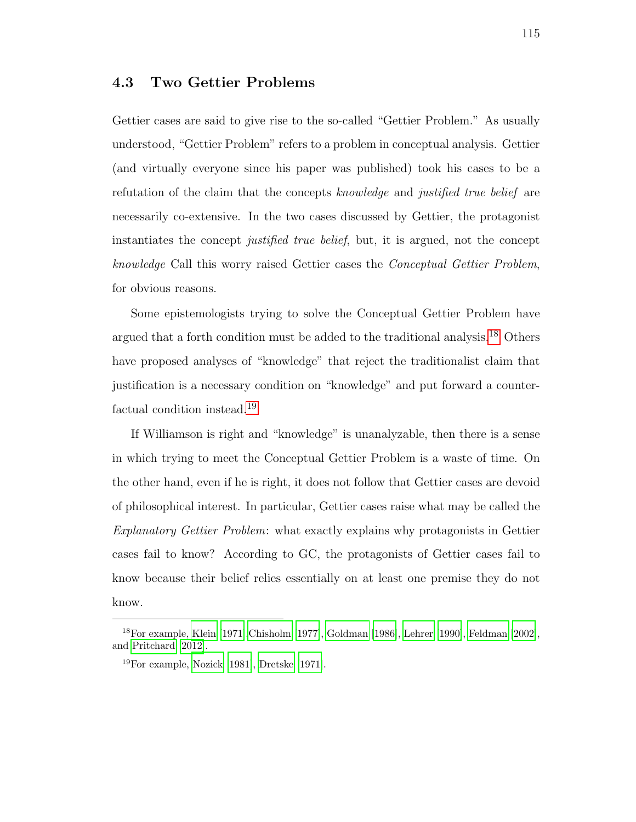## 4.3 Two Gettier Problems

Gettier cases are said to give rise to the so-called "Gettier Problem." As usually understood, "Gettier Problem" refers to a problem in conceptual analysis. Gettier (and virtually everyone since his paper was published) took his cases to be a refutation of the claim that the concepts knowledge and justified true belief are necessarily co-extensive. In the two cases discussed by Gettier, the protagonist instantiates the concept justified true belief, but, it is argued, not the concept knowledge Call this worry raised Gettier cases the Conceptual Gettier Problem, for obvious reasons.

Some epistemologists trying to solve the Conceptual Gettier Problem have argued that a forth condition must be added to the traditional analysis.<sup>[18](#page-122-0)</sup> Others have proposed analyses of "knowledge" that reject the traditionalist claim that justification is a necessary condition on "knowledge" and put forward a counterfactual condition instead.[19](#page-122-1)

If Williamson is right and "knowledge" is unanalyzable, then there is a sense in which trying to meet the Conceptual Gettier Problem is a waste of time. On the other hand, even if he is right, it does not follow that Gettier cases are devoid of philosophical interest. In particular, Gettier cases raise what may be called the Explanatory Gettier Problem: what exactly explains why protagonists in Gettier cases fail to know? According to GC, the protagonists of Gettier cases fail to know because their belief relies essentially on at least one premise they do not know.

<span id="page-122-0"></span><sup>18</sup>For example, [Klein](#page-170-0) [\[1971\]](#page-170-0)[,Chisholm](#page-165-1) [\[1977\]](#page-165-1), [Goldman](#page-168-5) [\[1986\]](#page-168-5), [Lehrer](#page-171-1) [\[1990\]](#page-171-1), [Feldman](#page-167-2) [\[2002\]](#page-167-2), and [Pritchard](#page-172-2) [\[2012\]](#page-172-2).

<span id="page-122-1"></span><sup>19</sup>For example, [Nozick](#page-172-1) [\[1981\]](#page-172-1), [Dretske](#page-167-3) [\[1971\]](#page-167-3).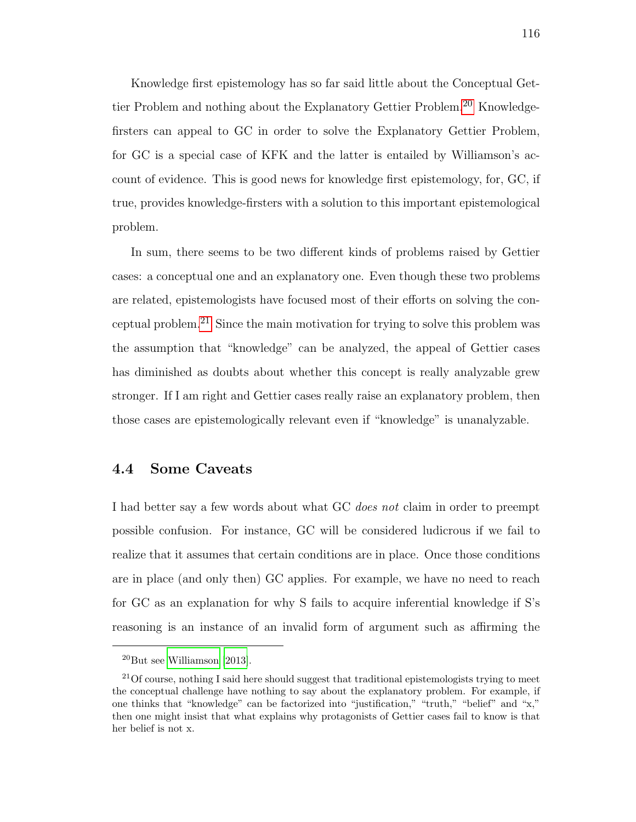Knowledge first epistemology has so far said little about the Conceptual Get-tier Problem and nothing about the Explanatory Gettier Problem.<sup>[20](#page-123-0)</sup> Knowledgefirsters can appeal to GC in order to solve the Explanatory Gettier Problem, for GC is a special case of KFK and the latter is entailed by Williamson's account of evidence. This is good news for knowledge first epistemology, for, GC, if true, provides knowledge-firsters with a solution to this important epistemological problem.

In sum, there seems to be two different kinds of problems raised by Gettier cases: a conceptual one and an explanatory one. Even though these two problems are related, epistemologists have focused most of their efforts on solving the con-ceptual problem.<sup>[21](#page-123-1)</sup> Since the main motivation for trying to solve this problem was the assumption that "knowledge" can be analyzed, the appeal of Gettier cases has diminished as doubts about whether this concept is really analyzable grew stronger. If I am right and Gettier cases really raise an explanatory problem, then those cases are epistemologically relevant even if "knowledge" is unanalyzable.

## 4.4 Some Caveats

I had better say a few words about what GC *does not* claim in order to preempt possible confusion. For instance, GC will be considered ludicrous if we fail to realize that it assumes that certain conditions are in place. Once those conditions are in place (and only then) GC applies. For example, we have no need to reach for GC as an explanation for why S fails to acquire inferential knowledge if S's reasoning is an instance of an invalid form of argument such as affirming the

<span id="page-123-1"></span><span id="page-123-0"></span><sup>20</sup>But see [Williamson](#page-174-1) [\[2013\]](#page-174-1).

<sup>&</sup>lt;sup>21</sup>Of course, nothing I said here should suggest that traditional epistemologists trying to meet the conceptual challenge have nothing to say about the explanatory problem. For example, if one thinks that "knowledge" can be factorized into "justification," "truth," "belief" and "x," then one might insist that what explains why protagonists of Gettier cases fail to know is that her belief is not x.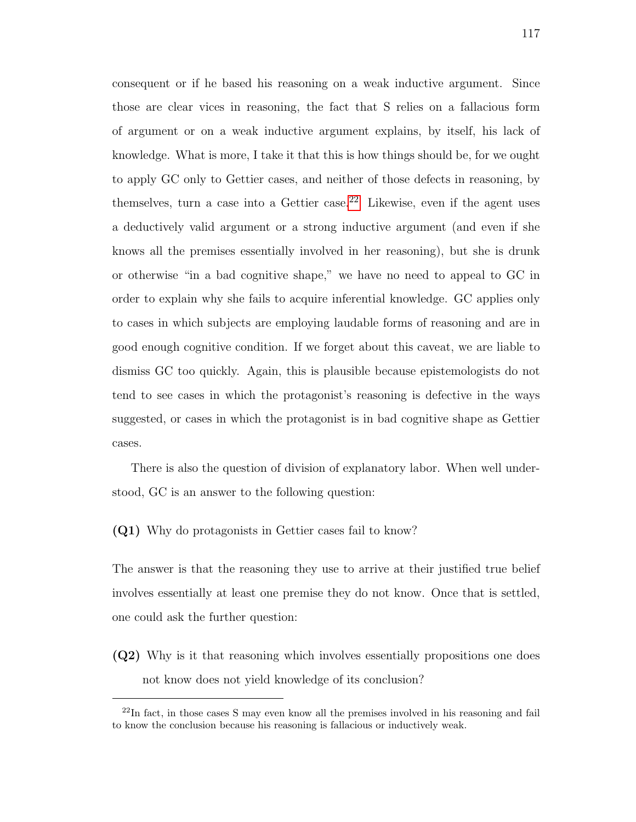consequent or if he based his reasoning on a weak inductive argument. Since those are clear vices in reasoning, the fact that S relies on a fallacious form of argument or on a weak inductive argument explains, by itself, his lack of knowledge. What is more, I take it that this is how things should be, for we ought to apply GC only to Gettier cases, and neither of those defects in reasoning, by themselves, turn a case into a Gettier case.<sup>[22](#page-124-0)</sup> Likewise, even if the agent uses a deductively valid argument or a strong inductive argument (and even if she knows all the premises essentially involved in her reasoning), but she is drunk or otherwise "in a bad cognitive shape," we have no need to appeal to GC in order to explain why she fails to acquire inferential knowledge. GC applies only to cases in which subjects are employing laudable forms of reasoning and are in good enough cognitive condition. If we forget about this caveat, we are liable to dismiss GC too quickly. Again, this is plausible because epistemologists do not tend to see cases in which the protagonist's reasoning is defective in the ways suggested, or cases in which the protagonist is in bad cognitive shape as Gettier cases.

There is also the question of division of explanatory labor. When well understood, GC is an answer to the following question:

(Q1) Why do protagonists in Gettier cases fail to know?

The answer is that the reasoning they use to arrive at their justified true belief involves essentially at least one premise they do not know. Once that is settled, one could ask the further question:

(Q2) Why is it that reasoning which involves essentially propositions one does not know does not yield knowledge of its conclusion?

<span id="page-124-0"></span><sup>&</sup>lt;sup>22</sup>In fact, in those cases S may even know all the premises involved in his reasoning and fail to know the conclusion because his reasoning is fallacious or inductively weak.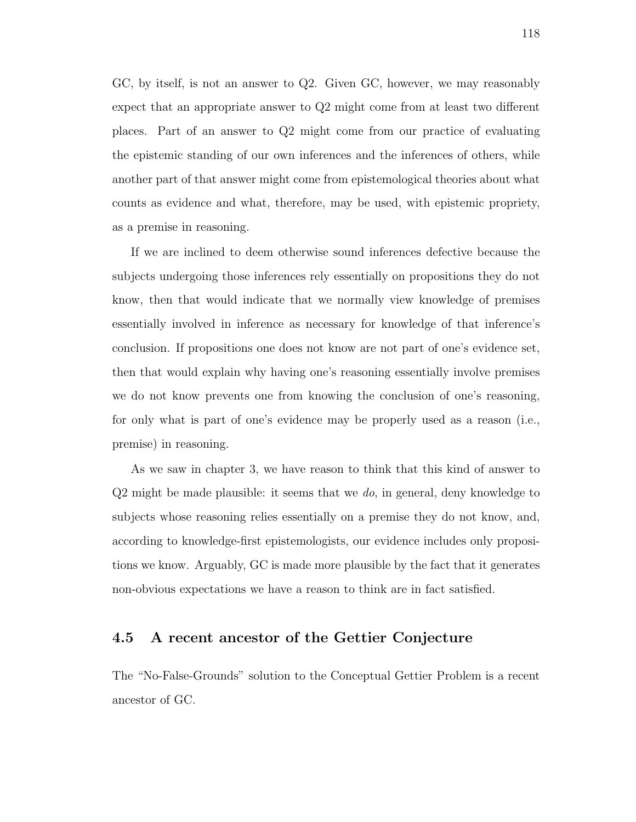GC, by itself, is not an answer to Q2. Given GC, however, we may reasonably expect that an appropriate answer to Q2 might come from at least two different places. Part of an answer to Q2 might come from our practice of evaluating the epistemic standing of our own inferences and the inferences of others, while another part of that answer might come from epistemological theories about what counts as evidence and what, therefore, may be used, with epistemic propriety, as a premise in reasoning.

If we are inclined to deem otherwise sound inferences defective because the subjects undergoing those inferences rely essentially on propositions they do not know, then that would indicate that we normally view knowledge of premises essentially involved in inference as necessary for knowledge of that inference's conclusion. If propositions one does not know are not part of one's evidence set, then that would explain why having one's reasoning essentially involve premises we do not know prevents one from knowing the conclusion of one's reasoning, for only what is part of one's evidence may be properly used as a reason (i.e., premise) in reasoning.

As we saw in chapter 3, we have reason to think that this kind of answer to  $Q2$  might be made plausible: it seems that we do, in general, deny knowledge to subjects whose reasoning relies essentially on a premise they do not know, and, according to knowledge-first epistemologists, our evidence includes only propositions we know. Arguably, GC is made more plausible by the fact that it generates non-obvious expectations we have a reason to think are in fact satisfied.

### 4.5 A recent ancestor of the Gettier Conjecture

The "No-False-Grounds" solution to the Conceptual Gettier Problem is a recent ancestor of GC.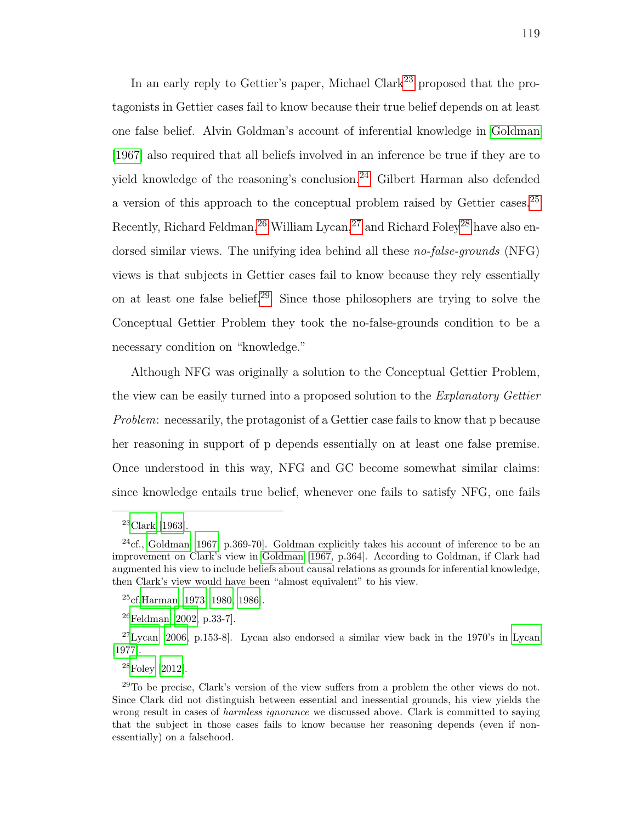In an early reply to Gettier's paper, Michael  $Clark^{23}$  $Clark^{23}$  $Clark^{23}$  proposed that the protagonists in Gettier cases fail to know because their true belief depends on at least one false belief. Alvin Goldman's account of inferential knowledge in [Goldman](#page-168-6) [\[1967\]](#page-168-6) also required that all beliefs involved in an inference be true if they are to yield knowledge of the reasoning's conclusion.[24](#page-126-1) Gilbert Harman also defended a version of this approach to the conceptual problem raised by Gettier cases.[25](#page-126-2) Recently, Richard Feldman,  $^{26}$  $^{26}$  $^{26}$  William Lycan,  $^{27}$  $^{27}$  $^{27}$  and Richard Foley<sup>[28](#page-126-5)</sup> have also endorsed similar views. The unifying idea behind all these no-false-grounds (NFG) views is that subjects in Gettier cases fail to know because they rely essentially on at least one false belief.<sup>[29](#page-126-6)</sup> Since those philosophers are trying to solve the Conceptual Gettier Problem they took the no-false-grounds condition to be a necessary condition on "knowledge."

Although NFG was originally a solution to the Conceptual Gettier Problem, the view can be easily turned into a proposed solution to the *Explanatory Gettier* Problem: necessarily, the protagonist of a Gettier case fails to know that p because her reasoning in support of p depends essentially on at least one false premise. Once understood in this way, NFG and GC become somewhat similar claims: since knowledge entails true belief, whenever one fails to satisfy NFG, one fails

<span id="page-126-1"></span><span id="page-126-0"></span><sup>23</sup>[Clark](#page-165-2) [\[1963\]](#page-165-2).

 $^{24}$ cf., [Goldman](#page-168-6) [\[1967,](#page-168-6) p.369-70]. Goldman explicitly takes his account of inference to be an improvement on Clark's view in [Goldman](#page-168-6) [\[1967,](#page-168-6) p.364]. According to Goldman, if Clark had augmented his view to include beliefs about causal relations as grounds for inferential knowledge, then Clark's view would have been "almost equivalent" to his view.

<span id="page-126-2"></span> $25$ cf[.Harman](#page-168-0) [\[1973,](#page-168-0) [1980,](#page-168-1) [1986\]](#page-168-7).

<span id="page-126-4"></span><span id="page-126-3"></span> $26$ [Feldman](#page-167-2) [\[2002,](#page-167-2) p.33-7].

 $27$ [Lycan](#page-171-0) [\[2006,](#page-171-0) p.153-8]. [Lycan](#page-171-2) also endorsed a similar view back in the 1970's in Lycan [\[1977\]](#page-171-2).

<span id="page-126-6"></span><span id="page-126-5"></span> $28$ [Foley](#page-167-4) [\[2012\]](#page-167-4).

 $^{29}$ To be precise, Clark's version of the view suffers from a problem the other views do not. Since Clark did not distinguish between essential and inessential grounds, his view yields the wrong result in cases of *harmless ignorance* we discussed above. Clark is committed to saying that the subject in those cases fails to know because her reasoning depends (even if nonessentially) on a falsehood.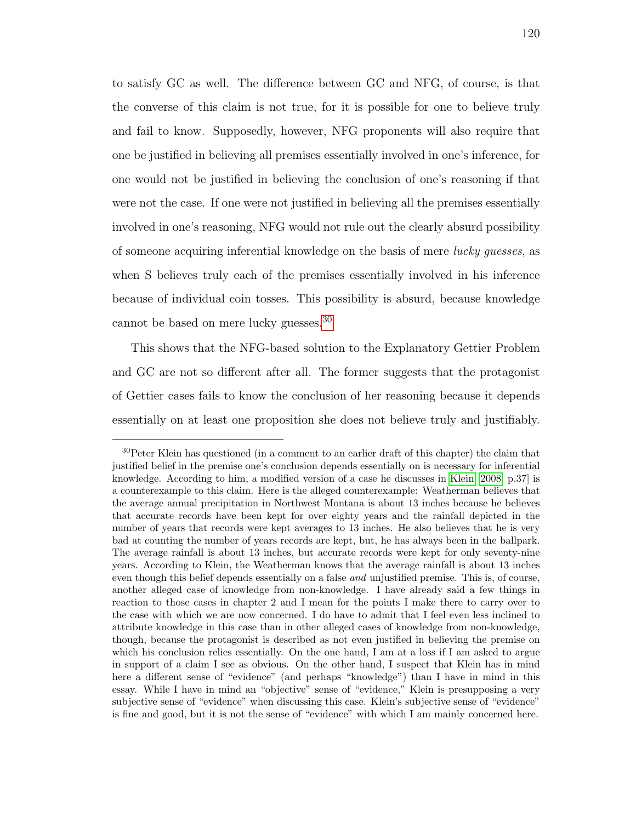to satisfy GC as well. The difference between GC and NFG, of course, is that the converse of this claim is not true, for it is possible for one to believe truly and fail to know. Supposedly, however, NFG proponents will also require that one be justified in believing all premises essentially involved in one's inference, for one would not be justified in believing the conclusion of one's reasoning if that were not the case. If one were not justified in believing all the premises essentially involved in one's reasoning, NFG would not rule out the clearly absurd possibility of someone acquiring inferential knowledge on the basis of mere lucky guesses, as when S believes truly each of the premises essentially involved in his inference because of individual coin tosses. This possibility is absurd, because knowledge cannot be based on mere lucky guesses.[30](#page-127-0)

This shows that the NFG-based solution to the Explanatory Gettier Problem and GC are not so different after all. The former suggests that the protagonist of Gettier cases fails to know the conclusion of her reasoning because it depends essentially on at least one proposition she does not believe truly and justifiably.

<span id="page-127-0"></span><sup>&</sup>lt;sup>30</sup>Peter Klein has questioned (in a comment to an earlier draft of this chapter) the claim that justified belief in the premise one's conclusion depends essentially on is necessary for inferential knowledge. According to him, a modified version of a case he discusses in [Klein](#page-170-1) [\[2008,](#page-170-1) p.37] is a counterexample to this claim. Here is the alleged counterexample: Weatherman believes that the average annual precipitation in Northwest Montana is about 13 inches because he believes that accurate records have been kept for over eighty years and the rainfall depicted in the number of years that records were kept averages to 13 inches. He also believes that he is very bad at counting the number of years records are kept, but, he has always been in the ballpark. The average rainfall is about 13 inches, but accurate records were kept for only seventy-nine years. According to Klein, the Weatherman knows that the average rainfall is about 13 inches even though this belief depends essentially on a false *and* unjustified premise. This is, of course, another alleged case of knowledge from non-knowledge. I have already said a few things in reaction to those cases in chapter 2 and I mean for the points I make there to carry over to the case with which we are now concerned. I do have to admit that I feel even less inclined to attribute knowledge in this case than in other alleged cases of knowledge from non-knowledge, though, because the protagonist is described as not even justified in believing the premise on which his conclusion relies essentially. On the one hand, I am at a loss if I am asked to argue in support of a claim I see as obvious. On the other hand, I suspect that Klein has in mind here a different sense of "evidence" (and perhaps "knowledge") than I have in mind in this essay. While I have in mind an "objective" sense of "evidence," Klein is presupposing a very subjective sense of "evidence" when discussing this case. Klein's subjective sense of "evidence" is fine and good, but it is not the sense of "evidence" with which I am mainly concerned here.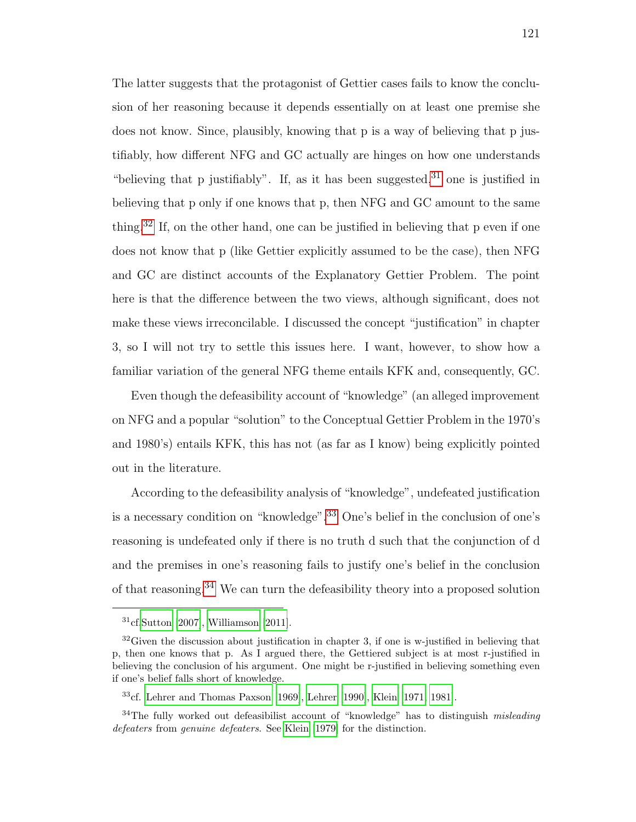The latter suggests that the protagonist of Gettier cases fails to know the conclusion of her reasoning because it depends essentially on at least one premise she does not know. Since, plausibly, knowing that p is a way of believing that p justifiably, how different NFG and GC actually are hinges on how one understands "believing that p justifiably". If, as it has been suggested,  $31$  one is justified in believing that p only if one knows that p, then NFG and GC amount to the same thing.<sup>[32](#page-128-1)</sup> If, on the other hand, one can be justified in believing that p even if one does not know that p (like Gettier explicitly assumed to be the case), then NFG and GC are distinct accounts of the Explanatory Gettier Problem. The point here is that the difference between the two views, although significant, does not make these views irreconcilable. I discussed the concept "justification" in chapter 3, so I will not try to settle this issues here. I want, however, to show how a familiar variation of the general NFG theme entails KFK and, consequently, GC.

Even though the defeasibility account of "knowledge" (an alleged improvement on NFG and a popular "solution" to the Conceptual Gettier Problem in the 1970's and 1980's) entails KFK, this has not (as far as I know) being explicitly pointed out in the literature.

According to the defeasibility analysis of "knowledge", undefeated justification is a necessary condition on "knowledge".[33](#page-128-2) One's belief in the conclusion of one's reasoning is undefeated only if there is no truth d such that the conjunction of d and the premises in one's reasoning fails to justify one's belief in the conclusion of that reasoning.[34](#page-128-3) We can turn the defeasibility theory into a proposed solution

<span id="page-128-1"></span><span id="page-128-0"></span> $31$ cf[.Sutton](#page-173-6) [\[2007\]](#page-173-6), [Williamson](#page-174-2) [\[2011\]](#page-174-2).

 $32$  Given the discussion about justification in chapter 3, if one is w-justified in believing that p, then one knows that p. As I argued there, the Gettiered subject is at most r-justified in believing the conclusion of his argument. One might be r-justified in believing something even if one's belief falls short of knowledge.

<span id="page-128-3"></span><span id="page-128-2"></span><sup>33</sup>cf. [Lehrer and Thomas Paxson](#page-171-3) [\[1969\]](#page-171-3), [Lehrer](#page-171-1) [\[1990\]](#page-171-1), [Klein](#page-170-0) [\[1971,](#page-170-0) [1981\]](#page-170-2).

 $34$ The fully worked out defeasibilist account of "knowledge" has to distinguish *misleading* defeaters from genuine defeaters. See [Klein](#page-170-3) [\[1979\]](#page-170-3) for the distinction.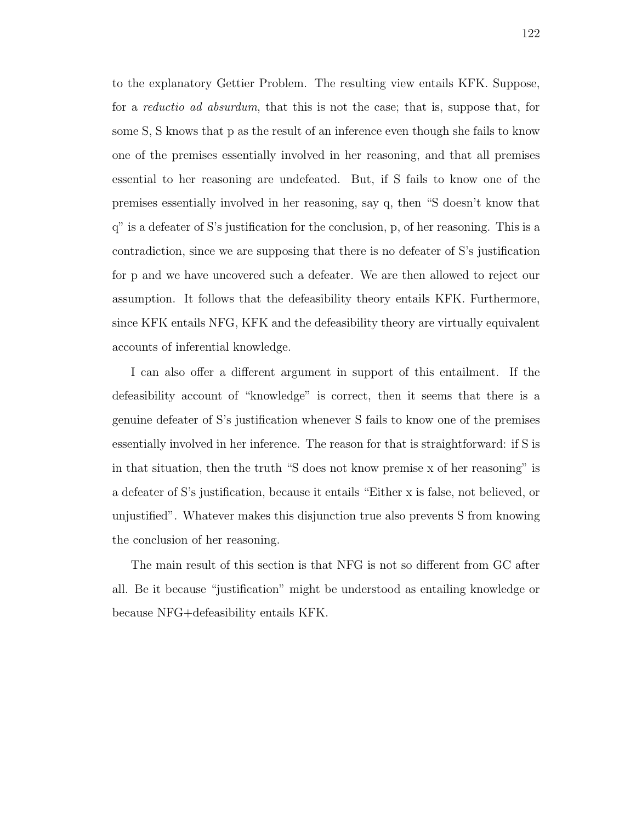to the explanatory Gettier Problem. The resulting view entails KFK. Suppose, for a reductio ad absurdum, that this is not the case; that is, suppose that, for some S, S knows that p as the result of an inference even though she fails to know one of the premises essentially involved in her reasoning, and that all premises essential to her reasoning are undefeated. But, if S fails to know one of the premises essentially involved in her reasoning, say q, then "S doesn't know that q" is a defeater of S's justification for the conclusion, p, of her reasoning. This is a contradiction, since we are supposing that there is no defeater of S's justification for p and we have uncovered such a defeater. We are then allowed to reject our assumption. It follows that the defeasibility theory entails KFK. Furthermore, since KFK entails NFG, KFK and the defeasibility theory are virtually equivalent accounts of inferential knowledge.

I can also offer a different argument in support of this entailment. If the defeasibility account of "knowledge" is correct, then it seems that there is a genuine defeater of S's justification whenever S fails to know one of the premises essentially involved in her inference. The reason for that is straightforward: if S is in that situation, then the truth "S does not know premise x of her reasoning" is a defeater of S's justification, because it entails "Either x is false, not believed, or unjustified". Whatever makes this disjunction true also prevents S from knowing the conclusion of her reasoning.

The main result of this section is that NFG is not so different from GC after all. Be it because "justification" might be understood as entailing knowledge or because NFG+defeasibility entails KFK.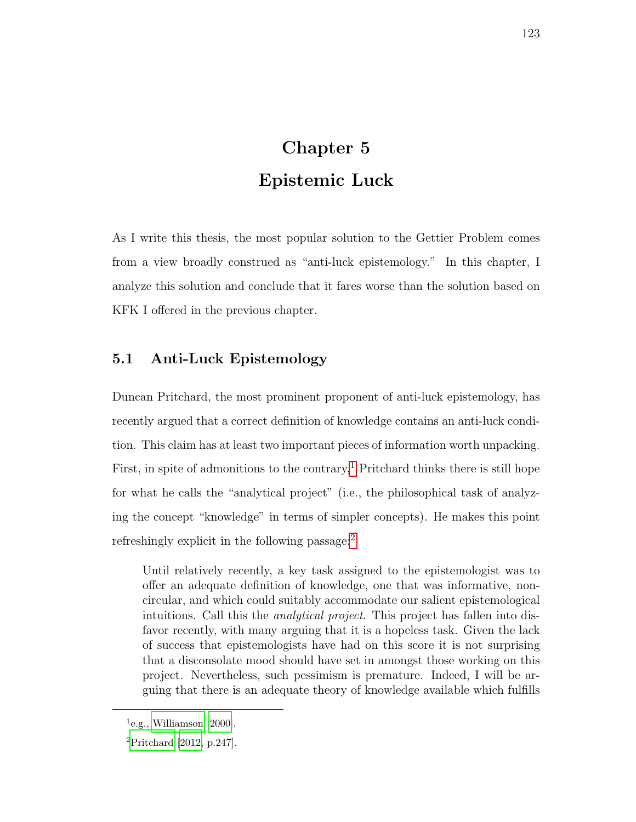# Chapter 5 Epistemic Luck

As I write this thesis, the most popular solution to the Gettier Problem comes from a view broadly construed as "anti-luck epistemology." In this chapter, I analyze this solution and conclude that it fares worse than the solution based on KFK I offered in the previous chapter.

## 5.1 Anti-Luck Epistemology

Duncan Pritchard, the most prominent proponent of anti-luck epistemology, has recently argued that a correct definition of knowledge contains an anti-luck condition. This claim has at least two important pieces of information worth unpacking. First, in spite of admonitions to the contrary,<sup>[1](#page-130-0)</sup> Pritchard thinks there is still hope for what he calls the "analytical project" (i.e., the philosophical task of analyzing the concept "knowledge" in terms of simpler concepts). He makes this point refreshingly explicit in the following passage: $^2$  $^2$ 

Until relatively recently, a key task assigned to the epistemologist was to offer an adequate definition of knowledge, one that was informative, noncircular, and which could suitably accommodate our salient epistemological intuitions. Call this the analytical project. This project has fallen into disfavor recently, with many arguing that it is a hopeless task. Given the lack of success that epistemologists have had on this score it is not surprising that a disconsolate mood should have set in amongst those working on this project. Nevertheless, such pessimism is premature. Indeed, I will be arguing that there is an adequate theory of knowledge available which fulfills

<span id="page-130-0"></span><sup>1</sup> e.g., [Williamson](#page-174-3) [\[2000\]](#page-174-3).

<span id="page-130-1"></span><sup>2</sup>[Pritchard](#page-172-2) [\[2012,](#page-172-2) p.247].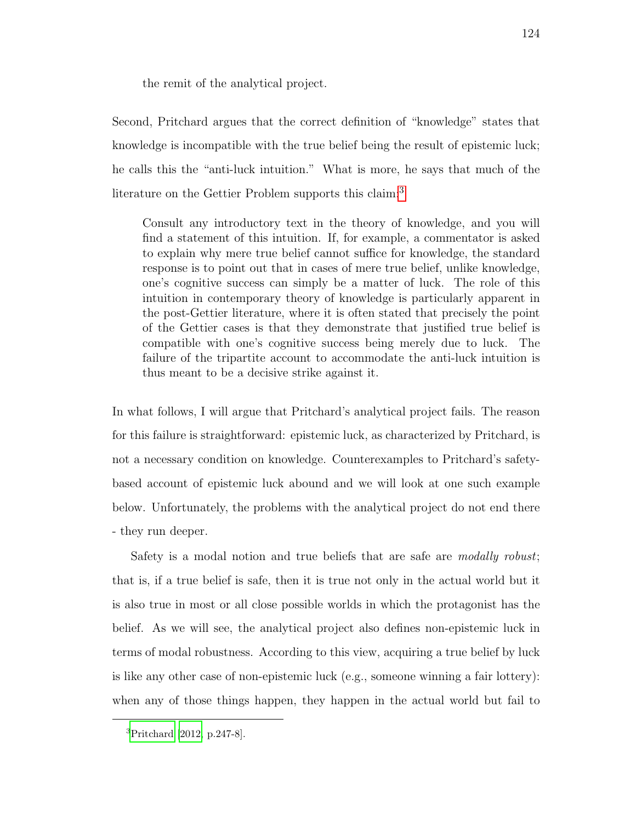the remit of the analytical project.

Second, Pritchard argues that the correct definition of "knowledge" states that knowledge is incompatible with the true belief being the result of epistemic luck; he calls this the "anti-luck intuition." What is more, he says that much of the literature on the Gettier Problem supports this claim:<sup>[3](#page-131-0)</sup>

Consult any introductory text in the theory of knowledge, and you will find a statement of this intuition. If, for example, a commentator is asked to explain why mere true belief cannot suffice for knowledge, the standard response is to point out that in cases of mere true belief, unlike knowledge, one's cognitive success can simply be a matter of luck. The role of this intuition in contemporary theory of knowledge is particularly apparent in the post-Gettier literature, where it is often stated that precisely the point of the Gettier cases is that they demonstrate that justified true belief is compatible with one's cognitive success being merely due to luck. The failure of the tripartite account to accommodate the anti-luck intuition is thus meant to be a decisive strike against it.

In what follows, I will argue that Pritchard's analytical project fails. The reason for this failure is straightforward: epistemic luck, as characterized by Pritchard, is not a necessary condition on knowledge. Counterexamples to Pritchard's safetybased account of epistemic luck abound and we will look at one such example below. Unfortunately, the problems with the analytical project do not end there - they run deeper.

Safety is a modal notion and true beliefs that are safe are *modally robust*; that is, if a true belief is safe, then it is true not only in the actual world but it is also true in most or all close possible worlds in which the protagonist has the belief. As we will see, the analytical project also defines non-epistemic luck in terms of modal robustness. According to this view, acquiring a true belief by luck is like any other case of non-epistemic luck (e.g., someone winning a fair lottery): when any of those things happen, they happen in the actual world but fail to

<span id="page-131-0"></span><sup>3</sup>[Pritchard](#page-172-2) [\[2012,](#page-172-2) p.247-8].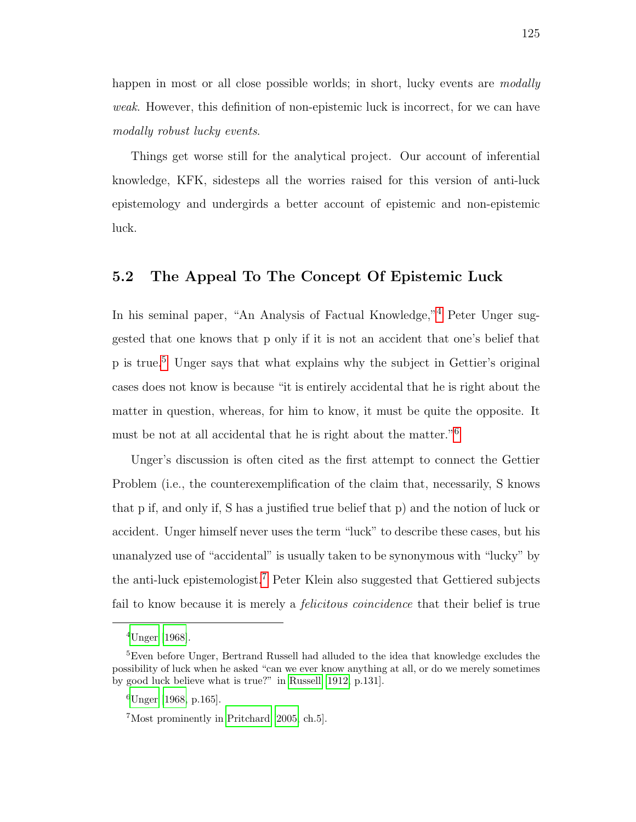happen in most or all close possible worlds; in short, lucky events are *modally* weak. However, this definition of non-epistemic luck is incorrect, for we can have modally robust lucky events.

Things get worse still for the analytical project. Our account of inferential knowledge, KFK, sidesteps all the worries raised for this version of anti-luck epistemology and undergirds a better account of epistemic and non-epistemic luck.

## 5.2 The Appeal To The Concept Of Epistemic Luck

In his seminal paper, "An Analysis of Factual Knowledge,"[4](#page-132-0) Peter Unger suggested that one knows that p only if it is not an accident that one's belief that p is true.[5](#page-132-1) Unger says that what explains why the subject in Gettier's original cases does not know is because "it is entirely accidental that he is right about the matter in question, whereas, for him to know, it must be quite the opposite. It must be not at all accidental that he is right about the matter."[6](#page-132-2)

Unger's discussion is often cited as the first attempt to connect the Gettier Problem (i.e., the counterexemplification of the claim that, necessarily, S knows that p if, and only if, S has a justified true belief that p) and the notion of luck or accident. Unger himself never uses the term "luck" to describe these cases, but his unanalyzed use of "accidental" is usually taken to be synonymous with "lucky" by the anti-luck epistemologist.[7](#page-132-3) Peter Klein also suggested that Gettiered subjects fail to know because it is merely a *felicitous coincidence* that their belief is true

<span id="page-132-1"></span><span id="page-132-0"></span><sup>4</sup>[Unger](#page-174-4) [\[1968\]](#page-174-4).

<sup>5</sup>Even before Unger, Bertrand Russell had alluded to the idea that knowledge excludes the possibility of luck when he asked "can we ever know anything at all, or do we merely sometimes by good luck believe what is true?" in [Russell](#page-172-3) [\[1912,](#page-172-3) p.131].

<span id="page-132-2"></span><sup>6</sup>[Unger](#page-174-4) [\[1968,](#page-174-4) p.165].

<span id="page-132-3"></span><sup>7</sup>Most prominently in [Pritchard](#page-172-4) [\[2005,](#page-172-4) ch.5].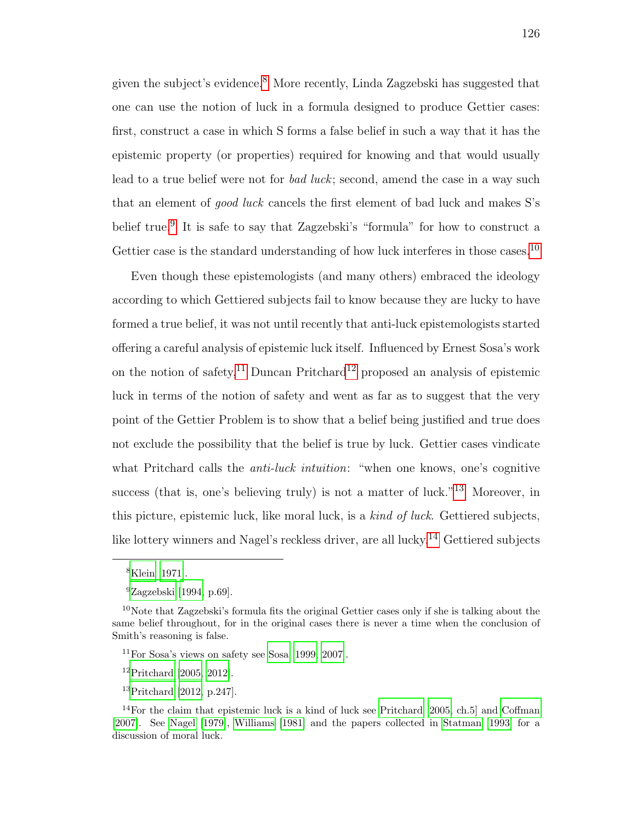given the subject's evidence.[8](#page-133-0) More recently, Linda Zagzebski has suggested that one can use the notion of luck in a formula designed to produce Gettier cases: first, construct a case in which S forms a false belief in such a way that it has the epistemic property (or properties) required for knowing and that would usually lead to a true belief were not for *bad luck*; second, amend the case in a way such that an element of good luck cancels the first element of bad luck and makes S's belief true.<sup>[9](#page-133-1)</sup> It is safe to say that Zagzebski's "formula" for how to construct a Gettier case is the standard understanding of how luck interferes in those cases.<sup>[10](#page-133-2)</sup>

Even though these epistemologists (and many others) embraced the ideology according to which Gettiered subjects fail to know because they are lucky to have formed a true belief, it was not until recently that anti-luck epistemologists started offering a careful analysis of epistemic luck itself. Influenced by Ernest Sosa's work on the notion of safety,<sup>[11](#page-133-3)</sup> Duncan Pritchard<sup>[12](#page-133-4)</sup> proposed an analysis of epistemic luck in terms of the notion of safety and went as far as to suggest that the very point of the Gettier Problem is to show that a belief being justified and true does not exclude the possibility that the belief is true by luck. Gettier cases vindicate what Pritchard calls the *anti-luck intuition*: "when one knows, one's cognitive success (that is, one's believing truly) is not a matter of luck."<sup>[13](#page-133-5)</sup> Moreover, in this picture, epistemic luck, like moral luck, is a kind of luck. Gettiered subjects, like lottery winners and Nagel's reckless driver, are all lucky.<sup>[14](#page-133-6)</sup> Gettiered subjects

<span id="page-133-0"></span><sup>8</sup>[Klein](#page-170-0) [\[1971\]](#page-170-0).

<span id="page-133-2"></span><span id="page-133-1"></span><sup>9</sup>[Zagzebski](#page-175-0) [\[1994,](#page-175-0) p.69].

 $10$ Note that Zagzebski's formula fits the original Gettier cases only if she is talking about the same belief throughout, for in the original cases there is never a time when the conclusion of Smith's reasoning is false.

<span id="page-133-3"></span> $11$ For [Sosa](#page-173-7)'s views on safety see Sosa [\[1999,](#page-173-7) [2007\]](#page-173-3).

<span id="page-133-4"></span><sup>12</sup>[Pritchard](#page-172-4) [\[2005,](#page-172-4) [2012\]](#page-172-2).

<span id="page-133-6"></span><span id="page-133-5"></span><sup>13</sup>[Pritchard](#page-172-2) [\[2012,](#page-172-2) p.247].

<sup>&</sup>lt;sup>14</sup>For the claim that epistemic luck is a kind of luck see [Pritchard](#page-172-4)  $[2005, ch.5]$  $[2005, ch.5]$  and [Coffman](#page-165-3) [\[2007\]](#page-165-3). See [Nagel](#page-172-5) [\[1979\]](#page-172-5), [Williams](#page-174-5) [\[1981\]](#page-174-5) and the papers collected in [Statman](#page-173-8) [\[1993\]](#page-173-8) for a discussion of moral luck.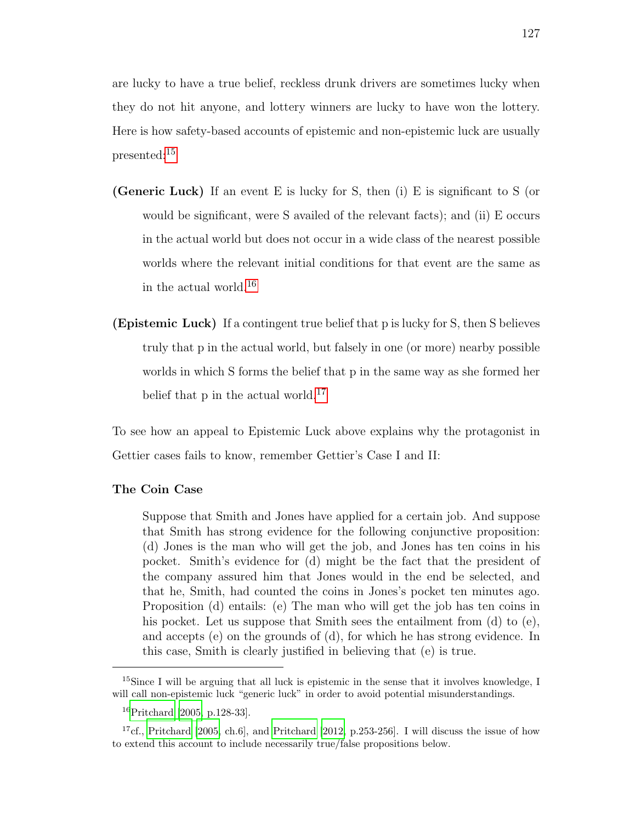are lucky to have a true belief, reckless drunk drivers are sometimes lucky when they do not hit anyone, and lottery winners are lucky to have won the lottery. Here is how safety-based accounts of epistemic and non-epistemic luck are usually presented:[15](#page-134-0)

- (Generic Luck) If an event E is lucky for S, then (i) E is significant to S (or would be significant, were S availed of the relevant facts); and (ii) E occurs in the actual world but does not occur in a wide class of the nearest possible worlds where the relevant initial conditions for that event are the same as in the actual world.[16](#page-134-1)
- (Epistemic Luck) If a contingent true belief that p is lucky for S, then S believes truly that p in the actual world, but falsely in one (or more) nearby possible worlds in which S forms the belief that p in the same way as she formed her belief that p in the actual world.<sup>[17](#page-134-2)</sup>

To see how an appeal to Epistemic Luck above explains why the protagonist in Gettier cases fails to know, remember Gettier's Case I and II:

#### The Coin Case

Suppose that Smith and Jones have applied for a certain job. And suppose that Smith has strong evidence for the following conjunctive proposition: (d) Jones is the man who will get the job, and Jones has ten coins in his pocket. Smith's evidence for (d) might be the fact that the president of the company assured him that Jones would in the end be selected, and that he, Smith, had counted the coins in Jones's pocket ten minutes ago. Proposition (d) entails: (e) The man who will get the job has ten coins in his pocket. Let us suppose that Smith sees the entailment from (d) to (e), and accepts (e) on the grounds of (d), for which he has strong evidence. In this case, Smith is clearly justified in believing that (e) is true.

<span id="page-134-0"></span><sup>&</sup>lt;sup>15</sup>Since I will be arguing that all luck is epistemic in the sense that it involves knowledge, I will call non-epistemic luck "generic luck" in order to avoid potential misunderstandings.

<span id="page-134-2"></span><span id="page-134-1"></span><sup>16</sup>[Pritchard](#page-172-4) [\[2005,](#page-172-4) p.128-33].

<sup>&</sup>lt;sup>17</sup>cf., [Pritchard](#page-172-2) [\[2005,](#page-172-4) ch.6], and Pritchard [\[2012,](#page-172-2) p.253-256]. I will discuss the issue of how to extend this account to include necessarily true/false propositions below.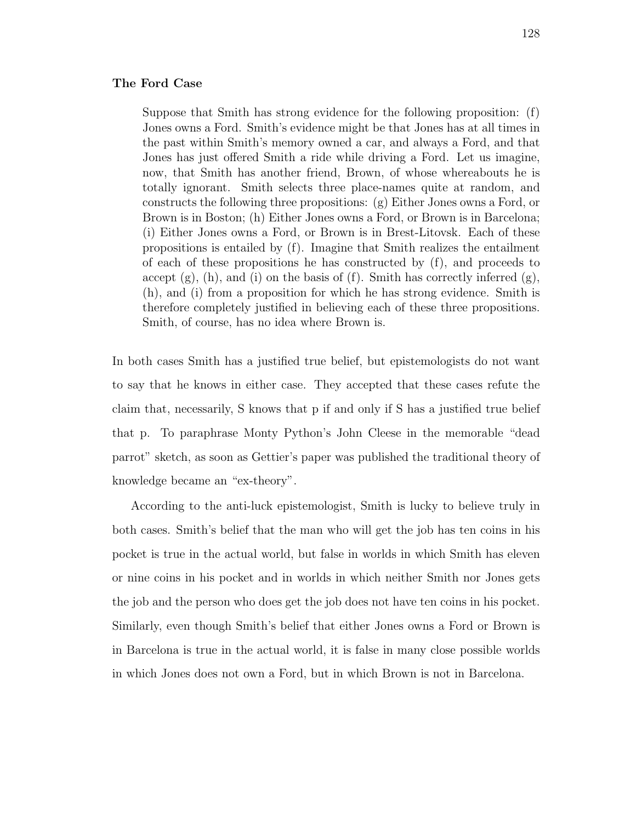#### The Ford Case

Suppose that Smith has strong evidence for the following proposition: (f) Jones owns a Ford. Smith's evidence might be that Jones has at all times in the past within Smith's memory owned a car, and always a Ford, and that Jones has just offered Smith a ride while driving a Ford. Let us imagine, now, that Smith has another friend, Brown, of whose whereabouts he is totally ignorant. Smith selects three place-names quite at random, and constructs the following three propositions: (g) Either Jones owns a Ford, or Brown is in Boston; (h) Either Jones owns a Ford, or Brown is in Barcelona; (i) Either Jones owns a Ford, or Brown is in Brest-Litovsk. Each of these propositions is entailed by (f). Imagine that Smith realizes the entailment of each of these propositions he has constructed by  $(f)$ , and proceeds to accept  $(g)$ ,  $(h)$ , and  $(i)$  on the basis of  $(f)$ . Smith has correctly inferred  $(g)$ ,

(h), and (i) from a proposition for which he has strong evidence. Smith is therefore completely justified in believing each of these three propositions. Smith, of course, has no idea where Brown is.

In both cases Smith has a justified true belief, but epistemologists do not want to say that he knows in either case. They accepted that these cases refute the claim that, necessarily, S knows that p if and only if S has a justified true belief that p. To paraphrase Monty Python's John Cleese in the memorable "dead parrot" sketch, as soon as Gettier's paper was published the traditional theory of knowledge became an "ex-theory".

According to the anti-luck epistemologist, Smith is lucky to believe truly in both cases. Smith's belief that the man who will get the job has ten coins in his pocket is true in the actual world, but false in worlds in which Smith has eleven or nine coins in his pocket and in worlds in which neither Smith nor Jones gets the job and the person who does get the job does not have ten coins in his pocket. Similarly, even though Smith's belief that either Jones owns a Ford or Brown is in Barcelona is true in the actual world, it is false in many close possible worlds in which Jones does not own a Ford, but in which Brown is not in Barcelona.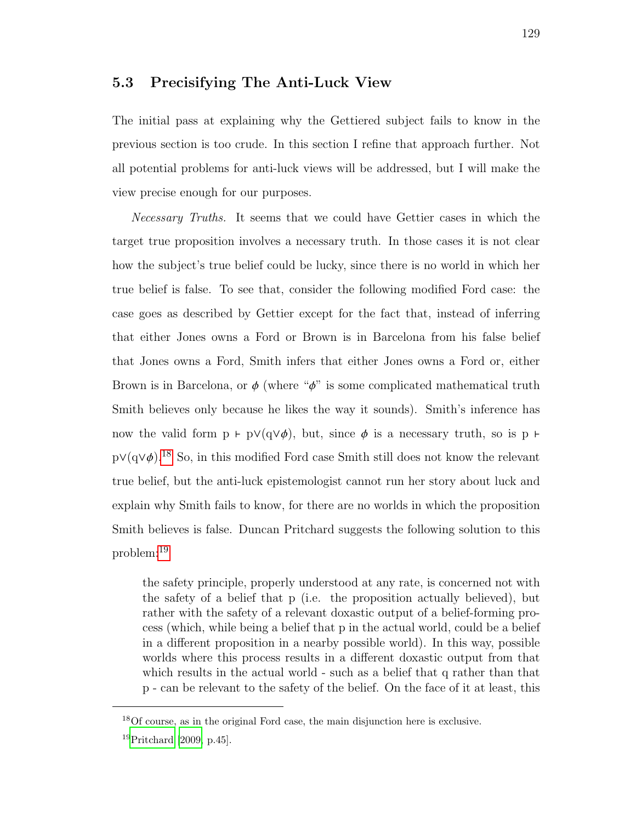## 5.3 Precisifying The Anti-Luck View

The initial pass at explaining why the Gettiered subject fails to know in the previous section is too crude. In this section I refine that approach further. Not all potential problems for anti-luck views will be addressed, but I will make the view precise enough for our purposes.

Necessary Truths. It seems that we could have Gettier cases in which the target true proposition involves a necessary truth. In those cases it is not clear how the subject's true belief could be lucky, since there is no world in which her true belief is false. To see that, consider the following modified Ford case: the case goes as described by Gettier except for the fact that, instead of inferring that either Jones owns a Ford or Brown is in Barcelona from his false belief that Jones owns a Ford, Smith infers that either Jones owns a Ford or, either Brown is in Barcelona, or  $\phi$  (where " $\phi$ " is some complicated mathematical truth Smith believes only because he likes the way it sounds). Smith's inference has now the valid form  $p \vdash p \vee (q \vee \phi)$ , but, since  $\phi$  is a necessary truth, so is p  $\vdash$  $\text{p}\lor (\text{q}\lor \phi).^{18}$  $\text{p}\lor (\text{q}\lor \phi).^{18}$  $\text{p}\lor (\text{q}\lor \phi).^{18}$  So, in this modified Ford case Smith still does not know the relevant true belief, but the anti-luck epistemologist cannot run her story about luck and explain why Smith fails to know, for there are no worlds in which the proposition Smith believes is false. Duncan Pritchard suggests the following solution to this problem:[19](#page-136-1)

the safety principle, properly understood at any rate, is concerned not with the safety of a belief that p (i.e. the proposition actually believed), but rather with the safety of a relevant doxastic output of a belief-forming process (which, while being a belief that p in the actual world, could be a belief in a different proposition in a nearby possible world). In this way, possible worlds where this process results in a different doxastic output from that which results in the actual world - such as a belief that q rather than that p - can be relevant to the safety of the belief. On the face of it at least, this

<span id="page-136-1"></span><span id="page-136-0"></span><sup>18</sup>Of course, as in the original Ford case, the main disjunction here is exclusive.  $^{19}$ [Pritchard](#page-172-6) [\[2009,](#page-172-6) p.45].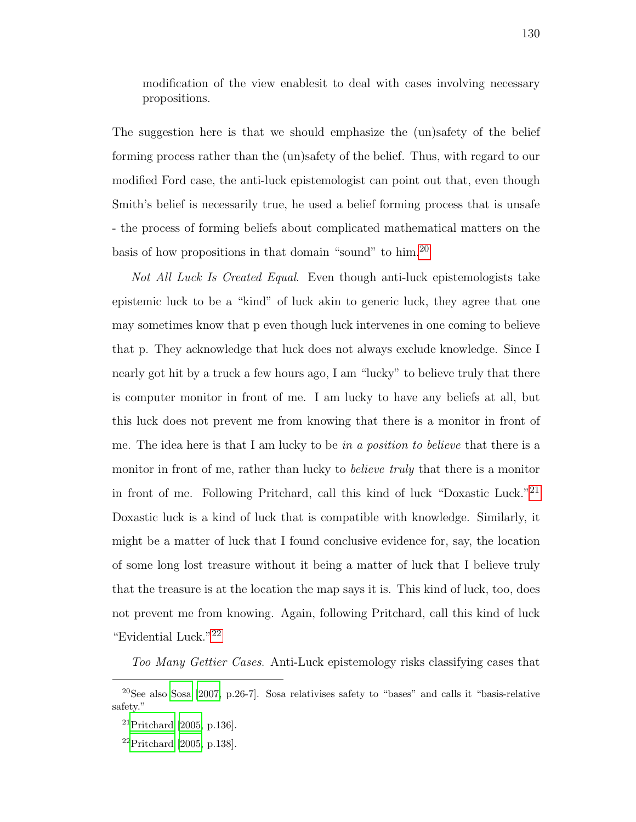modification of the view enablesit to deal with cases involving necessary propositions.

The suggestion here is that we should emphasize the (un)safety of the belief forming process rather than the (un)safety of the belief. Thus, with regard to our modified Ford case, the anti-luck epistemologist can point out that, even though Smith's belief is necessarily true, he used a belief forming process that is unsafe - the process of forming beliefs about complicated mathematical matters on the basis of how propositions in that domain "sound" to him.[20](#page-137-0)

Not All Luck Is Created Equal. Even though anti-luck epistemologists take epistemic luck to be a "kind" of luck akin to generic luck, they agree that one may sometimes know that p even though luck intervenes in one coming to believe that p. They acknowledge that luck does not always exclude knowledge. Since I nearly got hit by a truck a few hours ago, I am "lucky" to believe truly that there is computer monitor in front of me. I am lucky to have any beliefs at all, but this luck does not prevent me from knowing that there is a monitor in front of me. The idea here is that I am lucky to be in a position to believe that there is a monitor in front of me, rather than lucky to *believe truly* that there is a monitor in front of me. Following Pritchard, call this kind of luck "Doxastic Luck."[21](#page-137-1) Doxastic luck is a kind of luck that is compatible with knowledge. Similarly, it might be a matter of luck that I found conclusive evidence for, say, the location of some long lost treasure without it being a matter of luck that I believe truly that the treasure is at the location the map says it is. This kind of luck, too, does not prevent me from knowing. Again, following Pritchard, call this kind of luck "Evidential Luck."[22](#page-137-2)

Too Many Gettier Cases. Anti-Luck epistemology risks classifying cases that

<span id="page-137-0"></span> $^{20}$ See also [Sosa](#page-173-3) [\[2007,](#page-173-3) p.26-7]. Sosa relativises safety to "bases" and calls it "basis-relative safety."

<span id="page-137-1"></span> $^{21}$ [Pritchard](#page-172-4) [\[2005,](#page-172-4) p.136].

<span id="page-137-2"></span> $22$ [Pritchard](#page-172-4) [\[2005,](#page-172-4) p.138].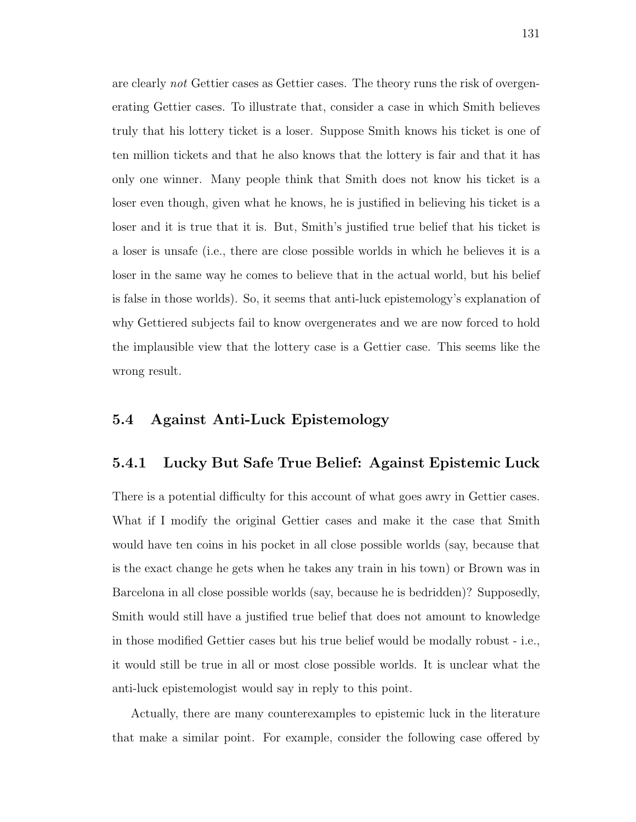are clearly not Gettier cases as Gettier cases. The theory runs the risk of overgenerating Gettier cases. To illustrate that, consider a case in which Smith believes truly that his lottery ticket is a loser. Suppose Smith knows his ticket is one of ten million tickets and that he also knows that the lottery is fair and that it has only one winner. Many people think that Smith does not know his ticket is a loser even though, given what he knows, he is justified in believing his ticket is a loser and it is true that it is. But, Smith's justified true belief that his ticket is a loser is unsafe (i.e., there are close possible worlds in which he believes it is a loser in the same way he comes to believe that in the actual world, but his belief is false in those worlds). So, it seems that anti-luck epistemology's explanation of why Gettiered subjects fail to know overgenerates and we are now forced to hold the implausible view that the lottery case is a Gettier case. This seems like the wrong result.

## 5.4 Against Anti-Luck Epistemology

#### 5.4.1 Lucky But Safe True Belief: Against Epistemic Luck

There is a potential difficulty for this account of what goes awry in Gettier cases. What if I modify the original Gettier cases and make it the case that Smith would have ten coins in his pocket in all close possible worlds (say, because that is the exact change he gets when he takes any train in his town) or Brown was in Barcelona in all close possible worlds (say, because he is bedridden)? Supposedly, Smith would still have a justified true belief that does not amount to knowledge in those modified Gettier cases but his true belief would be modally robust - i.e., it would still be true in all or most close possible worlds. It is unclear what the anti-luck epistemologist would say in reply to this point.

Actually, there are many counterexamples to epistemic luck in the literature that make a similar point. For example, consider the following case offered by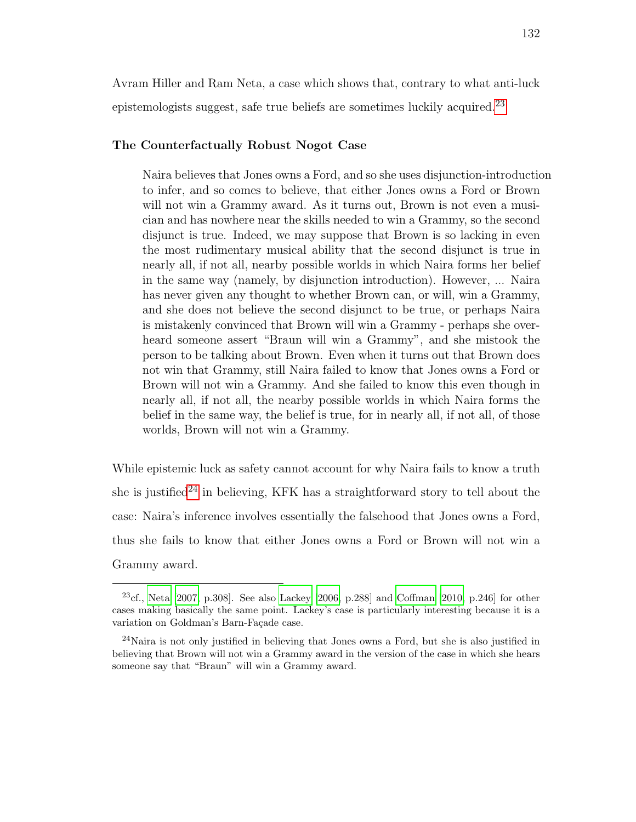132

Avram Hiller and Ram Neta, a case which shows that, contrary to what anti-luck epistemologists suggest, safe true beliefs are sometimes luckily acquired. $^{23}$  $^{23}$  $^{23}$ 

#### The Counterfactually Robust Nogot Case

Naira believes that Jones owns a Ford, and so she uses disjunction-introduction to infer, and so comes to believe, that either Jones owns a Ford or Brown will not win a Grammy award. As it turns out, Brown is not even a musician and has nowhere near the skills needed to win a Grammy, so the second disjunct is true. Indeed, we may suppose that Brown is so lacking in even the most rudimentary musical ability that the second disjunct is true in nearly all, if not all, nearby possible worlds in which Naira forms her belief in the same way (namely, by disjunction introduction). However, ... Naira has never given any thought to whether Brown can, or will, win a Grammy, and she does not believe the second disjunct to be true, or perhaps Naira is mistakenly convinced that Brown will win a Grammy - perhaps she overheard someone assert "Braun will win a Grammy", and she mistook the person to be talking about Brown. Even when it turns out that Brown does not win that Grammy, still Naira failed to know that Jones owns a Ford or Brown will not win a Grammy. And she failed to know this even though in nearly all, if not all, the nearby possible worlds in which Naira forms the belief in the same way, the belief is true, for in nearly all, if not all, of those worlds, Brown will not win a Grammy.

While epistemic luck as safety cannot account for why Naira fails to know a truth she is justified<sup>[24](#page-139-1)</sup> in believing, KFK has a straightforward story to tell about the case: Naira's inference involves essentially the falsehood that Jones owns a Ford, thus she fails to know that either Jones owns a Ford or Brown will not win a Grammy award.

<span id="page-139-0"></span><sup>&</sup>lt;sup>23</sup>cf., [Neta](#page-172-7) [\[2007,](#page-172-7) p.308]. See also [Lackey](#page-171-4) [\[2006,](#page-171-4) p.288] and [Coffman](#page-166-2) [\[2010,](#page-166-2) p.246] for other cases making basically the same point. Lackey's case is particularly interesting because it is a variation on Goldman's Barn-Façade case.

<span id="page-139-1"></span> $24$ Naira is not only justified in believing that Jones owns a Ford, but she is also justified in believing that Brown will not win a Grammy award in the version of the case in which she hears someone say that "Braun" will win a Grammy award.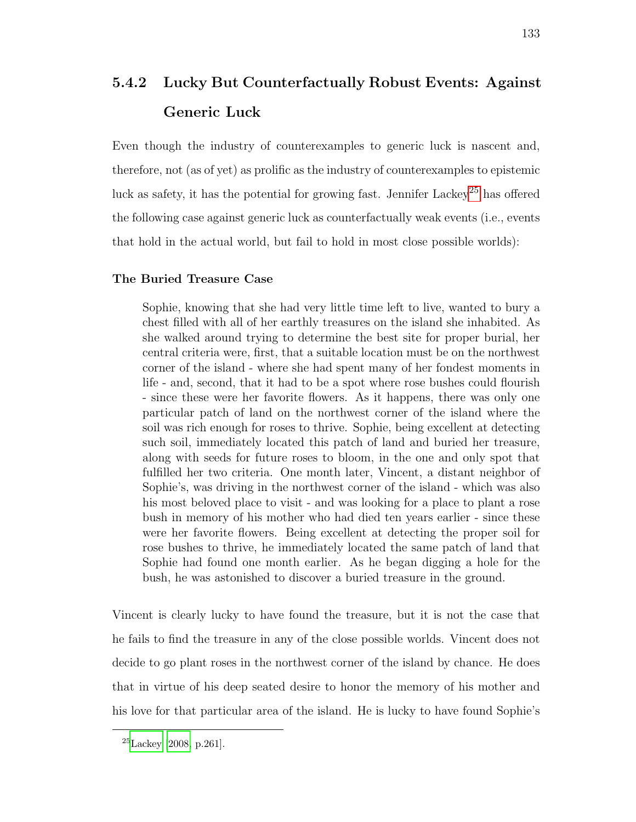## 5.4.2 Lucky But Counterfactually Robust Events: Against Generic Luck

Even though the industry of counterexamples to generic luck is nascent and, therefore, not (as of yet) as prolific as the industry of counterexamples to epistemic luck as safety, it has the potential for growing fast. Jennifer Lackey<sup>[25](#page-140-0)</sup> has offered the following case against generic luck as counterfactually weak events (i.e., events that hold in the actual world, but fail to hold in most close possible worlds):

#### The Buried Treasure Case

Sophie, knowing that she had very little time left to live, wanted to bury a chest filled with all of her earthly treasures on the island she inhabited. As she walked around trying to determine the best site for proper burial, her central criteria were, first, that a suitable location must be on the northwest corner of the island - where she had spent many of her fondest moments in life - and, second, that it had to be a spot where rose bushes could flourish - since these were her favorite flowers. As it happens, there was only one particular patch of land on the northwest corner of the island where the soil was rich enough for roses to thrive. Sophie, being excellent at detecting such soil, immediately located this patch of land and buried her treasure, along with seeds for future roses to bloom, in the one and only spot that fulfilled her two criteria. One month later, Vincent, a distant neighbor of Sophie's, was driving in the northwest corner of the island - which was also his most beloved place to visit - and was looking for a place to plant a rose bush in memory of his mother who had died ten years earlier - since these were her favorite flowers. Being excellent at detecting the proper soil for rose bushes to thrive, he immediately located the same patch of land that Sophie had found one month earlier. As he began digging a hole for the bush, he was astonished to discover a buried treasure in the ground.

Vincent is clearly lucky to have found the treasure, but it is not the case that he fails to find the treasure in any of the close possible worlds. Vincent does not decide to go plant roses in the northwest corner of the island by chance. He does that in virtue of his deep seated desire to honor the memory of his mother and his love for that particular area of the island. He is lucky to have found Sophie's

<span id="page-140-0"></span> $^{25}$ [Lackey](#page-171-5) [\[2008,](#page-171-5) p.261].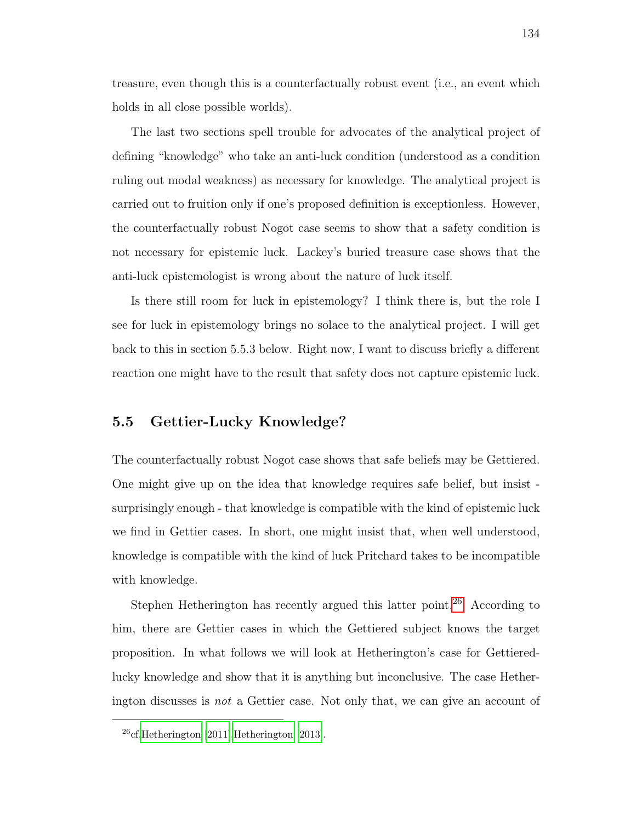treasure, even though this is a counterfactually robust event (i.e., an event which holds in all close possible worlds).

The last two sections spell trouble for advocates of the analytical project of defining "knowledge" who take an anti-luck condition (understood as a condition ruling out modal weakness) as necessary for knowledge. The analytical project is carried out to fruition only if one's proposed definition is exceptionless. However, the counterfactually robust Nogot case seems to show that a safety condition is not necessary for epistemic luck. Lackey's buried treasure case shows that the anti-luck epistemologist is wrong about the nature of luck itself.

Is there still room for luck in epistemology? I think there is, but the role I see for luck in epistemology brings no solace to the analytical project. I will get back to this in section 5.5.3 below. Right now, I want to discuss briefly a different reaction one might have to the result that safety does not capture epistemic luck.

## 5.5 Gettier-Lucky Knowledge?

The counterfactually robust Nogot case shows that safe beliefs may be Gettiered. One might give up on the idea that knowledge requires safe belief, but insist surprisingly enough - that knowledge is compatible with the kind of epistemic luck we find in Gettier cases. In short, one might insist that, when well understood, knowledge is compatible with the kind of luck Pritchard takes to be incompatible with knowledge.

Stephen Hetherington has recently argued this latter point.<sup>[26](#page-141-0)</sup> According to him, there are Gettier cases in which the Gettiered subject knows the target proposition. In what follows we will look at Hetherington's case for Gettieredlucky knowledge and show that it is anything but inconclusive. The case Hetherington discusses is not a Gettier case. Not only that, we can give an account of

<span id="page-141-0"></span> $^{26}$ cf[.Hetherington](#page-169-1) [\[2011\]](#page-169-1)[,Hetherington](#page-169-2) [\[2013\]](#page-169-2).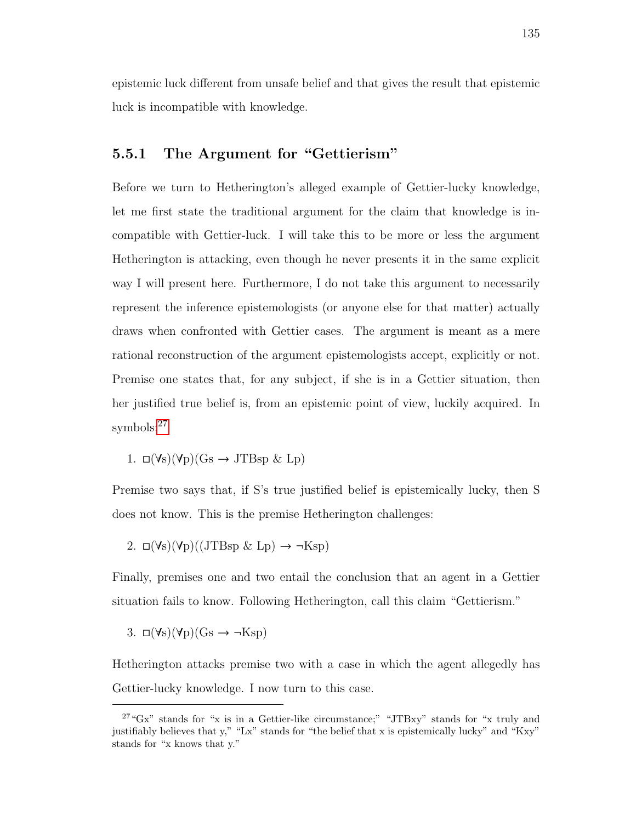epistemic luck different from unsafe belief and that gives the result that epistemic luck is incompatible with knowledge.

## 5.5.1 The Argument for "Gettierism"

Before we turn to Hetherington's alleged example of Gettier-lucky knowledge, let me first state the traditional argument for the claim that knowledge is incompatible with Gettier-luck. I will take this to be more or less the argument Hetherington is attacking, even though he never presents it in the same explicit way I will present here. Furthermore, I do not take this argument to necessarily represent the inference epistemologists (or anyone else for that matter) actually draws when confronted with Gettier cases. The argument is meant as a mere rational reconstruction of the argument epistemologists accept, explicitly or not. Premise one states that, for any subject, if she is in a Gettier situation, then her justified true belief is, from an epistemic point of view, luckily acquired. In symbols:[27](#page-142-0)

1.  $\Box(\forall s)(\forall p)(Gs \rightarrow JTBsp \& Lp)$ 

Premise two says that, if S's true justified belief is epistemically lucky, then S does not know. This is the premise Hetherington challenges:

2. 
$$
\Box(\forall s)(\forall p)((JT Bsp \& Lp) \rightarrow \neg Ksp)
$$

Finally, premises one and two entail the conclusion that an agent in a Gettier situation fails to know. Following Hetherington, call this claim "Gettierism."

3.  $\square(\forall s)(\forall p)(Gs \rightarrow \neg Ksp)$ 

Hetherington attacks premise two with a case in which the agent allegedly has Gettier-lucky knowledge. I now turn to this case.

<span id="page-142-0"></span> $27\,\text{``Gx''}$  stands for "x is in a Gettier-like circumstance;" "JTBxy" stands for "x truly and justifiably believes that y," "Lx" stands for "the belief that x is epistemically lucky" and "Kxy" stands for "x knows that y."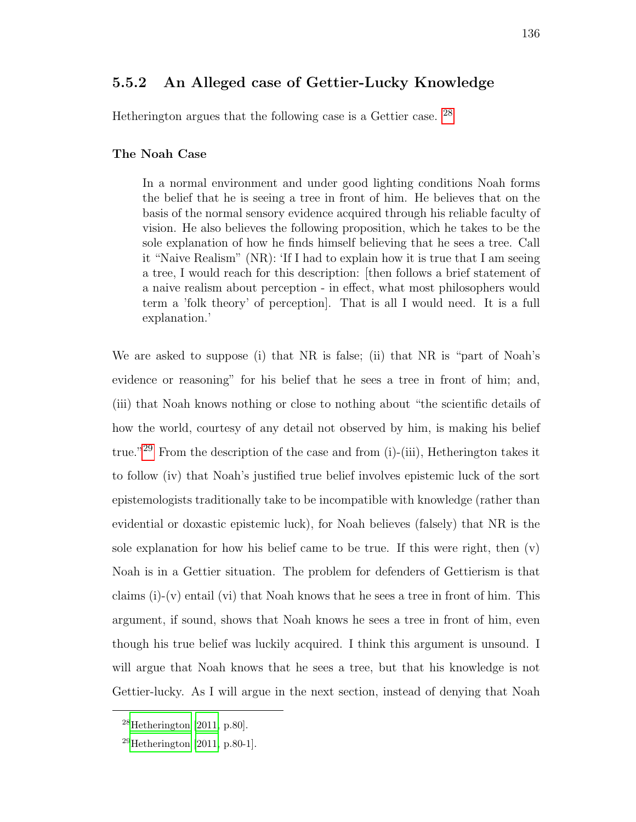## 5.5.2 An Alleged case of Gettier-Lucky Knowledge

Hetherington argues that the following case is a Gettier case.  $^{28}$  $^{28}$  $^{28}$ 

#### The Noah Case

In a normal environment and under good lighting conditions Noah forms the belief that he is seeing a tree in front of him. He believes that on the basis of the normal sensory evidence acquired through his reliable faculty of vision. He also believes the following proposition, which he takes to be the sole explanation of how he finds himself believing that he sees a tree. Call it "Naive Realism" (NR): 'If I had to explain how it is true that I am seeing a tree, I would reach for this description: [then follows a brief statement of a naive realism about perception - in effect, what most philosophers would term a 'folk theory' of perception]. That is all I would need. It is a full explanation.'

We are asked to suppose (i) that NR is false; (ii) that NR is "part of Noah's evidence or reasoning" for his belief that he sees a tree in front of him; and, (iii) that Noah knows nothing or close to nothing about "the scientific details of how the world, courtesy of any detail not observed by him, is making his belief true."<sup>[29](#page-143-1)</sup> From the description of the case and from (i)-(iii), Hetherington takes it to follow (iv) that Noah's justified true belief involves epistemic luck of the sort epistemologists traditionally take to be incompatible with knowledge (rather than evidential or doxastic epistemic luck), for Noah believes (falsely) that NR is the sole explanation for how his belief came to be true. If this were right, then  $(v)$ Noah is in a Gettier situation. The problem for defenders of Gettierism is that claims  $(i)-(v)$  entail (vi) that Noah knows that he sees a tree in front of him. This argument, if sound, shows that Noah knows he sees a tree in front of him, even though his true belief was luckily acquired. I think this argument is unsound. I will argue that Noah knows that he sees a tree, but that his knowledge is not Gettier-lucky. As I will argue in the next section, instead of denying that Noah

<span id="page-143-0"></span> $28$ [Hetherington](#page-169-1) [\[2011,](#page-169-1) p.80].

<span id="page-143-1"></span> $29$ [Hetherington](#page-169-1) [\[2011,](#page-169-1) p.80-1].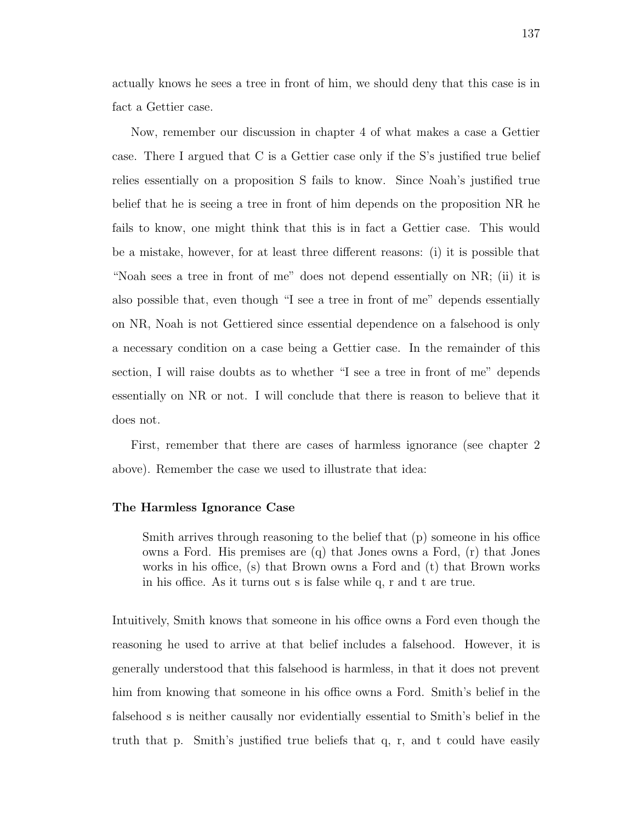actually knows he sees a tree in front of him, we should deny that this case is in fact a Gettier case.

Now, remember our discussion in chapter 4 of what makes a case a Gettier case. There I argued that C is a Gettier case only if the S's justified true belief relies essentially on a proposition S fails to know. Since Noah's justified true belief that he is seeing a tree in front of him depends on the proposition NR he fails to know, one might think that this is in fact a Gettier case. This would be a mistake, however, for at least three different reasons: (i) it is possible that "Noah sees a tree in front of me" does not depend essentially on NR; (ii) it is also possible that, even though "I see a tree in front of me" depends essentially on NR, Noah is not Gettiered since essential dependence on a falsehood is only a necessary condition on a case being a Gettier case. In the remainder of this section, I will raise doubts as to whether "I see a tree in front of me" depends essentially on NR or not. I will conclude that there is reason to believe that it does not.

First, remember that there are cases of harmless ignorance (see chapter 2 above). Remember the case we used to illustrate that idea:

#### The Harmless Ignorance Case

Smith arrives through reasoning to the belief that (p) someone in his office owns a Ford. His premises are (q) that Jones owns a Ford, (r) that Jones works in his office, (s) that Brown owns a Ford and (t) that Brown works in his office. As it turns out s is false while q, r and t are true.

Intuitively, Smith knows that someone in his office owns a Ford even though the reasoning he used to arrive at that belief includes a falsehood. However, it is generally understood that this falsehood is harmless, in that it does not prevent him from knowing that someone in his office owns a Ford. Smith's belief in the falsehood s is neither causally nor evidentially essential to Smith's belief in the truth that p. Smith's justified true beliefs that q, r, and t could have easily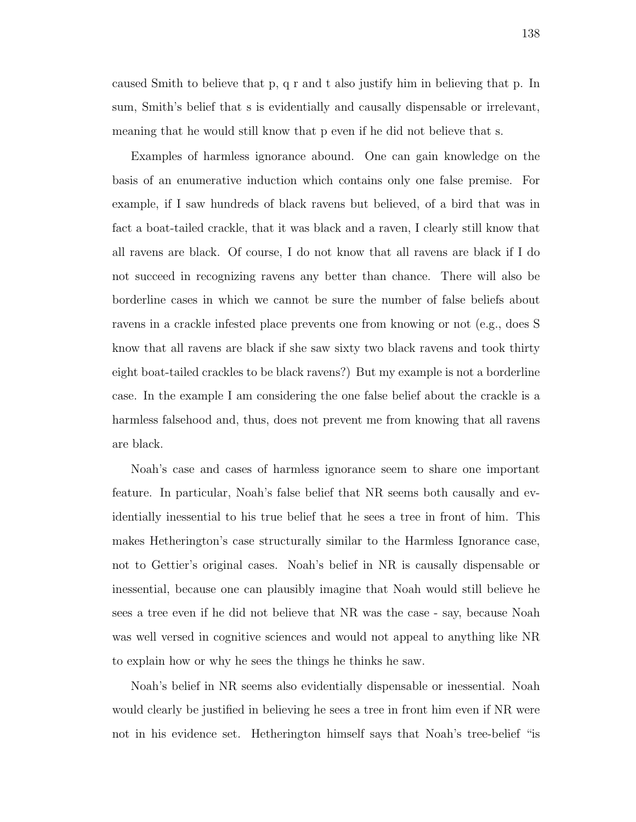caused Smith to believe that p, q r and t also justify him in believing that p. In sum, Smith's belief that s is evidentially and causally dispensable or irrelevant, meaning that he would still know that p even if he did not believe that s.

Examples of harmless ignorance abound. One can gain knowledge on the basis of an enumerative induction which contains only one false premise. For example, if I saw hundreds of black ravens but believed, of a bird that was in fact a boat-tailed crackle, that it was black and a raven, I clearly still know that all ravens are black. Of course, I do not know that all ravens are black if I do not succeed in recognizing ravens any better than chance. There will also be borderline cases in which we cannot be sure the number of false beliefs about ravens in a crackle infested place prevents one from knowing or not (e.g., does S know that all ravens are black if she saw sixty two black ravens and took thirty eight boat-tailed crackles to be black ravens?) But my example is not a borderline case. In the example I am considering the one false belief about the crackle is a harmless falsehood and, thus, does not prevent me from knowing that all ravens are black.

Noah's case and cases of harmless ignorance seem to share one important feature. In particular, Noah's false belief that NR seems both causally and evidentially inessential to his true belief that he sees a tree in front of him. This makes Hetherington's case structurally similar to the Harmless Ignorance case, not to Gettier's original cases. Noah's belief in NR is causally dispensable or inessential, because one can plausibly imagine that Noah would still believe he sees a tree even if he did not believe that NR was the case - say, because Noah was well versed in cognitive sciences and would not appeal to anything like NR to explain how or why he sees the things he thinks he saw.

Noah's belief in NR seems also evidentially dispensable or inessential. Noah would clearly be justified in believing he sees a tree in front him even if NR were not in his evidence set. Hetherington himself says that Noah's tree-belief "is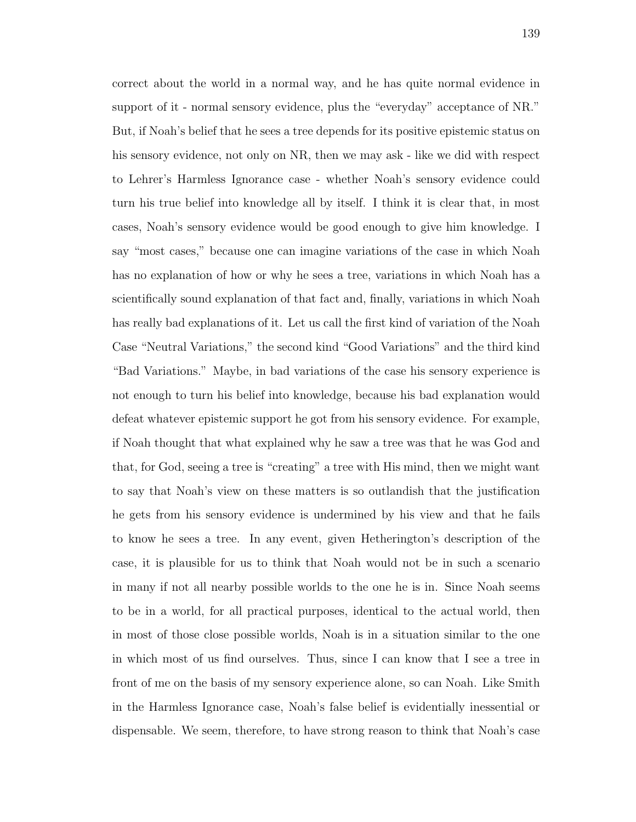correct about the world in a normal way, and he has quite normal evidence in support of it - normal sensory evidence, plus the "everyday" acceptance of NR." But, if Noah's belief that he sees a tree depends for its positive epistemic status on his sensory evidence, not only on NR, then we may ask - like we did with respect to Lehrer's Harmless Ignorance case - whether Noah's sensory evidence could turn his true belief into knowledge all by itself. I think it is clear that, in most cases, Noah's sensory evidence would be good enough to give him knowledge. I say "most cases," because one can imagine variations of the case in which Noah has no explanation of how or why he sees a tree, variations in which Noah has a scientifically sound explanation of that fact and, finally, variations in which Noah has really bad explanations of it. Let us call the first kind of variation of the Noah Case "Neutral Variations," the second kind "Good Variations" and the third kind "Bad Variations." Maybe, in bad variations of the case his sensory experience is not enough to turn his belief into knowledge, because his bad explanation would defeat whatever epistemic support he got from his sensory evidence. For example, if Noah thought that what explained why he saw a tree was that he was God and that, for God, seeing a tree is "creating" a tree with His mind, then we might want to say that Noah's view on these matters is so outlandish that the justification he gets from his sensory evidence is undermined by his view and that he fails to know he sees a tree. In any event, given Hetherington's description of the case, it is plausible for us to think that Noah would not be in such a scenario in many if not all nearby possible worlds to the one he is in. Since Noah seems to be in a world, for all practical purposes, identical to the actual world, then in most of those close possible worlds, Noah is in a situation similar to the one in which most of us find ourselves. Thus, since I can know that I see a tree in front of me on the basis of my sensory experience alone, so can Noah. Like Smith in the Harmless Ignorance case, Noah's false belief is evidentially inessential or dispensable. We seem, therefore, to have strong reason to think that Noah's case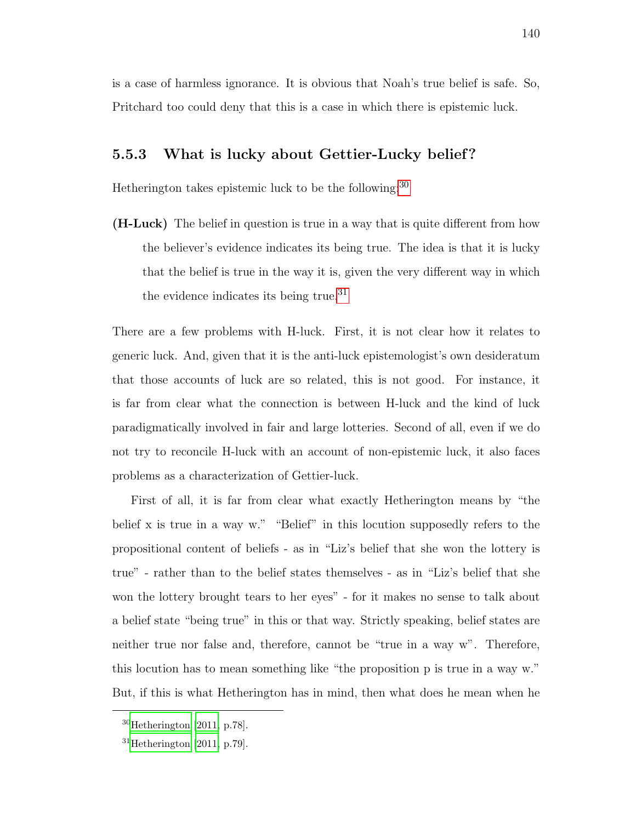is a case of harmless ignorance. It is obvious that Noah's true belief is safe. So, Pritchard too could deny that this is a case in which there is epistemic luck.

## 5.5.3 What is lucky about Gettier-Lucky belief?

Hetherington takes epistemic luck to be the following:  $30$ 

(H-Luck) The belief in question is true in a way that is quite different from how the believer's evidence indicates its being true. The idea is that it is lucky that the belief is true in the way it is, given the very different way in which the evidence indicates its being true.[31](#page-147-1)

There are a few problems with H-luck. First, it is not clear how it relates to generic luck. And, given that it is the anti-luck epistemologist's own desideratum that those accounts of luck are so related, this is not good. For instance, it is far from clear what the connection is between H-luck and the kind of luck paradigmatically involved in fair and large lotteries. Second of all, even if we do not try to reconcile H-luck with an account of non-epistemic luck, it also faces problems as a characterization of Gettier-luck.

First of all, it is far from clear what exactly Hetherington means by "the belief x is true in a way w." "Belief" in this locution supposedly refers to the propositional content of beliefs - as in "Liz's belief that she won the lottery is true" - rather than to the belief states themselves - as in "Liz's belief that she won the lottery brought tears to her eyes" - for it makes no sense to talk about a belief state "being true" in this or that way. Strictly speaking, belief states are neither true nor false and, therefore, cannot be "true in a way w". Therefore, this locution has to mean something like "the proposition p is true in a way w." But, if this is what Hetherington has in mind, then what does he mean when he

<span id="page-147-0"></span><sup>30</sup>[Hetherington](#page-169-0) [\[2011,](#page-169-0) p.78].

<span id="page-147-1"></span> $31$ [Hetherington](#page-169-0) [\[2011,](#page-169-0) p.79].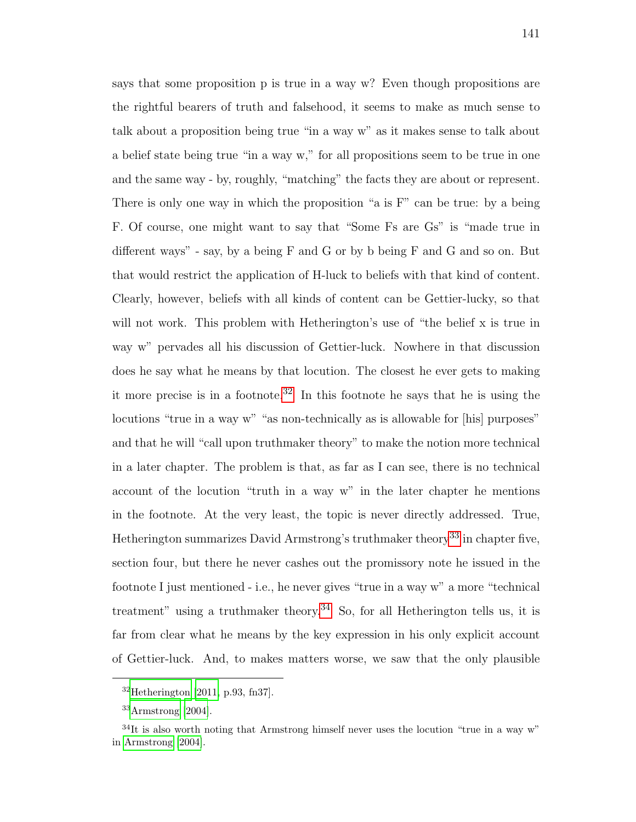says that some proposition p is true in a way w? Even though propositions are the rightful bearers of truth and falsehood, it seems to make as much sense to talk about a proposition being true "in a way w" as it makes sense to talk about a belief state being true "in a way w," for all propositions seem to be true in one and the same way - by, roughly, "matching" the facts they are about or represent. There is only one way in which the proposition "a is F" can be true: by a being F. Of course, one might want to say that "Some Fs are Gs" is "made true in different ways" - say, by a being F and G or by b being F and G and so on. But that would restrict the application of H-luck to beliefs with that kind of content. Clearly, however, beliefs with all kinds of content can be Gettier-lucky, so that will not work. This problem with Hetherington's use of "the belief x is true in way w" pervades all his discussion of Gettier-luck. Nowhere in that discussion does he say what he means by that locution. The closest he ever gets to making it more precise is in a footnote.<sup>[32](#page-148-0)</sup> In this footnote he says that he is using the locutions "true in a way w" "as non-technically as is allowable for [his] purposes" and that he will "call upon truthmaker theory" to make the notion more technical in a later chapter. The problem is that, as far as I can see, there is no technical account of the locution "truth in a way w" in the later chapter he mentions in the footnote. At the very least, the topic is never directly addressed. True, Hetherington summarizes David Armstrong's truthmaker theory<sup>[33](#page-148-1)</sup> in chapter five, section four, but there he never cashes out the promissory note he issued in the footnote I just mentioned - i.e., he never gives "true in a way w" a more "technical treatment" using a truthmaker theory.<sup>[34](#page-148-2)</sup> So, for all Hetherington tells us, it is far from clear what he means by the key expression in his only explicit account of Gettier-luck. And, to makes matters worse, we saw that the only plausible

<span id="page-148-0"></span> $32$ [Hetherington](#page-169-0) [\[2011,](#page-169-0) p.93, fn37].

<span id="page-148-2"></span><span id="page-148-1"></span><sup>33</sup>[Armstrong](#page-165-0) [\[2004\]](#page-165-0).

<sup>34</sup>It is also worth noting that Armstrong himself never uses the locution "true in a way w" in [Armstrong](#page-165-0) [\[2004\]](#page-165-0).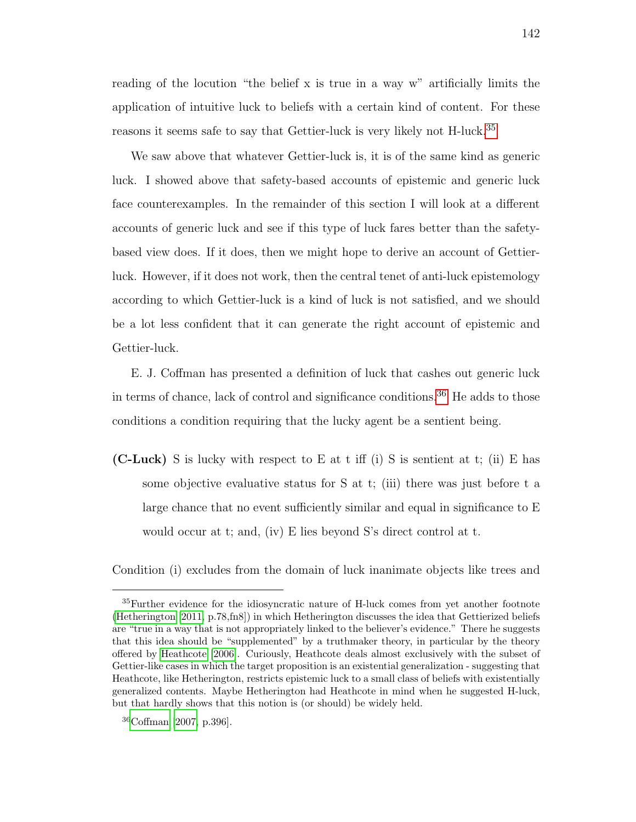reading of the locution "the belief x is true in a way w" artificially limits the application of intuitive luck to beliefs with a certain kind of content. For these reasons it seems safe to say that Gettier-luck is very likely not H-luck.<sup>[35](#page-149-0)</sup>

We saw above that whatever Gettier-luck is, it is of the same kind as generic luck. I showed above that safety-based accounts of epistemic and generic luck face counterexamples. In the remainder of this section I will look at a different accounts of generic luck and see if this type of luck fares better than the safetybased view does. If it does, then we might hope to derive an account of Gettierluck. However, if it does not work, then the central tenet of anti-luck epistemology according to which Gettier-luck is a kind of luck is not satisfied, and we should be a lot less confident that it can generate the right account of epistemic and Gettier-luck.

E. J. Coffman has presented a definition of luck that cashes out generic luck in terms of chance, lack of control and significance conditions.[36](#page-149-1) He adds to those conditions a condition requiring that the lucky agent be a sentient being.

**(C-Luck)** S is lucky with respect to E at t iff (i) S is sentient at t; (ii) E has some objective evaluative status for S at t; (iii) there was just before t a large chance that no event sufficiently similar and equal in significance to E would occur at t; and, (iv) E lies beyond S's direct control at t.

Condition (i) excludes from the domain of luck inanimate objects like trees and

<span id="page-149-0"></span><sup>&</sup>lt;sup>35</sup>Further evidence for the idiosyncratic nature of H-luck comes from yet another footnote [\(Hetherington](#page-169-0) [\[2011,](#page-169-0) p.78,fn8]) in which Hetherington discusses the idea that Gettierized beliefs are "true in a way that is not appropriately linked to the believer's evidence." There he suggests that this idea should be "supplemented" by a truthmaker theory, in particular by the theory offered by [Heathcote](#page-169-1) [\[2006\]](#page-169-1). Curiously, Heathcote deals almost exclusively with the subset of Gettier-like cases in which the target proposition is an existential generalization - suggesting that Heathcote, like Hetherington, restricts epistemic luck to a small class of beliefs with existentially generalized contents. Maybe Hetherington had Heathcote in mind when he suggested H-luck, but that hardly shows that this notion is (or should) be widely held.

<span id="page-149-1"></span><sup>36</sup>[Coffman](#page-165-1) [\[2007,](#page-165-1) p.396].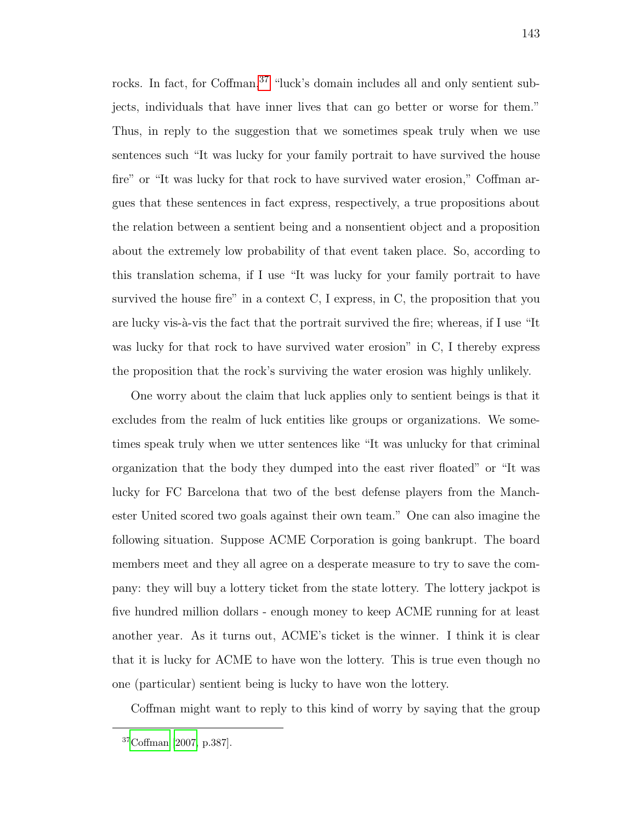rocks. In fact, for Coffman,<sup>[37](#page-150-0)</sup> "luck's domain includes all and only sentient subjects, individuals that have inner lives that can go better or worse for them." Thus, in reply to the suggestion that we sometimes speak truly when we use sentences such "It was lucky for your family portrait to have survived the house fire" or "It was lucky for that rock to have survived water erosion," Coffman argues that these sentences in fact express, respectively, a true propositions about the relation between a sentient being and a nonsentient object and a proposition about the extremely low probability of that event taken place. So, according to this translation schema, if I use "It was lucky for your family portrait to have survived the house fire" in a context C, I express, in C, the proposition that you are lucky vis- $\grave{a}$ -vis the fact that the portrait survived the fire; whereas, if I use "It was lucky for that rock to have survived water erosion" in C, I thereby express the proposition that the rock's surviving the water erosion was highly unlikely.

One worry about the claim that luck applies only to sentient beings is that it excludes from the realm of luck entities like groups or organizations. We sometimes speak truly when we utter sentences like "It was unlucky for that criminal organization that the body they dumped into the east river floated" or "It was lucky for FC Barcelona that two of the best defense players from the Manchester United scored two goals against their own team." One can also imagine the following situation. Suppose ACME Corporation is going bankrupt. The board members meet and they all agree on a desperate measure to try to save the company: they will buy a lottery ticket from the state lottery. The lottery jackpot is five hundred million dollars - enough money to keep ACME running for at least another year. As it turns out, ACME's ticket is the winner. I think it is clear that it is lucky for ACME to have won the lottery. This is true even though no one (particular) sentient being is lucky to have won the lottery.

Coffman might want to reply to this kind of worry by saying that the group

<span id="page-150-0"></span><sup>37</sup>[Coffman](#page-165-1) [\[2007,](#page-165-1) p.387].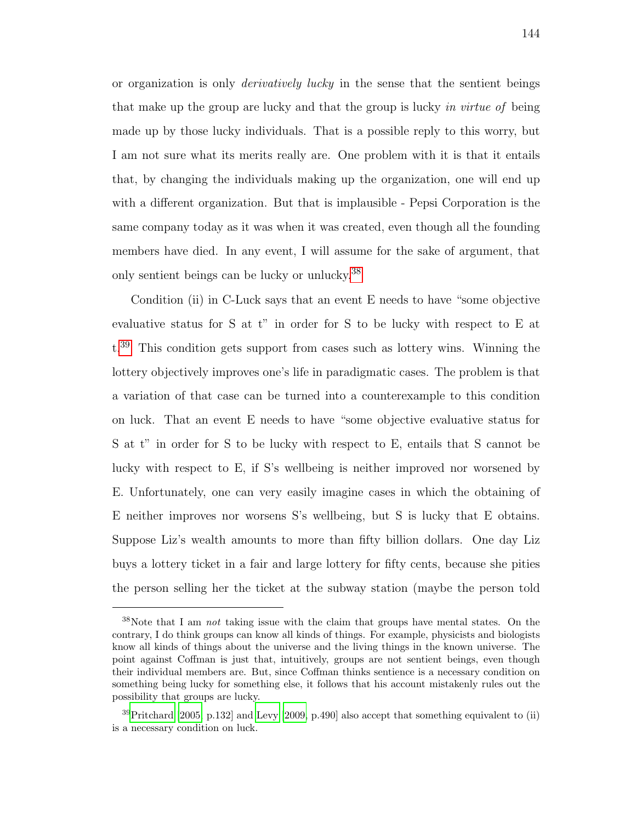or organization is only derivatively lucky in the sense that the sentient beings that make up the group are lucky and that the group is lucky in virtue of being made up by those lucky individuals. That is a possible reply to this worry, but I am not sure what its merits really are. One problem with it is that it entails that, by changing the individuals making up the organization, one will end up with a different organization. But that is implausible - Pepsi Corporation is the same company today as it was when it was created, even though all the founding members have died. In any event, I will assume for the sake of argument, that only sentient beings can be lucky or unlucky.[38](#page-151-0)

Condition (ii) in C-Luck says that an event E needs to have "some objective evaluative status for S at t" in order for S to be lucky with respect to E at t.[39](#page-151-1) This condition gets support from cases such as lottery wins. Winning the lottery objectively improves one's life in paradigmatic cases. The problem is that a variation of that case can be turned into a counterexample to this condition on luck. That an event E needs to have "some objective evaluative status for S at t" in order for S to be lucky with respect to E, entails that S cannot be lucky with respect to E, if S's wellbeing is neither improved nor worsened by E. Unfortunately, one can very easily imagine cases in which the obtaining of E neither improves nor worsens S's wellbeing, but S is lucky that E obtains. Suppose Liz's wealth amounts to more than fifty billion dollars. One day Liz buys a lottery ticket in a fair and large lottery for fifty cents, because she pities the person selling her the ticket at the subway station (maybe the person told

<span id="page-151-0"></span> $38$ Note that I am *not* taking issue with the claim that groups have mental states. On the contrary, I do think groups can know all kinds of things. For example, physicists and biologists know all kinds of things about the universe and the living things in the known universe. The point against Coffman is just that, intuitively, groups are not sentient beings, even though their individual members are. But, since Coffman thinks sentience is a necessary condition on something being lucky for something else, it follows that his account mistakenly rules out the possibility that groups are lucky.

<span id="page-151-1"></span> $39$ [Pritchard](#page-172-0) [\[2005,](#page-172-0) p.132] and [Levy](#page-171-0) [\[2009,](#page-171-0) p.490] also accept that something equivalent to (ii) is a necessary condition on luck.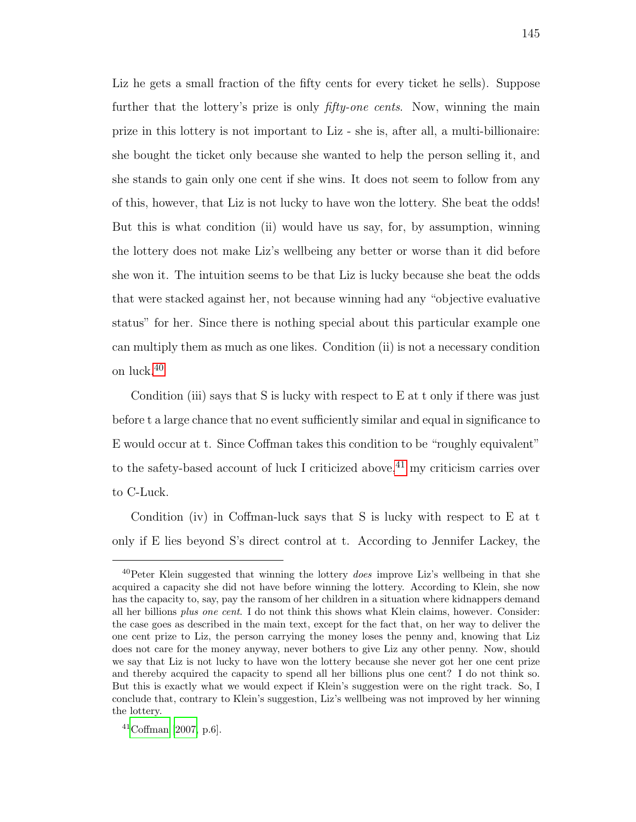Liz he gets a small fraction of the fifty cents for every ticket he sells). Suppose further that the lottery's prize is only *fifty-one cents*. Now, winning the main prize in this lottery is not important to Liz - she is, after all, a multi-billionaire: she bought the ticket only because she wanted to help the person selling it, and she stands to gain only one cent if she wins. It does not seem to follow from any of this, however, that Liz is not lucky to have won the lottery. She beat the odds! But this is what condition (ii) would have us say, for, by assumption, winning the lottery does not make Liz's wellbeing any better or worse than it did before she won it. The intuition seems to be that Liz is lucky because she beat the odds that were stacked against her, not because winning had any "objective evaluative status" for her. Since there is nothing special about this particular example one can multiply them as much as one likes. Condition (ii) is not a necessary condition on luck.[40](#page-152-0)

Condition (iii) says that S is lucky with respect to E at t only if there was just before t a large chance that no event sufficiently similar and equal in significance to E would occur at t. Since Coffman takes this condition to be "roughly equivalent" to the safety-based account of luck I criticized above,  $^{41}$  $^{41}$  $^{41}$  my criticism carries over to C-Luck.

Condition (iv) in Coffman-luck says that S is lucky with respect to E at t only if E lies beyond S's direct control at t. According to Jennifer Lackey, the

<span id="page-152-0"></span> $40$ Peter Klein suggested that winning the lottery *does* improve Liz's wellbeing in that she acquired a capacity she did not have before winning the lottery. According to Klein, she now has the capacity to, say, pay the ransom of her children in a situation where kidnappers demand all her billions plus one cent. I do not think this shows what Klein claims, however. Consider: the case goes as described in the main text, except for the fact that, on her way to deliver the one cent prize to Liz, the person carrying the money loses the penny and, knowing that Liz does not care for the money anyway, never bothers to give Liz any other penny. Now, should we say that Liz is not lucky to have won the lottery because she never got her one cent prize and thereby acquired the capacity to spend all her billions plus one cent? I do not think so. But this is exactly what we would expect if Klein's suggestion were on the right track. So, I conclude that, contrary to Klein's suggestion, Liz's wellbeing was not improved by her winning the lottery.

<span id="page-152-1"></span> $41$ [Coffman](#page-165-1) [\[2007,](#page-165-1) p.6].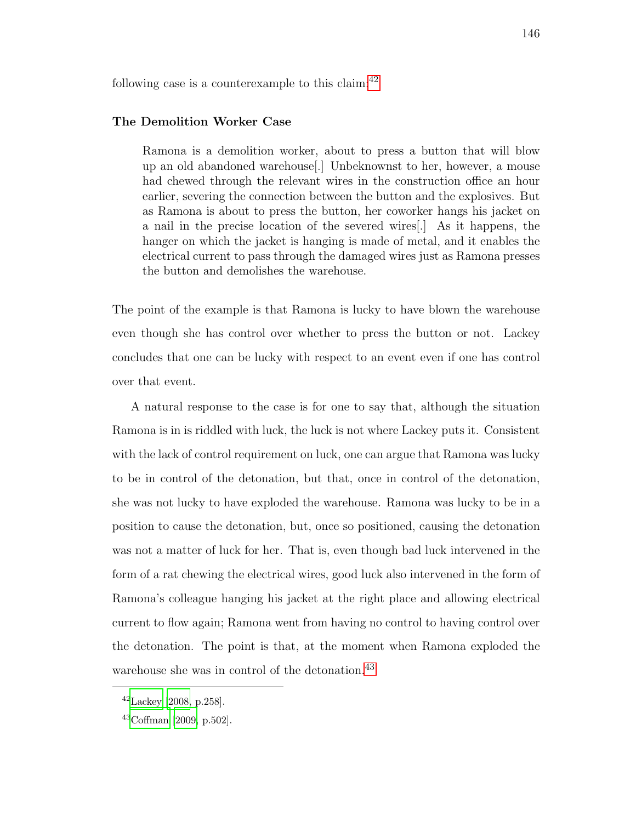following case is a counterexample to this claim:  $42$ 

### The Demolition Worker Case

Ramona is a demolition worker, about to press a button that will blow up an old abandoned warehouse[.] Unbeknownst to her, however, a mouse had chewed through the relevant wires in the construction office an hour earlier, severing the connection between the button and the explosives. But as Ramona is about to press the button, her coworker hangs his jacket on a nail in the precise location of the severed wires[.] As it happens, the hanger on which the jacket is hanging is made of metal, and it enables the electrical current to pass through the damaged wires just as Ramona presses the button and demolishes the warehouse.

The point of the example is that Ramona is lucky to have blown the warehouse even though she has control over whether to press the button or not. Lackey concludes that one can be lucky with respect to an event even if one has control over that event.

A natural response to the case is for one to say that, although the situation Ramona is in is riddled with luck, the luck is not where Lackey puts it. Consistent with the lack of control requirement on luck, one can argue that Ramona was lucky to be in control of the detonation, but that, once in control of the detonation, she was not lucky to have exploded the warehouse. Ramona was lucky to be in a position to cause the detonation, but, once so positioned, causing the detonation was not a matter of luck for her. That is, even though bad luck intervened in the form of a rat chewing the electrical wires, good luck also intervened in the form of Ramona's colleague hanging his jacket at the right place and allowing electrical current to flow again; Ramona went from having no control to having control over the detonation. The point is that, at the moment when Ramona exploded the warehouse she was in control of the detonation.<sup>[43](#page-153-1)</sup>

<span id="page-153-0"></span> $^{42}$ [Lackey](#page-171-1) [\[2008,](#page-171-1) p.258].

<span id="page-153-1"></span> $43C$ offman [\[2009,](#page-165-2) p.502].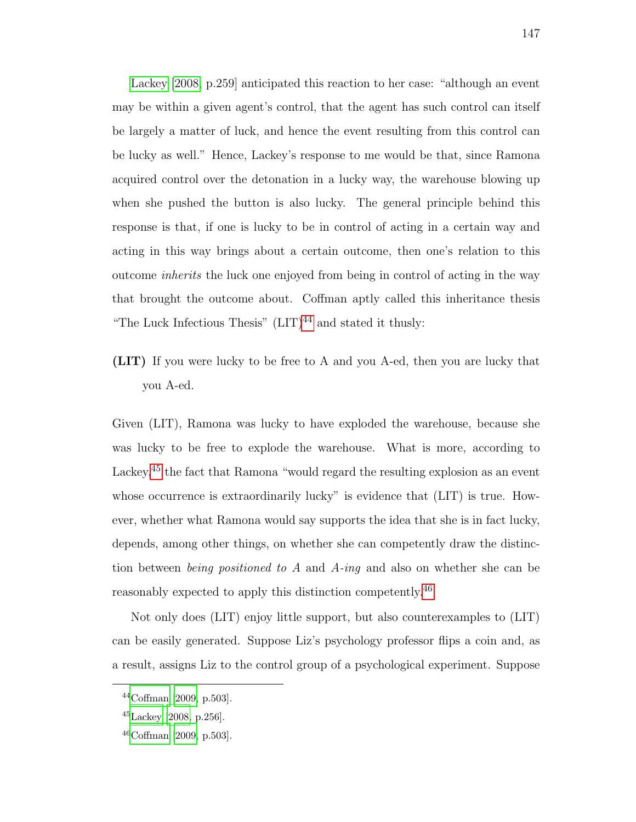[Lackey](#page-171-1) [\[2008,](#page-171-1) p.259] anticipated this reaction to her case: "although an event may be within a given agent's control, that the agent has such control can itself be largely a matter of luck, and hence the event resulting from this control can be lucky as well." Hence, Lackey's response to me would be that, since Ramona acquired control over the detonation in a lucky way, the warehouse blowing up when she pushed the button is also lucky. The general principle behind this response is that, if one is lucky to be in control of acting in a certain way and acting in this way brings about a certain outcome, then one's relation to this outcome inherits the luck one enjoyed from being in control of acting in the way that brought the outcome about. Coffman aptly called this inheritance thesis "The Luck Infectious Thesis"  $(LIT)^{44}$  $(LIT)^{44}$  $(LIT)^{44}$  and stated it thusly:

(LIT) If you were lucky to be free to A and you A-ed, then you are lucky that you A-ed.

Given (LIT), Ramona was lucky to have exploded the warehouse, because she was lucky to be free to explode the warehouse. What is more, according to Lackey,  $45$  the fact that Ramona "would regard the resulting explosion as an event whose occurrence is extraordinarily lucky" is evidence that (LIT) is true. However, whether what Ramona would say supports the idea that she is in fact lucky, depends, among other things, on whether she can competently draw the distinction between *being positioned to A* and  $A$ -ing and also on whether she can be reasonably expected to apply this distinction competently.<sup>[46](#page-154-2)</sup>

Not only does (LIT) enjoy little support, but also counterexamples to (LIT) can be easily generated. Suppose Liz's psychology professor flips a coin and, as a result, assigns Liz to the control group of a psychological experiment. Suppose

<span id="page-154-0"></span> $^{44}$ [Coffman](#page-165-2) [\[2009,](#page-165-2) p.503].

<span id="page-154-1"></span> $45$ [Lackey](#page-171-1) [\[2008,](#page-171-1) p.256].

<span id="page-154-2"></span> $46$ [Coffman](#page-165-2) [\[2009,](#page-165-2) p.503].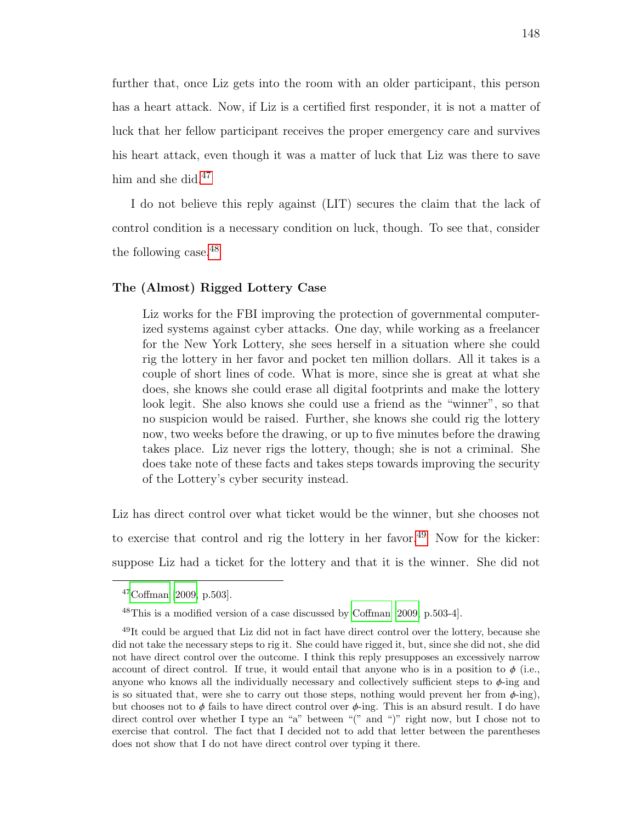further that, once Liz gets into the room with an older participant, this person has a heart attack. Now, if Liz is a certified first responder, it is not a matter of luck that her fellow participant receives the proper emergency care and survives his heart attack, even though it was a matter of luck that Liz was there to save him and she did. $47$ 

I do not believe this reply against (LIT) secures the claim that the lack of control condition is a necessary condition on luck, though. To see that, consider the following case.[48](#page-155-1)

### The (Almost) Rigged Lottery Case

Liz works for the FBI improving the protection of governmental computerized systems against cyber attacks. One day, while working as a freelancer for the New York Lottery, she sees herself in a situation where she could rig the lottery in her favor and pocket ten million dollars. All it takes is a couple of short lines of code. What is more, since she is great at what she does, she knows she could erase all digital footprints and make the lottery look legit. She also knows she could use a friend as the "winner", so that no suspicion would be raised. Further, she knows she could rig the lottery now, two weeks before the drawing, or up to five minutes before the drawing takes place. Liz never rigs the lottery, though; she is not a criminal. She does take note of these facts and takes steps towards improving the security of the Lottery's cyber security instead.

Liz has direct control over what ticket would be the winner, but she chooses not to exercise that control and rig the lottery in her favor.<sup>[49](#page-155-2)</sup> Now for the kicker: suppose Liz had a ticket for the lottery and that it is the winner. She did not

<span id="page-155-0"></span> $47$ [Coffman](#page-165-2) [\[2009,](#page-165-2) p.503].

<span id="page-155-2"></span><span id="page-155-1"></span><sup>48</sup>This is a modified version of a case discussed by [Coffman](#page-165-2) [\[2009,](#page-165-2) p.503-4].

 $^{49}$ It could be argued that Liz did not in fact have direct control over the lottery, because she did not take the necessary steps to rig it. She could have rigged it, but, since she did not, she did not have direct control over the outcome. I think this reply presupposes an excessively narrow account of direct control. If true, it would entail that anyone who is in a position to  $\phi$  (i.e., anyone who knows all the individually necessary and collectively sufficient steps to  $\phi$ -ing and is so situated that, were she to carry out those steps, nothing would prevent her from  $\phi$ -ing), but chooses not to  $\phi$  fails to have direct control over  $\phi$ -ing. This is an absurd result. I do have direct control over whether I type an "a" between "(" and ")" right now, but I chose not to exercise that control. The fact that I decided not to add that letter between the parentheses does not show that I do not have direct control over typing it there.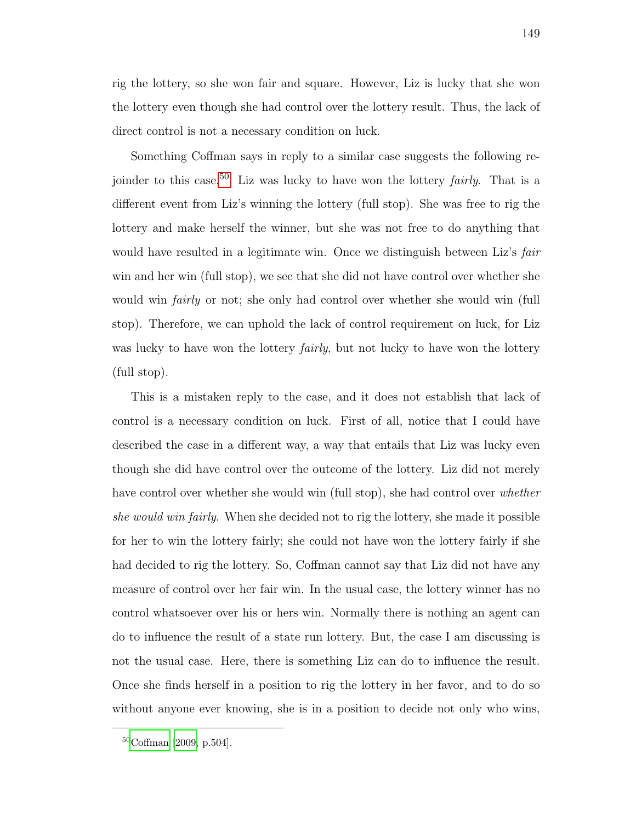rig the lottery, so she won fair and square. However, Liz is lucky that she won the lottery even though she had control over the lottery result. Thus, the lack of direct control is not a necessary condition on luck.

Something Coffman says in reply to a similar case suggests the following re-joinder to this case.<sup>[50](#page-156-0)</sup> Liz was lucky to have won the lottery *fairly*. That is a different event from Liz's winning the lottery (full stop). She was free to rig the lottery and make herself the winner, but she was not free to do anything that would have resulted in a legitimate win. Once we distinguish between Liz's *fair* win and her win (full stop), we see that she did not have control over whether she would win *fairly* or not; she only had control over whether she would win (full stop). Therefore, we can uphold the lack of control requirement on luck, for Liz was lucky to have won the lottery *fairly*, but not lucky to have won the lottery (full stop).

This is a mistaken reply to the case, and it does not establish that lack of control is a necessary condition on luck. First of all, notice that I could have described the case in a different way, a way that entails that Liz was lucky even though she did have control over the outcome of the lottery. Liz did not merely have control over whether she would win (full stop), she had control over *whether* she would win fairly. When she decided not to rig the lottery, she made it possible for her to win the lottery fairly; she could not have won the lottery fairly if she had decided to rig the lottery. So, Coffman cannot say that Liz did not have any measure of control over her fair win. In the usual case, the lottery winner has no control whatsoever over his or hers win. Normally there is nothing an agent can do to influence the result of a state run lottery. But, the case I am discussing is not the usual case. Here, there is something Liz can do to influence the result. Once she finds herself in a position to rig the lottery in her favor, and to do so without anyone ever knowing, she is in a position to decide not only who wins,

<span id="page-156-0"></span><sup>50</sup>[Coffman](#page-165-2) [\[2009,](#page-165-2) p.504].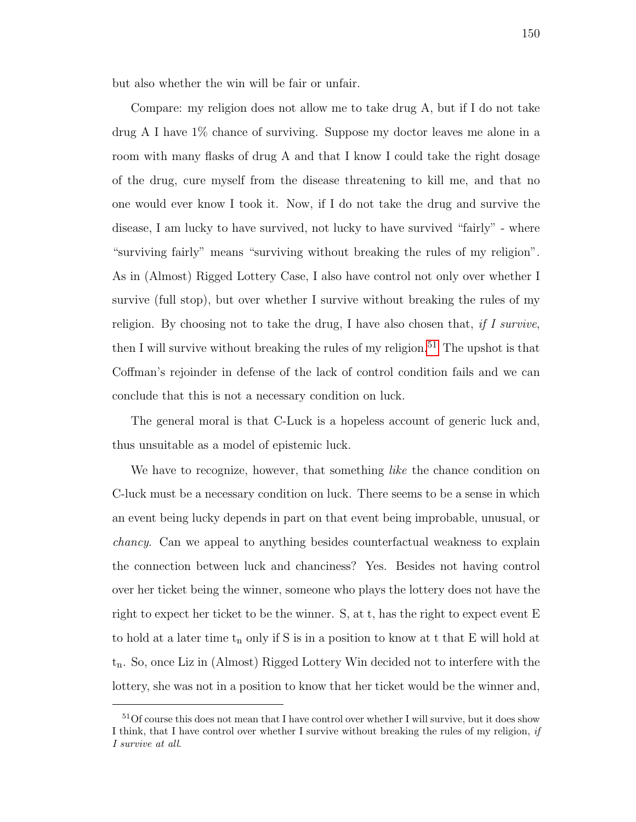but also whether the win will be fair or unfair.

Compare: my religion does not allow me to take drug A, but if I do not take drug A I have 1% chance of surviving. Suppose my doctor leaves me alone in a room with many flasks of drug A and that I know I could take the right dosage of the drug, cure myself from the disease threatening to kill me, and that no one would ever know I took it. Now, if I do not take the drug and survive the disease, I am lucky to have survived, not lucky to have survived "fairly" - where "surviving fairly" means "surviving without breaking the rules of my religion". As in (Almost) Rigged Lottery Case, I also have control not only over whether I survive (full stop), but over whether I survive without breaking the rules of my religion. By choosing not to take the drug, I have also chosen that, if I survive, then I will survive without breaking the rules of my religion.<sup>[51](#page-157-0)</sup> The upshot is that Coffman's rejoinder in defense of the lack of control condition fails and we can conclude that this is not a necessary condition on luck.

The general moral is that C-Luck is a hopeless account of generic luck and, thus unsuitable as a model of epistemic luck.

We have to recognize, however, that something like the chance condition on C-luck must be a necessary condition on luck. There seems to be a sense in which an event being lucky depends in part on that event being improbable, unusual, or chancy. Can we appeal to anything besides counterfactual weakness to explain the connection between luck and chanciness? Yes. Besides not having control over her ticket being the winner, someone who plays the lottery does not have the right to expect her ticket to be the winner. S, at t, has the right to expect event E to hold at a later time  $t_n$  only if S is in a position to know at t that E will hold at  $t_n$ . So, once Liz in (Almost) Rigged Lottery Win decided not to interfere with the lottery, she was not in a position to know that her ticket would be the winner and,

<span id="page-157-0"></span><sup>&</sup>lt;sup>51</sup>Of course this does not mean that I have control over whether I will survive, but it does show I think, that I have control over whether I survive without breaking the rules of my religion, if I survive at all.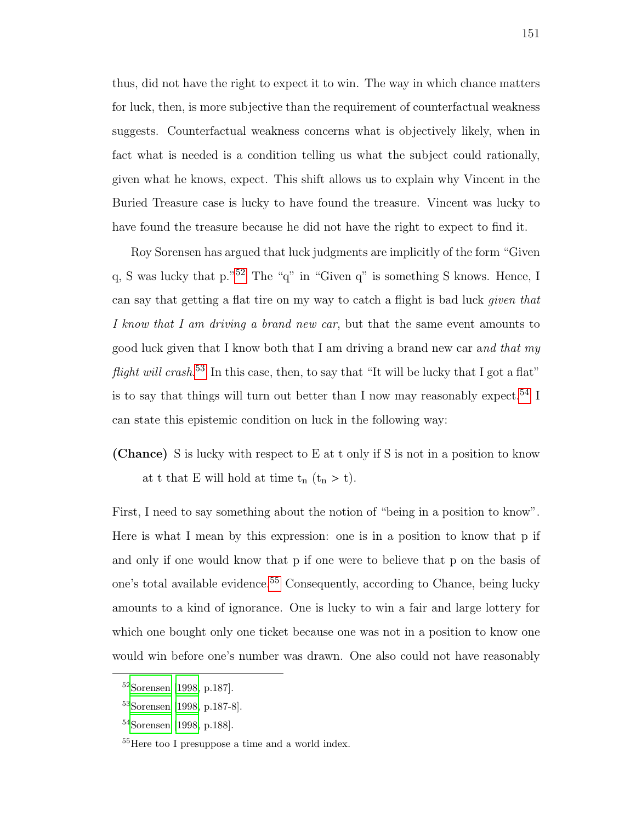thus, did not have the right to expect it to win. The way in which chance matters for luck, then, is more subjective than the requirement of counterfactual weakness suggests. Counterfactual weakness concerns what is objectively likely, when in fact what is needed is a condition telling us what the subject could rationally, given what he knows, expect. This shift allows us to explain why Vincent in the Buried Treasure case is lucky to have found the treasure. Vincent was lucky to have found the treasure because he did not have the right to expect to find it.

Roy Sorensen has argued that luck judgments are implicitly of the form "Given q, S was lucky that p."[52](#page-158-0) The "q" in "Given q" is something S knows. Hence, I can say that getting a flat tire on my way to catch a flight is bad luck given that I know that I am driving a brand new car, but that the same event amounts to good luck given that I know both that I am driving a brand new car and that  $my$ flight will crash.<sup>[53](#page-158-1)</sup> In this case, then, to say that "It will be lucky that I got a flat" is to say that things will turn out better than I now may reasonably expect.<sup>[54](#page-158-2)</sup> I can state this epistemic condition on luck in the following way:

(Chance) S is lucky with respect to E at t only if S is not in a position to know at t that E will hold at time  $t_n$   $(t_n > t)$ .

First, I need to say something about the notion of "being in a position to know". Here is what I mean by this expression: one is in a position to know that p if and only if one would know that p if one were to believe that p on the basis of one's total available evidence.[55](#page-158-3) Consequently, according to Chance, being lucky amounts to a kind of ignorance. One is lucky to win a fair and large lottery for which one bought only one ticket because one was not in a position to know one would win before one's number was drawn. One also could not have reasonably

<span id="page-158-0"></span><sup>52</sup>[Sorensen](#page-173-0) [\[1998,](#page-173-0) p.187].

<span id="page-158-1"></span><sup>53</sup>[Sorensen](#page-173-0) [\[1998,](#page-173-0) p.187-8].

<span id="page-158-2"></span><sup>54</sup>[Sorensen](#page-173-0) [\[1998,](#page-173-0) p.188].

<span id="page-158-3"></span><sup>55</sup>Here too I presuppose a time and a world index.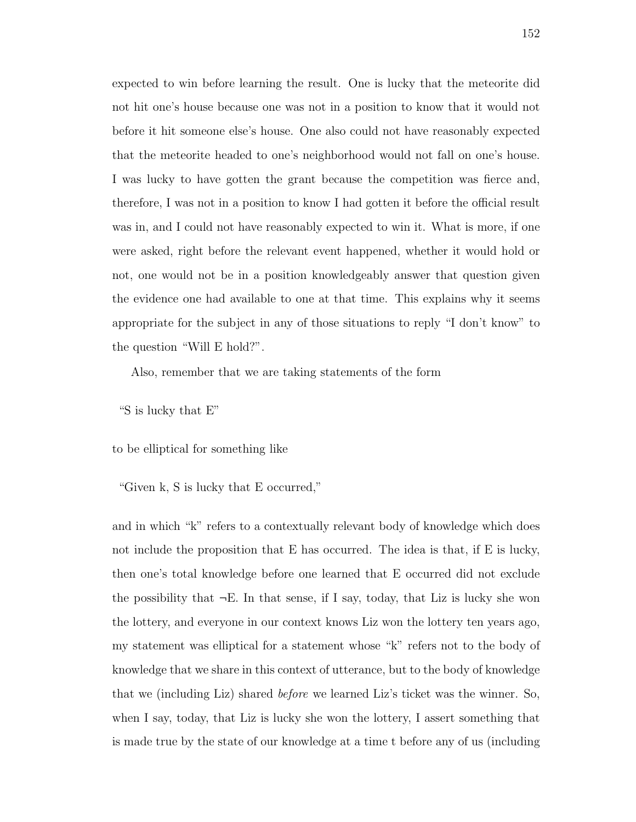expected to win before learning the result. One is lucky that the meteorite did not hit one's house because one was not in a position to know that it would not before it hit someone else's house. One also could not have reasonably expected that the meteorite headed to one's neighborhood would not fall on one's house. I was lucky to have gotten the grant because the competition was fierce and, therefore, I was not in a position to know I had gotten it before the official result was in, and I could not have reasonably expected to win it. What is more, if one were asked, right before the relevant event happened, whether it would hold or not, one would not be in a position knowledgeably answer that question given the evidence one had available to one at that time. This explains why it seems appropriate for the subject in any of those situations to reply "I don't know" to the question "Will E hold?".

Also, remember that we are taking statements of the form

"S is lucky that E"

to be elliptical for something like

"Given k, S is lucky that E occurred,"

and in which "k" refers to a contextually relevant body of knowledge which does not include the proposition that  $E$  has occurred. The idea is that, if  $E$  is lucky, then one's total knowledge before one learned that E occurred did not exclude the possibility that  $\neg E$ . In that sense, if I say, today, that Liz is lucky she won the lottery, and everyone in our context knows Liz won the lottery ten years ago, my statement was elliptical for a statement whose "k" refers not to the body of knowledge that we share in this context of utterance, but to the body of knowledge that we (including Liz) shared before we learned Liz's ticket was the winner. So, when I say, today, that Liz is lucky she won the lottery, I assert something that is made true by the state of our knowledge at a time t before any of us (including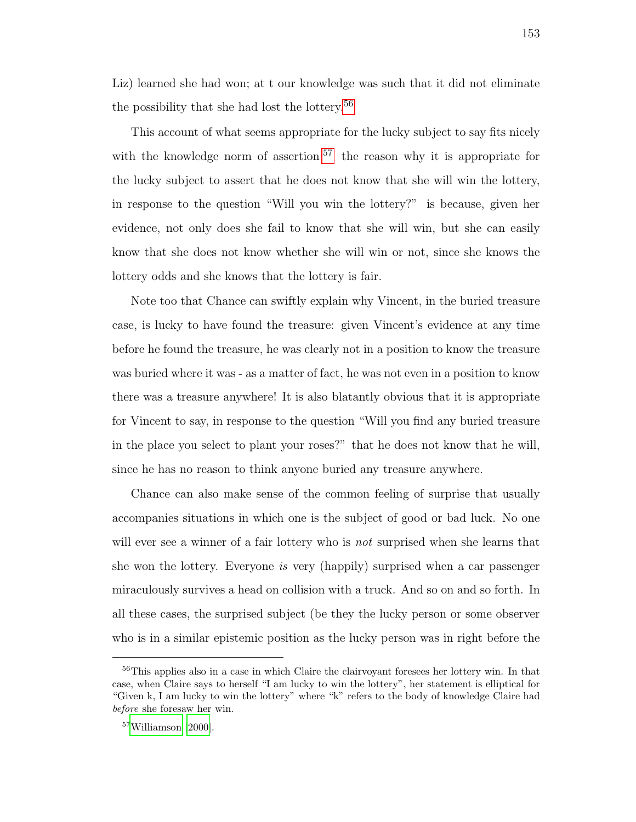Liz) learned she had won; at t our knowledge was such that it did not eliminate the possibility that she had lost the lottery.<sup>[56](#page-160-0)</sup>

This account of what seems appropriate for the lucky subject to say fits nicely with the knowledge norm of assertion:<sup>[57](#page-160-1)</sup> the reason why it is appropriate for the lucky subject to assert that he does not know that she will win the lottery, in response to the question "Will you win the lottery?" is because, given her evidence, not only does she fail to know that she will win, but she can easily know that she does not know whether she will win or not, since she knows the lottery odds and she knows that the lottery is fair.

Note too that Chance can swiftly explain why Vincent, in the buried treasure case, is lucky to have found the treasure: given Vincent's evidence at any time before he found the treasure, he was clearly not in a position to know the treasure was buried where it was - as a matter of fact, he was not even in a position to know there was a treasure anywhere! It is also blatantly obvious that it is appropriate for Vincent to say, in response to the question "Will you find any buried treasure in the place you select to plant your roses?" that he does not know that he will, since he has no reason to think anyone buried any treasure anywhere.

Chance can also make sense of the common feeling of surprise that usually accompanies situations in which one is the subject of good or bad luck. No one will ever see a winner of a fair lottery who is *not* surprised when she learns that she won the lottery. Everyone is very (happily) surprised when a car passenger miraculously survives a head on collision with a truck. And so on and so forth. In all these cases, the surprised subject (be they the lucky person or some observer who is in a similar epistemic position as the lucky person was in right before the

<span id="page-160-0"></span><sup>&</sup>lt;sup>56</sup>This applies also in a case in which Claire the clairvoyant foresees her lottery win. In that case, when Claire says to herself "I am lucky to win the lottery", her statement is elliptical for "Given k, I am lucky to win the lottery" where "k" refers to the body of knowledge Claire had before she foresaw her win.

<span id="page-160-1"></span><sup>57</sup>[Williamson](#page-174-0) [\[2000\]](#page-174-0).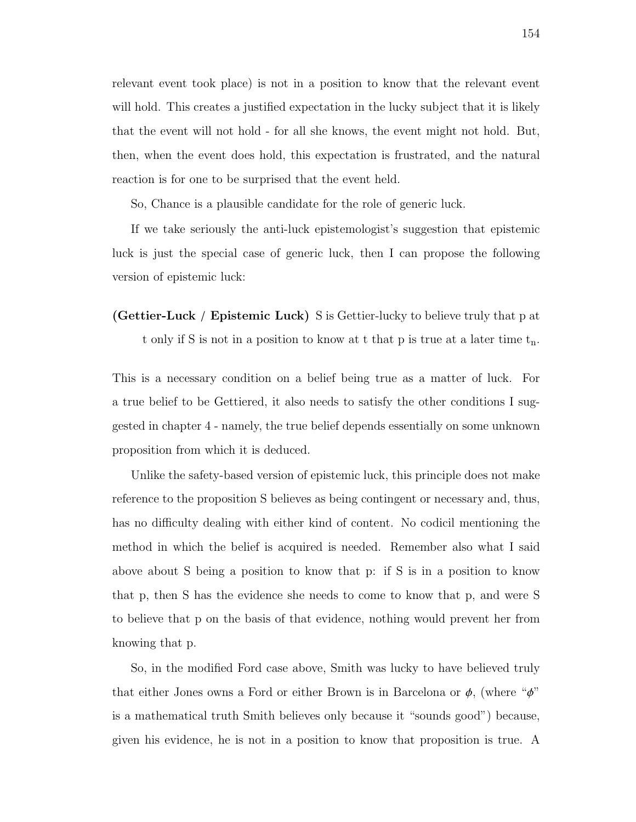relevant event took place) is not in a position to know that the relevant event will hold. This creates a justified expectation in the lucky subject that it is likely that the event will not hold - for all she knows, the event might not hold. But, then, when the event does hold, this expectation is frustrated, and the natural reaction is for one to be surprised that the event held.

So, Chance is a plausible candidate for the role of generic luck.

If we take seriously the anti-luck epistemologist's suggestion that epistemic luck is just the special case of generic luck, then I can propose the following version of epistemic luck:

(Gettier-Luck / Epistemic Luck) S is Gettier-lucky to believe truly that p at t only if S is not in a position to know at t that p is true at a later time  $t_n$ .

This is a necessary condition on a belief being true as a matter of luck. For a true belief to be Gettiered, it also needs to satisfy the other conditions I suggested in chapter 4 - namely, the true belief depends essentially on some unknown proposition from which it is deduced.

Unlike the safety-based version of epistemic luck, this principle does not make reference to the proposition S believes as being contingent or necessary and, thus, has no difficulty dealing with either kind of content. No codicil mentioning the method in which the belief is acquired is needed. Remember also what I said above about S being a position to know that p: if S is in a position to know that p, then S has the evidence she needs to come to know that p, and were S to believe that p on the basis of that evidence, nothing would prevent her from knowing that p.

So, in the modified Ford case above, Smith was lucky to have believed truly that either Jones owns a Ford or either Brown is in Barcelona or  $\phi$ , (where " $\phi$ " is a mathematical truth Smith believes only because it "sounds good") because, given his evidence, he is not in a position to know that proposition is true. A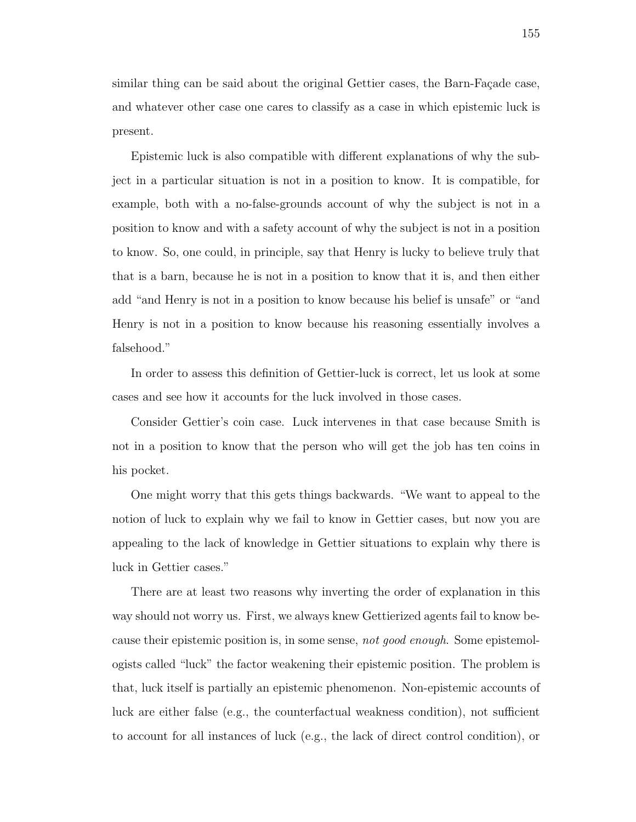similar thing can be said about the original Gettier cases, the Barn-Façade case, and whatever other case one cares to classify as a case in which epistemic luck is present.

Epistemic luck is also compatible with different explanations of why the subject in a particular situation is not in a position to know. It is compatible, for example, both with a no-false-grounds account of why the subject is not in a position to know and with a safety account of why the subject is not in a position to know. So, one could, in principle, say that Henry is lucky to believe truly that that is a barn, because he is not in a position to know that it is, and then either add "and Henry is not in a position to know because his belief is unsafe" or "and Henry is not in a position to know because his reasoning essentially involves a falsehood."

In order to assess this definition of Gettier-luck is correct, let us look at some cases and see how it accounts for the luck involved in those cases.

Consider Gettier's coin case. Luck intervenes in that case because Smith is not in a position to know that the person who will get the job has ten coins in his pocket.

One might worry that this gets things backwards. "We want to appeal to the notion of luck to explain why we fail to know in Gettier cases, but now you are appealing to the lack of knowledge in Gettier situations to explain why there is luck in Gettier cases."

There are at least two reasons why inverting the order of explanation in this way should not worry us. First, we always knew Gettierized agents fail to know because their epistemic position is, in some sense, not good enough. Some epistemologists called "luck" the factor weakening their epistemic position. The problem is that, luck itself is partially an epistemic phenomenon. Non-epistemic accounts of luck are either false (e.g., the counterfactual weakness condition), not sufficient to account for all instances of luck (e.g., the lack of direct control condition), or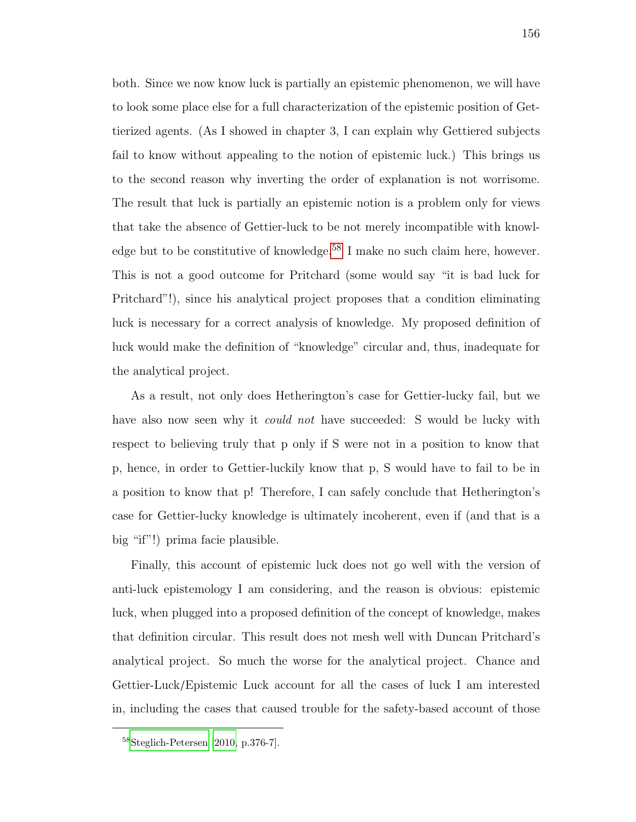both. Since we now know luck is partially an epistemic phenomenon, we will have to look some place else for a full characterization of the epistemic position of Gettierized agents. (As I showed in chapter 3, I can explain why Gettiered subjects fail to know without appealing to the notion of epistemic luck.) This brings us to the second reason why inverting the order of explanation is not worrisome. The result that luck is partially an epistemic notion is a problem only for views that take the absence of Gettier-luck to be not merely incompatible with knowl-edge but to be constitutive of knowledge.<sup>[58](#page-163-0)</sup> I make no such claim here, however. This is not a good outcome for Pritchard (some would say "it is bad luck for Pritchard"!), since his analytical project proposes that a condition eliminating luck is necessary for a correct analysis of knowledge. My proposed definition of luck would make the definition of "knowledge" circular and, thus, inadequate for the analytical project.

As a result, not only does Hetherington's case for Gettier-lucky fail, but we have also now seen why it *could not* have succeeded: S would be lucky with respect to believing truly that p only if S were not in a position to know that p, hence, in order to Gettier-luckily know that p, S would have to fail to be in a position to know that p! Therefore, I can safely conclude that Hetherington's case for Gettier-lucky knowledge is ultimately incoherent, even if (and that is a big "if"!) prima facie plausible.

Finally, this account of epistemic luck does not go well with the version of anti-luck epistemology I am considering, and the reason is obvious: epistemic luck, when plugged into a proposed definition of the concept of knowledge, makes that definition circular. This result does not mesh well with Duncan Pritchard's analytical project. So much the worse for the analytical project. Chance and Gettier-Luck/Epistemic Luck account for all the cases of luck I am interested in, including the cases that caused trouble for the safety-based account of those

<span id="page-163-0"></span><sup>58</sup>[Steglich-Petersen](#page-173-1) [\[2010,](#page-173-1) p.376-7].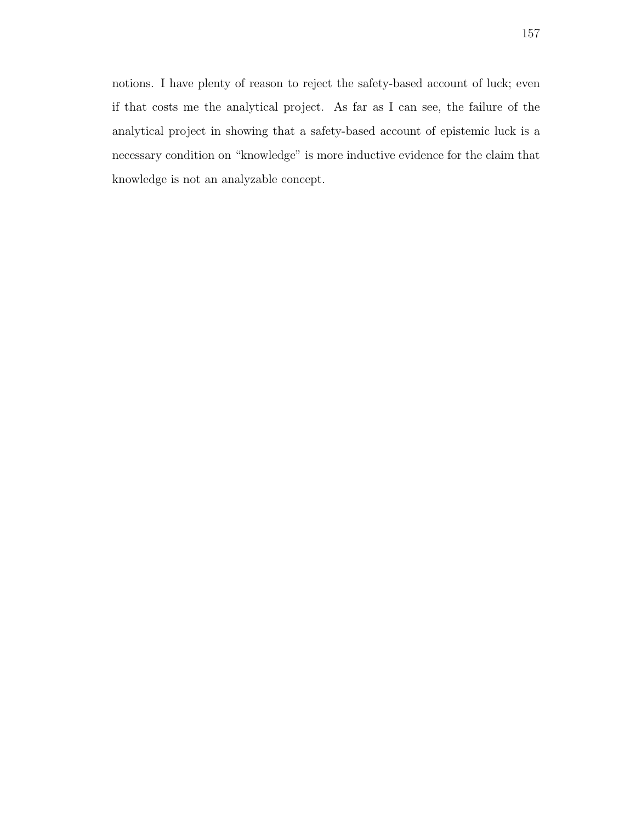notions. I have plenty of reason to reject the safety-based account of luck; even if that costs me the analytical project. As far as I can see, the failure of the analytical project in showing that a safety-based account of epistemic luck is a necessary condition on "knowledge" is more inductive evidence for the claim that knowledge is not an analyzable concept.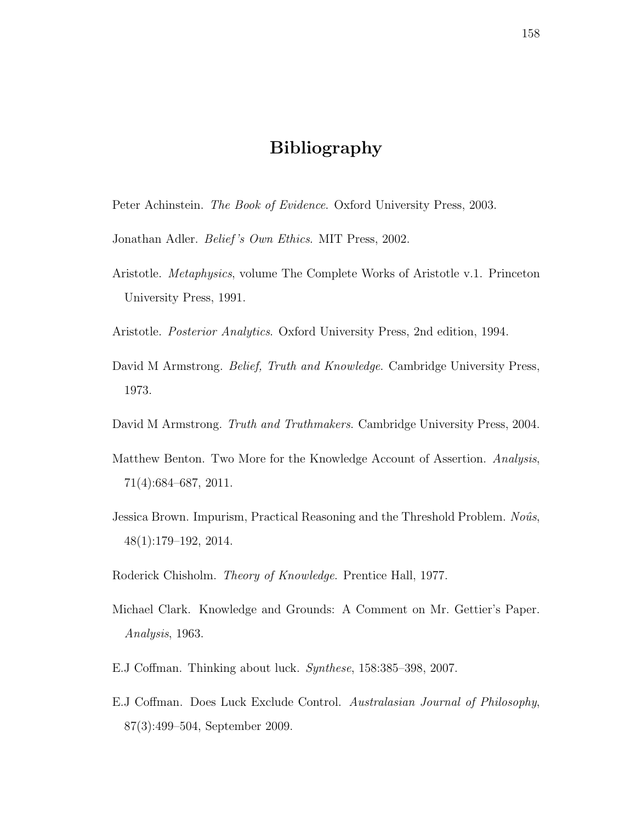# Bibliography

Peter Achinstein. The Book of Evidence. Oxford University Press, 2003.

- Jonathan Adler. Belief 's Own Ethics. MIT Press, 2002.
- Aristotle. Metaphysics, volume The Complete Works of Aristotle v.1. Princeton University Press, 1991.

Aristotle. Posterior Analytics. Oxford University Press, 2nd edition, 1994.

- David M Armstrong. Belief, Truth and Knowledge. Cambridge University Press, 1973.
- <span id="page-165-0"></span>David M Armstrong. Truth and Truthmakers. Cambridge University Press, 2004.
- Matthew Benton. Two More for the Knowledge Account of Assertion. Analysis, 71(4):684–687, 2011.
- Jessica Brown. Impurism, Practical Reasoning and the Threshold Problem. Noûs, 48(1):179–192, 2014.
- Roderick Chisholm. Theory of Knowledge. Prentice Hall, 1977.
- Michael Clark. Knowledge and Grounds: A Comment on Mr. Gettier's Paper. Analysis, 1963.
- <span id="page-165-1"></span>E.J Coffman. Thinking about luck. Synthese, 158:385–398, 2007.
- <span id="page-165-2"></span>E.J Coffman. Does Luck Exclude Control. Australasian Journal of Philosophy, 87(3):499–504, September 2009.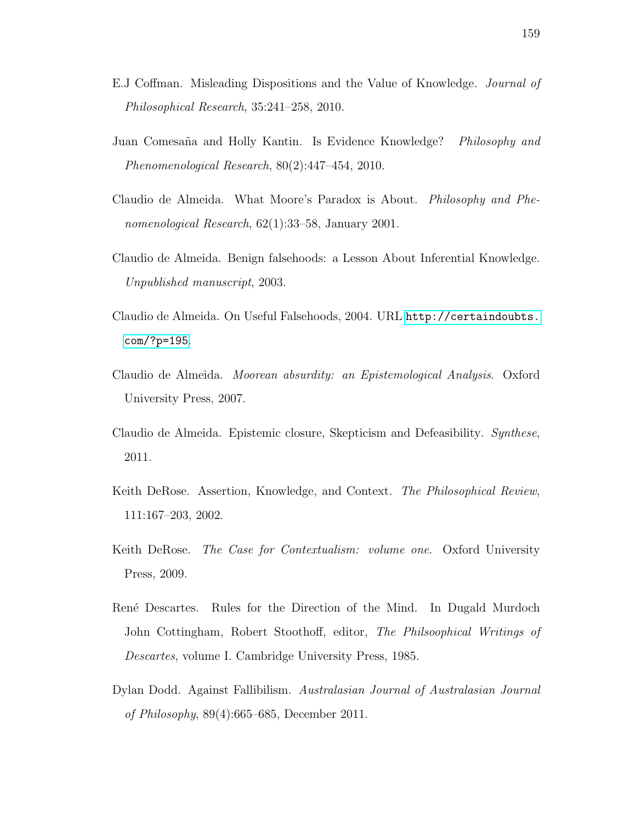- E.J Coffman. Misleading Dispositions and the Value of Knowledge. Journal of Philosophical Research, 35:241–258, 2010.
- Juan Comesaña and Holly Kantin. Is Evidence Knowledge? *Philosophy and* Phenomenological Research, 80(2):447–454, 2010.
- Claudio de Almeida. What Moore's Paradox is About. Philosophy and Phenomenological Research, 62(1):33–58, January 2001.
- Claudio de Almeida. Benign falsehoods: a Lesson About Inferential Knowledge. Unpublished manuscript, 2003.
- Claudio de Almeida. On Useful Falsehoods, 2004. URL [http://certaindoubts.](http://certaindoubts.com/?p=195) [com/?p=195](http://certaindoubts.com/?p=195).
- Claudio de Almeida. Moorean absurdity: an Epistemological Analysis. Oxford University Press, 2007.
- Claudio de Almeida. Epistemic closure, Skepticism and Defeasibility. Synthese, 2011.
- Keith DeRose. Assertion, Knowledge, and Context. The Philosophical Review, 111:167–203, 2002.
- Keith DeRose. The Case for Contextualism: volume one. Oxford University Press, 2009.
- René Descartes. Rules for the Direction of the Mind. In Dugald Murdoch John Cottingham, Robert Stoothoff, editor, The Philsoophical Writings of Descartes, volume I. Cambridge University Press, 1985.
- Dylan Dodd. Against Fallibilism. Australasian Journal of Australasian Journal of Philosophy, 89(4):665–685, December 2011.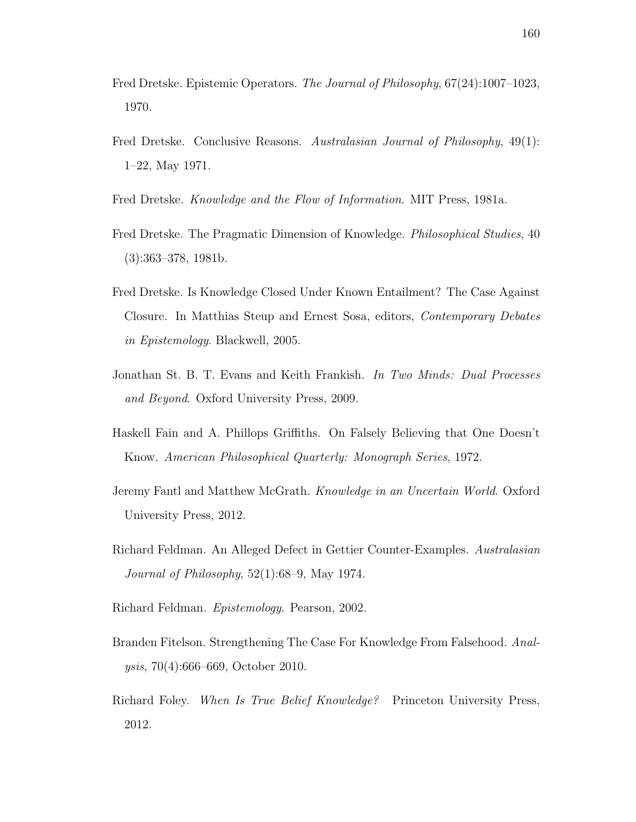- Fred Dretske. Epistemic Operators. The Journal of Philosophy, 67(24):1007–1023, 1970.
- Fred Dretske. Conclusive Reasons. Australasian Journal of Philosophy, 49(1): 1–22, May 1971.
- Fred Dretske. Knowledge and the Flow of Information. MIT Press, 1981a.
- Fred Dretske. The Pragmatic Dimension of Knowledge. Philosophical Studies, 40 (3):363–378, 1981b.
- Fred Dretske. Is Knowledge Closed Under Known Entailment? The Case Against Closure. In Matthias Steup and Ernest Sosa, editors, Contemporary Debates in Epistemology. Blackwell, 2005.
- Jonathan St. B. T. Evans and Keith Frankish. In Two Minds: Dual Processes and Beyond. Oxford University Press, 2009.
- Haskell Fain and A. Phillops Griffiths. On Falsely Believing that One Doesn't Know. American Philosophical Quarterly: Monograph Series, 1972.
- Jeremy Fantl and Matthew McGrath. Knowledge in an Uncertain World. Oxford University Press, 2012.
- Richard Feldman. An Alleged Defect in Gettier Counter-Examples. Australasian Journal of Philosophy, 52(1):68–9, May 1974.
- Richard Feldman. Epistemology. Pearson, 2002.
- Branden Fitelson. Strengthening The Case For Knowledge From Falsehood. Analysis, 70(4):666–669, October 2010.
- Richard Foley. When Is True Belief Knowledge? Princeton University Press, 2012.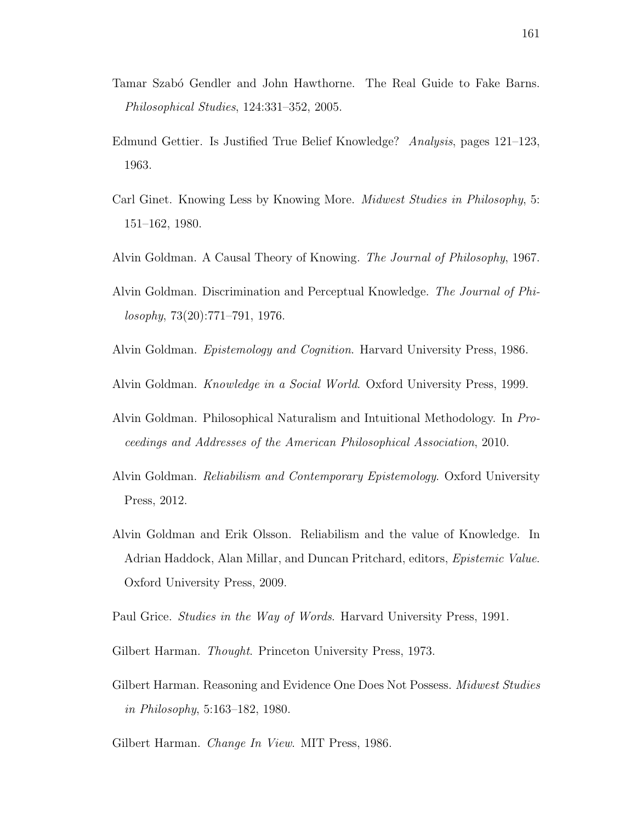- Tamar Szab´o Gendler and John Hawthorne. The Real Guide to Fake Barns. Philosophical Studies, 124:331–352, 2005.
- Edmund Gettier. Is Justified True Belief Knowledge? Analysis, pages 121–123, 1963.
- Carl Ginet. Knowing Less by Knowing More. Midwest Studies in Philosophy, 5: 151–162, 1980.
- Alvin Goldman. A Causal Theory of Knowing. The Journal of Philosophy, 1967.
- Alvin Goldman. Discrimination and Perceptual Knowledge. The Journal of Phi $losophy$ , 73(20):771–791, 1976.
- Alvin Goldman. Epistemology and Cognition. Harvard University Press, 1986.
- Alvin Goldman. Knowledge in a Social World. Oxford University Press, 1999.
- Alvin Goldman. Philosophical Naturalism and Intuitional Methodology. In Proceedings and Addresses of the American Philosophical Association, 2010.
- Alvin Goldman. Reliabilism and Contemporary Epistemology. Oxford University Press, 2012.
- Alvin Goldman and Erik Olsson. Reliabilism and the value of Knowledge. In Adrian Haddock, Alan Millar, and Duncan Pritchard, editors, Epistemic Value. Oxford University Press, 2009.
- Paul Grice. Studies in the Way of Words. Harvard University Press, 1991.
- Gilbert Harman. Thought. Princeton University Press, 1973.
- Gilbert Harman. Reasoning and Evidence One Does Not Possess. *Midwest Studies* in Philosophy, 5:163–182, 1980.
- Gilbert Harman. Change In View. MIT Press, 1986.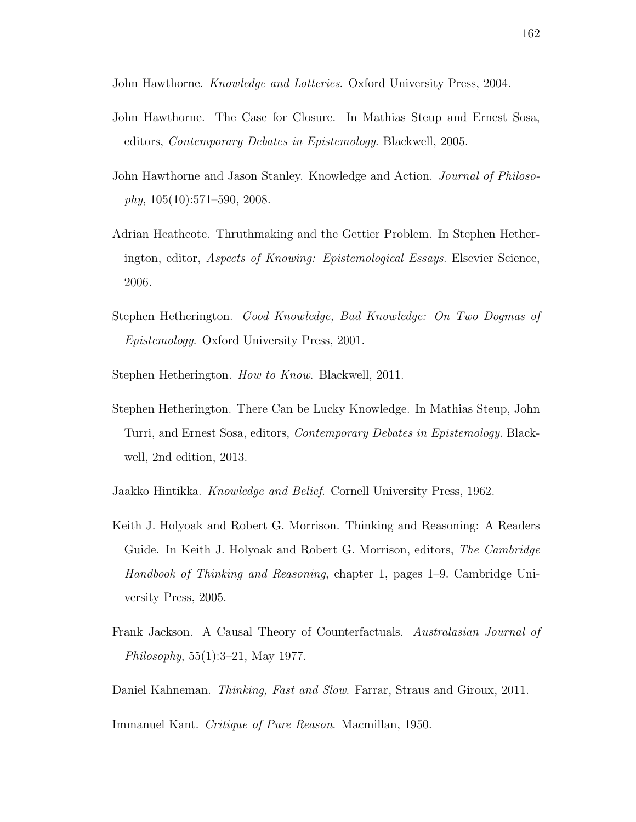John Hawthorne. Knowledge and Lotteries. Oxford University Press, 2004.

- John Hawthorne. The Case for Closure. In Mathias Steup and Ernest Sosa, editors, Contemporary Debates in Epistemology. Blackwell, 2005.
- John Hawthorne and Jason Stanley. Knowledge and Action. *Journal of Philoso* $phy, 105(10):571–590, 2008.$
- <span id="page-169-1"></span>Adrian Heathcote. Thruthmaking and the Gettier Problem. In Stephen Hetherington, editor, Aspects of Knowing: Epistemological Essays. Elsevier Science, 2006.
- Stephen Hetherington. Good Knowledge, Bad Knowledge: On Two Dogmas of Epistemology. Oxford University Press, 2001.
- <span id="page-169-0"></span>Stephen Hetherington. How to Know. Blackwell, 2011.
- Stephen Hetherington. There Can be Lucky Knowledge. In Mathias Steup, John Turri, and Ernest Sosa, editors, Contemporary Debates in Epistemology. Blackwell, 2nd edition, 2013.
- Jaakko Hintikka. Knowledge and Belief. Cornell University Press, 1962.
- Keith J. Holyoak and Robert G. Morrison. Thinking and Reasoning: A Readers Guide. In Keith J. Holyoak and Robert G. Morrison, editors, The Cambridge Handbook of Thinking and Reasoning, chapter 1, pages 1–9. Cambridge University Press, 2005.
- Frank Jackson. A Causal Theory of Counterfactuals. Australasian Journal of Philosophy, 55(1):3–21, May 1977.

Daniel Kahneman. Thinking, Fast and Slow. Farrar, Straus and Giroux, 2011.

Immanuel Kant. Critique of Pure Reason. Macmillan, 1950.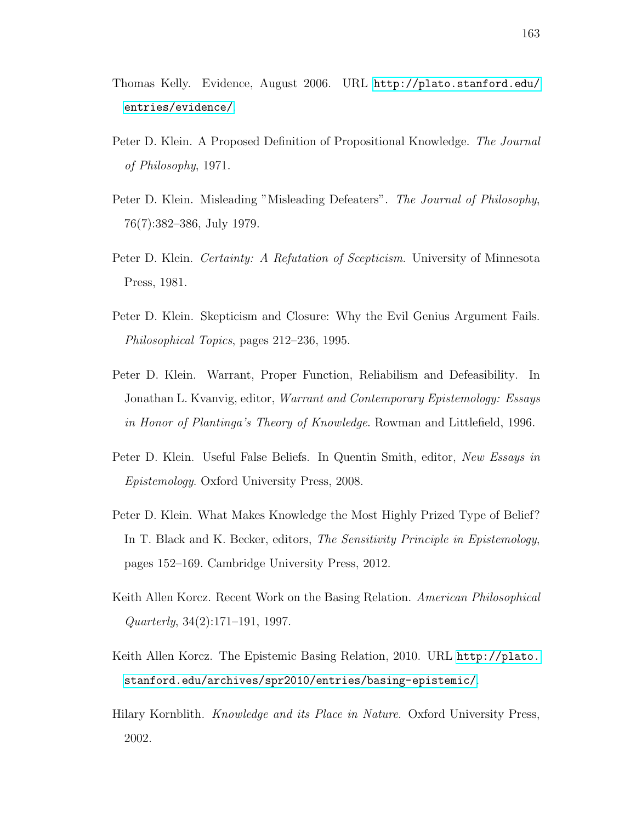- Thomas Kelly. Evidence, August 2006. URL [http://plato.stanford.edu/](http://plato.stanford.edu/entries/evidence/) [entries/evidence/](http://plato.stanford.edu/entries/evidence/).
- Peter D. Klein. A Proposed Definition of Propositional Knowledge. The Journal of Philosophy, 1971.
- Peter D. Klein. Misleading "Misleading Defeaters". The Journal of Philosophy, 76(7):382–386, July 1979.
- Peter D. Klein. *Certainty: A Refutation of Scepticism*. University of Minnesota Press, 1981.
- Peter D. Klein. Skepticism and Closure: Why the Evil Genius Argument Fails. Philosophical Topics, pages 212–236, 1995.
- Peter D. Klein. Warrant, Proper Function, Reliabilism and Defeasibility. In Jonathan L. Kvanvig, editor, Warrant and Contemporary Epistemology: Essays in Honor of Plantinga's Theory of Knowledge. Rowman and Littlefield, 1996.
- Peter D. Klein. Useful False Beliefs. In Quentin Smith, editor, New Essays in Epistemology. Oxford University Press, 2008.
- Peter D. Klein. What Makes Knowledge the Most Highly Prized Type of Belief? In T. Black and K. Becker, editors, The Sensitivity Principle in Epistemology, pages 152–169. Cambridge University Press, 2012.
- Keith Allen Korcz. Recent Work on the Basing Relation. American Philosophical Quarterly, 34(2):171–191, 1997.
- Keith Allen Korcz. The Epistemic Basing Relation, 2010. URL [http://plato.](http://plato.stanford.edu/archives/spr2010/entries/basing-epistemic/) [stanford.edu/archives/spr2010/entries/basing-epistemic/](http://plato.stanford.edu/archives/spr2010/entries/basing-epistemic/).
- Hilary Kornblith. Knowledge and its Place in Nature. Oxford University Press, 2002.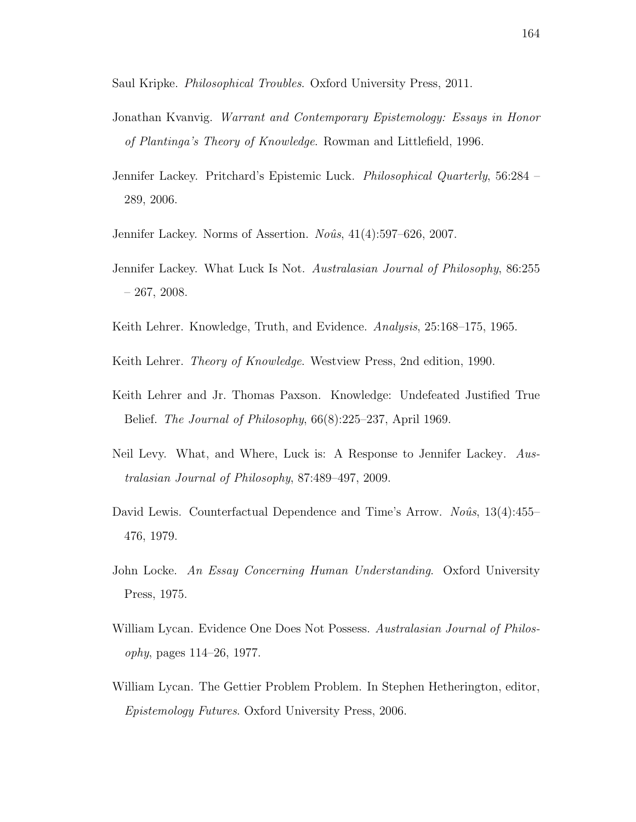Saul Kripke. Philosophical Troubles. Oxford University Press, 2011.

- Jonathan Kvanvig. Warrant and Contemporary Epistemology: Essays in Honor of Plantinga's Theory of Knowledge. Rowman and Littlefield, 1996.
- Jennifer Lackey. Pritchard's Epistemic Luck. *Philosophical Quarterly*, 56:284 289, 2006.
- Jennifer Lackey. Norms of Assertion.  $No\hat{u}s$ , 41(4):597–626, 2007.
- <span id="page-171-1"></span>Jennifer Lackey. What Luck Is Not. Australasian Journal of Philosophy, 86:255  $-267, 2008.$
- Keith Lehrer. Knowledge, Truth, and Evidence. Analysis, 25:168–175, 1965.
- Keith Lehrer. Theory of Knowledge. Westview Press, 2nd edition, 1990.
- Keith Lehrer and Jr. Thomas Paxson. Knowledge: Undefeated Justified True Belief. The Journal of Philosophy, 66(8):225–237, April 1969.
- <span id="page-171-0"></span>Neil Levy. What, and Where, Luck is: A Response to Jennifer Lackey. Australasian Journal of Philosophy, 87:489–497, 2009.
- David Lewis. Counterfactual Dependence and Time's Arrow. Noûs, 13(4):455– 476, 1979.
- John Locke. An Essay Concerning Human Understanding. Oxford University Press, 1975.
- William Lycan. Evidence One Does Not Possess. Australasian Journal of Philosophy, pages 114–26, 1977.
- William Lycan. The Gettier Problem Problem. In Stephen Hetherington, editor, Epistemology Futures. Oxford University Press, 2006.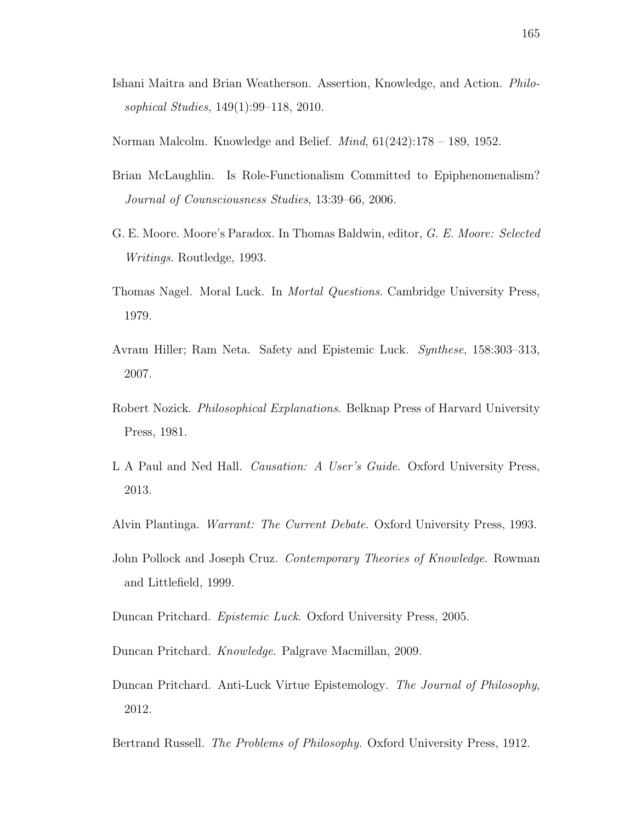- Ishani Maitra and Brian Weatherson. Assertion, Knowledge, and Action. Philosophical Studies, 149(1):99–118, 2010.
- Norman Malcolm. Knowledge and Belief. Mind, 61(242):178 189, 1952.
- Brian McLaughlin. Is Role-Functionalism Committed to Epiphenomenalism? Journal of Counsciousness Studies, 13:39–66, 2006.
- G. E. Moore. Moore's Paradox. In Thomas Baldwin, editor, G. E. Moore: Selected Writings. Routledge, 1993.
- Thomas Nagel. Moral Luck. In Mortal Questions. Cambridge University Press, 1979.
- Avram Hiller; Ram Neta. Safety and Epistemic Luck. Synthese, 158:303–313, 2007.
- Robert Nozick. Philosophical Explanations. Belknap Press of Harvard University Press, 1981.
- L A Paul and Ned Hall. *Causation: A User's Guide*. Oxford University Press, 2013.
- Alvin Plantinga. Warrant: The Current Debate. Oxford University Press, 1993.
- John Pollock and Joseph Cruz. Contemporary Theories of Knowledge. Rowman and Littlefield, 1999.
- <span id="page-172-0"></span>Duncan Pritchard. Epistemic Luck. Oxford University Press, 2005.
- Duncan Pritchard. Knowledge. Palgrave Macmillan, 2009.
- Duncan Pritchard. Anti-Luck Virtue Epistemology. The Journal of Philosophy, 2012.
- Bertrand Russell. The Problems of Philosophy. Oxford University Press, 1912.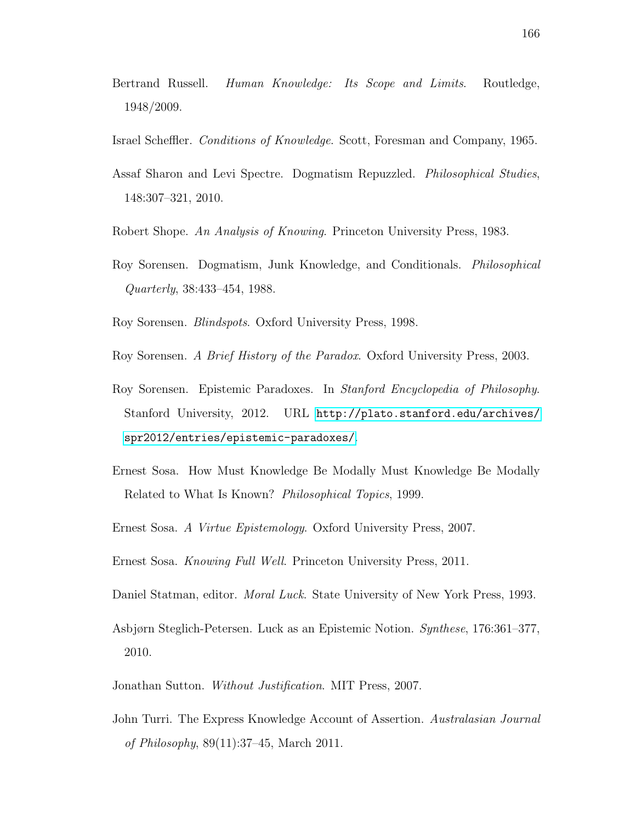- Bertrand Russell. Human Knowledge: Its Scope and Limits. Routledge, 1948/2009.
- Israel Scheffler. Conditions of Knowledge. Scott, Foresman and Company, 1965.
- Assaf Sharon and Levi Spectre. Dogmatism Repuzzled. Philosophical Studies, 148:307–321, 2010.
- Robert Shope. An Analysis of Knowing. Princeton University Press, 1983.
- Roy Sorensen. Dogmatism, Junk Knowledge, and Conditionals. Philosophical Quarterly, 38:433–454, 1988.
- <span id="page-173-0"></span>Roy Sorensen. Blindspots. Oxford University Press, 1998.
- Roy Sorensen. A Brief History of the Paradox. Oxford University Press, 2003.
- Roy Sorensen. Epistemic Paradoxes. In Stanford Encyclopedia of Philosophy. Stanford University, 2012. URL [http://plato.stanford.edu/archives/](http://plato.stanford.edu/archives/spr2012/entries/epistemic-paradoxes/) [spr2012/entries/epistemic-paradoxes/](http://plato.stanford.edu/archives/spr2012/entries/epistemic-paradoxes/).
- Ernest Sosa. How Must Knowledge Be Modally Must Knowledge Be Modally Related to What Is Known? Philosophical Topics, 1999.
- Ernest Sosa. A Virtue Epistemology. Oxford University Press, 2007.
- Ernest Sosa. Knowing Full Well. Princeton University Press, 2011.
- Daniel Statman, editor. Moral Luck. State University of New York Press, 1993.
- <span id="page-173-1"></span>Asbjørn Steglich-Petersen. Luck as an Epistemic Notion. Synthese, 176:361–377, 2010.
- Jonathan Sutton. Without Justification. MIT Press, 2007.
- John Turri. The Express Knowledge Account of Assertion. Australasian Journal of Philosophy, 89(11):37–45, March 2011.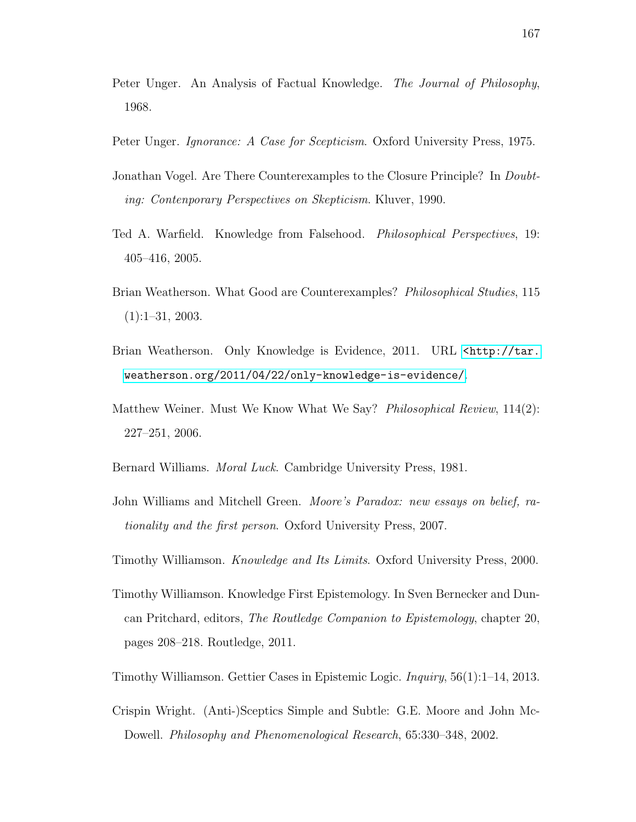- Peter Unger. An Analysis of Factual Knowledge. The Journal of Philosophy, 1968.
- Peter Unger. *Ignorance: A Case for Scepticism.* Oxford University Press, 1975.
- Jonathan Vogel. Are There Counterexamples to the Closure Principle? In Doubting: Contenporary Perspectives on Skepticism. Kluver, 1990.
- Ted A. Warfield. Knowledge from Falsehood. Philosophical Perspectives, 19: 405–416, 2005.
- Brian Weatherson. What Good are Counterexamples? Philosophical Studies, 115  $(1):1-31, 2003.$
- Brian Weatherson. Only Knowledge is Evidence, 2011. URL [<http://tar.](< http://tar.weatherson.org/2011/04/22/only-knowledge-is-evidence/) [weatherson.org/2011/04/22/only-knowledge-is-evidence/](< http://tar.weatherson.org/2011/04/22/only-knowledge-is-evidence/).
- Matthew Weiner. Must We Know What We Say? *Philosophical Review*, 114(2): 227–251, 2006.
- Bernard Williams. *Moral Luck.* Cambridge University Press, 1981.
- John Williams and Mitchell Green. Moore's Paradox: new essays on belief, rationality and the first person. Oxford University Press, 2007.
- <span id="page-174-0"></span>Timothy Williamson. Knowledge and Its Limits. Oxford University Press, 2000.
- Timothy Williamson. Knowledge First Epistemology. In Sven Bernecker and Duncan Pritchard, editors, The Routledge Companion to Epistemology, chapter 20, pages 208–218. Routledge, 2011.
- Timothy Williamson. Gettier Cases in Epistemic Logic. Inquiry, 56(1):1–14, 2013.
- Crispin Wright. (Anti-)Sceptics Simple and Subtle: G.E. Moore and John Mc-Dowell. Philosophy and Phenomenological Research, 65:330–348, 2002.